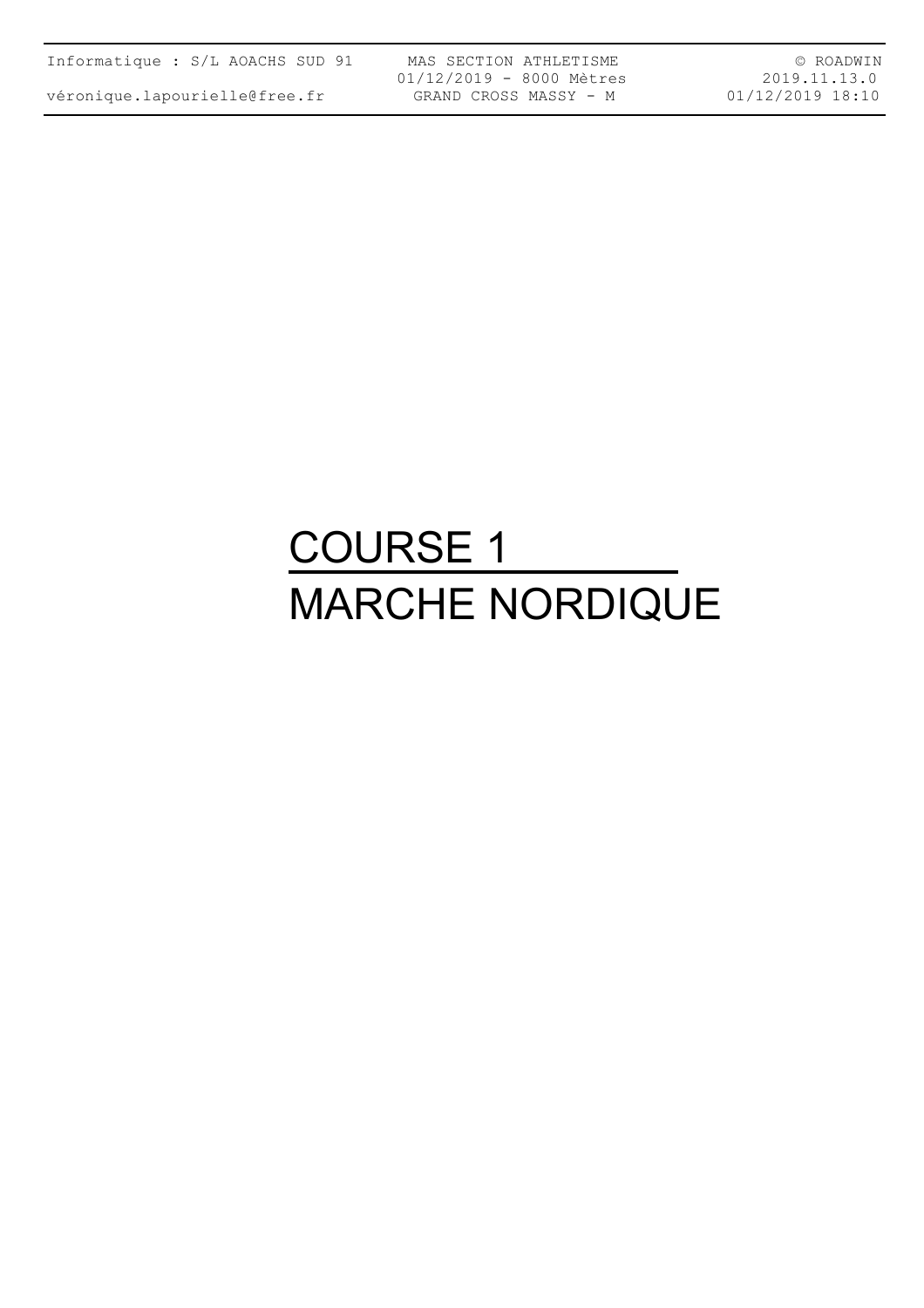|  | Informatique : S/L AOACHS SUD 91 |  |  |  |  |  |
|--|----------------------------------|--|--|--|--|--|
|--|----------------------------------|--|--|--|--|--|

MAS SECTION ATHLETISME 01/12/2019 - 8000 Mètres GRAND CROSS MASSY - M

© ROADWIN 2019.11.13.0 01/12/2019 18:10

# COURSE 1 MARCHE NORDIQUE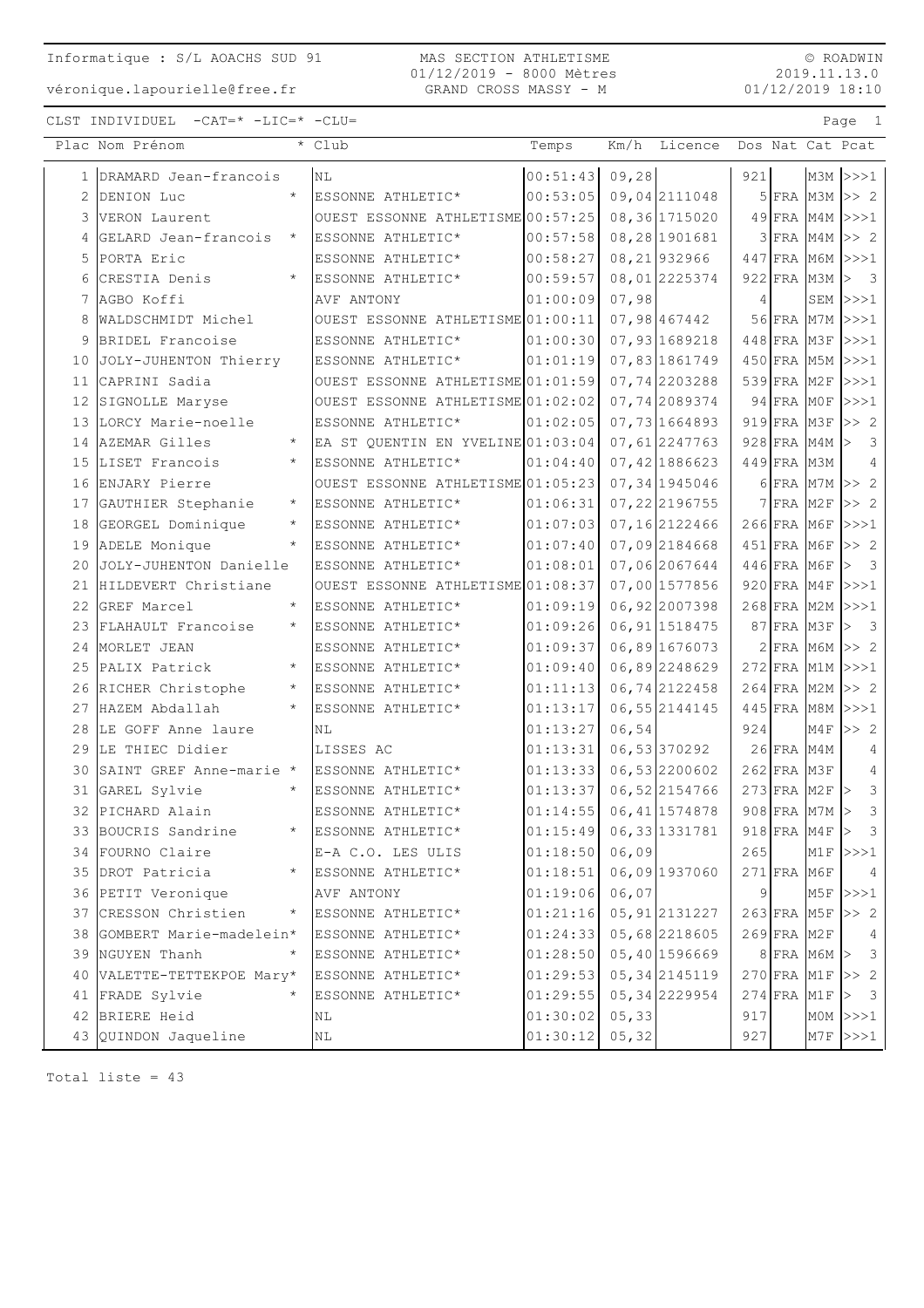#### MAS SECTION ATHLETISME 01/12/2019 - 8000 Mètres GRAND CROSS MASSY - M

© ROADWIN 2019.11.13.0 01/12/2019 18:10

CLST INDIVIDUEL -CAT=\* -LIC=\* -CLU= Page 1

|    | Plac Nom Prénom            |         | * Club                            | Temps                  |        | Km/h Licence   |     |               |                   | Dos Nat Cat Pcat                  |
|----|----------------------------|---------|-----------------------------------|------------------------|--------|----------------|-----|---------------|-------------------|-----------------------------------|
|    | 1 DRAMARD Jean-francois    |         | <b>NL</b>                         | 00:51:43               | 09,28  |                | 921 |               |                   | $M3M$ $>>$ 1                      |
| 2  | DENION Luc                 | $\star$ | ESSONNE ATHLETIC*                 | 00:53:05               |        | 09,04 2111048  |     |               |                   | $5$ FRA M3M $>>$ 2                |
|    | 3 VERON Laurent            |         | OUEST ESSONNE ATHLETISME 00:57:25 |                        |        | 08,36 1715020  |     |               |                   | $49$ FRA M4M >>>1                 |
| 4  | GELARD Jean-francois       |         | ESSONNE ATHLETIC*                 | 00:57:58               |        | 08,28 1901681  |     |               |                   | $3$ FRA M4M $\gg$ 2               |
|    | 5 PORTA Eric               |         | ESSONNE ATHLETIC*                 | 00:58:27               |        | 08, 21 932966  |     |               |                   | 447 FRA M6M >>>1                  |
| 6  | CRESTIA Denis              |         | ESSONNE ATHLETIC*                 | 00:59:57               |        | 08,012225374   |     |               | 922 FRA M3M       | $\,>$<br>$\overline{\phantom{a}}$ |
| 7  | AGBO Koffi                 |         | AVF ANTONY                        | 01:00:09               | 07,98  |                | 4   |               |                   | $SEM$ $>>1$                       |
| 8  | WALDSCHMIDT Michel         |         | OUEST ESSONNE ATHLETISME 01:00:11 |                        |        | 07,98 467442   |     |               |                   | 56 FRA M7M >>>1                   |
| 9  | BRIDEL Francoise           |         | ESSONNE ATHLETIC*                 | 01:00:30               |        | 07,93 1689218  |     |               |                   | 448 FRA M3F >>>1                  |
| 10 | JOLY-JUHENTON Thierry      |         | ESSONNE ATHLETIC*                 | 01:01:19               |        | 07,83 1861749  |     |               |                   | 450 FRA M5M >>>1                  |
| 11 | CAPRINI Sadia              |         | OUEST ESSONNE ATHLETISME 01:01:59 |                        |        | 07,74 2203288  |     |               |                   | 539 FRA M2F >>>1                  |
|    | 12 SIGNOLLE Maryse         |         | OUEST ESSONNE ATHLETISME 01:02:02 |                        |        | 07,74 2089374  |     |               |                   | 94 FRA MOF >>>1                   |
|    | 13 LORCY Marie-noelle      |         | ESSONNE ATHLETIC*                 | 01:02:05               |        | 07,73 1664893  |     | $919$ FRA M3F |                   | >> 2                              |
|    | 14 AZEMAR Gilles           |         | EA ST QUENTIN EN YVELINE 01:03:04 |                        |        | 07, 61 2247763 |     |               | 928 FRA M4M       | $\,>$<br>3                        |
|    | 15 LISET Francois          |         | ESSONNE ATHLETIC*                 | 01:04:40               |        | 07,42 1886623  |     | 449 FRA M3M   |                   | 4                                 |
|    | 16 ENJARY Pierre           |         | OUEST ESSONNE ATHLETISME 01:05:23 |                        |        | 07,34 1945046  |     |               |                   | 6 FRA M7M >> 2                    |
|    | 17 GAUTHIER Stephanie      | $\star$ | ESSONNE ATHLETIC*                 | 01:06:31               |        | 07, 22 2196755 |     | $7$ FRA M2F   |                   | >> 2                              |
| 18 | GEORGEL Dominique          | $\star$ | ESSONNE ATHLETIC*                 | 01:07:03               |        | 07, 16 2122466 |     |               | $266$ FRA M6F     | >>>1                              |
|    | 19 ADELE Monique           |         | ESSONNE ATHLETIC*                 | 01:07:40               |        | 07,09 2184668  |     | 451 FRA M6F   |                   | >> 2                              |
| 20 | JOLY-JUHENTON Danielle     |         | ESSONNE ATHLETIC*                 | 01:08:01               |        | 07,06 2067644  |     | 446 FRA M6F   |                   | $\overline{\mathbf{3}}$<br>>      |
| 21 | HILDEVERT Christiane       |         | OUEST ESSONNE ATHLETISME 01:08:37 |                        |        | 07,00 1577856  |     | $920$ FRA M4F |                   | >>>1                              |
|    | 22 GREF Marcel             | $\star$ | ESSONNE ATHLETIC*                 | 01:09:19               |        | 06,92 2007398  |     |               |                   | 268 FRA M2M >>>1                  |
|    | 23 FLAHAULT Francoise      | $\star$ | ESSONNE ATHLETIC*                 | 01:09:26               |        | 06, 91 1518475 |     | 87 FRA M3F    |                   | $\,>$<br>$\overline{\mathbf{3}}$  |
|    | 24 MORLET JEAN             |         | ESSONNE ATHLETIC*                 | 01:09:37               |        | 06,89 1676073  |     |               |                   | $2$ FRA M6M $>> 2$                |
|    | 25 PALIX Patrick           |         | ESSONNE ATHLETIC*                 | 01:09:40               |        | 06,89 2248629  |     |               |                   | 272 FRA M1M >>>1                  |
|    | 26 RICHER Christophe       |         | ESSONNE ATHLETIC*                 | 01:11:13               |        | 06,74 2122458  |     | $264$ FRA M2M |                   | >> 2                              |
|    | 27 HAZEM Abdallah          | $\star$ | ESSONNE ATHLETIC*                 | 01:13:17               |        | 06, 55 2144145 |     |               |                   | 445 FRA M8M >>>1                  |
|    | 28 LE GOFF Anne laure      |         | ΝL                                | 01:13:27               | 06,54  |                | 924 |               | M4F               | $>>$ 2                            |
|    | 29 LE THIEC Didier         |         | LISSES AC                         | 01:13:31               |        | 06,53370292    |     | 26 FRA M4M    |                   | 4                                 |
| 30 | SAINT GREF Anne-marie *    |         | ESSONNE ATHLETIC*                 | 01:13:33               |        | 06,53 2200602  |     | $262$ FRA M3F |                   | 4                                 |
|    | 31 GAREL Sylvie            |         | ESSONNE ATHLETIC*                 | 01:13:37               |        | 06,522154766   |     |               | 273 FRA M2F       | 3<br>$\vert$                      |
|    | 32 PICHARD Alain           |         | ESSONNE ATHLETIC*                 | 01:14:55               |        | 06, 41 1574878 |     |               | 908 FRA M7M >     | 3                                 |
|    | 33 BOUCRIS Sandrine        |         | * ESSONNE ATHLETIC*               | 01:15:49 06,33 1331781 |        |                |     |               | $918$ FRA M4F $>$ | $\mathcal{S}$                     |
|    | 34 FOURNO Claire           |         | E-A C.O. LES ULIS                 | 01:18:50               | 06,09  |                | 265 |               |                   | $M1F$ $>>$ 1                      |
|    | 35 DROT Patricia           |         | ESSONNE ATHLETIC*                 | 01:18:51               |        | 06,09 1937060  |     | $271$ FRA M6F |                   | 4                                 |
|    | 36 PETIT Veronique         |         | AVF ANTONY                        | 01:19:06               | 06,07  |                | 9   |               | M5F               | >>>1                              |
|    | 37 CRESSON Christien       |         | ESSONNE ATHLETIC*                 | 01:21:16               |        | 05, 91 2131227 |     |               | $263$ FRA M5F     | >> 2                              |
|    | 38 GOMBERT Marie-madelein* |         | ESSONNE ATHLETIC*                 | 01:24:33               |        | 05,68 2218605  |     | $269$ FRA M2F |                   | 4                                 |
|    | 39 NGUYEN Thanh            |         | ESSONNE ATHLETIC*                 | 01:28:50               |        | 05,40 1596669  |     |               | $8$ FRA M6M $>$   | 3                                 |
|    | 40 VALETTE-TETTEKPOE Mary* |         | ESSONNE ATHLETIC*                 | 01:29:53               |        | 05, 34 2145119 |     |               |                   | $270$ FRA M1F >> 2                |
|    | 41 FRADE Sylvie            |         | ESSONNE ATHLETIC*                 | 01:29:55               |        | 05, 34 2229954 |     | $274$ FRA M1F |                   | $\,>$<br>3                        |
|    | 42 BRIERE Heid             |         | ΝL                                | 01:30:02               | 05, 33 |                | 917 |               |                   | $MOM$ $>>1$                       |
|    | 43 QUINDON Jaqueline       |         | NL                                | 01:30:12               | 05, 32 |                | 927 |               |                   | $M7F$ $>>$ 1                      |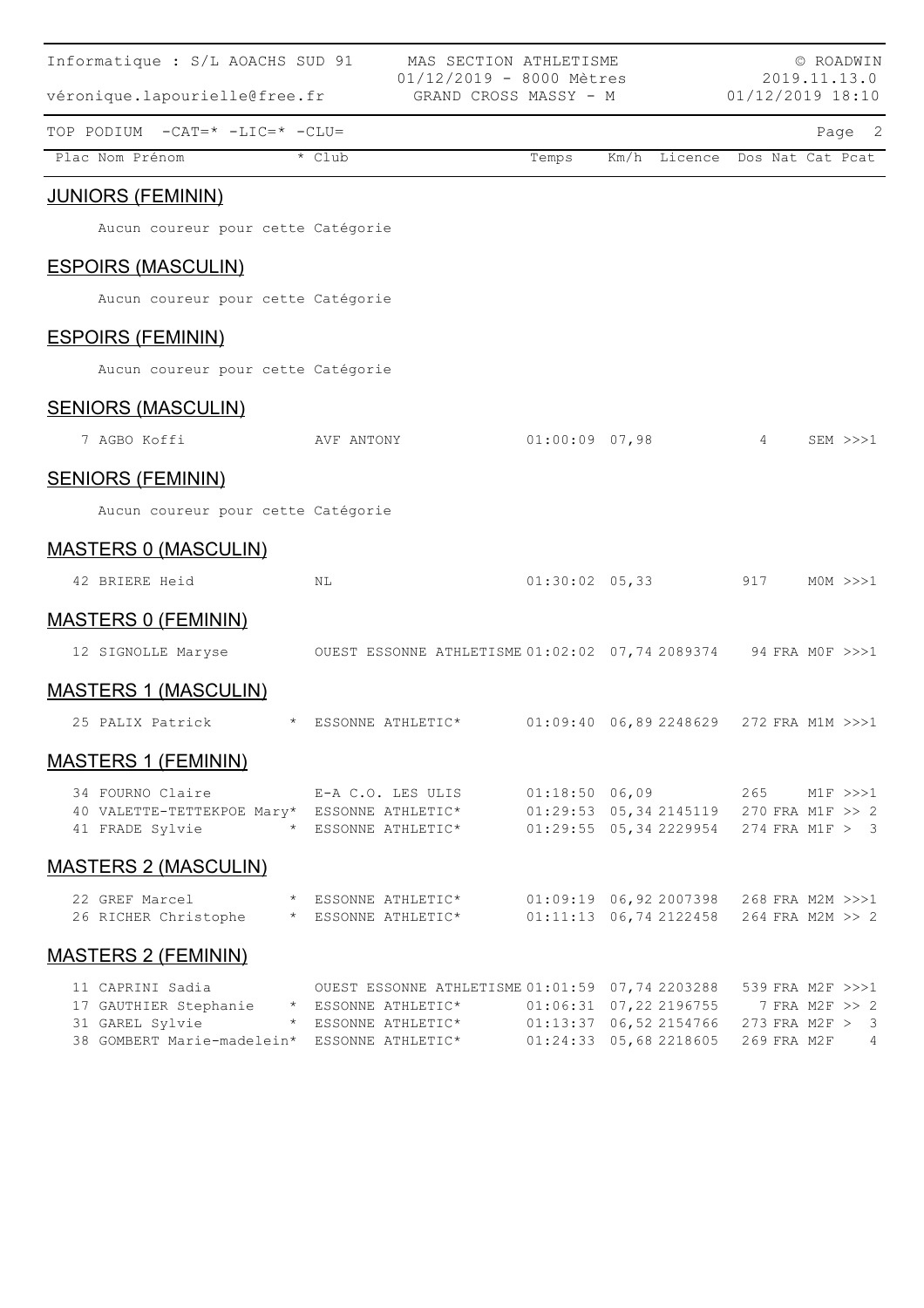| Informatique : S/L AOACHS SUD 91                                                                                                 |                                                                        | MAS SECTION ATHLETISME<br>$01/12/2019 - 8000$ Mètres |                  |                                                                                      |            | © ROADWIN<br>2019.11.13.0                                              |
|----------------------------------------------------------------------------------------------------------------------------------|------------------------------------------------------------------------|------------------------------------------------------|------------------|--------------------------------------------------------------------------------------|------------|------------------------------------------------------------------------|
| véronique.lapourielle@free.fr                                                                                                    |                                                                        | GRAND CROSS MASSY - M                                |                  |                                                                                      |            | 01/12/2019 18:10                                                       |
| TOP PODIUM -CAT=* -LIC=* -CLU=                                                                                                   |                                                                        |                                                      |                  |                                                                                      |            | Page 2                                                                 |
| Plac Nom Prénom                                                                                                                  | * Club                                                                 |                                                      | Temps            | Km/h Licence                                                                         |            | Dos Nat Cat Pcat                                                       |
| <b>JUNIORS (FEMININ)</b>                                                                                                         |                                                                        |                                                      |                  |                                                                                      |            |                                                                        |
| Aucun coureur pour cette Catégorie                                                                                               |                                                                        |                                                      |                  |                                                                                      |            |                                                                        |
| <b>ESPOIRS (MASCULIN)</b>                                                                                                        |                                                                        |                                                      |                  |                                                                                      |            |                                                                        |
| Aucun coureur pour cette Catégorie                                                                                               |                                                                        |                                                      |                  |                                                                                      |            |                                                                        |
| <b>ESPOIRS (FEMININ)</b>                                                                                                         |                                                                        |                                                      |                  |                                                                                      |            |                                                                        |
| Aucun coureur pour cette Catégorie                                                                                               |                                                                        |                                                      |                  |                                                                                      |            |                                                                        |
| <b>SENIORS (MASCULIN)</b>                                                                                                        |                                                                        |                                                      |                  |                                                                                      |            |                                                                        |
| 7 AGBO Koffi                                                                                                                     | AVF ANTONY                                                             |                                                      | $01:00:09$ 07,98 |                                                                                      | $4\degree$ | $SEM \>>> 1$                                                           |
| <b>SENIORS (FEMININ)</b>                                                                                                         |                                                                        |                                                      |                  |                                                                                      |            |                                                                        |
| Aucun coureur pour cette Catégorie                                                                                               |                                                                        |                                                      |                  |                                                                                      |            |                                                                        |
| <b>MASTERS 0 (MASCULIN)</b>                                                                                                      |                                                                        |                                                      |                  |                                                                                      |            |                                                                        |
| 42 BRIERE Heid                                                                                                                   | NL                                                                     |                                                      |                  | $01:30:02$ 05,33 917                                                                 |            | MOM >>>1                                                               |
| <b>MASTERS 0 (FEMININ)</b>                                                                                                       |                                                                        |                                                      |                  |                                                                                      |            |                                                                        |
| 12 SIGNOLLE Maryse                                                                                                               | OUEST ESSONNE ATHLETISME 01:02:02 07,74 2089374 94 FRA MOF >>>1        |                                                      |                  |                                                                                      |            |                                                                        |
| <b>MASTERS 1 (MASCULIN)</b>                                                                                                      |                                                                        |                                                      |                  |                                                                                      |            |                                                                        |
| 25 PALIX Patrick                                                                                                                 | * ESSONNE ATHLETIC* 01:09:40 06,89 2248629 272 FRA M1M >>>1            |                                                      |                  |                                                                                      |            |                                                                        |
| <b>MASTERS 1 (FEMININ)</b>                                                                                                       |                                                                        |                                                      |                  |                                                                                      |            |                                                                        |
| 34 FOURNO Claire                                                                                                                 | E-A C.O. LES ULIS                                                      |                                                      |                  | 01:18:50 06,09 265 M1F >>>1                                                          |            |                                                                        |
| 40 VALETTE-TETTEKPOE Mary* ESSONNE ATHLETIC*<br>41 FRADE Sylvie                                                                  | * ESSONNE ATHLETIC*                                                    |                                                      |                  | 01:29:53 05,34 2145119 270 FRA M1F >> 2<br>$01:29:55$ 05, 34 2229954 274 FRA M1F > 3 |            |                                                                        |
| <b>MASTERS 2 (MASCULIN)</b>                                                                                                      |                                                                        |                                                      |                  |                                                                                      |            |                                                                        |
| 22 GREF Marcel<br>26 RICHER Christophe * ESSONNE ATHLETIC*                                                                       | * ESSONNE ATHLETIC*                                                    |                                                      |                  | 01:09:19 06,92 2007398 268 FRA M2M >>>1<br>$01:11:13$ 06, 74 2122458                 |            | 264 FRA M2M >> 2                                                       |
| <b>MASTERS 2 (FEMININ)</b>                                                                                                       |                                                                        |                                                      |                  |                                                                                      |            |                                                                        |
| 11 CAPRINI Sadia<br>17 GAUTHIER Stephanie * ESSONNE ATHLETIC*<br>31 GAREL Sylvie<br>38 GOMBERT Marie-madelein* ESSONNE ATHLETIC* | OUEST ESSONNE ATHLETISME 01:01:59 07,74 2203288<br>* ESSONNE ATHLETIC* |                                                      |                  | $01:06:31$ $07,22$ 2196755<br>$01:13:37$ 06,52 2154766<br>$01:24:33$ 05,68 2218605   |            | 539 FRA M2F >>>1<br>7 FRA M2F >> 2<br>273 FRA M2F > 3<br>269 FRA M2F 4 |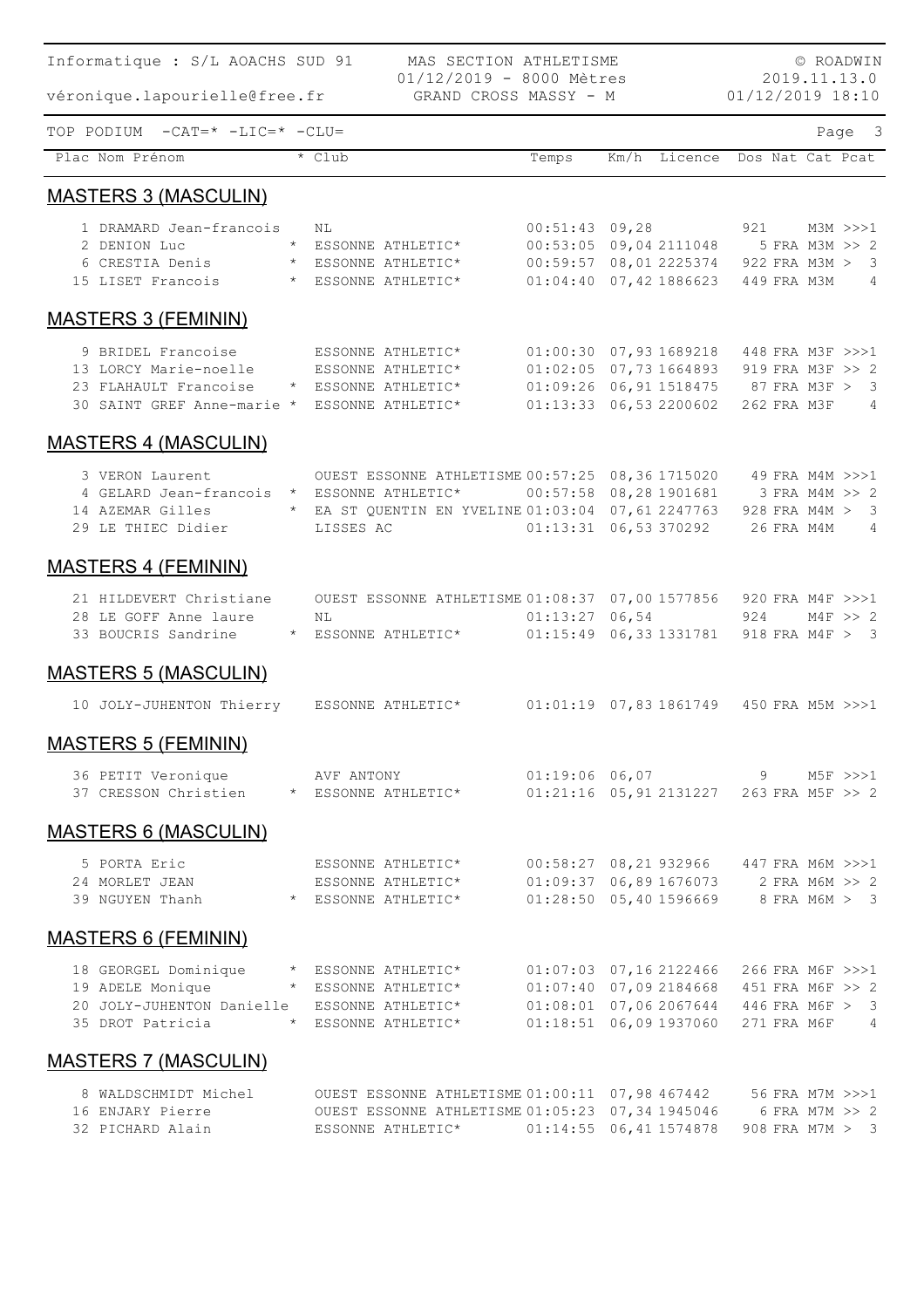| MAS SECTION ATHLETISME<br>Informatique : S/L AOACHS SUD 91<br>© ROADWIN<br>01/12/2019 - 8000 Mètres<br>2019.11.13.0 |                                        |                                                                   |                                                                               |  |                               |                  |  |                                |                |  |
|---------------------------------------------------------------------------------------------------------------------|----------------------------------------|-------------------------------------------------------------------|-------------------------------------------------------------------------------|--|-------------------------------|------------------|--|--------------------------------|----------------|--|
| véronique.lapourielle@free.fr                                                                                       |                                        | GRAND CROSS MASSY - M                                             |                                                                               |  |                               | 01/12/2019 18:10 |  |                                |                |  |
| TOP PODIUM -CAT=* -LIC=* -CLU=                                                                                      |                                        |                                                                   |                                                                               |  |                               |                  |  |                                | Page 3         |  |
| Plac Nom Prénom                                                                                                     | $\overline{\star}$ Club                |                                                                   | Temps                                                                         |  | Km/h Licence Dos Nat Cat Pcat |                  |  |                                |                |  |
| <b>MASTERS 3 (MASCULIN)</b>                                                                                         |                                        |                                                                   |                                                                               |  |                               |                  |  |                                |                |  |
| 1 DRAMARD Jean-francois                                                                                             | NL                                     |                                                                   | $00:51:43$ 09,28                                                              |  |                               |                  |  | 921 M3M >>>1                   |                |  |
| 2 DENION Luc                                                                                                        | * ESSONNE ATHLETIC*                    |                                                                   | 00:53:05 09,04 2111048                                                        |  |                               |                  |  | 5 FRA M3M >> 2                 |                |  |
| 6 CRESTIA Denis * ESSONNE ATHLETIC*<br>15 LISET Francois * ESSONNE ATHLETIC*                                        |                                        |                                                                   | 00:59:57 08,01 2225374<br>$01:04:40$ 07, 42 1886623                           |  |                               |                  |  | 922 FRA M3M > 3<br>449 FRA M3M | $\overline{4}$ |  |
| <b>MASTERS 3 (FEMININ)</b>                                                                                          |                                        |                                                                   |                                                                               |  |                               |                  |  |                                |                |  |
| 9 BRIDEL Francoise                                                                                                  | ESSONNE ATHLETIC*                      |                                                                   | $01:00:30$ $07,93$ 1689218                                                    |  |                               | 448 FRA M3F >>>1 |  |                                |                |  |
| 13 LORCY Marie-noelle                                                                                               | ESSONNE ATHLETIC*                      |                                                                   | 01:02:05 07,73 1664893 919 FRA M3F >> 2                                       |  |                               |                  |  |                                |                |  |
| 23 FLAHAULT Francoise                                                                                               | * ESSONNE ATHLETIC*                    |                                                                   | 01:09:26 06,91 1518475 87 FRA M3F > 3                                         |  |                               |                  |  |                                |                |  |
| 30 SAINT GREF Anne-marie * ESSONNE ATHLETIC*                                                                        |                                        |                                                                   | $01:13:33$ 06,53 2200602                                                      |  |                               |                  |  | 262 FRA M3F                    | $\overline{4}$ |  |
| <b>MASTERS 4 (MASCULIN)</b>                                                                                         |                                        |                                                                   |                                                                               |  |                               |                  |  |                                |                |  |
| 3 VERON Laurent                                                                                                     |                                        | OUEST ESSONNE ATHLETISME 00:57:25 08,36 1715020 49 FRA M4M >>>1   |                                                                               |  |                               |                  |  |                                |                |  |
| 4 GELARD Jean-francois * ESSONNE ATHLETIC*                                                                          |                                        |                                                                   | 00:57:58 08,28 1901681                                                        |  |                               |                  |  | 3 FRA M4M >> 2                 |                |  |
| 14 AZEMAR Gilles                                                                                                    |                                        | * EA ST QUENTIN EN YVELINE 01:03:04 07,61 2247763 928 FRA M4M > 3 |                                                                               |  |                               |                  |  |                                |                |  |
| 29 LE THIEC Didier                                                                                                  | LISSES AC                              |                                                                   | $01:13:31$ 06,53 370292                                                       |  |                               |                  |  | 26 FRA M4M                     | $\overline{4}$ |  |
| <b>MASTERS 4 (FEMININ)</b>                                                                                          |                                        |                                                                   |                                                                               |  |                               |                  |  |                                |                |  |
| 21 HILDEVERT Christiane OUEST ESSONNE ATHLETISME 01:08:37 07,00 1577856 920 FRA M4F >>>1                            |                                        |                                                                   |                                                                               |  |                               |                  |  |                                |                |  |
| 28 LE GOFF Anne laure                                                                                               | NL                                     |                                                                   | $01:13:27$ 06,54                                                              |  |                               | 924              |  | $M4F \Rightarrow 2$            |                |  |
| 33 BOUCRIS Sandrine                                                                                                 |                                        | * ESSONNE ATHLETIC*                                               | 01:15:49 06,33 1331781                                                        |  |                               |                  |  | 918 FRA M4F > 3                |                |  |
| <b>MASTERS 5 (MASCULIN)</b>                                                                                         |                                        |                                                                   |                                                                               |  |                               |                  |  |                                |                |  |
| 10 JOLY-JUHENTON Thierry ESSONNE ATHLETIC*                                                                          |                                        |                                                                   | 01:01:19  07,83  1861749  450 FRA  M5M >>>1                                   |  |                               |                  |  |                                |                |  |
| <b>MASTERS 5 (FEMININ)</b>                                                                                          |                                        |                                                                   |                                                                               |  |                               |                  |  |                                |                |  |
| 36 PETIT Veronique AVF ANTONY                                                                                       |                                        |                                                                   | 01:19:06 06,07 9 M5F >>>1                                                     |  |                               |                  |  |                                |                |  |
| 37 CRESSON Christien * ESSONNE ATHLETIC*                                                                            |                                        |                                                                   | 01:21:16 05,91 2131227 263 FRA M5F >> 2                                       |  |                               |                  |  |                                |                |  |
| <b>MASTERS 6 (MASCULIN)</b>                                                                                         |                                        |                                                                   |                                                                               |  |                               |                  |  |                                |                |  |
| 5 PORTA Eric                                                                                                        |                                        |                                                                   | 00:58:27 08,21 932966 447 FRA M6M >>>1                                        |  |                               |                  |  |                                |                |  |
| 24 MORLET JEAN                                                                                                      | ESSONNE ATHLETIC*<br>ESSONNE ATHLETIC* |                                                                   |                                                                               |  |                               |                  |  |                                |                |  |
|                                                                                                                     |                                        |                                                                   | 01:09:37 06,89 1676073 2 FRA M6M >> 2<br>01:28:50 05,40 1596669 8 FRA M6M > 3 |  |                               |                  |  |                                |                |  |
| <b>MASTERS 6 (FEMININ)</b>                                                                                          |                                        |                                                                   |                                                                               |  |                               |                  |  |                                |                |  |
| 18 GEORGEL Dominique * ESSONNE ATHLETIC*                                                                            |                                        |                                                                   | 01:07:03 07,16 2122466 266 FRA M6F >>>1                                       |  |                               |                  |  |                                |                |  |
| 19 ADELE Monique                                                                                                    |                                        | * ESSONNE ATHLETIC*                                               | 01:07:40 07,09 2184668 451 FRA M6F >> 2                                       |  |                               |                  |  |                                |                |  |
| 20 JOLY-JUHENTON Danielle ESSONNE ATHLETIC*                                                                         |                                        |                                                                   | $01:08:01$ 07,06 2067644 446 FRA M6F > 3                                      |  |                               |                  |  |                                |                |  |
| 35 DROT Patricia * ESSONNE ATHLETIC*                                                                                |                                        |                                                                   | 01:18:51 06,09 1937060 271 FRA M6F 4                                          |  |                               |                  |  |                                |                |  |
| <b>MASTERS 7 (MASCULIN)</b>                                                                                         |                                        |                                                                   |                                                                               |  |                               |                  |  |                                |                |  |
| 8 WALDSCHMIDT Michel                                                                                                |                                        | OUEST ESSONNE ATHLETISME 01:00:11 07,98 467442 56 FRA M7M >>>1    |                                                                               |  |                               |                  |  |                                |                |  |
| 16 ENJARY Pierre                                                                                                    |                                        | OUEST ESSONNE ATHLETISME 01:05:23 07,34 1945046                   |                                                                               |  |                               |                  |  | 6 FRA M7M >> 2                 |                |  |
| 32 PICHARD Alain                                                                                                    |                                        | ESSONNE ATHLETIC* 01:14:55 06,41 1574878                          |                                                                               |  |                               |                  |  | 908 FRA M7M > 3                |                |  |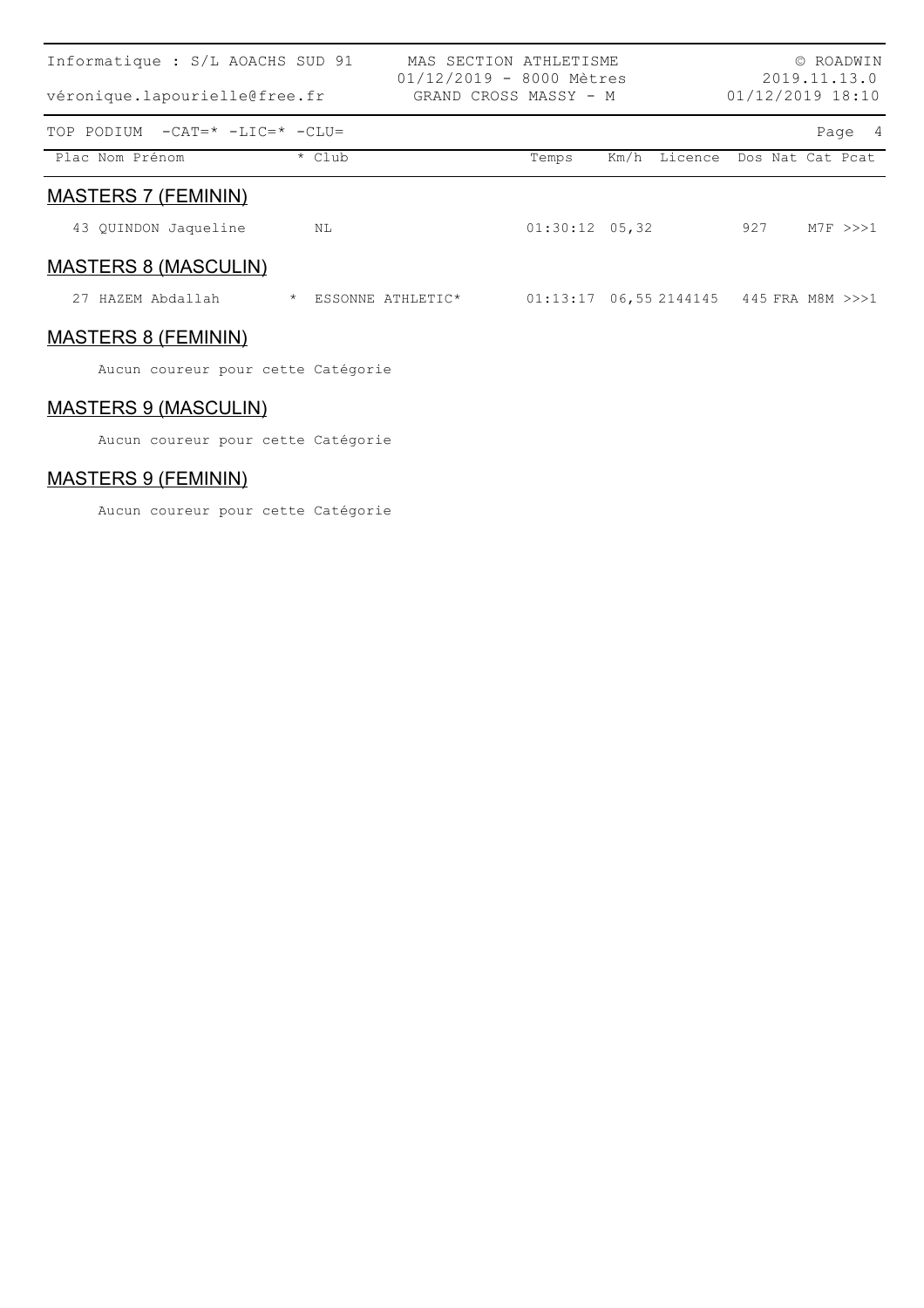| Informatique : S/L AOACHS SUD 91<br>véronique.lapourielle@free.fr |                              | MAS SECTION ATHLETISME<br>$01/12/2019 - 8000$ Mètres<br>GRAND CROSS MASSY - M |                  |      |         | 01/12/2019 18:10               |      | © ROADWIN<br>2019.11.13.0 |
|-------------------------------------------------------------------|------------------------------|-------------------------------------------------------------------------------|------------------|------|---------|--------------------------------|------|---------------------------|
| $-CAT = * -LIC = * -CLU =$<br>TOP PODIUM                          |                              |                                                                               |                  |      |         |                                | Page | - 4                       |
| Plac Nom Prénom                                                   | * Club                       |                                                                               | Temps            | Km/h | Licence | Dos Nat Cat Pcat               |      |                           |
| <b>MASTERS 7 (FEMININ)</b>                                        |                              |                                                                               |                  |      |         |                                |      |                           |
| 43 QUINDON Jaqueline                                              | NL                           |                                                                               | $01:30:12$ 05,32 |      |         | 927                            |      | $M7F \rightarrow >> 1$    |
| <b>MASTERS 8 (MASCULIN)</b>                                       |                              |                                                                               |                  |      |         |                                |      |                           |
| HAZEM Abdallah<br>27                                              | $\star$<br>ESSONNE ATHLETIC* |                                                                               | 01:13:17         |      |         | 06,55 2144145 445 FRA M8M >>>1 |      |                           |
| <b>MASTERS 8 (FEMININ)</b>                                        |                              |                                                                               |                  |      |         |                                |      |                           |
| Aucun coureur pour cette Catégorie                                |                              |                                                                               |                  |      |         |                                |      |                           |

### MASTERS 9 (MASCULIN)

Aucun coureur pour cette Catégorie

### MASTERS 9 (FEMININ)

Aucun coureur pour cette Catégorie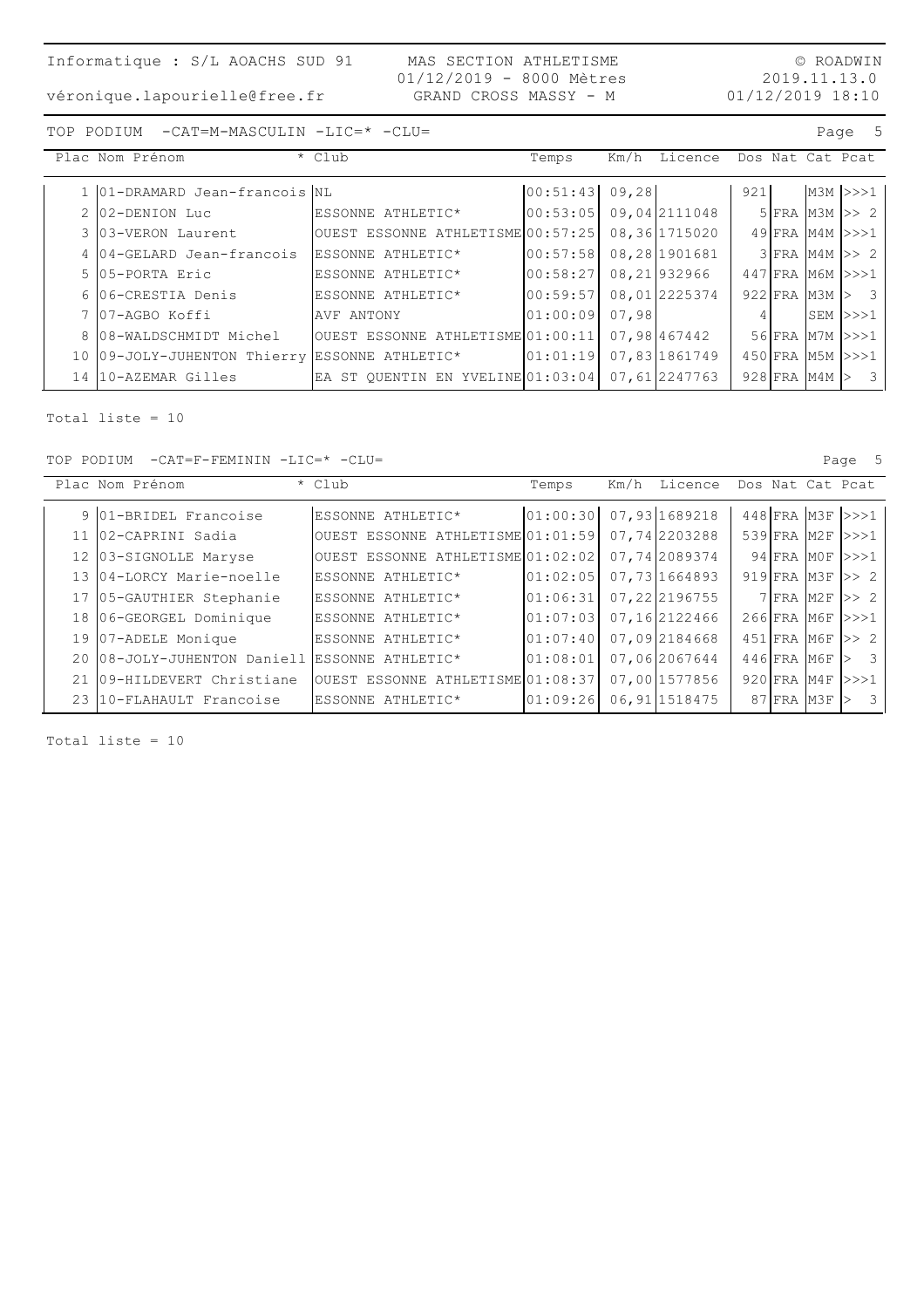#### © ROADWIN 2019.11.13.0 01/12/2019 18:10

TOP PODIUM -CAT=M-MASCULIN -LIC=\* -CLU= Page 5

| Plac Nom Prénom                               | * Club                            | Temps    |       | Km/h Licence  |     |  | Dos Nat Cat Pcat       |
|-----------------------------------------------|-----------------------------------|----------|-------|---------------|-----|--|------------------------|
| 1 01-DRAMARD Jean-francois NL                 |                                   | 00:51:43 | 09,28 |               | 921 |  | $M3M$ $>>$ 1           |
| 2 02-DENION Luc                               | ESSONNE ATHLETIC*                 | 00:53:05 |       | 09,042111048  |     |  | $5$ FRA M3M $\gg$ 2    |
| 3 03-VERON Laurent                            | OUEST ESSONNE ATHLETISME 00:57:25 |          |       | 08,36 1715020 |     |  | 49 FRA M4M >>>1        |
| 4 04-GELARD Jean-francois                     | ESSONNE ATHLETIC*                 | 00:57:58 |       | 08,28 1901681 |     |  | $3$ FRA M4M $>>$ 2     |
| 5 105-PORTA Eric                              | ESSONNE ATHLETIC*                 | 00:58:27 |       | 08,21932966   |     |  | 447 FRA M6M >>>1       |
| 6 06-CRESTIA Denis                            | ESSONNE ATHLETIC*                 | 00:59:57 |       | 08,012225374  |     |  | $922$ FRA M3M $\geq$ 3 |
| 7 07-AGBO Koffi                               | AVF ANTONY                        | 01:00:09 | 07,98 |               |     |  | SEM >>>1               |
| 8 08-WALDSCHMIDT Michel                       | OUEST ESSONNE ATHLETISME 01:00:11 |          |       | 07,98 467442  |     |  | 56 FRA M7M >>>1        |
| 10 09-JOLY-JUHENTON Thierry ESSONNE ATHLETIC* |                                   | 01:01:19 |       | 07,83 1861749 |     |  | 450 FRA M5M >>>1       |
| 14 10-AZEMAR Gilles                           | EA ST OUENTIN EN YVELINE 01:03:04 |          |       | 07,61 2247763 |     |  | $928$ FRA M4M $>$ 3    |

Total liste = 10

TOP PODIUM -CAT=F-FEMININ -LIC=\* -CLU= Page 5

|      | Plac Nom Prénom                               | * Club                            | Temps    | Km/h Licence   |                   | Dos Nat Cat Peat       |
|------|-----------------------------------------------|-----------------------------------|----------|----------------|-------------------|------------------------|
|      | 9 01-BRIDEL Francoise                         | ESSONNE ATHLETIC*                 | 01:00:30 | 07,93 1689218  |                   | 448 FRA M3F >>>1       |
|      | 11 02-CAPRINI Sadia                           | OUEST ESSONNE ATHLETISME 01:01:59 |          | 07,742203288   | $539$ $FRA$ $M2F$ | >>>1                   |
|      | 12 03-SIGNOLLE Maryse                         | OUEST ESSONNE ATHLETISME 01:02:02 |          | 07,742089374   | 94 FRA MOF        | >>>1                   |
|      | 13 04-LORCY Marie-noelle                      | ESSONNE ATHLETIC*                 | 01:02:05 | 07,73 1664893  | $919$ FRA M3F     | $\Rightarrow$ 2        |
|      | 17 05-GAUTHIER Stephanie                      | ESSONNE ATHLETIC*                 | 01:06:31 | 07,222196755   |                   | $7$ $FRA$ $M2F$ $>>$ 2 |
|      | 18 06-GEORGEL Dominique                       | ESSONNE ATHLETIC*                 | 01:07:03 | 07,162122466   | $266$ FRA M6F     | >>>1                   |
|      | 19 07-ADELE Monique                           | ESSONNE ATHLETIC*                 | 01:07:40 | 07,092184668   | 451 FRA M6F       | >> 2                   |
|      | 20 08-JOLY-JUHENTON Daniell ESSONNE ATHLETIC* |                                   | 01:08:01 | 07,062067644   | 446 FRA M6F       | 3                      |
|      | 09-HILDEVERT Christiane                       | OUEST ESSONNE ATHLETISME 01:08:37 |          | 07,00 1577856  | $920$ FRA M4F     | >>>1                   |
| 23 I | 10-FLAHAULT Francoise                         | ESSONNE ATHLETIC*                 | 01:09:26 | 06, 91 1518475 | 87 FRA M3F        | 3                      |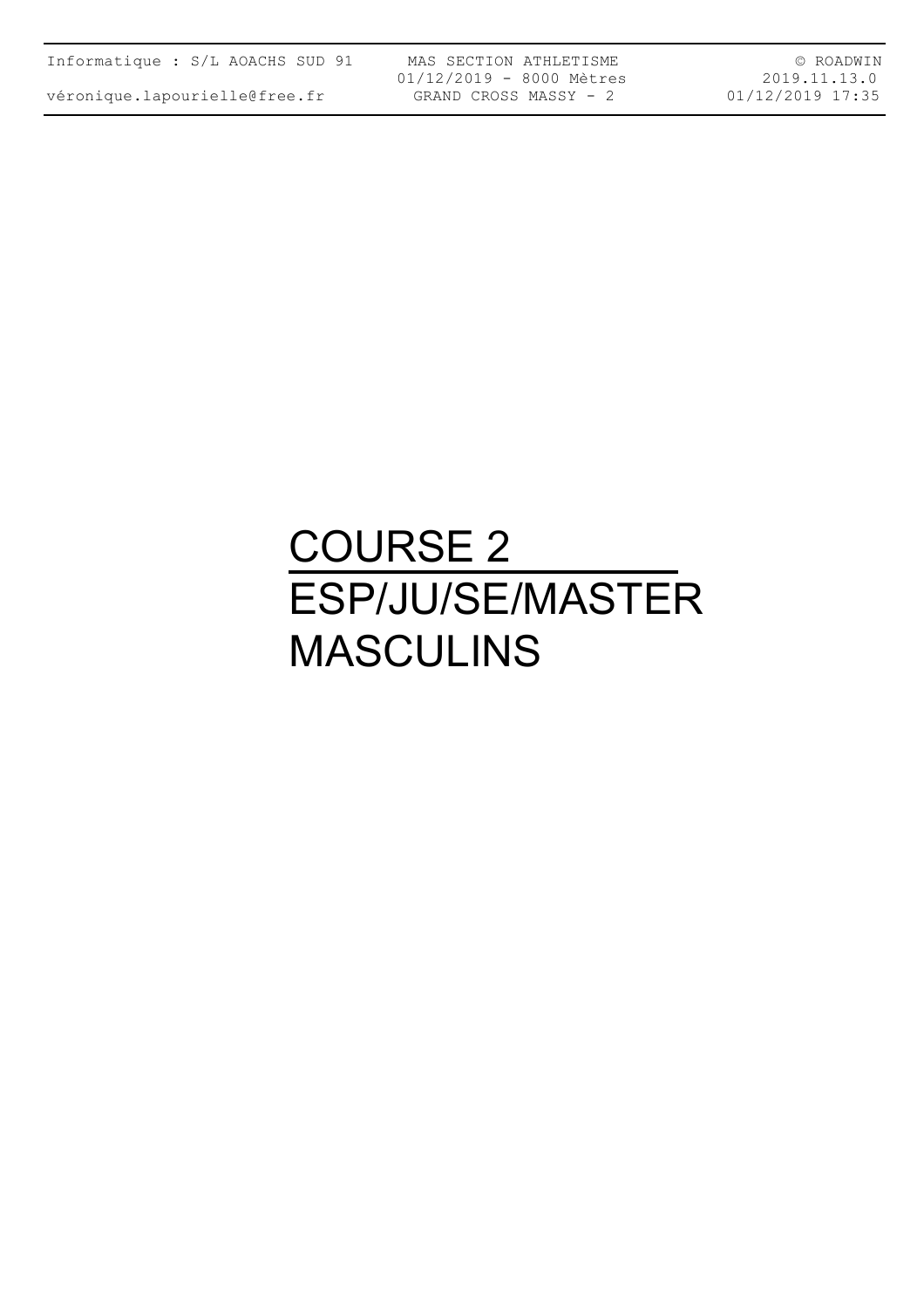véronique.lapourielle@free.fr

MAS SECTION ATHLETISME 01/12/2019 - 8000 Mètres GRAND CROSS MASSY - 2

© ROADWIN 2019.11.13.0 01/12/2019 17:35

## COURSE 2 ESP/JU/SE/MASTER MASCULINS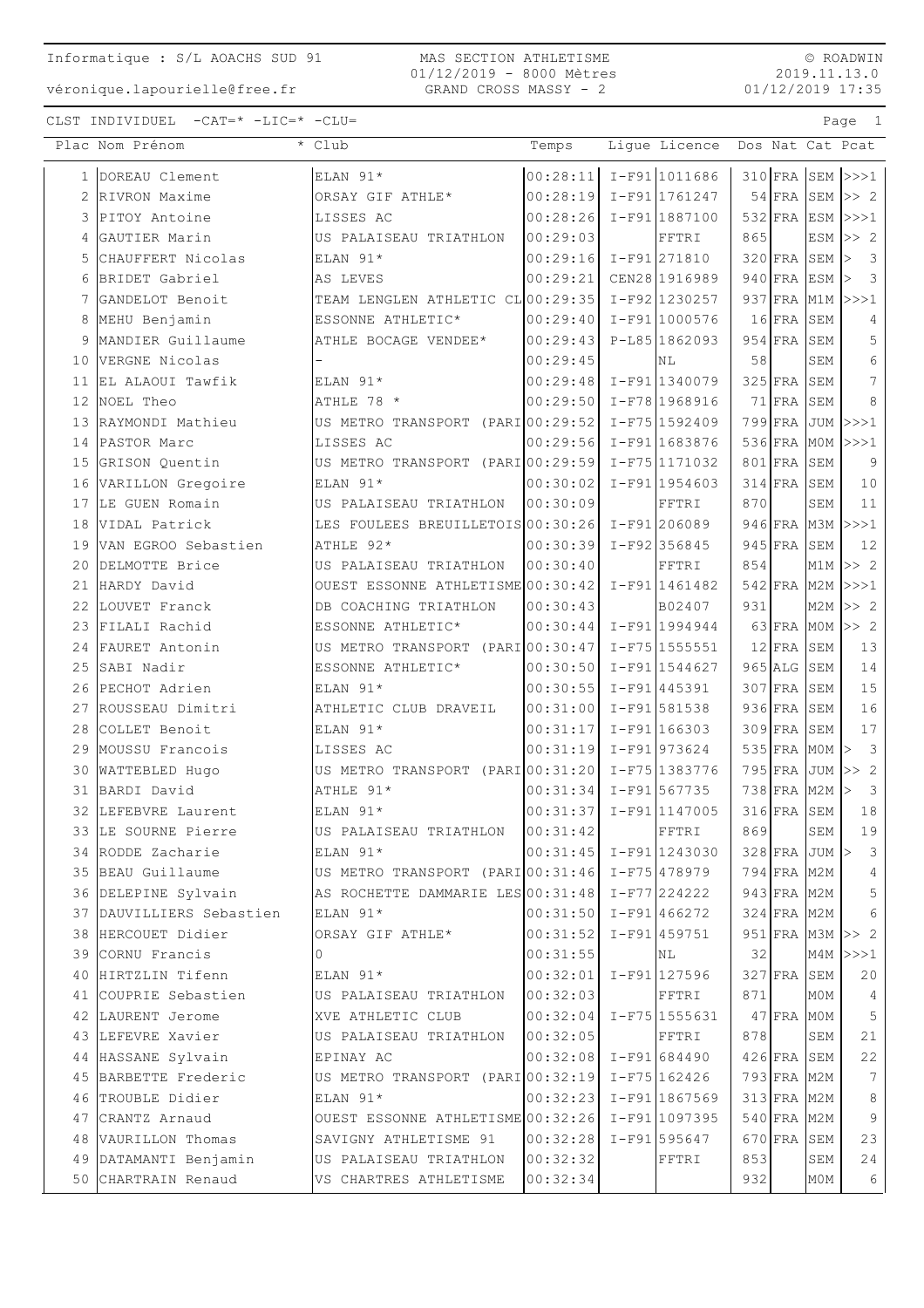#### MAS SECTION ATHLETISME 01/12/2019 - 8000 Mètres GRAND CROSS MASSY - 2

© ROADWIN 2019.11.13.0 01/12/2019 17:35

|                 | Plac Nom Prénom          | * Club                                         | Temps                      | Lique Licence   |     |               |               | Dos Nat Cat Pcat               |
|-----------------|--------------------------|------------------------------------------------|----------------------------|-----------------|-----|---------------|---------------|--------------------------------|
|                 | 1 DOREAU Clement         | ELAN 91*                                       | 00:28:11                   | I-F91 1011686   |     |               |               | $310$ FRA SEM $>>1$            |
|                 | 2 RIVRON Maxime          | ORSAY GIF ATHLE*                               | 00:28:19                   | I-F91 1761247   |     |               | $54$ FRA SEM  | $\Rightarrow$ 2                |
|                 | 3 PITOY Antoine          | LISSES AC                                      | 00:28:26                   | $I-F91 1887100$ |     |               |               | $532$ FRA ESM $\rightarrow$ >1 |
| 4               | GAUTIER Marin            | US PALAISEAU TRIATHLON                         | 00:29:03                   | FFTRI           | 865 |               | ESM           | >> 2                           |
| 5               | CHAUFFERT Nicolas        | ELAN 91*                                       | 00:29:16                   | $I-F91$ 271810  |     | 320 FRA SEM   |               | $\mathcal{E}$<br>l>            |
| 6               | BRIDET Gabriel           | AS LEVES                                       | 00:29:21                   | CEN28 1916989   |     |               | $940$ FRA ESM | 3                              |
| 7               | GANDELOT Benoit          | TEAM LENGLEN ATHLETIC CL 00:29:35              |                            | $I-F92$ 1230257 |     |               | 937 FRA M1M   | >>>1                           |
| 8               | MEHU Benjamin            | ESSONNE ATHLETIC*                              | 00:29:40                   | $I-F91 1000576$ |     | $16$ FRA      | SEM           | 4                              |
| 9               | MANDIER Guillaume        | ATHLE BOCAGE VENDEE*                           | 00:29:43                   | P-L85 1862093   |     | $954$ FRA     | SEM           | 5                              |
| 10              | VERGNE Nicolas           |                                                | 00:29:45                   | ΝL              | 58  |               | SEM           | $\epsilon$                     |
| 11              | EL ALAOUI Tawfik         | ELAN 91*                                       | 00:29:48                   | $I-F91$ 1340079 |     | $325$ FRA     | ${\tt SEM}$   | 7                              |
| 12 <sup>°</sup> | NOEL Theo                | ATHLE 78 *                                     | 00:29:50                   | I-F78 1968916   |     | 71 FRA SEM    |               | 8                              |
|                 | 13 RAYMONDI Mathieu      | US METRO TRANSPORT (PARI 00:29:52              |                            | $I-F75 1592409$ |     |               |               | 799 FRA JUM >>>1               |
|                 | 14 PASTOR Marc           | LISSES AC                                      | 00:29:56                   | I-F91 1683876   |     |               | 536 FRA MOM   | >>>1                           |
| 15              | GRISON Quentin           | US METRO TRANSPORT (PARI 00:29:59              |                            | $I-F75 1171032$ |     | $801$ FRA     | SEM           | 9                              |
| 16              | VARILLON Gregoire        | ELAN 91*                                       | 00:30:02                   | $I-F91$ 1954603 |     | $314$ FRA SEM |               | $10$                           |
|                 | 17 LE GUEN Romain        | US PALAISEAU TRIATHLON                         | 00:30:09                   | FFTRI           | 870 |               | SEM           | 11                             |
| 18              | VIDAL Patrick            | LES FOULEES BREUILLETOIS 00:30:26              |                            | $I-F91 206089$  |     |               | 946 FRA M3M   | >>>1                           |
| 19              | VAN EGROO Sebastien      | ATHLE 92*                                      | 00:30:39                   | $I-F92 356845$  |     | $945$ FRA     | SEM           | 12                             |
| 20              | DELMOTTE Brice           | US PALAISEAU TRIATHLON                         | 00:30:40                   | FFTRI           | 854 |               | M1M           | >> 2                           |
| 21              | HARDY David              | OUEST ESSONNE ATHLETISME 00:30:42              |                            | $I-F91 1461482$ |     | $542$ FRA M2M |               | >>>1                           |
| 22              | LOUVET Franck            | DB COACHING TRIATHLON                          | 00:30:43                   | B02407          | 931 |               | M2M           | >> 2                           |
|                 | 23 FILALI Rachid         | ESSONNE ATHLETIC*                              | 00:30:44                   | $I-F91 1994944$ |     |               |               | 63 $FRA$ MOM $>>$ 2            |
|                 | 24 FAURET Antonin        | US METRO TRANSPORT (PARI 00:30:47              |                            | $I-F75$ 1555551 |     | $12$ FRA SEM  |               | 13                             |
| 25              | SABI Nadir               | ESSONNE ATHLETIC*                              | 00:30:50                   | $I-F91 1544627$ |     | 965 ALG SEM   |               | 14                             |
| 26              | PECHOT Adrien            | ELAN 91*                                       | 00:30:55                   | $I-F91 445391$  |     | $307$ FRA     | SEM           | 15                             |
| 27              | ROUSSEAU Dimitri         | ATHLETIC CLUB DRAVEIL                          | 00:31:00                   | I-F91 581538    |     | $936$ FRA     | SEM           | 16                             |
| 28              | COLLET Benoit            | ELAN 91*                                       | 00:31:17                   | I-F91 166303    |     | $309$ FRA     | SEM           | 17                             |
| 29              | MOUSSU Francois          | LISSES AC                                      | 00:31:19                   | $I-F91973624$   |     | 535 FRA MOM   |               | $\mathbf{3}$                   |
| 30              | WATTEBLED Hugo           | US METRO TRANSPORT (PARI 00:31:20              |                            | I-F75 1383776   |     | $795$ FRA JUM |               | 2<br>$\ket{>}$                 |
| 31              | BARDI David              | ATHLE 91*                                      | 00:31:34                   | $I-F91$ 567735  |     |               | 738 FRA M2M   | $\mathcal{E}$<br>l>            |
|                 | 32 LEFEBVRE Laurent      | ELAN 91*                                       | 00:31:37                   | I-F91 1147005   |     | $316$ FRA SEM |               | 18                             |
|                 | 33 LE SOURNE Pierre      | US PALAISEAU TRIATHLON 00:31:42                |                            | FFTRI           | 869 |               | SEM           | 19                             |
|                 | 34 RODDE Zacharie        | ELAN 91*                                       | $ 00:31:45 $ I-F91 1243030 |                 |     |               | 328 FRA JUM > | $\mathcal{S}$                  |
|                 | 35 BEAU Guillaume        | US METRO TRANSPORT (PARI 00:31:46 I-F75 478979 |                            |                 |     | 794 FRA M2M   |               | 4                              |
|                 | 36 DELEPINE Sylvain      | AS ROCHETTE DAMMARIE LES 00:31:48              |                            | I-F77 224222    |     |               | 943 FRA M2M   | 5                              |
|                 | 37 DAUVILLIERS Sebastien | ELAN 91*                                       | 00:31:50                   | $I-F91 466272$  |     |               | 324 FRA M2M   | 6                              |
|                 | 38 HERCOUET Didier       | ORSAY GIF ATHLE*                               | 00:31:52                   | $I-F91 459751$  |     |               |               | $951$ FRA M3M >> 2             |
|                 | 39 CORNU Francis         | $\Omega$                                       | 00:31:55                   | NL              | 32  |               |               | $M4M$ $>>$                     |
|                 | 40 HIRTZLIN Tifenn       | ELAN 91*                                       | 00:32:01                   | $I-F91 127596$  |     | 327 FRA SEM   |               | 20                             |
|                 | 41 COUPRIE Sebastien     | US PALAISEAU TRIATHLON                         | 00:32:03                   | FFTRI           | 871 |               | MOM           | $\overline{4}$                 |
|                 | 42 LAURENT Jerome        | XVE ATHLETIC CLUB                              | 00:32:04                   | $I-F75$ 1555631 |     | $47$ FRA MOM  |               | $\overline{5}$                 |
|                 | 43 LEFEVRE Xavier        | US PALAISEAU TRIATHLON 00:32:05                |                            | FFTRI           | 878 |               | SEM           | 21                             |
|                 | 44 HASSANE Sylvain       | EPINAY AC                                      | $ 00:32:08  I-F91 684490$  |                 |     | $426$ FRA SEM |               | 22                             |
|                 | 45 BARBETTE Frederic     | US METRO TRANSPORT (PARI 00:32:19)             |                            | $I-F75 162426$  |     | 793 FRA M2M   |               | $7\phantom{.0}$                |
|                 | 46 TROUBLE Didier        | ELAN 91*                                       | 00:32:23                   | I-F91 1867569   |     | 313 FRA M2M   |               | 8                              |
|                 | 47 CRANTZ Arnaud         | OUEST ESSONNE ATHLETISME 00:32:26              |                            | I-F91 1097395   |     | 540 FRA M2M   |               | 9                              |
|                 | 48 VAURILLON Thomas      | SAVIGNY ATHLETISME 91                          | 00:32:28                   | $I-F91$ 595647  |     | 670 FRA       | SEM           | 23                             |
|                 | 49 DATAMANTI Benjamin    | US PALAISEAU TRIATHLON 00:32:32                |                            | FFTRI           | 853 |               | SEM           | 24                             |
|                 | 50 CHARTRAIN Renaud      | VS CHARTRES ATHLETISME                         | 00:32:34                   |                 | 932 |               | MOM           | 6                              |
|                 |                          |                                                |                            |                 |     |               |               |                                |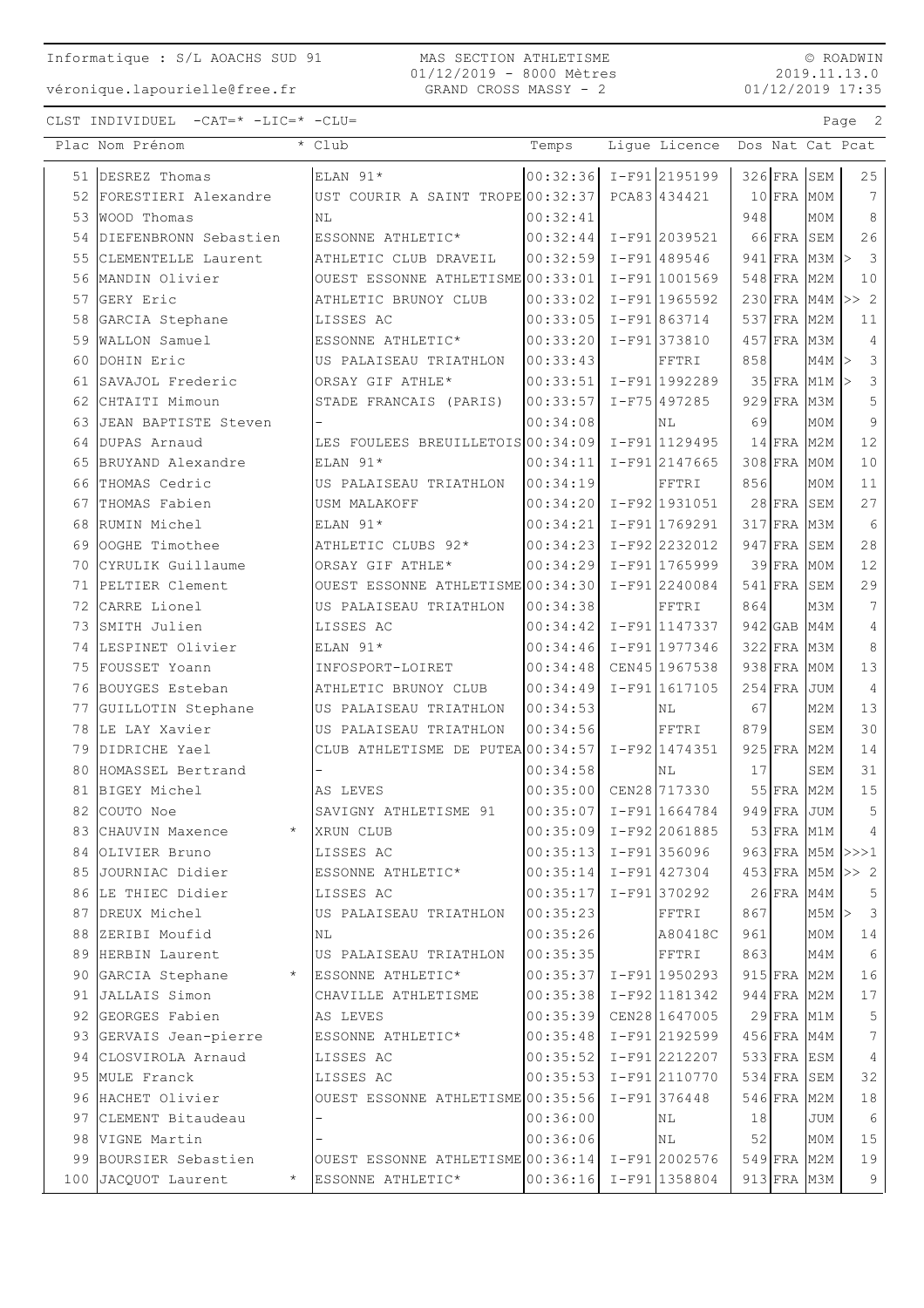MAS SECTION ATHLETISME 01/12/2019 - 8000 Mètres GRAND CROSS MASSY - 2

© ROADWIN 2019.11.13.0 01/12/2019 17:35

|    | Plac Nom Prénom                | * Club                                          | Temps                      | Lique Licence   |     |               |                                | Dos Nat Cat Pcat        |
|----|--------------------------------|-------------------------------------------------|----------------------------|-----------------|-----|---------------|--------------------------------|-------------------------|
|    | 51 DESREZ Thomas               | ELAN 91*                                        | $ 00:32:36  I-F91 2195199$ |                 |     | $326$ FRA SEM |                                | 25                      |
|    | 52 FORESTIERI Alexandre        | UST COURIR A SAINT TROPE 00:32:37               |                            | PCA83 434421    |     | $10$ FRA MOM  |                                | $7\phantom{.0}$         |
| 53 | <b>WOOD</b> Thomas             | ΝL                                              | 00:32:41                   |                 | 948 |               | MOM                            | 8                       |
|    | 54 DIEFENBRONN Sebastien       | ESSONNE ATHLETIC*                               | 00:32:44                   | I-F912039521    |     | 66 FRA SEM    |                                | 26                      |
| 55 | CLEMENTELLE Laurent            | ATHLETIC CLUB DRAVEIL                           | 00:32:59                   | I-F91489546     |     |               | $941$ FRA M3M $\triangleright$ | $\overline{\mathbf{3}}$ |
| 56 | MANDIN Olivier                 | OUEST ESSONNE ATHLETISME 00:33:01               |                            | I-F91 1001569   |     | 548 FRA M2M   |                                | 10                      |
|    | 57 GERY Eric                   | ATHLETIC BRUNOY CLUB                            | 00:33:02                   | I-F91 1965592   |     |               |                                | 230 FRA M4M >> 2        |
| 58 | GARCIA Stephane                | LISSES AC                                       | 00:33:05                   | I-F91863714     |     | 537 FRA M2M   |                                | 11                      |
|    | 59 WALLON Samuel               | ESSONNE ATHLETIC*                               | 00:33:20                   | I-F91 373810    |     | 457 FRA M3M   |                                | $\overline{4}$          |
|    | 60 DOHIN Eric                  | US PALAISEAU TRIATHLON                          | 00:33:43                   | FFTRI           | 858 |               | $M4M$ >                        | $\mathcal{E}$           |
|    | 61 SAVAJOL Frederic            | ORSAY GIF ATHLE*                                | 00:33:51                   | I-F91 1992289   |     |               | 35 FRA M1M                     | 3                       |
| 62 | CHTAITI Mimoun                 | STADE FRANCAIS (PARIS)                          | 00:33:57                   | $I-F75 497285$  |     | $929$ FRA     | M3M                            | 5                       |
| 63 | JEAN BAPTISTE Steven           |                                                 | 00:34:08                   | ΝL              | 69  |               | M0M                            | $\overline{9}$          |
| 64 | DUPAS Arnaud                   | LES FOULEES BREUILLETOIS 00:34:09               |                            | I-F91 1129495   |     | $14$ FRA M2M  |                                | 12                      |
| 65 | BRUYAND Alexandre              | ELAN 91*                                        | 00:34:11                   | I-F912147665    |     | 308 FRA MOM   |                                | 10                      |
|    | 66 THOMAS Cedric               | US PALAISEAU TRIATHLON                          | 00:34:19                   | FFTRI           | 856 |               | M0M                            | 11                      |
|    | 67 THOMAS Fabien               | <b>USM MALAKOFF</b>                             | 00:34:20                   | I-F92 1931051   |     | $28$ FRA      | SEM                            | 27                      |
| 68 | RUMIN Michel                   | ELAN 91*                                        | 00:34:21                   | I-F91 1769291   |     | 317 FRA M3M   |                                | 6                       |
|    | 69 OOGHE Timothee              | ATHLETIC CLUBS 92*                              | 00:34:23                   | I-F92 2232012   |     | $947$ FRA     | SEM                            | 28                      |
| 70 | CYRULIK Guillaume              | ORSAY GIF ATHLE*                                | 00:34:29                   | I-F91 1765999   |     | 39 FRA MOM    |                                | 12                      |
|    | 71 PELTIER Clement             | OUEST ESSONNE ATHLETISME 00:34:30               |                            | $I-F91 2240084$ |     | 541 FRA SEM   |                                | 29                      |
| 72 | CARRE Lionel                   | US PALAISEAU TRIATHLON                          | 00:34:38                   | FFTRI           | 864 |               | M3M                            | $7\overline{ }$         |
| 73 | SMITH Julien                   | LISSES AC                                       | 00:34:42                   | I-F91 1147337   |     | $942$ GAB     | M4M                            | 4                       |
|    | 74 LESPINET Olivier            | $ELAN$ 91*                                      | 00:34:46                   | I-F91 1977346   |     | 322 FRA M3M   |                                | 8                       |
|    | 75 FOUSSET Yoann               | INFOSPORT-LOIRET                                | 00:34:48                   | CEN45 1967538   |     | 938 FRA MOM   |                                | 13                      |
|    | 76 BOUYGES Esteban             | ATHLETIC BRUNOY CLUB                            | 00:34:49                   | I-F91 1617105   |     | 254 FRA       | <b>JUM</b>                     | $\overline{4}$          |
| 77 | GUILLOTIN Stephane             | US PALAISEAU TRIATHLON                          | 00:34:53                   | ΝL              | 67  |               | M2M                            | 13                      |
|    | 78 LE LAY Xavier               | US PALAISEAU TRIATHLON                          | 00:34:56                   | FFTRI           | 879 |               | SEM                            | 30                      |
|    | 79 DIDRICHE Yael               | CLUB ATHLETISME DE PUTEA 00:34:57               |                            | I-F92 1474351   |     | $925$ FRA     | M2M                            | 14                      |
|    | 80 HOMASSEL Bertrand           |                                                 | 00:34:58                   | ΝL              | 17  |               | SEM                            | 31                      |
|    | 81 BIGEY Michel                | AS LEVES                                        | 00:35:00                   | CEN28 717330    |     | 55 FRA M2M    |                                | 15                      |
|    | 82 COUTO Noe                   | SAVIGNY ATHLETISME 91                           | $00:35:07$ I-F91 1664784   |                 |     | $949$ FRA     | <b>JUM</b>                     | 5                       |
|    | 83 CHAUVIN Maxence<br>$\star$  | XRUN CLUB                                       | $ 00:35:09  I-F92 2061885$ |                 |     |               | 53 FRA M1M                     | $\overline{4}$          |
|    | 84 OLIVIER Bruno               | LISSES AC                                       | $00:35:13$ I-F91 356096    |                 |     |               |                                | 963 FRA M5M >>>1        |
|    | 85 JJOURNIAC Didier            | ESSONNE ATHLETIC*                               | $00:35:14$ I-F91 427304    |                 |     |               |                                | $453$ FRA M5M >> 2      |
|    | 86 LE THIEC Didier             | LISSES AC                                       | 00:35:17                   | I-F91 370292    |     | $26$ FRA M4M  |                                | 5                       |
|    | 87 DREUX Michel                | US PALAISEAU TRIATHLON                          | 00:35:23                   | FFTRI           | 867 |               | $M5M$ >                        | $\overline{\mathbf{3}}$ |
| 88 | ZERIBI Moufid                  | ΝL                                              | 00:35:26                   | A80418C         | 961 |               | MOM                            | 14                      |
|    | 89 HERBIN Laurent              | US PALAISEAU TRIATHLON                          | 00:35:35                   | FFTRI           | 863 |               | M4M                            | 6                       |
|    | 90 GARCIA Stephane<br>$\star$  | ESSONNE ATHLETIC*                               | $00:35:37$ I-F91 1950293   |                 |     | $915$ FRA M2M |                                | 16                      |
|    | 91 JALLAIS Simon               | CHAVILLE ATHLETISME                             | $00:35:38$ $I-F92$ 1181342 |                 |     | 944 FRA M2M   |                                | $17$                    |
|    | 92 GEORGES Fabien              | AS LEVES                                        | 00:35:39 CEN28 1647005     |                 |     | 29 FRA M1M    |                                | 5                       |
|    | 93 GERVAIS Jean-pierre         | ESSONNE ATHLETIC*                               | $00:35:48$ I-F912192599    |                 |     | $456$ FRA M4M |                                | $7\phantom{.0}$         |
|    | 94 CLOSVIROLA Arnaud           | LISSES AC                                       | $00:35:52$ I-F912212207    |                 |     | $533$ FRA ESM |                                | $\sqrt{4}$              |
|    | 95 MULE Franck                 | LISSES AC                                       | $00:35:53$ I-F91 2110770   |                 |     | $534$ FRA SEM |                                | 32                      |
|    | 96 HACHET Olivier              | OUEST ESSONNE ATHLETISME 00:35:56               |                            | I-F91376448     |     | 546 FRA M2M   |                                | 18                      |
|    | 97 CLEMENT Bitaudeau           |                                                 | 00:36:00                   | ΝL              | 18  |               | <b>JUM</b>                     | 6                       |
|    | 98 VIGNE Martin                |                                                 | 00:36:06                   | ΝL              | 52  |               | M0M                            | 15                      |
|    | 99 BOURSIER Sebastien          | OUEST ESSONNE ATHLETISME 00:36:14 I-F91 2002576 |                            |                 |     | 549 FRA M2M   |                                | 19                      |
|    | 100 JACQUOT Laurent<br>$\star$ | ESSONNE ATHLETIC*                               | $00:36:16$ I-F91 1358804   |                 |     | 913 FRA M3M   |                                | $\,9$                   |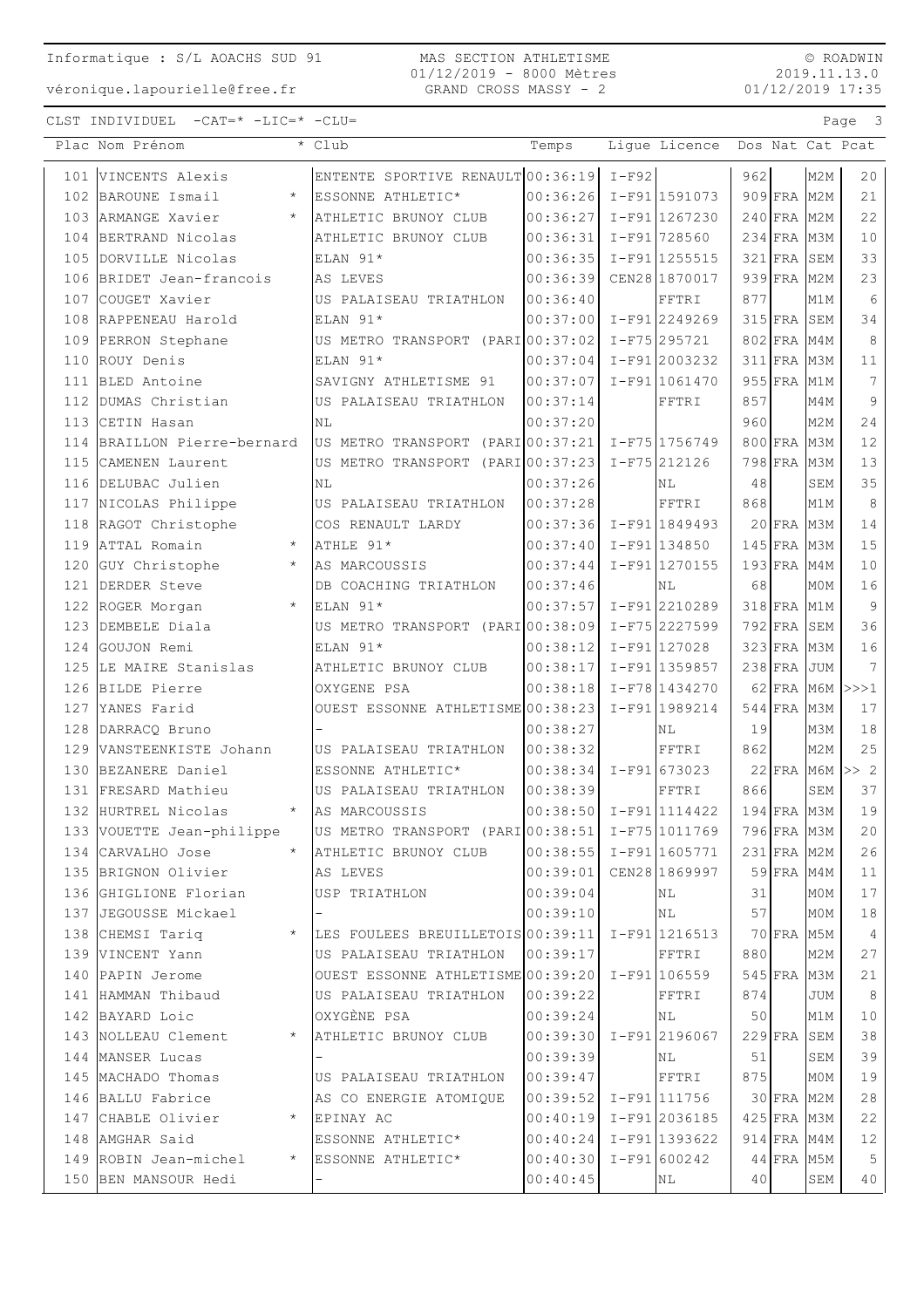#### MAS SECTION ATHLETISME 01/12/2019 - 8000 Mètres GRAND CROSS MASSY - 2

© ROADWIN 2019.11.13.0 01/12/2019 17:35

|     | Plac Nom Prénom                  | $\overline{\cdot}$ Club                         | Temps                      |         | Ligue Licence   |     |               |                  | Dos Nat Cat Pcat |
|-----|----------------------------------|-------------------------------------------------|----------------------------|---------|-----------------|-----|---------------|------------------|------------------|
| 101 | VINCENTS Alexis                  | ENTENTE SPORTIVE RENAULT 00:36:19               |                            | $I-F92$ |                 | 962 |               | M2M              | 20               |
| 102 | BAROUNE Ismail<br>$\star$        | ESSONNE ATHLETIC*                               | $00:36:26$ I-F91 1591073   |         |                 |     | 909 FRA M2M   |                  | 21               |
|     | 103 ARMANGE Xavier<br>$\star$    | ATHLETIC BRUNOY CLUB                            | 00:36:27                   |         | $I-F91$ 1267230 |     | 240 FRA M2M   |                  | 22               |
|     | 104 BERTRAND Nicolas             | ATHLETIC BRUNOY CLUB                            | 00:36:31                   |         | $I-F91$ 728560  |     | $234$ FRA     | M3M              | 10               |
|     | 105 DORVILLE Nicolas             | ELAN 91*                                        | 00:36:35                   |         | I-F91 1255515   |     | $321$ FRA     | SEM              | 33               |
|     | 106 BRIDET Jean-francois         | AS LEVES                                        | 00:36:39                   |         | CEN28 1870017   |     | $939$ FRA     | M <sub>2</sub> M | 23               |
| 107 | COUGET Xavier                    | US PALAISEAU TRIATHLON                          | 00:36:40                   |         | FFTRI           | 877 |               | M1M              | $6\,$            |
|     | 108 RAPPENEAU Harold             | ELAN 91*                                        | 00:37:00                   |         | I-F912249269    |     | $315$ FRA     | SEM              | 34               |
|     | 109 PERRON Stephane              | US METRO TRANSPORT (PARI 00:37:02               |                            |         | $I-F75295721$   |     | 802 FRA       | M4M              | $\,8\,$          |
| 110 | ROUY Denis                       | ELAN 91*                                        | 00:37:04                   |         | I-F91 2003232   |     | $311$ $FRA$   | МЗМ              | 11               |
| 111 | BLED Antoine                     | SAVIGNY ATHLETISME 91                           | 00:37:07                   |         | I-F91 1061470   |     | $955$ FRA     | M1M              | $7\phantom{.0}$  |
| 112 | DUMAS Christian                  | US PALAISEAU TRIATHLON                          | 00:37:14                   |         | FFTRI           | 857 |               | M4M              | $\overline{9}$   |
|     | 113 CETIN Hasan                  | NL                                              | 00:37:20                   |         |                 | 960 |               | M2M              | 24               |
|     | 114 BRAILLON Pierre-bernard      | US METRO TRANSPORT (PARI 00:37:21               |                            |         | I-F75 1756749   |     | 800 FRA       | M3M              | 12               |
|     | 115 CAMENEN Laurent              | US METRO TRANSPORT (PARI 00:37:23               |                            |         | I-F75 212126    |     | 798 FRA       | M3M              | 13               |
|     | 116 DELUBAC Julien               | NL                                              | 00:37:26                   |         | ΝL              | 48  |               | SEM              | 35               |
|     | 117 NICOLAS Philippe             | US PALAISEAU TRIATHLON                          | 00:37:28                   |         | FFTRI           | 868 |               | M1M              | $\,8\,$          |
|     | 118 RAGOT Christophe             | COS RENAULT LARDY                               | $ 00:37:36  I-F91 1849493$ |         |                 |     | $20$ FRA M3M  |                  | 14               |
|     | 119 ATTAL Romain<br>$\star$      | ATHLE 91*                                       | 00:37:40                   |         | $I-F91$ 134850  |     | $145$ FRA     | M3M              | 15               |
| 120 | GUY Christophe<br>$\star$        | AS MARCOUSSIS                                   | 00:37:44                   |         | $I-F91 1270155$ |     | $193$ FRA     | M4M              | 10               |
| 121 | DERDER Steve                     | DB COACHING TRIATHLON                           | 00:37:46                   |         | ΝL              | 68  |               | M0M              | 16               |
| 122 | $\star$<br>ROGER Morgan          | ELAN 91*                                        | 00:37:57                   |         | I-F912210289    |     | $318$ FRA     | M1M              | $\overline{9}$   |
|     | 123 DEMBELE Diala                | US METRO TRANSPORT (PARI 00:38:09               |                            |         | $I-F75$ 2227599 |     | $792$ FRA     | SEM              | 36               |
|     | 124 GOUJON Remi                  | ELAN 91*                                        | 00:38:12                   |         | $I-F91 127028$  |     | 323 FRA M3M   |                  | 16               |
|     | 125 LE MAIRE Stanislas           | ATHLETIC BRUNOY CLUB                            | 00:38:17                   |         | I-F91 1359857   |     | $238$ FRA     | <b>JUM</b>       | 7                |
|     | 126 BILDE Pierre                 | OXYGENE PSA                                     | 00:38:18                   |         | $I-F78 1434270$ |     | $62$ FRA      |                  | $M6M$ $>>$ $1$   |
|     | 127 YANES Farid                  | OUEST ESSONNE ATHLETISME 00:38:23               |                            |         | I-F91 1989214   |     | $544$ FRA     | M3M              | 17               |
|     | 128 DARRACQ Bruno                |                                                 | 00:38:27                   |         | N <sub>L</sub>  | 19  |               | M3M              | 18               |
|     | 129 VANSTEENKISTE Johann         | US PALAISEAU TRIATHLON                          | 00:38:32                   |         | FFTRI           | 862 |               | M2M              | 25               |
| 130 | BEZANERE Daniel                  | ESSONNE ATHLETIC*                               | 00:38:34                   |         | $I-F91673023$   |     | $22$ FRA      | <b>M6M</b>       | >> 2             |
| 131 | FRESARD Mathieu                  | US PALAISEAU TRIATHLON                          | 00:38:39                   |         | FFTRI           | 866 |               | SEM              | 37               |
| 132 | HURTREL Nicolas<br>$\star$       | AS MARCOUSSIS                                   | 00:38:50                   |         | $I-F91 1114422$ |     | 194 FRA M3M   |                  | 19               |
|     | 133 VOUETTE Jean-philippe        | US METRO TRANSPORT (PARI 00:38:51 I-F75 1011769 |                            |         |                 |     |               | 796 FRA M3M      | 20               |
|     | 134 CARVALHO Jose<br>$\star$     | ATHLETIC BRUNOY CLUB                            | $ 00:38:55 $ I-F91 1605771 |         |                 |     | 231 FRA M2M   |                  | 26               |
|     | 135 BRIGNON Olivier              | AS LEVES                                        | 00:39:01                   |         | CEN28 1869997   |     | 59 FRA M4M    |                  | 11               |
|     | 136 GHIGLIONE Florian            | USP TRIATHLON                                   | 00:39:04                   |         | ΝL              | 31  |               | M0M              | 17               |
|     | 137 JEGOUSSE Mickael             | $\qquad \qquad -$                               | 00:39:10                   |         | NL              | 57  |               | M0M              | 18               |
|     | 138 CHEMSI Tariq<br>$\star$      | LES FOULEES BREUILLETOIS 00:39:11               |                            |         | I-F91 1216513   |     | 70 FRA M5M    |                  | $\overline{4}$   |
|     | 139 VINCENT Yann                 | US PALAISEAU TRIATHLON                          | 00:39:17                   |         | FFTRI           | 880 |               | M2M              | 27               |
|     | 140 PAPIN Jerome                 | OUEST ESSONNE ATHLETISME 00:39:20 I-F91 106559  |                            |         |                 |     | $545$ FRA     | мЗм              | 21               |
|     | 141 HAMMAN Thibaud               | US PALAISEAU TRIATHLON                          | 00:39:22                   |         | FFTRI           | 874 |               | <b>JUM</b>       | 8                |
|     | 142 BAYARD Loic                  | OXYGÈNE PSA                                     | 00:39:24                   |         | NL              | 50  |               | M1M              | 10               |
|     | 143 NOLLEAU Clement<br>$\star$   | ATHLETIC BRUNOY CLUB                            | $ 00:39:30  I-F91 2196067$ |         |                 |     | 229 FRA SEM   |                  | 38               |
|     | 144 MANSER Lucas                 |                                                 | 00:39:39                   |         | NL              | 51  |               | SEM              | 39               |
|     | 145 MACHADO Thomas               | US PALAISEAU TRIATHLON                          | 00:39:47                   |         | FFTRI           | 875 |               | M0M              | 19               |
|     | 146 BALLU Fabrice                | AS CO ENERGIE ATOMIQUE                          | 00:39:52 I-F91 111756      |         |                 |     | 30 FRA M2M    |                  | 28               |
|     | 147 CHABLE Olivier<br>$\star$    | EPINAY AC                                       | $ 00:40:19  I-F91 2036185$ |         |                 |     | $425$ FRA M3M |                  | 22               |
|     | 148 AMGHAR Said                  | ESSONNE ATHLETIC*                               | 00:40:24                   |         | I-F91 1393622   |     | 914 FRA M4M   |                  | 12               |
|     | 149 ROBIN Jean-michel<br>$\star$ | ESSONNE ATHLETIC*                               | 00:40:30                   |         | $I-F91 600242$  |     | 44 FRA        | M5M              | 5                |
|     | 150 BEN MANSOUR Hedi             |                                                 | 00:40:45                   |         | ΝL              | 40  |               | SEM              | 40               |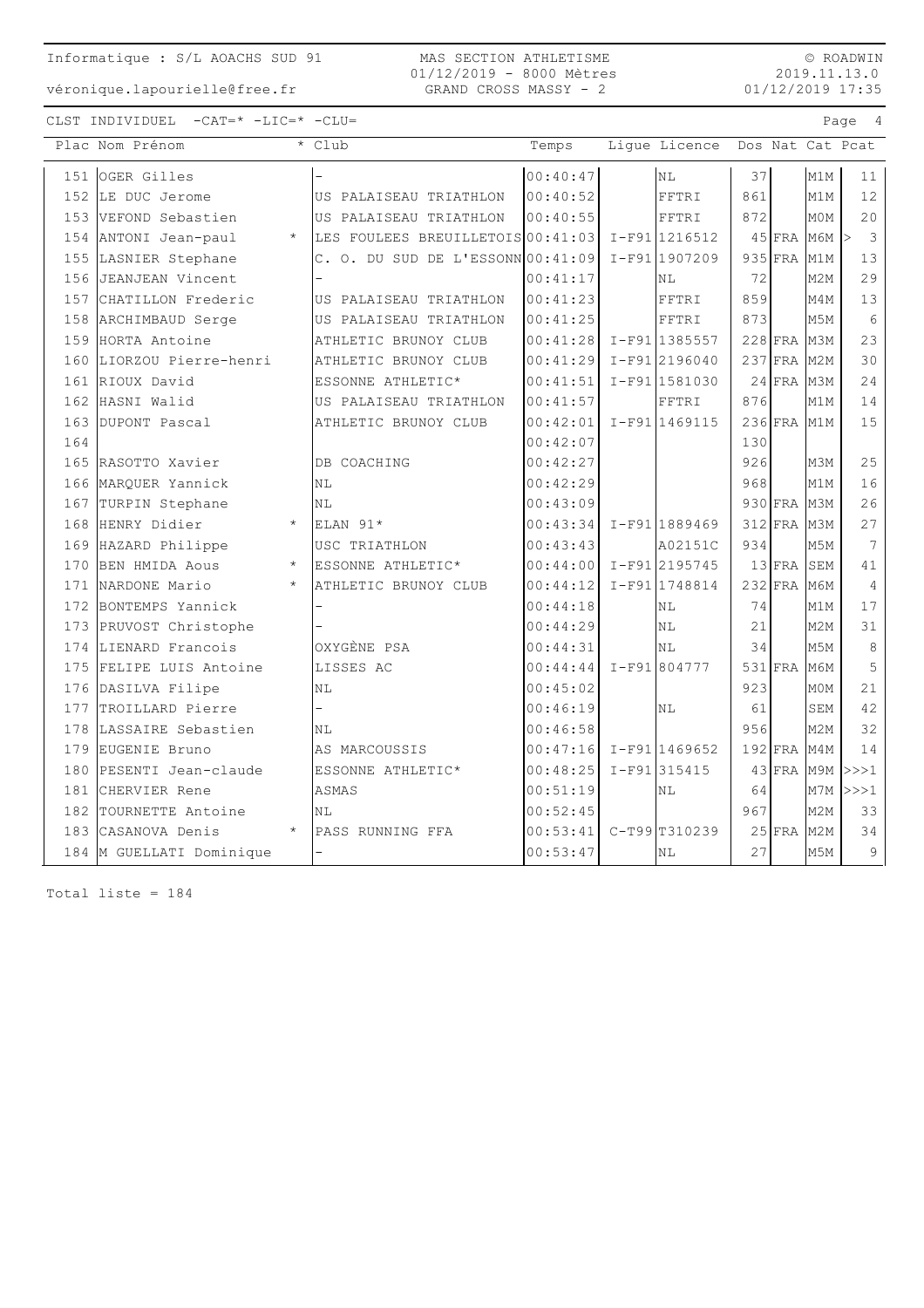véronique.lapourielle@free.fr

#### MAS SECTION ATHLETISME 01/12/2019 - 8000 Mètres GRAND CROSS MASSY - 2

© ROADWIN 2019.11.13.0 01/12/2019 17:35

CLST INDIVIDUEL -CAT=\* -LIC=\* -CLU= Page 4

|     | Plac Nom Prénom                 | * Club                              | Temps    | Lique Licence   |     |               |                  | Dos Nat Cat Pcat |
|-----|---------------------------------|-------------------------------------|----------|-----------------|-----|---------------|------------------|------------------|
|     | 151 OGER Gilles                 |                                     | 00:40:47 | NL.             | 37  |               | M1M              | 11               |
|     | 152 LE DUC Jerome               | US PALAISEAU TRIATHLON              | 00:40:52 | FFTRI           | 861 |               | M1M              | 12               |
|     | 153 VEFOND Sebastien            | US PALAISEAU TRIATHLON              | 00:40:55 | FFTRI           | 872 |               | M0M              | 20               |
|     | 154 ANTONI Jean-paul<br>$\star$ | LES FOULEES BREUILLETOIS 00:41:03   |          | I-F91 1216512   |     | $45$ FRA M6M  |                  | 3<br>1>          |
|     | 155 LASNIER Stephane            | $C.$ O. DU SUD DE L'ESSONN 00:41:09 |          | $T-F911907209$  |     | $935$ FRA     | M1M              | 13               |
|     | 156 JEANJEAN Vincent            |                                     | 00:41:17 | ΝL              | 72  |               | M <sub>2M</sub>  | 29               |
|     | 157 CHATILLON Frederic          | US PALAISEAU TRIATHLON              | 00:41:23 | FFTRI           | 859 |               | M4M              | 13               |
|     | 158 ARCHIMBAUD Serge            | US PALAISEAU TRIATHLON              | 00:41:25 | FFTRI           | 873 |               | M <sub>5</sub> M | 6                |
|     | 159 HORTA Antoine               | ATHLETIC BRUNOY CLUB                | 00:41:28 | I-F91 1385557   |     | $228$ FRA M3M |                  | 23               |
|     | 160 LIORZOU Pierre-henri        | ATHLETIC BRUNOY CLUB                | 00:41:29 | $I-F91$ 2196040 |     | 237 FRA M2M   |                  | 30               |
|     | 161 RIOUX David                 | ESSONNE ATHLETIC*                   | 00:41:51 | $I-F91 1581030$ |     | $24$ FRA M3M  |                  | 24               |
|     | 162 HASNI Walid                 | US PALAISEAU TRIATHLON              | 00:41:57 | FFTRI           | 876 |               | M1M              | 14               |
|     | 163 DUPONT Pascal               | ATHLETIC BRUNOY CLUB                | 00:42:01 | $I-F91 1469115$ |     | 236 FRA M1M   |                  | 15               |
| 164 |                                 |                                     | 00:42:07 |                 | 130 |               |                  |                  |
|     | 165 RASOTTO Xavier              | DB COACHING                         | 00:42:27 |                 | 926 |               | M3M              | 25               |
|     | 166 MARQUER Yannick             | NL                                  | 00:42:29 |                 | 968 |               | M1M              | 16               |
|     | 167 TURPIN Stephane             | NL                                  | 00:43:09 |                 |     | 930 FRA M3M   |                  | 26               |
|     | 168 HENRY Didier<br>$\star$     | ELAN $91*$                          | 00:43:34 | $I-F91 1889469$ |     | 312 FRA M3M   |                  | 27               |
|     | 169 HAZARD Philippe             | USC TRIATHLON                       | 00:43:43 | A02151C         | 934 |               | M5M              | 7                |
|     | 170 BEN HMIDA Aous<br>$\star$   | ESSONNE ATHLETIC*                   | 00:44:00 | I-F91 2195745   |     | $13$ FRA      | SEM              | 41               |
|     | 171 NARDONE Mario<br>$\star$    | ATHLETIC BRUNOY CLUB                | 00:44:12 | I-F91 1748814   |     | 232 FRA M6M   |                  | 4                |
|     | 172 BONTEMPS Yannick            |                                     | 00:44:18 | NL              | 74  |               | M1M              | 17               |
| 173 | PRUVOST Christophe              |                                     | 00:44:29 | NL              | 21  |               | M2M              | 31               |
|     | 174 LIENARD Francois            | OXYGÈNE PSA                         | 00:44:31 | <b>NL</b>       | 34  |               | M5M              | 8                |
|     | 175 FELIPE LUIS Antoine         | LISSES AC                           | 00:44:44 | $I-F91 804777$  |     | $531$ FRA     | МбМ              | 5                |
|     | 176 DASILVA Filipe              | NL                                  | 00:45:02 |                 | 923 |               | M0M              | 21               |
|     | 177 TROILLARD Pierre            |                                     | 00:46:19 | <b>NL</b>       | 61  |               | SEM              | 42               |
|     | 178 LASSAIRE Sebastien          | NL                                  | 00:46:58 |                 | 956 |               | M2M              | 32               |
|     | 179 EUGENIE Bruno               | AS MARCOUSSIS                       | 00:47:16 | $I-F91$ 1469652 |     | $192$ FRA     | M4M              | 14               |
|     | 180 PESENTI Jean-claude         | ESSONNE ATHLETIC*                   | 00:48:25 | I-F91 315415    |     | $43$ FRA M9M  |                  | >>>1             |
| 181 | CHERVIER Rene                   | <b>ASMAS</b>                        | 00:51:19 | NL              | 64  |               | M7M              | >>>1             |
| 182 | TOURNETTE Antoine               | NL                                  | 00:52:45 |                 | 967 |               | M2M              | 33               |
| 183 | CASANOVA Denis<br>$\star$       | PASS RUNNING FFA                    | 00:53:41 | $C-T99$ T310239 |     | $25$ FRA      | M <sub>2M</sub>  | 34               |
|     | 184 M GUELLATI Dominique        | $\overline{\phantom{0}}$            | 00:53:47 | $\rm NL$        | 27  |               | M5M              | 9                |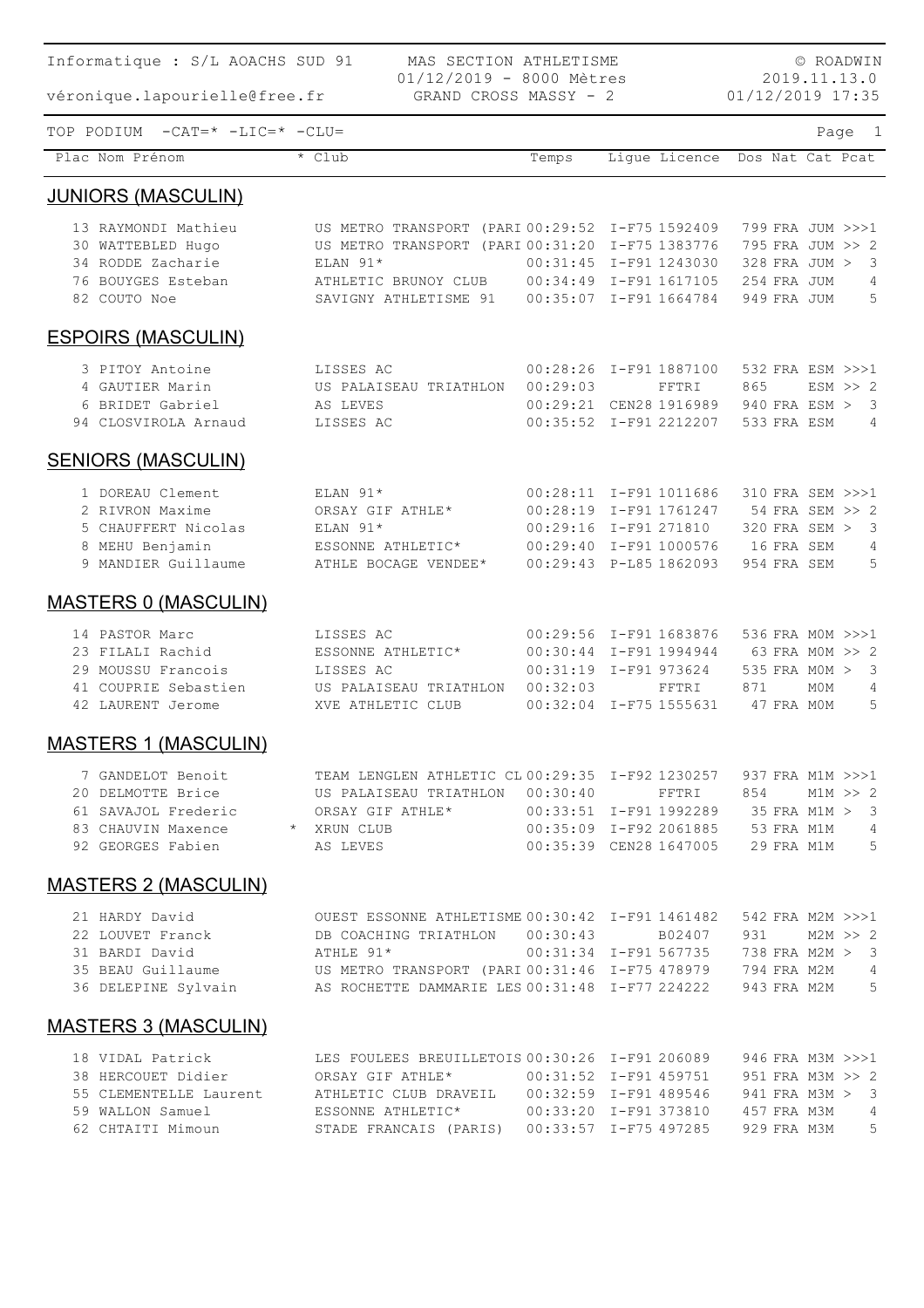| Informatique : S/L AOACHS SUD 91                                                                                                                                                                                                                                                                                           | © ROADWIN<br>2019.11.13.0                                                                                                                                                                                                      |          |                                                                                                              |                                                                                                      |
|----------------------------------------------------------------------------------------------------------------------------------------------------------------------------------------------------------------------------------------------------------------------------------------------------------------------------|--------------------------------------------------------------------------------------------------------------------------------------------------------------------------------------------------------------------------------|----------|--------------------------------------------------------------------------------------------------------------|------------------------------------------------------------------------------------------------------|
| véronique.lapourielle@free.fr                                                                                                                                                                                                                                                                                              | 01/12/2019 - 8000 Mètres<br>GRAND CROSS MASSY - 2                                                                                                                                                                              |          |                                                                                                              | 01/12/2019 17:35                                                                                     |
| TOP PODIUM $-CAT = * -LIC = * -CLU =$                                                                                                                                                                                                                                                                                      |                                                                                                                                                                                                                                |          |                                                                                                              | Page 1                                                                                               |
| Plac Nom Prénom                                                                                                                                                                                                                                                                                                            | $*$ Club                                                                                                                                                                                                                       | Temps    | Ligue Licence                                                                                                | Dos Nat Cat Pcat                                                                                     |
| <b>JUNIORS (MASCULIN)</b>                                                                                                                                                                                                                                                                                                  |                                                                                                                                                                                                                                |          |                                                                                                              |                                                                                                      |
| 13 RAYMONDI Mathieu<br>30 WATTEBLED Hugo<br>34 RODDE Zacharie<br>76 BOUYGES Esteban<br>82 COUTO Noe                                                                                                                                                                                                                        | US METRO TRANSPORT (PARI 00:29:52 I-F75 1592409<br>US METRO TRANSPORT (PARI 00:31:20 I-F75 1383776<br>ELAN 91*<br>ATHLETIC BRUNOY CLUB 00:34:49 I-F91 1617105<br>SAVIGNY ATHLETISME 91   00:35:07    I-F91   1664784           |          | 00:31:45 I-F91 1243030                                                                                       | 799 FRA JUM >>>1<br>795 FRA JUM >> 2<br>328 FRA JUM ><br>3<br>254 FRA JUM<br>4<br>5<br>949 FRA JUM   |
| <b>ESPOIRS (MASCULIN)</b>                                                                                                                                                                                                                                                                                                  |                                                                                                                                                                                                                                |          |                                                                                                              |                                                                                                      |
| 3 PITOY Antoine<br>4 GAUTIER Marin<br>6 BRIDET Gabriel<br>94 CLOSVIROLA Arnaud                                                                                                                                                                                                                                             | LISSES AC<br>US PALAISEAU TRIATHLON 00:29:03<br>AS LEVES<br>LISSES AC                                                                                                                                                          |          | 00:28:26 I-F91 1887100<br>FFTRI<br>00:29:21 CEN28 1916989<br>00:35:52 I-F91 2212207                          | 532 FRA ESM >>>1<br>865<br>$ESM \gg 2$<br>940 FRA ESM > 3<br>533 FRA ESM<br>4                        |
| <b>SENIORS (MASCULIN)</b>                                                                                                                                                                                                                                                                                                  |                                                                                                                                                                                                                                |          |                                                                                                              |                                                                                                      |
| 1 DOREAU Clement<br>2 RIVRON Maxime<br>5 CHAUFFERT Nicolas<br>8 MEHU Benjamin<br>9 MANDIER Guillaume                                                                                                                                                                                                                       | ELAN 91*<br>ORSAY GIF ATHLE*<br>ELAN $91*$<br>ESSONNE ATHLETIC*<br>ATHLE BOCAGE VENDEE* 00:29:43 P-L85 1862093                                                                                                                 |          | 00:28:11 I-F91 1011686<br>00:28:19 I-F91 1761247<br>00:29:16 I-F91 271810<br>00:29:40 I-F91 1000576          | 310 FRA SEM >>>1<br>54 FRA SEM >> 2<br>$320$ FRA SEM $>$<br>3<br>16 FRA SEM<br>4<br>954 FRA SEM<br>5 |
| <b>MASTERS 0 (MASCULIN)</b>                                                                                                                                                                                                                                                                                                |                                                                                                                                                                                                                                |          |                                                                                                              |                                                                                                      |
| 14 PASTOR Marc<br>23 FILALI Rachid<br>29 MOUSSU Francois<br>41 COUPRIE Sebastien<br>42 LAURENT Jerome                                                                                                                                                                                                                      | LISSES AC<br>ESSONNE ATHLETIC*<br>LISSES AC<br>US PALAISEAU TRIATHLON<br>XVE ATHLETIC CLUB                                                                                                                                     | 00:32:03 | 00:29:56 I-F91 1683876<br>00:30:44 I-F91 1994944<br>00:31:19 I-F91 973624<br>FFTRI<br>00:32:04 I-F75 1555631 | 536 FRA MOM >>>1<br>63 FRA MOM >> 2<br>535 FRA MOM > 3<br>871<br>M0M<br>4<br>47 FRA MOM<br>5         |
| <b>MASTERS 1 (MASCULIN)</b>                                                                                                                                                                                                                                                                                                |                                                                                                                                                                                                                                |          |                                                                                                              |                                                                                                      |
| 61 SAVAJOL Frederic<br>61 SAVAJOL Frederic $ORSAY$ GIF ATHLE* 00:33:51 I-F91 1992289 35 FRA M1M > 3<br>83 CHAUVIN Maxence * XRUN CLUB 00:35:09 I-F92 2061885 53 FRA M1M 4                                                                                                                                                  | 7 GANDELOT Benoit TEAM LENGLEN ATHLETIC CL 00:29:35 I-F92 1230257 937 FRA M1M >>>1<br>20 DELMOTTE Brice 5 US PALAISEAU TRIATHLON 00:30:40 FFTRI 854 M1M >> 2<br>92 GEORGES Fabien AS LEVES 00:35:39 CEN28 1647005 29 FRA M1M 5 |          |                                                                                                              |                                                                                                      |
| <b>MASTERS 2 (MASCULIN)</b>                                                                                                                                                                                                                                                                                                |                                                                                                                                                                                                                                |          |                                                                                                              |                                                                                                      |
| 21 HARDY David OUEST ESSONNE ATHLETISME $00:30:42$ I-F91 1461482 542 FRA M2M >>>1<br>22 LOUVET Franck DB COACHING TRIATHLON $00:30:43$ B02407 931 M2M >>2                                                                                                                                                                  |                                                                                                                                                                                                                                |          |                                                                                                              |                                                                                                      |
| <b>MASTERS 3 (MASCULIN)</b>                                                                                                                                                                                                                                                                                                |                                                                                                                                                                                                                                |          |                                                                                                              |                                                                                                      |
| 38 HERCOUET Didier ORSAY GIF ATHLE* 00:31:52 I-F91 459751 951 FRA M3M >> 2<br>55 CLEMENTELLE Laurent ATHLETIC CLUB DRAVEIL 00:32:59 I-F91 489546 941 FRA M3M > 3<br>59 WALLON Samuel ESSONNE ATHLETIC* 00:33:20 I-F91 373810 457 FRA M3M 4<br>62 CHTAITI Mimoun STADE FRANCAIS (PARIS) 00:33:57 I-F75 497285 929 FRA M3M 5 | 18 VIDAL Patrick LES FOULEES BREUILLETOIS 00:30:26 I-F91 206089 946 FRA M3M >>>1                                                                                                                                               |          |                                                                                                              |                                                                                                      |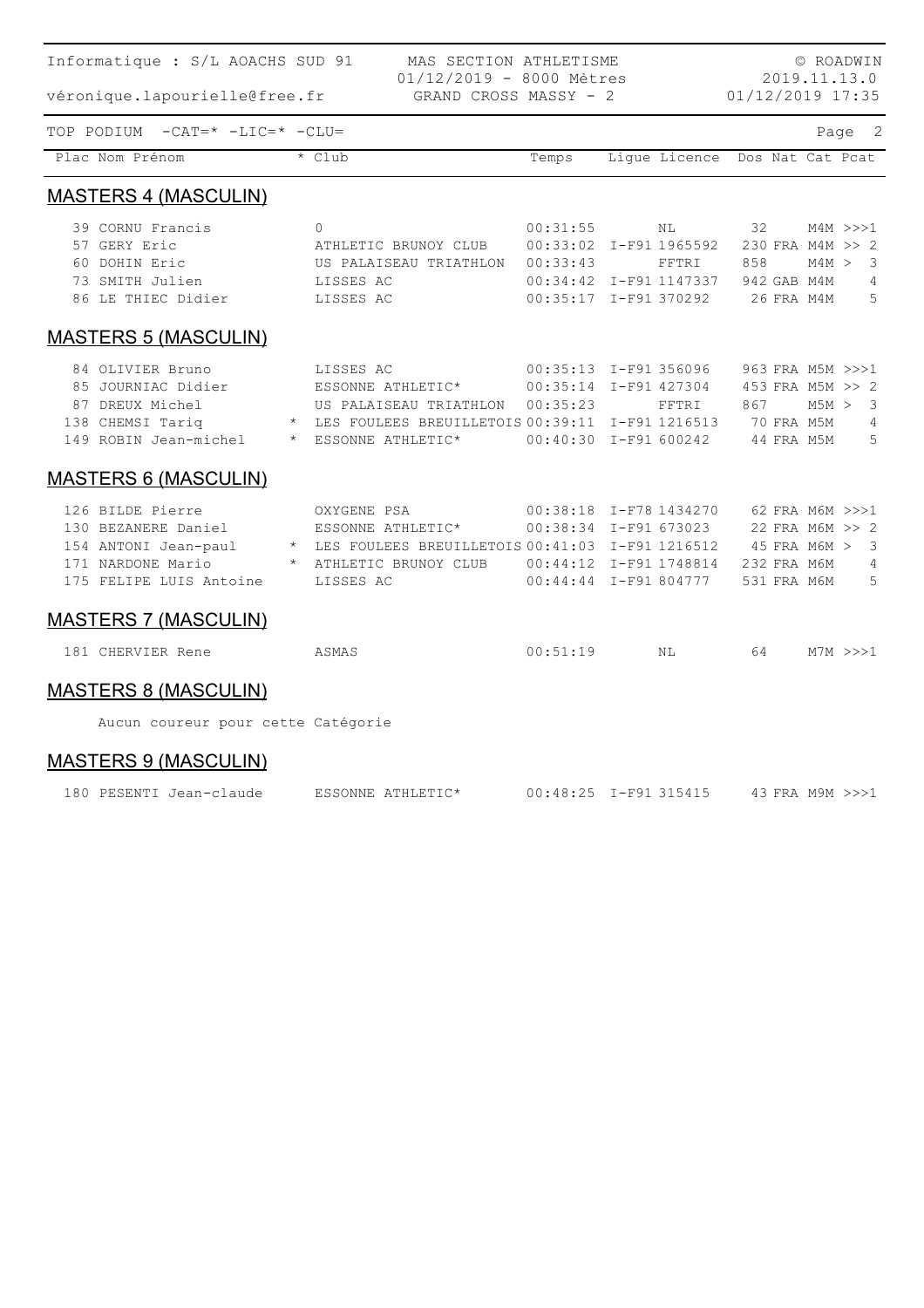| Informatique : S/L AOACHS SUD 91                                                      | © ROADWIN                                         |                                  |                                  |                  |  |                 |
|---------------------------------------------------------------------------------------|---------------------------------------------------|----------------------------------|----------------------------------|------------------|--|-----------------|
| véronique.lapourielle@free.fr                                                         |                                                   | 2019.11.13.0<br>01/12/2019 17:35 |                                  |                  |  |                 |
| TOP PODIUM -CAT=* -LIC=* -CLU=                                                        |                                                   |                                  |                                  |                  |  | Page 2          |
| Plac Nom Prénom                                                                       | * Club                                            | Temps                            | Lique Licence Dos Nat Cat Pcat   |                  |  |                 |
| <b>MASTERS 4 (MASCULIN)</b>                                                           |                                                   |                                  |                                  |                  |  |                 |
| 39 CORNU Francis                                                                      | $\Omega$                                          | 00:31:55                         | NL                               | 32               |  | $M4M \gg > > 1$ |
| 57 GERY Eric                                                                          | ATHLETIC BRUNOY CLUB                              |                                  | 00:33:02 I-F91 1965592           | 230 FRA M4M >> 2 |  |                 |
| 60 DOHIN Eric                                                                         | US PALAISEAU TRIATHLON                            | 00:33:43                         | FFTRI                            | 858              |  | M4M > 3         |
| 73 SMITH Julien                                                                       | LISSES AC                                         |                                  | 00:34:42 I-F91 1147337           | 942 GAB M4M      |  | 4<br>5          |
| 86 LE THIEC Didier                                                                    | LISSES AC                                         |                                  | 00:35:17 I-F91 370292 26 FRA M4M |                  |  |                 |
| <b>MASTERS 5 (MASCULIN)</b>                                                           |                                                   |                                  |                                  |                  |  |                 |
| 84 OLIVIER Bruno                                                                      | LISSES AC                                         |                                  | 00:35:13 I-F91 356096            | 963 FRA M5M >>>1 |  |                 |
| 85 JOURNIAC Didier                                                                    | ESSONNE ATHLETIC* 00:35:14 I-F91 427304           |                                  |                                  | 453 FRA M5M >> 2 |  |                 |
| 87 DREUX Michel                                                                       | US PALAISEAU TRIATHLON 00:35:23                   |                                  | FFTRI                            | 867              |  | M5M > 3         |
| 138 CHEMSI Tariq                                                                      | * LES FOULEES BREUILLETOIS 00:39:11 I-F91 1216513 |                                  |                                  | 70 FRA M5M       |  | $\overline{4}$  |
| 149 ROBIN Jean-michel * ESSONNE ATHLETIC* 00:40:30 I-F91 600242 44 FRA M5M            |                                                   |                                  |                                  |                  |  | 5               |
| <b>MASTERS 6 (MASCULIN)</b>                                                           |                                                   |                                  |                                  |                  |  |                 |
| 126 BILDE Pierre                                                                      | OXYGENE PSA                                       |                                  | 00:38:18 I-F78 1434270           | 62 FRA M6M >>>1  |  |                 |
| 130 BEZANERE Daniel MESSONNE ATHLETIC*                                                |                                                   |                                  | 00:38:34 I-F91 673023            | 22 FRA M6M >> 2  |  |                 |
| 154 ANTONI Jean-paul * LES FOULEES BREUILLETOIS 00:41:03 I-F91 1216512 45 FRA M6M > 3 |                                                   |                                  |                                  |                  |  |                 |
| 171 NARDONE Mario                                                                     | * ATHLETIC BRUNOY CLUB                            |                                  | 00:44:12 I-F91 1748814           | 232 FRA M6M      |  | 4               |
| 175 FELIPE LUIS Antoine                                                               | LISSES AC                                         |                                  | 00:44:44 I-F91 804777            | 531 FRA M6M      |  | 5               |
| <b>MASTERS 7 (MASCULIN)</b>                                                           |                                                   |                                  |                                  |                  |  |                 |
| 181 CHERVIER Rene                                                                     | ASMAS                                             | 00:51:19                         | NL                               | 64               |  | M7M >> 1        |
| <b>MASTERS 8 (MASCULIN)</b>                                                           |                                                   |                                  |                                  |                  |  |                 |
| Aucun coureur pour cette Catégorie                                                    |                                                   |                                  |                                  |                  |  |                 |

MASTERS 9 (MASCULIN)

| 180 PESENTI Jean-claude | ESSONNE ATHLETIC* | 00:48:25 I-F91 315415 | 43 FRA M9M >>>1 |
|-------------------------|-------------------|-----------------------|-----------------|
|                         |                   |                       |                 |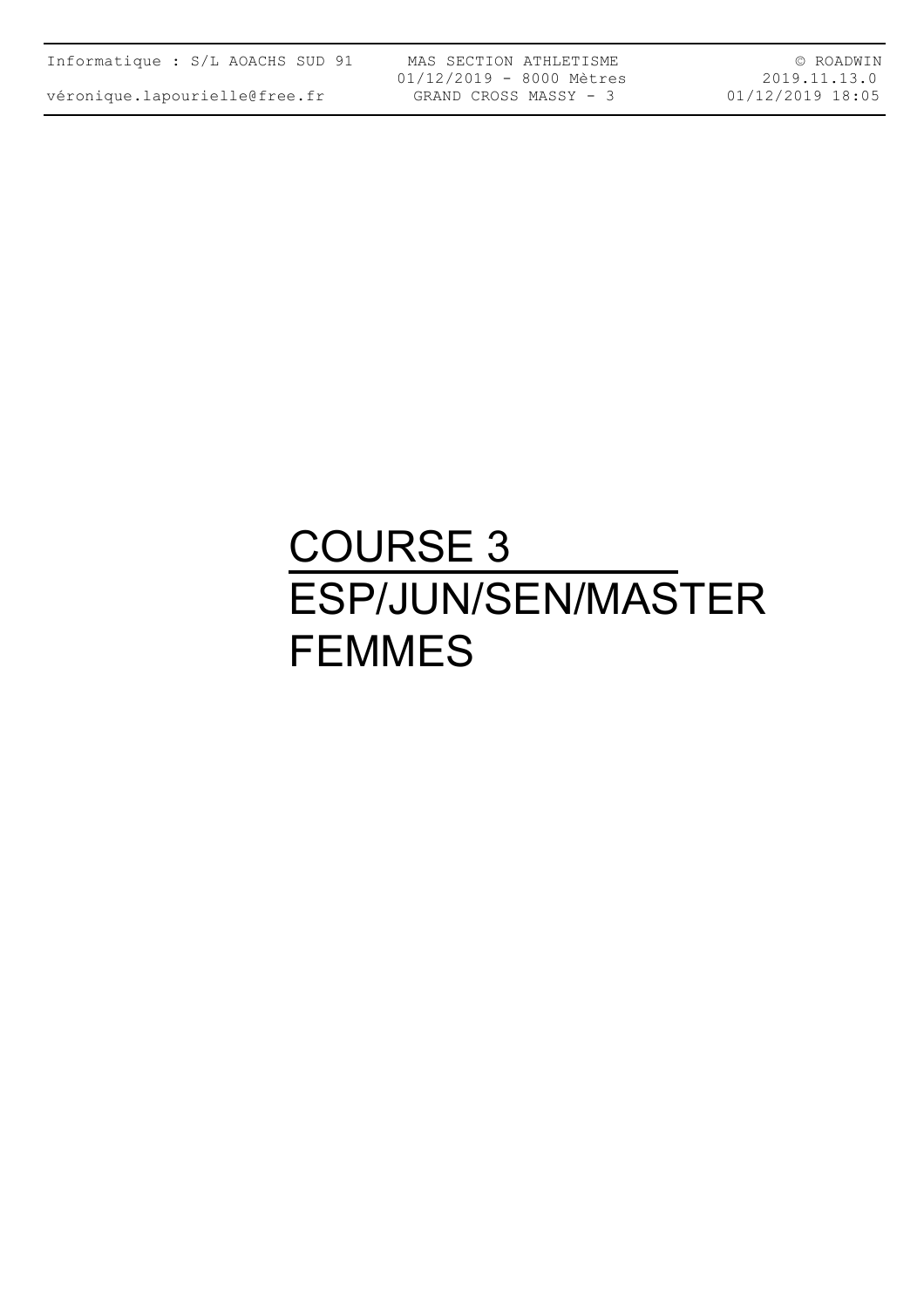véronique.lapourielle@free.fr

MAS SECTION ATHLETISME 01/12/2019 - 8000 Mètres GRAND CROSS MASSY - 3

© ROADWIN 2019.11.13.0 01/12/2019 18:05

## COURSE 3 ESP/JUN/SEN/MASTER FEMMES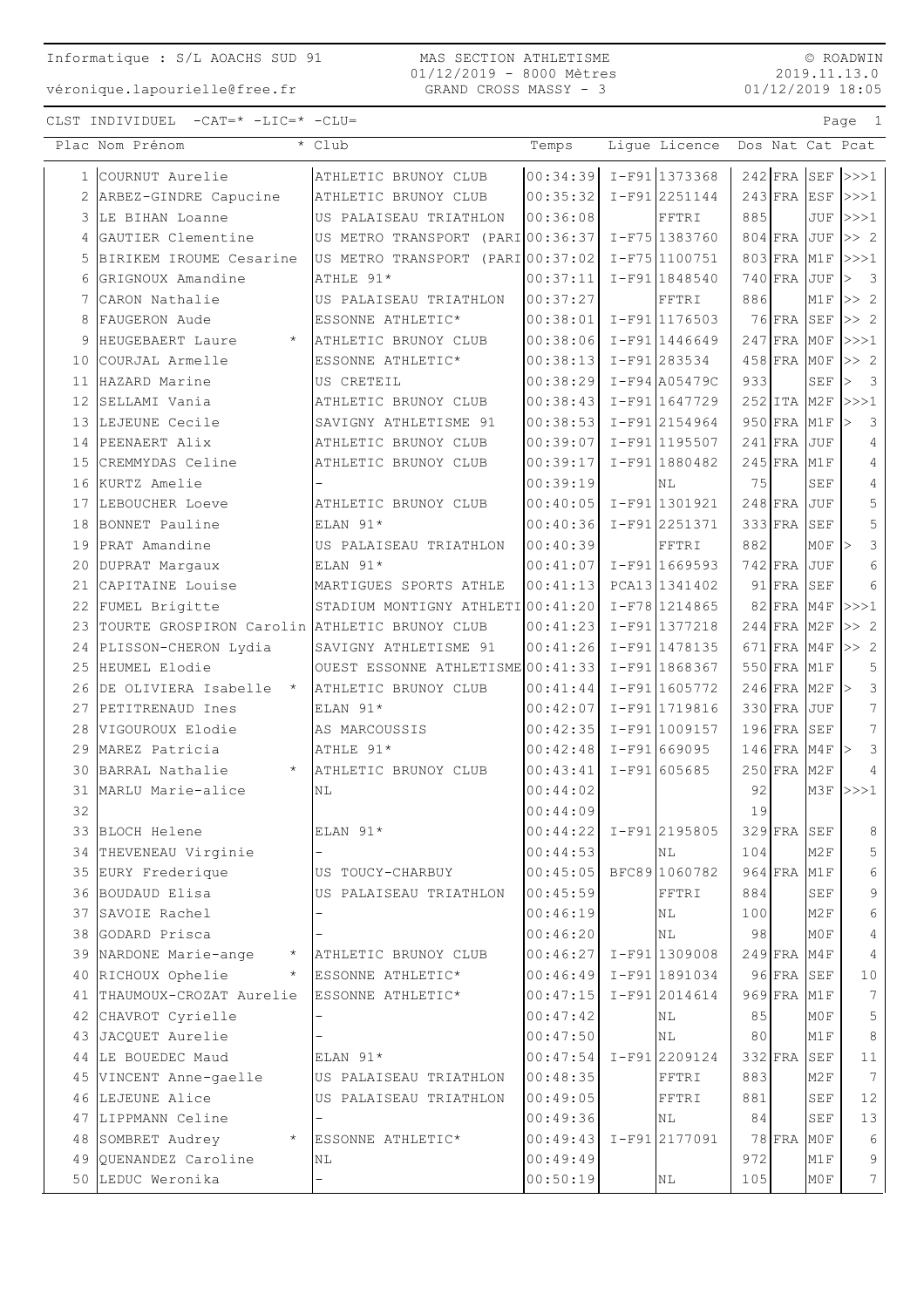© ROADWIN 2019.11.13.0 01/12/2019 18:05

|                 | Plac Nom Prénom                               | * Club                            | Temps                      | Lique Licence     |     |               |                                | Dos Nat Cat Pcat                        |
|-----------------|-----------------------------------------------|-----------------------------------|----------------------------|-------------------|-----|---------------|--------------------------------|-----------------------------------------|
|                 | 1 COURNUT Aurelie                             | ATHLETIC BRUNOY CLUB              | $00:34:39$ $I-F91$ 1373368 |                   |     |               |                                | $242$ FRA SEF $>>1$                     |
|                 | ARBEZ-GINDRE Capucine                         | ATHLETIC BRUNOY CLUB              | 00:35:32                   | $I-F91$  2251144  |     |               |                                | $243$ FRA ESF $\rightarrow$ >1          |
| 3               | LE BIHAN Loanne                               | US PALAISEAU TRIATHLON            | 00:36:08                   | FFTRI             | 885 |               |                                | $JUF$ $>>$ $1$                          |
| 4               | GAUTIER Clementine                            | US METRO TRANSPORT (PARI 00:36:37 |                            | I-F75 1383760     |     | $804$ FRA JUF |                                | >> 2                                    |
| 5               | BIRIKEM IROUME Cesarine                       | US METRO TRANSPORT (PARI 00:37:02 |                            | $I-F75 1100751$   |     |               |                                | 803 FRA M1F >>>1                        |
| 6               | GRIGNOUX Amandine                             | ATHLE 91*                         | 00:37:11                   | I-F91 1848540     |     | $740$ FRA JUF |                                | $\overline{\mathbf{3}}$<br>$\mathsf{I}$ |
| 7               | CARON Nathalie                                | US PALAISEAU TRIATHLON            | 00:37:27                   | FFTRI             | 886 |               |                                | $M1F$ $>>$ 2                            |
| 8               | FAUGERON Aude                                 | ESSONNE ATHLETIC*                 | 00:38:01                   | I-F91 1176503     |     | 76 FRA SEF    |                                | >> 2                                    |
| 9               | HEUGEBAERT Laure<br>$\star$                   | ATHLETIC BRUNOY CLUB              | 00:38:06                   | I-F911446649      |     | $247$ FRA MOF |                                | >>>1                                    |
| 10              | COURJAL Armelle                               | ESSONNE ATHLETIC*                 | 00:38:13                   | I-F91 283534      |     | $458$ FRA MOF |                                | >> 2                                    |
| 11              | HAZARD Marine                                 | US CRETEIL                        | 00:38:29                   | $I-F94$ $A05479C$ | 933 |               | $\operatorname{SEF}$           | $\overline{\mathbf{3}}$<br>l>           |
| 12 <sup>°</sup> | SELLAMI Vania                                 | ATHLETIC BRUNOY CLUB              | 00:38:43                   | $I-F91 1647729$   |     | 252 ITA M2F   |                                | >>>1                                    |
|                 | 13 LEJEUNE Cecile                             | SAVIGNY ATHLETISME 91             | 00:38:53                   | I-F912154964      |     | 950 FRA M1F   |                                | 3<br>l>                                 |
|                 | 14 PEENAERT Alix                              | ATHLETIC BRUNOY CLUB              | 00:39:07                   | I-F91 1195507     |     | $241$ FRA JUF |                                | $\overline{4}$                          |
|                 | 15 CREMMYDAS Celine                           | ATHLETIC BRUNOY CLUB              | 00:39:17                   | I-F91 1880482     |     | $245$ FRA M1F |                                | $\overline{4}$                          |
|                 | 16 KURTZ Amelie                               |                                   | 00:39:19                   | NL                | 75  |               | <b>SEF</b>                     | $\overline{4}$                          |
|                 | 17 LEBOUCHER Loeve                            | ATHLETIC BRUNOY CLUB              | 00:40:05                   | I-F911301921      |     | $248$ FRA JUF |                                | 5                                       |
|                 | 18 BONNET Pauline                             | ELAN 91*                          | 00:40:36                   | $I-F91 2251371$   |     | $333$ FRA     | SEF                            | 5                                       |
|                 | 19 PRAT Amandine                              | US PALAISEAU TRIATHLON            | 00:40:39                   | FFTRI             | 882 |               | $MOF$ >                        | 3                                       |
|                 | 20 DUPRAT Margaux                             | ELAN 91*                          | 00:41:07                   | $I-F91 1669593$   |     | $742$ FRA JUF |                                | 6                                       |
| 21              | CAPITAINE Louise                              | MARTIGUES SPORTS ATHLE            | 00:41:13                   | PCA13 1341402     |     | $91$ FRA SEF  |                                | 6                                       |
| 22              | FUMEL Brigitte                                | STADIUM MONTIGNY ATHLETI00:41:20  |                            | I-F78 1214865     |     | $82$ FRA M4F  |                                | >>>1                                    |
| 23              | TOURTE GROSPIRON Carolin ATHLETIC BRUNOY CLUB |                                   | 00:41:23                   | I-F91 1377218     |     | $244$ FRA M2F |                                | >> 2                                    |
|                 | 24 PLISSON-CHERON Lydia                       | SAVIGNY ATHLETISME 91             | 00:41:26                   | I-F91 1478135     |     |               |                                | 671 FRA M4F $>> 2$                      |
|                 | 25 HEUMEL Elodie                              | OUEST ESSONNE ATHLETISME 00:41:33 |                            | I-F91 1868367     |     | 550 FRA M1F   |                                | 5                                       |
|                 | 26 DE OLIVIERA Isabelle *                     | ATHLETIC BRUNOY CLUB              | 00:41:44                   | I-F91 1605772     |     |               | $246$ FRA M2F $\triangleright$ | $\mathcal{S}$                           |
|                 | 27 PETITRENAUD Ines                           | ELAN 91*                          | 00:42:07                   | I-F91 1719816     |     | $330$ FRA JUF |                                | 7 <sup>7</sup>                          |
|                 | 28 VIGOUROUX Elodie                           | AS MARCOUSSIS                     | 00:42:35                   | I-F91 1009157     |     | $196$ FRA SEF |                                | $7\overline{ }$                         |
|                 | 29 MAREZ Patricia                             | ATHLE 91*                         | 00:42:48                   | $I-F91 669095$    |     |               | $146$ FRA M4F $>$              | 3                                       |
|                 | 30 BARRAL Nathalie<br>$\star$                 | ATHLETIC BRUNOY CLUB              | 00:43:41                   | I-F91 605685      |     | $250$ FRA M2F |                                | $\overline{4}$                          |
|                 | 31 MARLU Marie-alice                          | ΝL                                | 00:44:02                   |                   | 92  |               |                                | $M3F$ $>>$ 1                            |
| 32              |                                               |                                   | 00:44:09                   |                   | 19  |               |                                |                                         |
|                 | 33 BLOCH Helene                               | ELAN 91*                          | $00:44:22$ I-F91 2195805   |                   |     |               | $329$ FRA SEF                  | 8 <sup>8</sup>                          |
|                 | 34 THEVENEAU Virginie                         |                                   | 00:44:53                   | NL                | 104 |               | M2F                            | 5                                       |
|                 | 35 EURY Frederique                            | US TOUCY-CHARBUY                  | 00:45:05 BFC89 1060782     |                   |     | 964 FRA M1F   |                                | 6                                       |
|                 | 36 BOUDAUD Elisa                              | US PALAISEAU TRIATHLON            | 00:45:59                   | FFTRI             | 884 |               | <b>SEF</b>                     | 9                                       |
|                 | 37 SAVOIE Rachel                              |                                   | 00:46:19                   | ΝL                | 100 |               | M2F                            | 6                                       |
|                 | 38 GODARD Prisca                              |                                   | 00:46:20                   | ΝL                | 98  |               | M0F                            | $\overline{4}$                          |
|                 | 39 NARDONE Marie-ange<br>$\star$              | ATHLETIC BRUNOY CLUB              | 00:46:27                   | $I-F91$ 1309008   |     | $249$ FRA M4F |                                | $\overline{4}$                          |
|                 | 40 RICHOUX Ophelie<br>$\star$                 | ESSONNE ATHLETIC*                 | $00:46:49$ I-F91 1891034   |                   |     | 96 FRA SEF    |                                | 10                                      |
|                 | 41 THAUMOUX-CROZAT Aurelie                    | ESSONNE ATHLETIC*                 | 00:47:15                   | $I-F91 2014614$   |     | 969 FRA M1F   |                                | 7                                       |
|                 | 42 CHAVROT Cyrielle                           |                                   | 00:47:42                   | ΝL                | 85  |               | M0F                            | 5                                       |
|                 | 43 JACQUET Aurelie                            |                                   | 00:47:50                   | ΝL                | 80  |               | M1F                            | $\,8\,$                                 |
|                 | 44 LE BOUEDEC Maud                            | ELAN 91*                          | $00:47:54$ I-F91 2209124   |                   |     | $332$ FRA     | SEF                            | 11                                      |
|                 | 45 VINCENT Anne-gaelle                        | US PALAISEAU TRIATHLON            | 00:48:35                   | FFTRI             | 883 |               | M2F                            | $7\phantom{.0}$                         |
|                 | 46 LEJEUNE Alice                              | US PALAISEAU TRIATHLON            | 00:49:05                   | FFTRI             | 881 |               | <b>SEF</b>                     | 12                                      |
|                 | 47 LIPPMANN Celine                            |                                   | 00:49:36                   | NL                | 84  |               | <b>SEF</b>                     | 13                                      |
|                 | 48 SOMBRET Audrey                             | ESSONNE ATHLETIC*                 | 00:49:43                   | I-F912177091      |     | $78$ FRA      | M0F                            | 6                                       |
|                 | 49 QUENANDEZ Caroline                         | NL                                | 00:49:49                   |                   | 972 |               | M1F                            | 9                                       |
|                 | 50 LEDUC Weronika                             |                                   | 00:50:19                   | ΝL                | 105 |               | M0F                            | $7\overline{ }$                         |
|                 |                                               |                                   |                            |                   |     |               |                                |                                         |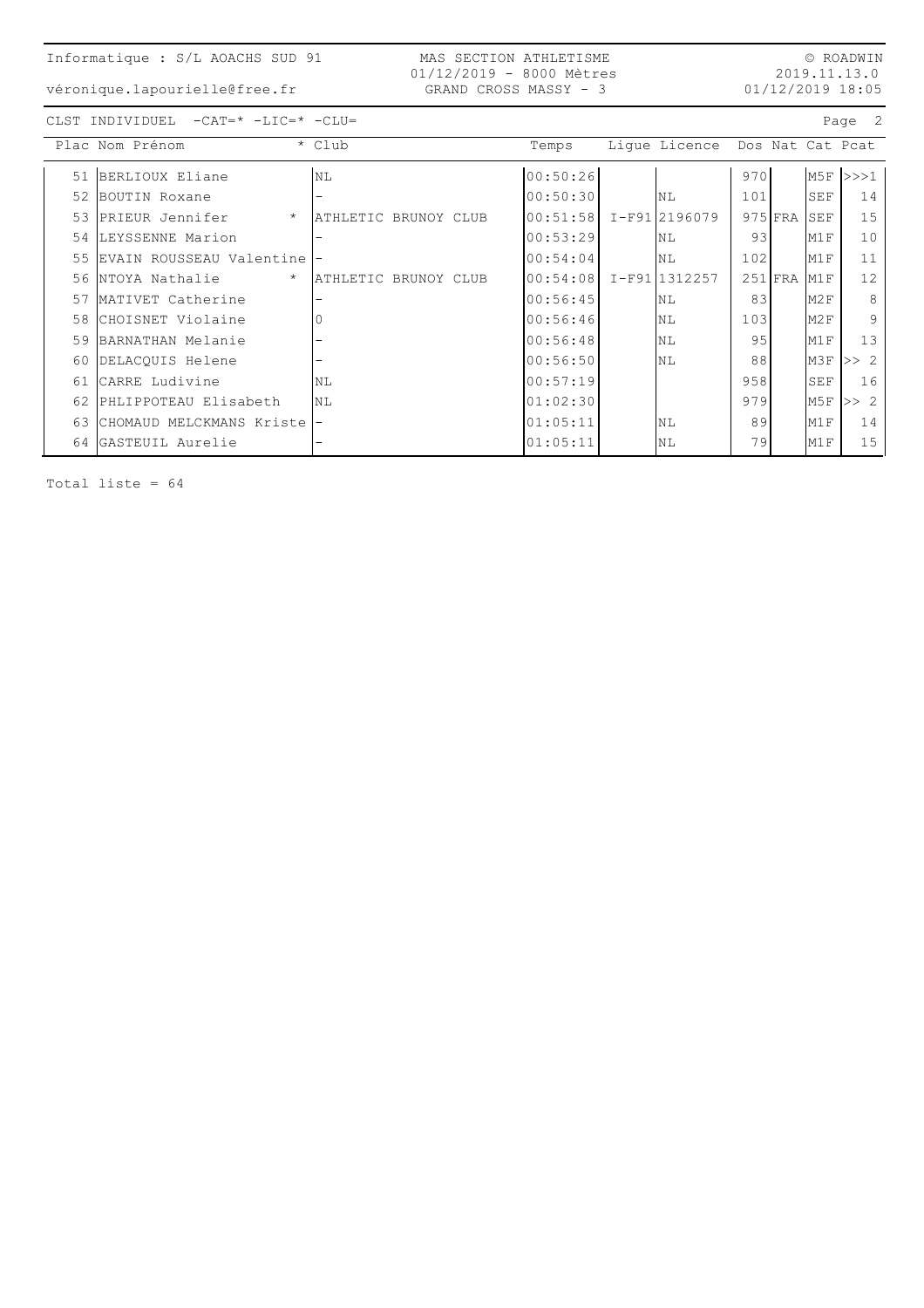véronique.lapourielle@free.fr

MAS SECTION ATHLETISME 01/12/2019 - 8000 Mètres GRAND CROSS MASSY - 3

© ROADWIN 2019.11.13.0 01/12/2019 18:05

CLST INDIVIDUEL -CAT=\* -LIC=\* -CLU= Page 2

|    | Plac Nom Prénom            | * Club               | Temps    | Lique Licence  |     |             |     | Dos Nat Cat Pcat |
|----|----------------------------|----------------------|----------|----------------|-----|-------------|-----|------------------|
| 51 | BERLIOUX Eliane            | NL                   | 00:50:26 |                | 970 |             |     | $M5F$ $>>$ 1     |
| 52 | BOUTIN Roxane              | -                    | 00:50:30 | <b>NL</b>      | 101 |             | SEF | 14               |
| 53 | PRIEUR Jennifer<br>$\star$ | ATHLETIC BRUNOY CLUB | 00:51:58 | I-F91 2196079  |     | $975$ FRA   | SEF | 15               |
| 54 | LEYSSENNE Marion           |                      | 00:53:29 | N <sub>L</sub> | 93  |             | M1F | 10               |
| 55 | EVAIN ROUSSEAU Valentine   |                      | 00:54:04 | NL             | 102 |             | M1F | 11               |
| 56 | $\star$<br>NTOYA Nathalie  | ATHLETIC BRUNOY CLUB | 00:54:08 | I-F911312257   |     | $251$ $FRA$ | M1F | 12               |
| 57 | MATIVET Catherine          |                      | 00:56:45 | <b>NL</b>      | 83  |             | M2F | 8                |
| 58 | CHOISNET Violaine          |                      | 00:56:46 | N <sub>L</sub> | 103 |             | M2F | 9                |
| 59 | BARNATHAN Melanie          | -                    | 00:56:48 | NL             | 95  |             | M1F | 13               |
| 60 | DELACOUIS Helene           |                      | 00:56:50 | NL             | 88  |             | M3F | >> 2             |
| 61 | CARRE Ludivine             | NL                   | 00:57:19 |                | 958 |             | SEF | 16               |
| 62 | PHLIPPOTEAU Elisabeth      | NL                   | 01:02:30 |                | 979 |             | M5F | >> 2             |
| 63 | CHOMAUD MELCKMANS Kriste   |                      | 01:05:11 | NL             | 89  |             | M1F | 14               |
| 64 | GASTEUIL Aurelie           | -                    | 01:05:11 | NL             | 79  |             | M1F | 15               |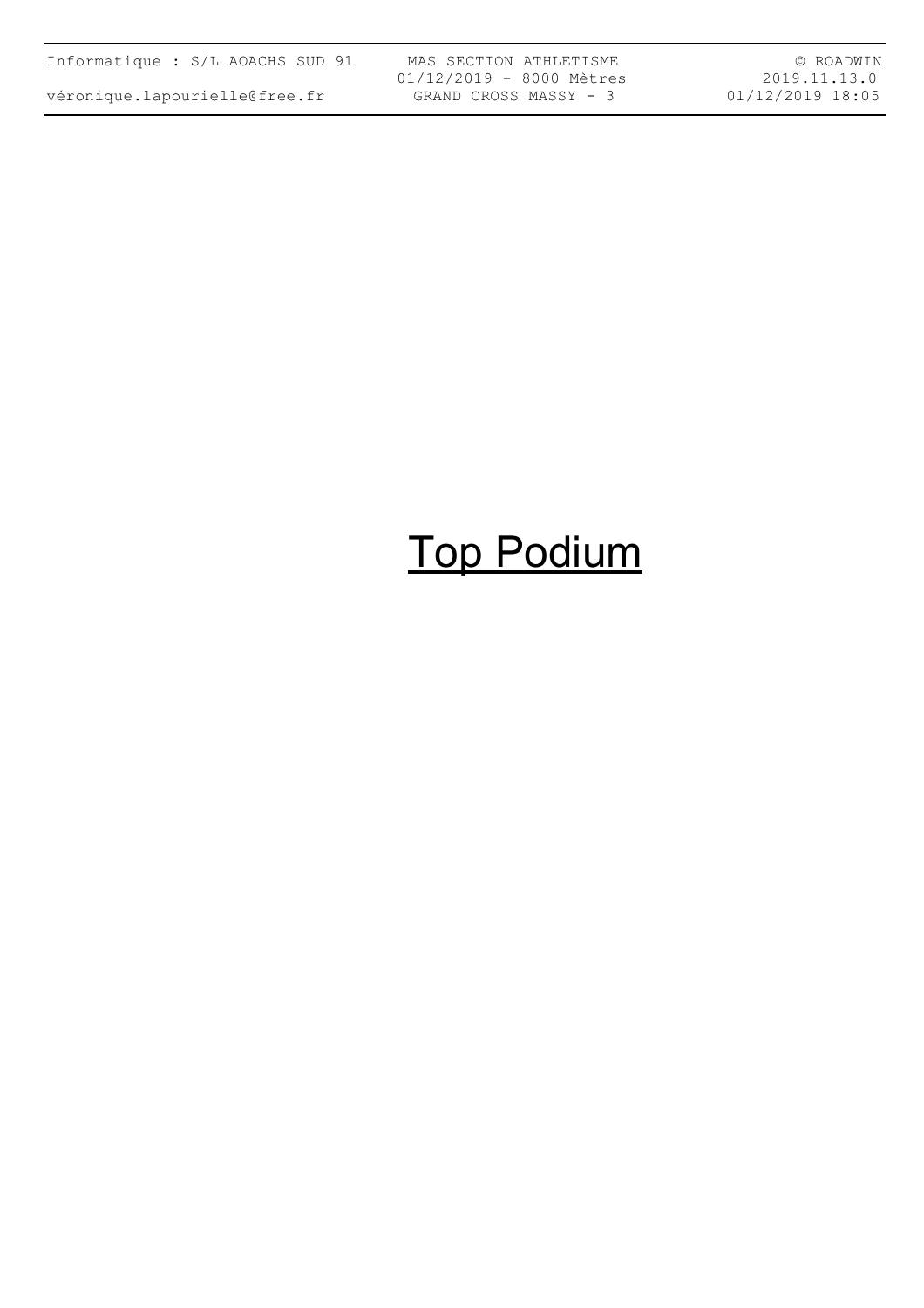| Informatique : S/L AOACHS SUD 91 |  |  |  |
|----------------------------------|--|--|--|
| véronique.lapourielle@free.fr    |  |  |  |

MAS SECTION ATHLETISME 01/12/2019 - 8000 Mètres GRAND CROSS MASSY - 3

© ROADWIN 2019.11.13.0 01/12/2019 18:05

# Top Podium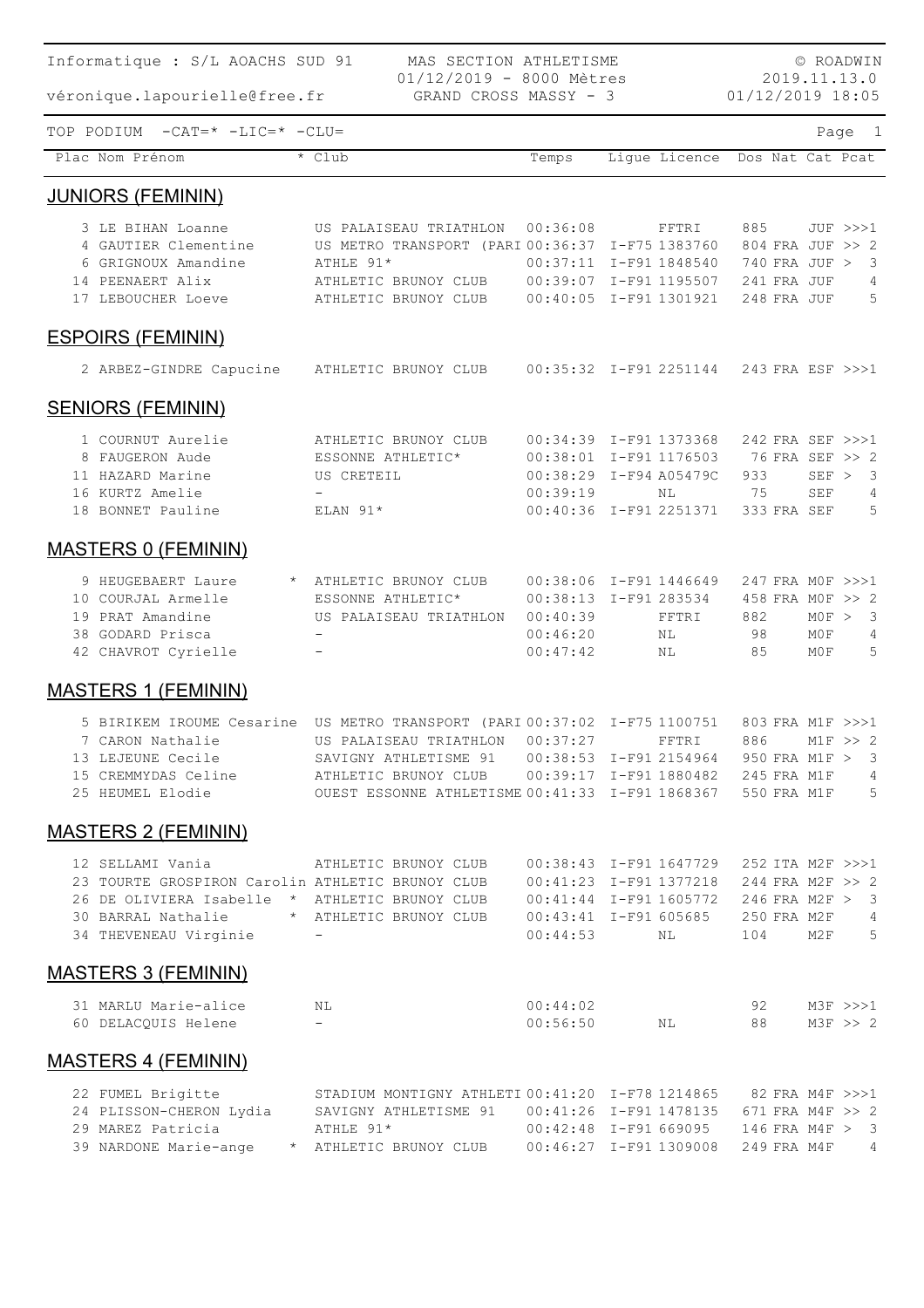| Informatique : S/L AOACHS SUD 91                                                              | MAS SECTION ATHLETISME<br>01/12/2019 - 8000 Mètres           |          |                                                      |             | © ROADWIN<br>2019.11.13.0           |
|-----------------------------------------------------------------------------------------------|--------------------------------------------------------------|----------|------------------------------------------------------|-------------|-------------------------------------|
| véronique.lapourielle@free.fr                                                                 | GRAND CROSS MASSY - 3                                        |          |                                                      |             | 01/12/2019 18:05                    |
| TOP PODIUM<br>$-CAT = * -LIC = * -CLU =$                                                      |                                                              |          |                                                      |             | Page 1                              |
| Plac Nom Prénom                                                                               | $*$ Club                                                     | Temps    | Ligue Licence Dos Nat Cat Pcat                       |             |                                     |
| <b>JUNIORS (FEMININ)</b>                                                                      |                                                              |          |                                                      |             |                                     |
| 3 LE BIHAN Loanne                                                                             | US PALAISEAU TRIATHLON                                       | 00:36:08 | FFTRI                                                | 885         | JUF >>>1                            |
| 4 GAUTIER Clementine                                                                          | US METRO TRANSPORT (PARI 00:36:37 I-F75 1383760              |          |                                                      |             | 804 FRA JUF >> 2                    |
| 6 GRIGNOUX Amandine                                                                           | ATHLE 91*                                                    |          | 00:37:11 I-F91 1848540                               |             | 740 FRA JUF > 3                     |
| 14 PEENAERT Alix                                                                              | ATHLETIC BRUNOY CLUB                                         |          | 00:39:07 I-F91 1195507                               | 241 FRA JUF | 4                                   |
| 17 LEBOUCHER Loeve                                                                            | ATHLETIC BRUNOY CLUB                                         |          | 00:40:05 I-F91 1301921                               | 248 FRA JUF | 5                                   |
| <b>ESPOIRS (FEMININ)</b>                                                                      |                                                              |          |                                                      |             |                                     |
| 2 ARBEZ-GINDRE Capucine ATHLETIC BRUNOY CLUB                                                  |                                                              |          | 00:35:32 I-F91 2251144 243 FRA ESF >>>1              |             |                                     |
| <b>SENIORS (FEMININ)</b>                                                                      |                                                              |          |                                                      |             |                                     |
|                                                                                               |                                                              |          |                                                      |             |                                     |
| 1 COURNUT Aurelie<br>8 FAUGERON Aude                                                          | ATHLETIC BRUNOY CLUB<br>ESSONNE ATHLETIC*                    |          | 00:34:39 I-F91 1373368<br>00:38:01 I-F91 1176503     |             | 242 FRA SEF >>>1<br>76 FRA SEF >> 2 |
| 11 HAZARD Marine                                                                              | US CRETEIL                                                   |          | 00:38:29 I-F94 A05479C                               | 933         | SEF > 3                             |
| 16 KURTZ Amelie                                                                               |                                                              | 00:39:19 | NL                                                   | 75          | 4<br>SEF                            |
| 18 BONNET Pauline                                                                             | $ELAN$ 91*                                                   |          | 00:40:36 I-F91 2251371                               | 333 FRA SEF | 5                                   |
|                                                                                               |                                                              |          |                                                      |             |                                     |
| <b>MASTERS 0 (FEMININ)</b>                                                                    |                                                              |          |                                                      |             |                                     |
| 9 HEUGEBAERT Laure                                                                            | * ATHLETIC BRUNOY CLUB                                       |          | 00:38:06 I-F91 1446649                               |             | 247 FRA MOF >>>1                    |
| 10 COURJAL Armelle                                                                            | ESSONNE ATHLETIC*                                            |          | 00:38:13 I-F91 283534                                |             | 458 FRA MOF >> 2                    |
| 19 PRAT Amandine                                                                              | US PALAISEAU TRIATHLON                                       | 00:40:39 | FFTRI                                                | 882         | MOF > 3                             |
| 38 GODARD Prisca                                                                              |                                                              | 00:46:20 | <b>NL</b>                                            | - 98        | M0F<br>4                            |
| 42 CHAVROT Cyrielle                                                                           |                                                              | 00:47:42 | NL                                                   | 85          | 5<br>M0F                            |
| <b>MASTERS 1 (FEMININ)</b>                                                                    |                                                              |          |                                                      |             |                                     |
| 5 BIRIKEM IROUME Cesarine US METRO TRANSPORT (PARI 00:37:02 I-F75 1100751                     |                                                              |          |                                                      |             | 803 FRA M1F >>>1                    |
| 7 CARON Nathalie         US PALAISEAU TRIATHLON   00:37:27         FFTRI     886     M1F >> 2 |                                                              |          |                                                      |             |                                     |
| 13 LEJEUNE Cecile                                                                             |                                                              |          |                                                      |             |                                     |
| 15 CREMMYDAS Celine ATHLETIC BRUNOY CLUB 00:39:17 I-F91 1880482 245 FRA M1F 4                 |                                                              |          |                                                      |             |                                     |
| 25 HEUMEL Elodie 65 OUEST ESSONNE ATHLETISME 00:41:33 I-F91 1868367 550 FRA M1F 5             |                                                              |          |                                                      |             |                                     |
| <b>MASTERS 2 (FEMININ)</b>                                                                    |                                                              |          |                                                      |             |                                     |
| 12 SELLAMI Vania                                                                              | ATHLETIC BRUNOY CLUB 00:38:43 I-F91 1647729 252 ITA M2F >>>1 |          |                                                      |             |                                     |
| 23 TOURTE GROSPIRON Carolin ATHLETIC BRUNOY CLUB 00:41:23 I-F91 1377218 244 FRA M2F >> 2      |                                                              |          |                                                      |             |                                     |
| 26 DE OLIVIERA Isabelle * ATHLETIC BRUNOY CLUB 00:41:44 I-F91 1605772 246 FRA M2F > 3         |                                                              |          |                                                      |             |                                     |
| 30 BARRAL Nathalie * ATHLETIC BRUNOY CLUB                                                     |                                                              |          | 00:43:41 I-F91 605685 250 FRA M2F 4                  |             |                                     |
| 34 THEVENEAU Virginie                                                                         |                                                              |          | 00:44:53 NL 104 M2F 5                                |             |                                     |
| <b>MASTERS 3 (FEMININ)</b>                                                                    |                                                              |          |                                                      |             |                                     |
| 31 MARLU Marie-alice NL                                                                       |                                                              | 00:44:02 |                                                      |             |                                     |
| 60 DELACQUIS Helene                                                                           | $\sim$                                                       |          | $00:56:50$ NL                                        |             |                                     |
| <b>MASTERS 4 (FEMININ)</b>                                                                    |                                                              |          |                                                      |             |                                     |
| 22 FUMEL Brigitte STADIUM MONTIGNY ATHLETI 00:41:20 I-F78 1214865 82 FRA M4F >>>1             |                                                              |          |                                                      |             |                                     |
| 24 PLISSON-CHERON Lydia SAVIGNY ATHLETISME 91 00:41:26 I-F91 1478135 671 FRA M4F >> 2         |                                                              |          |                                                      |             |                                     |
| 29 MAREZ Patricia                                                                             | ATHLE 91*                                                    |          | 00:42:48    I-F91    669095    146    FRA    M4F > 3 |             |                                     |
| 39 NARDONE Marie-ange * ATHLETIC BRUNOY CLUB 00:46:27 I-F91 1309008 249 FRA M4F 4             |                                                              |          |                                                      |             |                                     |
|                                                                                               |                                                              |          |                                                      |             |                                     |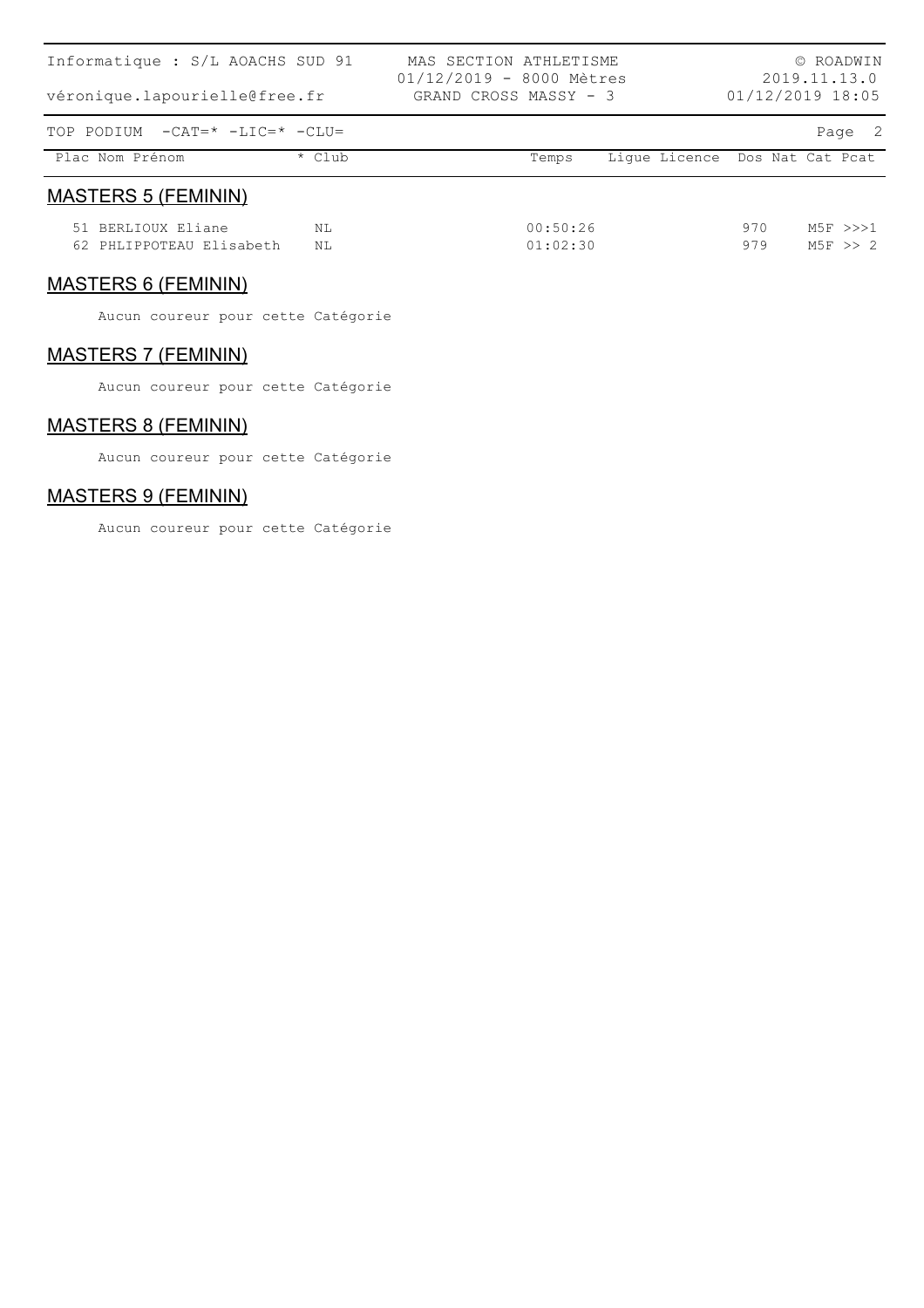| Informatique : S/L AOACHS SUD 91<br>véronique.lapourielle@free.fr |        | MAS SECTION ATHLETISME<br>$01/12/2019 - 8000$ Mètres<br>GRAND CROSS MASSY - 3 |          |                                | 01/12/2019 18:05 |  | © ROADWIN<br>2019.11.13.0 |
|-------------------------------------------------------------------|--------|-------------------------------------------------------------------------------|----------|--------------------------------|------------------|--|---------------------------|
| TOP PODIUM $-CAT = * -LIC = * -CLU =$                             |        |                                                                               |          |                                |                  |  | Page 2                    |
| Plac Nom Prénom                                                   | * Club |                                                                               | Temps    | Lique Licence Dos Nat Cat Pcat |                  |  |                           |
| <b>MASTERS 5 (FEMININ)</b>                                        |        |                                                                               |          |                                |                  |  |                           |
| 51 BERLIOUX Eliane                                                | NL     |                                                                               | 00:50:26 |                                | 970              |  | $M5F$ $>>$ $2$            |
| 62 PHLIPPOTEAU Elisabeth                                          | NL     |                                                                               | 01:02:30 |                                | 979              |  | $M5F \gg 2$               |

#### MASTERS 6 (FEMININ)

Aucun coureur pour cette Catégorie

#### MASTERS 7 (FEMININ)

Aucun coureur pour cette Catégorie

### MASTERS 8 (FEMININ)

Aucun coureur pour cette Catégorie

#### MASTERS 9 (FEMININ)

Aucun coureur pour cette Catégorie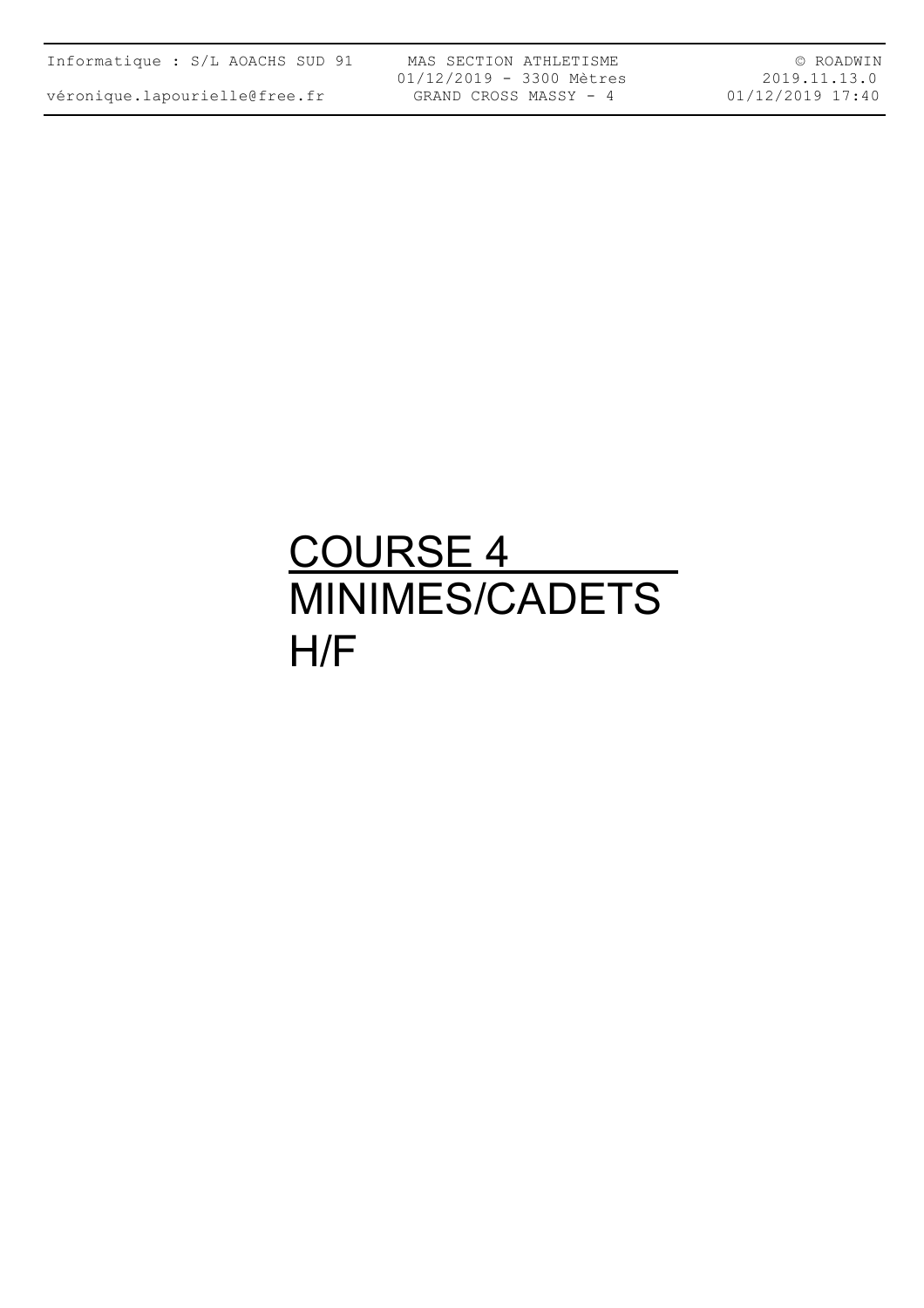| Informatique : S/L AOACHS SUD 91 |  |  |  |  |  |  |
|----------------------------------|--|--|--|--|--|--|
|----------------------------------|--|--|--|--|--|--|

MAS SECTION ATHLETISME 01/12/2019 - 3300 Mètres GRAND CROSS MASSY - 4

© ROADWIN 2019.11.13.0 01/12/2019 17:40

### <u>COURSE 4</u> MINIMES/CADETS H/F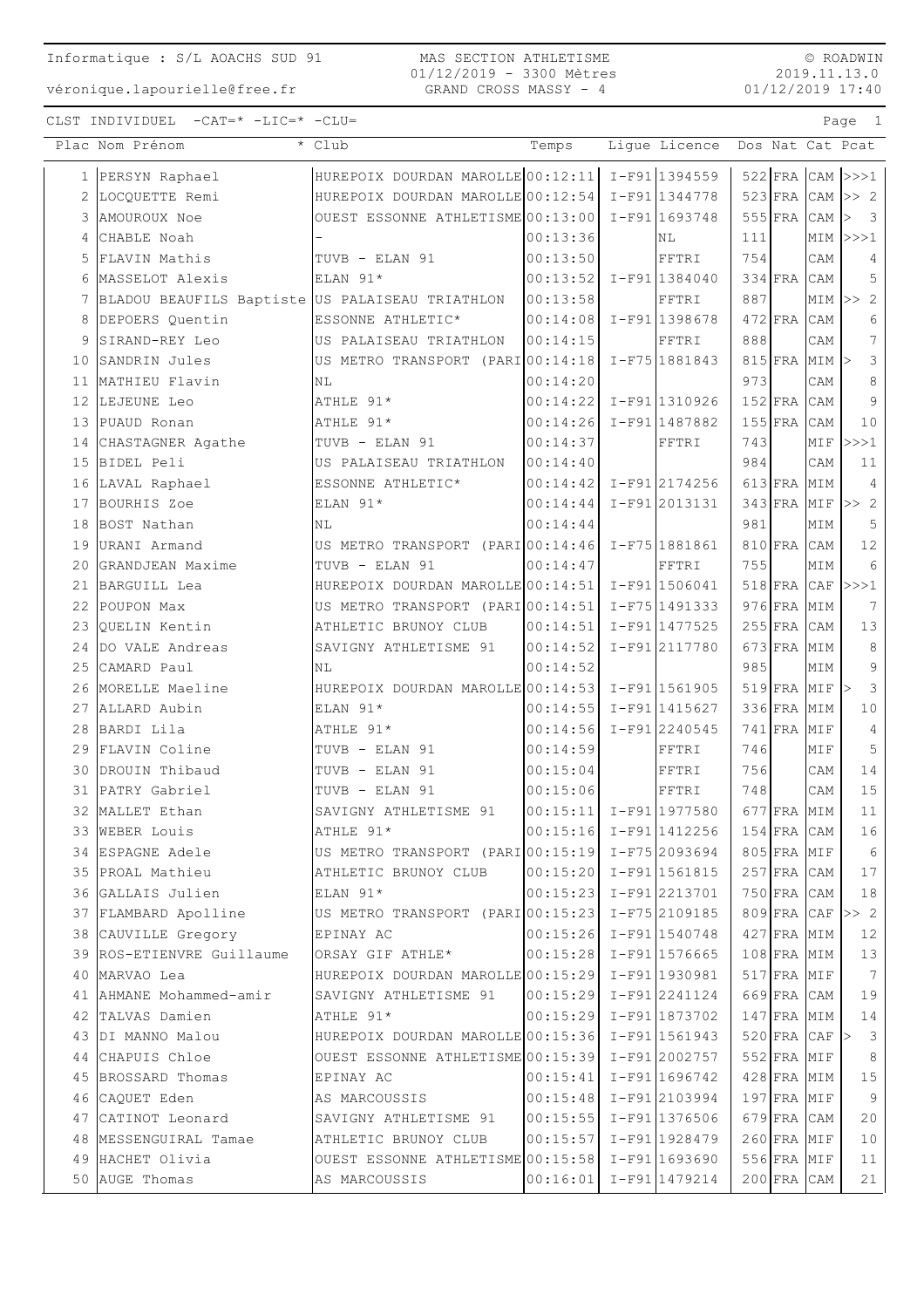MAS SECTION ATHLETISME 01/12/2019 - 3300 Mètres GRAND CROSS MASSY - 4

© ROADWIN 2019.11.13.0 01/12/2019 17:40

|    | Plac Nom Prénom                                                      | * Club                                              | Temps                                    | Lique Licence Dos Nat Cat Pcat |     |               |                                |                                 |
|----|----------------------------------------------------------------------|-----------------------------------------------------|------------------------------------------|--------------------------------|-----|---------------|--------------------------------|---------------------------------|
|    | 1 PERSYN Raphael                                                     | HUREPOIX DOURDAN MAROLLE 00:12:11 I-F91 1394559     |                                          |                                |     |               |                                | $522$ FRA CAM $>>1$             |
| 2  | LOCQUETTE Remi                                                       | HUREPOIX DOURDAN MAROLLE 00:12:54 I-F91 1344778     |                                          |                                |     |               |                                | $523$ FRA CAM $>> 2$            |
| 3  | AMOUROUX Noe                                                         | OUEST ESSONNE ATHLETISME 00:13:00                   |                                          | I-F91 1693748                  |     |               | $555$ FRA CAM $\triangleright$ | $\overline{\phantom{a}}$        |
|    | 4 CHABLE Noah                                                        |                                                     | 00:13:36                                 | ΝL                             | 111 |               |                                | $MIM$ $>>$ $1$                  |
|    | 5 FLAVIN Mathis                                                      | TUVB - ELAN 91                                      | 00:13:50                                 | FFTRI                          | 754 |               | CAM                            | 4                               |
|    | 6 MASSELOT Alexis                                                    | ELAN 91*                                            | 00:13:52                                 | I-F91 1384040                  |     | 334 FRA CAM   |                                | 5                               |
|    | 7 BLADOU BEAUFILS Baptiste US PALAISEAU TRIATHLON                    |                                                     | 00:13:58                                 | FFTRI                          | 887 |               |                                | $MIN \rightharpoonup > 2$       |
| 8  | DEPOERS Quentin                                                      | ESSONNE ATHLETIC*                                   | $ 00:14:08  I-F91 1398678$               |                                |     | $472$ FRA     | CAM                            | 6                               |
| 9  | SIRAND-REY Leo                                                       | US PALAISEAU TRIATHLON                              | 00:14:15                                 | FFTRI                          | 888 |               | CAM                            | $7\phantom{.}$                  |
|    | 10 SANDRIN Jules                                                     | US METRO TRANSPORT (PARI 00:14:18)                  |                                          | I-F75 1881843                  |     |               | 815 FRA MIM >                  | $\mathbf{3}$                    |
| 11 | MATHIEU Flavin                                                       | ΝL                                                  | 00:14:20                                 |                                | 973 |               | CAM                            | 8                               |
|    | 12 LEJEUNE Leo                                                       | ATHLE 91*                                           | 00:14:22 I-F91 1310926                   |                                |     | $152$ FRA     | CAM                            | $\overline{9}$                  |
|    | 13 PUAUD Ronan                                                       | ATHLE 91*                                           | 00:14:26                                 | I-F91 1487882                  |     | $155$ FRA     | CAM                            | 10                              |
|    | 14 CHASTAGNER Agathe                                                 | TUVB - ELAN 91                                      | 00:14:37                                 | FFTRI                          | 743 |               | MIF                            | >>>1                            |
|    | 15 BIDEL Peli                                                        | US PALAISEAU TRIATHLON                              | 00:14:40                                 |                                | 984 |               | CAM                            | 11                              |
|    | 16 LAVAL Raphael                                                     | ESSONNE ATHLETIC*                                   | 00:14:42 I-F91 2174256                   |                                |     | 613 FRA MIM   |                                | 4                               |
|    | 17 BOURHIS Zoe                                                       | ELAN 91*                                            | 00:14:44                                 | I-F91 2013131                  |     |               |                                | $343$ FRA MIF $>> 2$            |
|    | 18 BOST Nathan                                                       | ΝL                                                  | 00:14:44                                 |                                | 981 |               | MIM                            | 5                               |
|    | 19 URANI Armand                                                      | US METRO TRANSPORT (PARIO0:14:46 I-F75 1881861      |                                          |                                |     | 810 FRA CAM   |                                | 12                              |
|    | 20 GRANDJEAN Maxime                                                  | TUVB - ELAN 91                                      | 00:14:47                                 | FFTRI                          | 755 |               | MIM                            | 6                               |
|    | 21 BARGUILL Lea                                                      | HUREPOIX DOURDAN MAROLLE 00:14:51   I-F91 1506041   |                                          |                                |     | $518$ FRA CAF |                                | >>>1                            |
| 22 | POUPON Max                                                           | US METRO TRANSPORT (PARI 00:14:51                   |                                          | I-F75 1491333                  |     | 976 FRA MIM   |                                | 7                               |
|    | 23 OUELIN Kentin                                                     | ATHLETIC BRUNOY CLUB                                | 00:14:51                                 | I-F91 1477525                  |     | $255$ FRA CAM |                                | 13                              |
|    | 24 DO VALE Andreas                                                   | SAVIGNY ATHLETISME 91                               | 00:14:52                                 | I-F912117780                   |     | 673 FRA MIM   |                                | $\,8\,$                         |
|    | 25 CAMARD Paul                                                       | <b>NL</b>                                           | 00:14:52                                 |                                | 985 |               | MIM                            | 9                               |
|    | 26 MORELLE Maeline                                                   | HUREPOIX DOURDAN MAROLLE 00:14:53                   |                                          | I-F91 1561905                  |     |               | $519$ FRA MIF $>$              | 3                               |
|    | 27 ALLARD Aubin                                                      | ELAN 91*                                            | 00:14:55                                 | I-F91 1415627                  |     | 336 FRA MIM   |                                | 10                              |
|    | 28 BARDI Lila                                                        | ATHLE 91*                                           | 00:14:56                                 | I-F91 2240545                  |     | $741$ FRA     | MIF                            | $\overline{4}$                  |
|    | 29 FLAVIN Coline                                                     | TUVB - ELAN 91                                      | 00:14:59                                 | FFTRI                          | 746 |               | MIF                            | 5                               |
|    | 30 DROUIN Thibaud                                                    | TUVB - ELAN 91                                      | 00:15:04                                 | FFTRI                          | 756 |               | CAM                            | 14                              |
|    | 31 PATRY Gabriel                                                     | TUVB - ELAN 91                                      | 00:15:06                                 | FFTRI                          | 748 |               | CAM                            | 15                              |
|    | 32 MALLET Ethan                                                      | SAVIGNY ATHLETISME 91                               | $00:15:11$ $I-F91$ 1977580               |                                |     | 677 FRA MIM   |                                | 11                              |
|    | 33 WEBER Louis                                                       | ATHLE 91*                                           | $ 00:15:16 $ I-F91 1412256   154 FRA CAM |                                |     |               |                                | 16                              |
|    | 34 ESPAGNE Adele                                                     | US METRO TRANSPORT (PARI 00:15:19   I-F75 2093694   |                                          |                                |     |               | $805$ FRA MIF                  | $6\overline{6}$                 |
|    | 35 PROAL Mathieu                                                     |                                                     |                                          |                                |     |               | $257$ FRA CAM                  | 17                              |
|    | 36 GALLAIS Julien                                                    | ELAN 91*                                            | $ 00:15:23  I-F91 2213701$               |                                |     |               | 750 FRA CAM                    | 18                              |
|    | 37 FLAMBARD Apolline US METRO TRANSPORT (PARI 00:15:23 I-F75 2109185 |                                                     |                                          |                                |     |               |                                | $809$ FRA $\overline{CRF}$ >> 2 |
|    | 38 CAUVILLE Gregory                                                  | EPINAY AC 00:15:26 I-F91 1540748                    |                                          |                                |     |               | $427$ FRA MIM                  | 12                              |
|    | 39 ROS-ETIENVRE Guillaume                                            | $ ORSAY$ GIF ATHLE* $ 00:15:28  I-F91  1576665$     |                                          |                                |     |               | $108$ FRA MIM                  | 13                              |
|    | 40 MARVAO Lea                                                        | HUREPOIX DOURDAN MAROLLE 00:15:29 I-F91 1930981     |                                          |                                |     |               | $517$ FRA MIF                  | $7\phantom{.0}\phantom{.0}7$    |
|    | 41 AHMANE Mohammed-amir                                              | SAVIGNY ATHLETISME 91  00:15:29 I-F91 2241124       |                                          |                                |     |               | 669 FRA CAM                    | 19                              |
|    | 42 TALVAS Damien                                                     | ATHLE 91* 00:15:29 I-F91 1873702                    |                                          |                                |     |               | $147$ FRA MIM                  | 14                              |
|    | 43 DI MANNO Malou                                                    | HUREPOIX DOURDAN MAROLLE 00:15:36 I-F91 1561943     |                                          |                                |     |               |                                | $520$ FRA CAF $>$ 3             |
|    | 44 CHAPUIS Chloe                                                     | OUEST ESSONNE ATHLETISME $00:15:39$ I-F91 2002757   |                                          |                                |     |               | $552$ FRA MIF                  | 8 <sup>8</sup>                  |
|    | 45 BROSSARD Thomas                                                   | EPINAY AC                                           | $ 00:15:41  I-F91 1696742$               |                                |     |               | $428$ FRA MIM                  | 15                              |
|    | 46 CAQUET Eden                                                       | AS MARCOUSSIS                                       | $ 00:15:48 $ I-F91 2103994               |                                |     |               | $197$ FRA MIF                  | 9                               |
|    | 47 CATINOT Leonard                                                   | $ SAVIGNY ATHLETISME 91  00:15:55   I-F91  1376506$ |                                          |                                |     |               | $679$ FRA CAM                  | 20                              |
|    | 48  MESSENGUIRAL Tamae                                               |                                                     |                                          |                                |     |               | $260$ FRA MIF                  | 10                              |
|    | 49 HACHET Olivia                                                     | OUEST ESSONNE ATHLETISME $00:15:58$ I-F91 1693690   |                                          |                                |     |               | $556$ FRA MIF                  | 11                              |
|    | 50 AUGE Thomas                                                       | AS MARCOUSSIS                                       | $ 00:16:01 $ I-F91 1479214               |                                |     |               | $200$ FRA CAM                  | 21                              |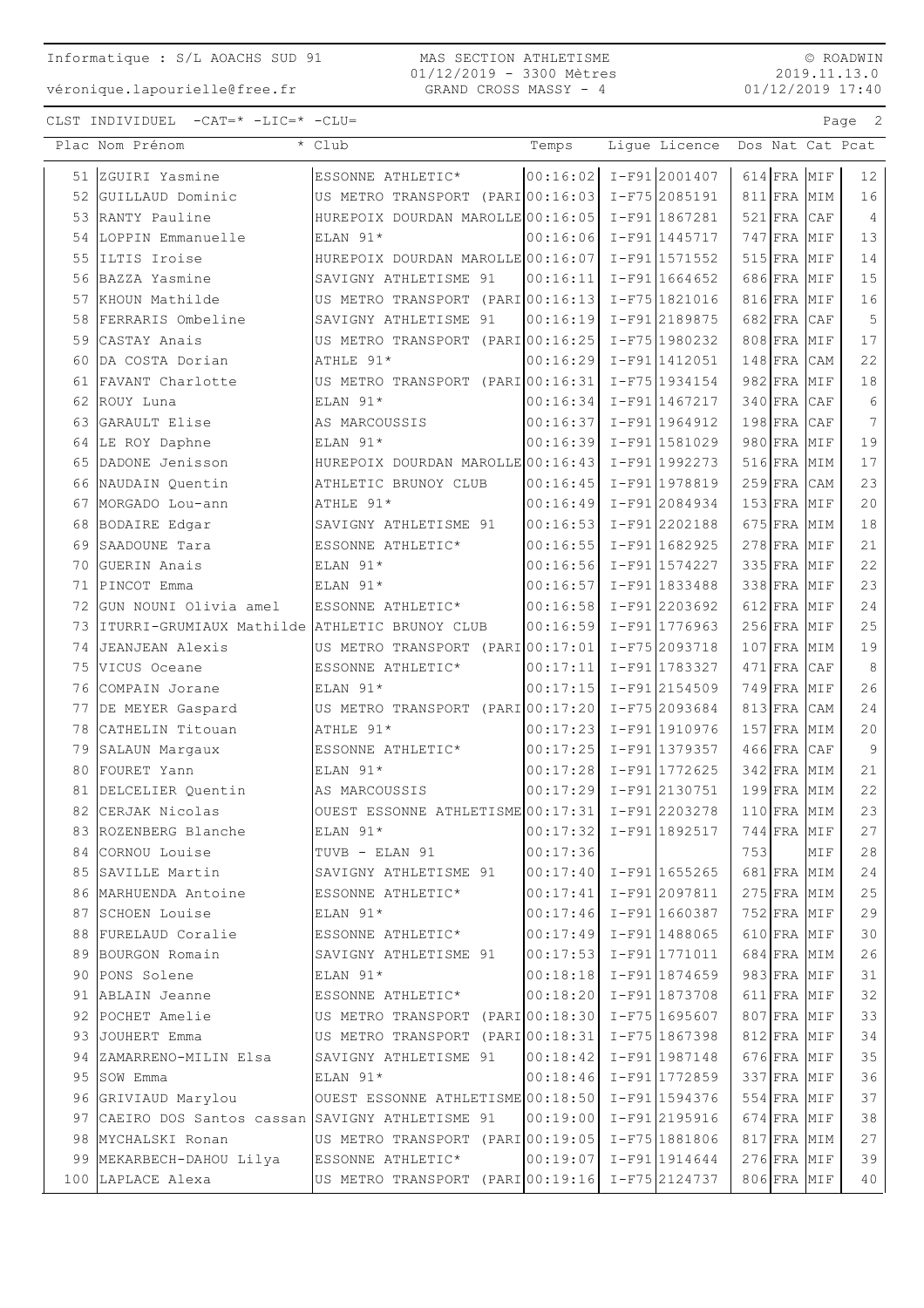MAS SECTION ATHLETISME 01/12/2019 - 3300 Mètres GRAND CROSS MASSY - 4

© ROADWIN 2019.11.13.0 01/12/2019 17:40

véronique.lapourielle@free.fr

| $CLST$ INDIVIDUEL $-CAT=\star$ $-LIC=\star$ $-CLU=$ | Page |  |
|-----------------------------------------------------|------|--|
|-----------------------------------------------------|------|--|

| $ 00:16:02  I-F91  2001407$<br>51 ZGUIRI Yasmine<br>614 FRA MIF<br>12 <sup>°</sup><br>ESSONNE ATHLETIC*<br>52 GUILLAUD Dominic<br>US METRO TRANSPORT (PARIO0:16:03 I-F75 2085191<br>16<br>811 FRA MIM<br>HUREPOIX DOURDAN MAROLLE 00:16:05<br>I-F91 1867281<br>$521$ FRA CAF<br>$\overline{4}$<br>53 RANTY Pauline<br>I-F91 1445717<br>747 FRA MIF<br>13<br>54 LOPPIN Emmanuelle<br>ELAN 91*<br>00:16:06<br>55 ILTIS Iroise<br>HUREPOIX DOURDAN MAROLLE 00:16:07<br>I-F91 1571552<br>$515$ FRA MIF<br>14<br>15<br>I-F91 1664652<br>686 FRA MIF<br>56 BAZZA Yasmine<br>SAVIGNY ATHLETISME 91<br>00:16:11<br>16<br>57 KHOUN Mathilde<br>US METRO TRANSPORT (PARI 00:16:13)<br>I-F75 1821016<br>816 FRA MIF<br>I-F91 2189875<br>682 FRA CAF<br>5<br>58 FERRARIS Ombeline<br>SAVIGNY ATHLETISME 91<br>00:16:19<br>59 CASTAY Anais<br>US METRO TRANSPORT (PARI 00:16:25<br>808 FRA MIF<br>17<br>I-F75 1980232<br>22<br>00:16:29<br>I-F91 1412051<br>60<br>DA COSTA Dorian<br>ATHLE 91*<br>$148$ FRA $CAM$<br>61 FAVANT Charlotte<br>US METRO TRANSPORT (PARI 00:16:31<br>982 FRA MIF<br>18<br>I-F75 1934154<br>$340$ FRA CAF<br>6<br>62 ROUY Luna<br>ELAN 91*<br>00:16:34<br>I-F91 1467217<br>GARAULT Elise<br>I-F91 1964912<br>$198$ FRA<br>7<br>63<br>AS MARCOUSSIS<br>00:16:37<br>CAF<br>19<br>980 FRA MIF<br>64 LE ROY Daphne<br>ELAN 91*<br>00:16:39<br>I-F911581029<br>HUREPOIX DOURDAN MAROLLE 00:16:43<br>17<br>65<br>DADONE Jenisson<br>I-F91 1992273<br>516 FRA MIM<br>23<br>I-F91 1978819<br>66 NAUDAIN Quentin<br>ATHLETIC BRUNOY CLUB<br>00:16:45<br>$259$ FRA CAM<br>20<br>00:16:49<br>I-F91 2084934<br>153 FRA MIF<br>67 MORGADO Lou-ann<br>ATHLE 91*<br>I-F912202188<br>675 FRA MIM<br>18<br>68<br>BODAIRE Edgar<br>SAVIGNY ATHLETISME 91<br>00:16:53<br>$278$ FRA MIF<br>21<br>69 SAADOUNE Tara<br>ESSONNE ATHLETIC*<br>00:16:55<br>I-F911682925<br>22<br>GUERIN Anais<br>ELAN 91*<br>00:16:56<br>I-F91 1574227<br>335 FRA MIF<br>70<br>23<br>I-F91 1833488<br>338 FRA MIF<br>71<br>PINCOT Emma<br>ELAN 91*<br>00:16:57<br>24<br>GUN NOUNI Olivia amel<br>00:16:58<br>I-F912203692<br>72<br>ESSONNE ATHLETIC*<br>612 FRA MIF<br>25<br>I-F91 1776963<br>$256$ FRA<br>73<br>IITURRI-GRUMIAUX Mathilde ATHLETIC BRUNOY CLUB<br>00:16:59<br>MIF<br>US METRO TRANSPORT (PARI 00:17:01<br>19<br>74<br>JEANJEAN Alexis<br>I-F75 2093718<br>107 FRA MIM<br>00:17:11<br>8<br>75<br>VICUS Oceane<br>ESSONNE ATHLETIC*<br>I-F91 1783327<br>$471$ FRA CAF<br>26<br>I-F91 2154509<br>749 FRA MIF<br>76<br>ELAN 91*<br>00:17:15<br>COMPAIN Jorane<br>24<br>US METRO TRANSPORT (PARI 00:17:20<br>I-F75 2093684<br>813 FRA CAM<br>77 DE MEYER Gaspard<br>78 CATHELIN Titouan<br>00:17:23<br>I-F91 1910976<br>$157$ FRA MIM<br>20<br>ATHLE 91*<br>9<br>79 SALAUN Margaux<br>ESSONNE ATHLETIC*<br>00:17:25<br>I-F91 1379357<br>$466$ FRA CAF<br>ELAN 91*<br>00:17:28<br>I-F91 1772625<br>342 FRA MIM<br>21<br>80<br>FOURET Yann<br>22<br>I-F91 2130751<br>199 FRA MIM<br>81 DELCELIER Quentin<br>00:17:29<br>AS MARCOUSSIS<br>23<br>82 CERJAK Nicolas<br>OUEST ESSONNE ATHLETISME 00:17:31<br>I-F912203278<br>110 FRA MIM<br>$ 00:17:32  I-F91 1892517$<br>83 ROZENBERG Blanche<br>ELAN 91*<br>$744$ FRA MIF<br>27<br>28<br>84 CORNOU Louise<br>00:17:36<br>753<br>MIF<br>TUVB - ELAN 91<br>$00:17:40$ $I-F91$ 1655265<br>24<br>85 SAVILLE Martin<br>SAVIGNY ATHLETISME 91<br>681 FRA MIM<br>25<br>$I-F91 2097811$<br>86 MARHUENDA Antoine<br>00:17:41<br>$275$ FRA MIM<br>ESSONNE ATHLETIC*<br>$00:17:46$ I-F91 1660387<br>29<br>87 SCHOEN Louise<br>ELAN 91*<br>752 FRA MIF<br>30<br>FURELAUD Coralie<br>ESSONNE ATHLETIC*<br>00:17:49 I-F91 1488065<br>610 FRA MIF<br>88<br>26<br>89 BOURGON Romain<br>SAVIGNY ATHLETISME 91<br>00:17:53<br>I-F911771011<br>684 FRA MIM<br>31<br>90 PONS Solene<br>ELAN 91*<br>00:18:18<br>$I-F91 1874659$<br>983 FRA MIF<br>I-F91 1873708<br>32<br>91 ABLAIN Jeanne<br>00:18:20<br>611 FRA MIF<br>ESSONNE ATHLETIC*<br>33<br>92 POCHET Amelie<br>US METRO TRANSPORT (PARIO0:18:30 I-F75 1695607<br>807 FRA MIF<br>34<br>93 JOUHERT Emma<br>US METRO TRANSPORT (PARI00:18:31 I-F75 1867398<br>812 FRA MIF<br>35<br>94 ZAMARRENO-MILIN Elsa<br>SAVIGNY ATHLETISME 91<br>I-F91 1987148<br>676 FRA MIF<br>00:18:42<br>36<br>95 SOW Emma<br>ELAN 91*<br>00:18:46 I-F91 1772859<br>337 FRA MIF<br>$I-F91 1594376$<br>37<br>96 GRIVIAUD Marylou<br>OUEST ESSONNE ATHLETISME 00:18:50<br>554 FRA MIF<br>$I-F91 2195916$<br>$38\,$<br>97 CAEIRO DOS Santos cassan SAVIGNY ATHLETISME 91<br>00:19:00<br>674 FRA MIF<br>27<br>98 MYCHALSKI Ronan<br>US METRO TRANSPORT (PARI00:19:05 I-F75 1881806<br>817 FRA MIM<br>39<br>99 MEKARBECH-DAHOU Lilya<br>ESSONNE ATHLETIC*<br>00:19:07<br>I-F91 1914644<br>276 FRA MIF<br>100 LAPLACE Alexa<br>US METRO TRANSPORT (PARIO0:19:16 I-F75 2124737<br>40<br>806 FRA MIF | Plac Nom Prénom | * Club | Temps | Lique Licence Dos Nat Cat Pcat |  |
|-------------------------------------------------------------------------------------------------------------------------------------------------------------------------------------------------------------------------------------------------------------------------------------------------------------------------------------------------------------------------------------------------------------------------------------------------------------------------------------------------------------------------------------------------------------------------------------------------------------------------------------------------------------------------------------------------------------------------------------------------------------------------------------------------------------------------------------------------------------------------------------------------------------------------------------------------------------------------------------------------------------------------------------------------------------------------------------------------------------------------------------------------------------------------------------------------------------------------------------------------------------------------------------------------------------------------------------------------------------------------------------------------------------------------------------------------------------------------------------------------------------------------------------------------------------------------------------------------------------------------------------------------------------------------------------------------------------------------------------------------------------------------------------------------------------------------------------------------------------------------------------------------------------------------------------------------------------------------------------------------------------------------------------------------------------------------------------------------------------------------------------------------------------------------------------------------------------------------------------------------------------------------------------------------------------------------------------------------------------------------------------------------------------------------------------------------------------------------------------------------------------------------------------------------------------------------------------------------------------------------------------------------------------------------------------------------------------------------------------------------------------------------------------------------------------------------------------------------------------------------------------------------------------------------------------------------------------------------------------------------------------------------------------------------------------------------------------------------------------------------------------------------------------------------------------------------------------------------------------------------------------------------------------------------------------------------------------------------------------------------------------------------------------------------------------------------------------------------------------------------------------------------------------------------------------------------------------------------------------------------------------------------------------------------------------------------------------------------------------------------------------------------------------------------------------------------------------------------------------------------------------------------------------------------------------------------------------------------------------------------------------------------------------------------------------------------------------------------------------------------------------------------------------------------------------------------------------------------------------------------------------------------------------------------------------------------------------------------------------------------------------------------------------------------------------------------------------------------------------------------------------------------------------------------------------------------------------------------------------------------------------------------------------------------------------------------------------------------------------------------------------------------------------------------------------------------------------|-----------------|--------|-------|--------------------------------|--|
|                                                                                                                                                                                                                                                                                                                                                                                                                                                                                                                                                                                                                                                                                                                                                                                                                                                                                                                                                                                                                                                                                                                                                                                                                                                                                                                                                                                                                                                                                                                                                                                                                                                                                                                                                                                                                                                                                                                                                                                                                                                                                                                                                                                                                                                                                                                                                                                                                                                                                                                                                                                                                                                                                                                                                                                                                                                                                                                                                                                                                                                                                                                                                                                                                                                                                                                                                                                                                                                                                                                                                                                                                                                                                                                                                                                                                                                                                                                                                                                                                                                                                                                                                                                                                                                                                                                                                                                                                                                                                                                                                                                                                                                                                                                                                                                                                                     |                 |        |       |                                |  |
|                                                                                                                                                                                                                                                                                                                                                                                                                                                                                                                                                                                                                                                                                                                                                                                                                                                                                                                                                                                                                                                                                                                                                                                                                                                                                                                                                                                                                                                                                                                                                                                                                                                                                                                                                                                                                                                                                                                                                                                                                                                                                                                                                                                                                                                                                                                                                                                                                                                                                                                                                                                                                                                                                                                                                                                                                                                                                                                                                                                                                                                                                                                                                                                                                                                                                                                                                                                                                                                                                                                                                                                                                                                                                                                                                                                                                                                                                                                                                                                                                                                                                                                                                                                                                                                                                                                                                                                                                                                                                                                                                                                                                                                                                                                                                                                                                                     |                 |        |       |                                |  |
|                                                                                                                                                                                                                                                                                                                                                                                                                                                                                                                                                                                                                                                                                                                                                                                                                                                                                                                                                                                                                                                                                                                                                                                                                                                                                                                                                                                                                                                                                                                                                                                                                                                                                                                                                                                                                                                                                                                                                                                                                                                                                                                                                                                                                                                                                                                                                                                                                                                                                                                                                                                                                                                                                                                                                                                                                                                                                                                                                                                                                                                                                                                                                                                                                                                                                                                                                                                                                                                                                                                                                                                                                                                                                                                                                                                                                                                                                                                                                                                                                                                                                                                                                                                                                                                                                                                                                                                                                                                                                                                                                                                                                                                                                                                                                                                                                                     |                 |        |       |                                |  |
|                                                                                                                                                                                                                                                                                                                                                                                                                                                                                                                                                                                                                                                                                                                                                                                                                                                                                                                                                                                                                                                                                                                                                                                                                                                                                                                                                                                                                                                                                                                                                                                                                                                                                                                                                                                                                                                                                                                                                                                                                                                                                                                                                                                                                                                                                                                                                                                                                                                                                                                                                                                                                                                                                                                                                                                                                                                                                                                                                                                                                                                                                                                                                                                                                                                                                                                                                                                                                                                                                                                                                                                                                                                                                                                                                                                                                                                                                                                                                                                                                                                                                                                                                                                                                                                                                                                                                                                                                                                                                                                                                                                                                                                                                                                                                                                                                                     |                 |        |       |                                |  |
|                                                                                                                                                                                                                                                                                                                                                                                                                                                                                                                                                                                                                                                                                                                                                                                                                                                                                                                                                                                                                                                                                                                                                                                                                                                                                                                                                                                                                                                                                                                                                                                                                                                                                                                                                                                                                                                                                                                                                                                                                                                                                                                                                                                                                                                                                                                                                                                                                                                                                                                                                                                                                                                                                                                                                                                                                                                                                                                                                                                                                                                                                                                                                                                                                                                                                                                                                                                                                                                                                                                                                                                                                                                                                                                                                                                                                                                                                                                                                                                                                                                                                                                                                                                                                                                                                                                                                                                                                                                                                                                                                                                                                                                                                                                                                                                                                                     |                 |        |       |                                |  |
|                                                                                                                                                                                                                                                                                                                                                                                                                                                                                                                                                                                                                                                                                                                                                                                                                                                                                                                                                                                                                                                                                                                                                                                                                                                                                                                                                                                                                                                                                                                                                                                                                                                                                                                                                                                                                                                                                                                                                                                                                                                                                                                                                                                                                                                                                                                                                                                                                                                                                                                                                                                                                                                                                                                                                                                                                                                                                                                                                                                                                                                                                                                                                                                                                                                                                                                                                                                                                                                                                                                                                                                                                                                                                                                                                                                                                                                                                                                                                                                                                                                                                                                                                                                                                                                                                                                                                                                                                                                                                                                                                                                                                                                                                                                                                                                                                                     |                 |        |       |                                |  |
|                                                                                                                                                                                                                                                                                                                                                                                                                                                                                                                                                                                                                                                                                                                                                                                                                                                                                                                                                                                                                                                                                                                                                                                                                                                                                                                                                                                                                                                                                                                                                                                                                                                                                                                                                                                                                                                                                                                                                                                                                                                                                                                                                                                                                                                                                                                                                                                                                                                                                                                                                                                                                                                                                                                                                                                                                                                                                                                                                                                                                                                                                                                                                                                                                                                                                                                                                                                                                                                                                                                                                                                                                                                                                                                                                                                                                                                                                                                                                                                                                                                                                                                                                                                                                                                                                                                                                                                                                                                                                                                                                                                                                                                                                                                                                                                                                                     |                 |        |       |                                |  |
|                                                                                                                                                                                                                                                                                                                                                                                                                                                                                                                                                                                                                                                                                                                                                                                                                                                                                                                                                                                                                                                                                                                                                                                                                                                                                                                                                                                                                                                                                                                                                                                                                                                                                                                                                                                                                                                                                                                                                                                                                                                                                                                                                                                                                                                                                                                                                                                                                                                                                                                                                                                                                                                                                                                                                                                                                                                                                                                                                                                                                                                                                                                                                                                                                                                                                                                                                                                                                                                                                                                                                                                                                                                                                                                                                                                                                                                                                                                                                                                                                                                                                                                                                                                                                                                                                                                                                                                                                                                                                                                                                                                                                                                                                                                                                                                                                                     |                 |        |       |                                |  |
|                                                                                                                                                                                                                                                                                                                                                                                                                                                                                                                                                                                                                                                                                                                                                                                                                                                                                                                                                                                                                                                                                                                                                                                                                                                                                                                                                                                                                                                                                                                                                                                                                                                                                                                                                                                                                                                                                                                                                                                                                                                                                                                                                                                                                                                                                                                                                                                                                                                                                                                                                                                                                                                                                                                                                                                                                                                                                                                                                                                                                                                                                                                                                                                                                                                                                                                                                                                                                                                                                                                                                                                                                                                                                                                                                                                                                                                                                                                                                                                                                                                                                                                                                                                                                                                                                                                                                                                                                                                                                                                                                                                                                                                                                                                                                                                                                                     |                 |        |       |                                |  |
|                                                                                                                                                                                                                                                                                                                                                                                                                                                                                                                                                                                                                                                                                                                                                                                                                                                                                                                                                                                                                                                                                                                                                                                                                                                                                                                                                                                                                                                                                                                                                                                                                                                                                                                                                                                                                                                                                                                                                                                                                                                                                                                                                                                                                                                                                                                                                                                                                                                                                                                                                                                                                                                                                                                                                                                                                                                                                                                                                                                                                                                                                                                                                                                                                                                                                                                                                                                                                                                                                                                                                                                                                                                                                                                                                                                                                                                                                                                                                                                                                                                                                                                                                                                                                                                                                                                                                                                                                                                                                                                                                                                                                                                                                                                                                                                                                                     |                 |        |       |                                |  |
|                                                                                                                                                                                                                                                                                                                                                                                                                                                                                                                                                                                                                                                                                                                                                                                                                                                                                                                                                                                                                                                                                                                                                                                                                                                                                                                                                                                                                                                                                                                                                                                                                                                                                                                                                                                                                                                                                                                                                                                                                                                                                                                                                                                                                                                                                                                                                                                                                                                                                                                                                                                                                                                                                                                                                                                                                                                                                                                                                                                                                                                                                                                                                                                                                                                                                                                                                                                                                                                                                                                                                                                                                                                                                                                                                                                                                                                                                                                                                                                                                                                                                                                                                                                                                                                                                                                                                                                                                                                                                                                                                                                                                                                                                                                                                                                                                                     |                 |        |       |                                |  |
|                                                                                                                                                                                                                                                                                                                                                                                                                                                                                                                                                                                                                                                                                                                                                                                                                                                                                                                                                                                                                                                                                                                                                                                                                                                                                                                                                                                                                                                                                                                                                                                                                                                                                                                                                                                                                                                                                                                                                                                                                                                                                                                                                                                                                                                                                                                                                                                                                                                                                                                                                                                                                                                                                                                                                                                                                                                                                                                                                                                                                                                                                                                                                                                                                                                                                                                                                                                                                                                                                                                                                                                                                                                                                                                                                                                                                                                                                                                                                                                                                                                                                                                                                                                                                                                                                                                                                                                                                                                                                                                                                                                                                                                                                                                                                                                                                                     |                 |        |       |                                |  |
|                                                                                                                                                                                                                                                                                                                                                                                                                                                                                                                                                                                                                                                                                                                                                                                                                                                                                                                                                                                                                                                                                                                                                                                                                                                                                                                                                                                                                                                                                                                                                                                                                                                                                                                                                                                                                                                                                                                                                                                                                                                                                                                                                                                                                                                                                                                                                                                                                                                                                                                                                                                                                                                                                                                                                                                                                                                                                                                                                                                                                                                                                                                                                                                                                                                                                                                                                                                                                                                                                                                                                                                                                                                                                                                                                                                                                                                                                                                                                                                                                                                                                                                                                                                                                                                                                                                                                                                                                                                                                                                                                                                                                                                                                                                                                                                                                                     |                 |        |       |                                |  |
|                                                                                                                                                                                                                                                                                                                                                                                                                                                                                                                                                                                                                                                                                                                                                                                                                                                                                                                                                                                                                                                                                                                                                                                                                                                                                                                                                                                                                                                                                                                                                                                                                                                                                                                                                                                                                                                                                                                                                                                                                                                                                                                                                                                                                                                                                                                                                                                                                                                                                                                                                                                                                                                                                                                                                                                                                                                                                                                                                                                                                                                                                                                                                                                                                                                                                                                                                                                                                                                                                                                                                                                                                                                                                                                                                                                                                                                                                                                                                                                                                                                                                                                                                                                                                                                                                                                                                                                                                                                                                                                                                                                                                                                                                                                                                                                                                                     |                 |        |       |                                |  |
|                                                                                                                                                                                                                                                                                                                                                                                                                                                                                                                                                                                                                                                                                                                                                                                                                                                                                                                                                                                                                                                                                                                                                                                                                                                                                                                                                                                                                                                                                                                                                                                                                                                                                                                                                                                                                                                                                                                                                                                                                                                                                                                                                                                                                                                                                                                                                                                                                                                                                                                                                                                                                                                                                                                                                                                                                                                                                                                                                                                                                                                                                                                                                                                                                                                                                                                                                                                                                                                                                                                                                                                                                                                                                                                                                                                                                                                                                                                                                                                                                                                                                                                                                                                                                                                                                                                                                                                                                                                                                                                                                                                                                                                                                                                                                                                                                                     |                 |        |       |                                |  |
|                                                                                                                                                                                                                                                                                                                                                                                                                                                                                                                                                                                                                                                                                                                                                                                                                                                                                                                                                                                                                                                                                                                                                                                                                                                                                                                                                                                                                                                                                                                                                                                                                                                                                                                                                                                                                                                                                                                                                                                                                                                                                                                                                                                                                                                                                                                                                                                                                                                                                                                                                                                                                                                                                                                                                                                                                                                                                                                                                                                                                                                                                                                                                                                                                                                                                                                                                                                                                                                                                                                                                                                                                                                                                                                                                                                                                                                                                                                                                                                                                                                                                                                                                                                                                                                                                                                                                                                                                                                                                                                                                                                                                                                                                                                                                                                                                                     |                 |        |       |                                |  |
|                                                                                                                                                                                                                                                                                                                                                                                                                                                                                                                                                                                                                                                                                                                                                                                                                                                                                                                                                                                                                                                                                                                                                                                                                                                                                                                                                                                                                                                                                                                                                                                                                                                                                                                                                                                                                                                                                                                                                                                                                                                                                                                                                                                                                                                                                                                                                                                                                                                                                                                                                                                                                                                                                                                                                                                                                                                                                                                                                                                                                                                                                                                                                                                                                                                                                                                                                                                                                                                                                                                                                                                                                                                                                                                                                                                                                                                                                                                                                                                                                                                                                                                                                                                                                                                                                                                                                                                                                                                                                                                                                                                                                                                                                                                                                                                                                                     |                 |        |       |                                |  |
|                                                                                                                                                                                                                                                                                                                                                                                                                                                                                                                                                                                                                                                                                                                                                                                                                                                                                                                                                                                                                                                                                                                                                                                                                                                                                                                                                                                                                                                                                                                                                                                                                                                                                                                                                                                                                                                                                                                                                                                                                                                                                                                                                                                                                                                                                                                                                                                                                                                                                                                                                                                                                                                                                                                                                                                                                                                                                                                                                                                                                                                                                                                                                                                                                                                                                                                                                                                                                                                                                                                                                                                                                                                                                                                                                                                                                                                                                                                                                                                                                                                                                                                                                                                                                                                                                                                                                                                                                                                                                                                                                                                                                                                                                                                                                                                                                                     |                 |        |       |                                |  |
|                                                                                                                                                                                                                                                                                                                                                                                                                                                                                                                                                                                                                                                                                                                                                                                                                                                                                                                                                                                                                                                                                                                                                                                                                                                                                                                                                                                                                                                                                                                                                                                                                                                                                                                                                                                                                                                                                                                                                                                                                                                                                                                                                                                                                                                                                                                                                                                                                                                                                                                                                                                                                                                                                                                                                                                                                                                                                                                                                                                                                                                                                                                                                                                                                                                                                                                                                                                                                                                                                                                                                                                                                                                                                                                                                                                                                                                                                                                                                                                                                                                                                                                                                                                                                                                                                                                                                                                                                                                                                                                                                                                                                                                                                                                                                                                                                                     |                 |        |       |                                |  |
|                                                                                                                                                                                                                                                                                                                                                                                                                                                                                                                                                                                                                                                                                                                                                                                                                                                                                                                                                                                                                                                                                                                                                                                                                                                                                                                                                                                                                                                                                                                                                                                                                                                                                                                                                                                                                                                                                                                                                                                                                                                                                                                                                                                                                                                                                                                                                                                                                                                                                                                                                                                                                                                                                                                                                                                                                                                                                                                                                                                                                                                                                                                                                                                                                                                                                                                                                                                                                                                                                                                                                                                                                                                                                                                                                                                                                                                                                                                                                                                                                                                                                                                                                                                                                                                                                                                                                                                                                                                                                                                                                                                                                                                                                                                                                                                                                                     |                 |        |       |                                |  |
|                                                                                                                                                                                                                                                                                                                                                                                                                                                                                                                                                                                                                                                                                                                                                                                                                                                                                                                                                                                                                                                                                                                                                                                                                                                                                                                                                                                                                                                                                                                                                                                                                                                                                                                                                                                                                                                                                                                                                                                                                                                                                                                                                                                                                                                                                                                                                                                                                                                                                                                                                                                                                                                                                                                                                                                                                                                                                                                                                                                                                                                                                                                                                                                                                                                                                                                                                                                                                                                                                                                                                                                                                                                                                                                                                                                                                                                                                                                                                                                                                                                                                                                                                                                                                                                                                                                                                                                                                                                                                                                                                                                                                                                                                                                                                                                                                                     |                 |        |       |                                |  |
|                                                                                                                                                                                                                                                                                                                                                                                                                                                                                                                                                                                                                                                                                                                                                                                                                                                                                                                                                                                                                                                                                                                                                                                                                                                                                                                                                                                                                                                                                                                                                                                                                                                                                                                                                                                                                                                                                                                                                                                                                                                                                                                                                                                                                                                                                                                                                                                                                                                                                                                                                                                                                                                                                                                                                                                                                                                                                                                                                                                                                                                                                                                                                                                                                                                                                                                                                                                                                                                                                                                                                                                                                                                                                                                                                                                                                                                                                                                                                                                                                                                                                                                                                                                                                                                                                                                                                                                                                                                                                                                                                                                                                                                                                                                                                                                                                                     |                 |        |       |                                |  |
|                                                                                                                                                                                                                                                                                                                                                                                                                                                                                                                                                                                                                                                                                                                                                                                                                                                                                                                                                                                                                                                                                                                                                                                                                                                                                                                                                                                                                                                                                                                                                                                                                                                                                                                                                                                                                                                                                                                                                                                                                                                                                                                                                                                                                                                                                                                                                                                                                                                                                                                                                                                                                                                                                                                                                                                                                                                                                                                                                                                                                                                                                                                                                                                                                                                                                                                                                                                                                                                                                                                                                                                                                                                                                                                                                                                                                                                                                                                                                                                                                                                                                                                                                                                                                                                                                                                                                                                                                                                                                                                                                                                                                                                                                                                                                                                                                                     |                 |        |       |                                |  |
|                                                                                                                                                                                                                                                                                                                                                                                                                                                                                                                                                                                                                                                                                                                                                                                                                                                                                                                                                                                                                                                                                                                                                                                                                                                                                                                                                                                                                                                                                                                                                                                                                                                                                                                                                                                                                                                                                                                                                                                                                                                                                                                                                                                                                                                                                                                                                                                                                                                                                                                                                                                                                                                                                                                                                                                                                                                                                                                                                                                                                                                                                                                                                                                                                                                                                                                                                                                                                                                                                                                                                                                                                                                                                                                                                                                                                                                                                                                                                                                                                                                                                                                                                                                                                                                                                                                                                                                                                                                                                                                                                                                                                                                                                                                                                                                                                                     |                 |        |       |                                |  |
|                                                                                                                                                                                                                                                                                                                                                                                                                                                                                                                                                                                                                                                                                                                                                                                                                                                                                                                                                                                                                                                                                                                                                                                                                                                                                                                                                                                                                                                                                                                                                                                                                                                                                                                                                                                                                                                                                                                                                                                                                                                                                                                                                                                                                                                                                                                                                                                                                                                                                                                                                                                                                                                                                                                                                                                                                                                                                                                                                                                                                                                                                                                                                                                                                                                                                                                                                                                                                                                                                                                                                                                                                                                                                                                                                                                                                                                                                                                                                                                                                                                                                                                                                                                                                                                                                                                                                                                                                                                                                                                                                                                                                                                                                                                                                                                                                                     |                 |        |       |                                |  |
|                                                                                                                                                                                                                                                                                                                                                                                                                                                                                                                                                                                                                                                                                                                                                                                                                                                                                                                                                                                                                                                                                                                                                                                                                                                                                                                                                                                                                                                                                                                                                                                                                                                                                                                                                                                                                                                                                                                                                                                                                                                                                                                                                                                                                                                                                                                                                                                                                                                                                                                                                                                                                                                                                                                                                                                                                                                                                                                                                                                                                                                                                                                                                                                                                                                                                                                                                                                                                                                                                                                                                                                                                                                                                                                                                                                                                                                                                                                                                                                                                                                                                                                                                                                                                                                                                                                                                                                                                                                                                                                                                                                                                                                                                                                                                                                                                                     |                 |        |       |                                |  |
|                                                                                                                                                                                                                                                                                                                                                                                                                                                                                                                                                                                                                                                                                                                                                                                                                                                                                                                                                                                                                                                                                                                                                                                                                                                                                                                                                                                                                                                                                                                                                                                                                                                                                                                                                                                                                                                                                                                                                                                                                                                                                                                                                                                                                                                                                                                                                                                                                                                                                                                                                                                                                                                                                                                                                                                                                                                                                                                                                                                                                                                                                                                                                                                                                                                                                                                                                                                                                                                                                                                                                                                                                                                                                                                                                                                                                                                                                                                                                                                                                                                                                                                                                                                                                                                                                                                                                                                                                                                                                                                                                                                                                                                                                                                                                                                                                                     |                 |        |       |                                |  |
|                                                                                                                                                                                                                                                                                                                                                                                                                                                                                                                                                                                                                                                                                                                                                                                                                                                                                                                                                                                                                                                                                                                                                                                                                                                                                                                                                                                                                                                                                                                                                                                                                                                                                                                                                                                                                                                                                                                                                                                                                                                                                                                                                                                                                                                                                                                                                                                                                                                                                                                                                                                                                                                                                                                                                                                                                                                                                                                                                                                                                                                                                                                                                                                                                                                                                                                                                                                                                                                                                                                                                                                                                                                                                                                                                                                                                                                                                                                                                                                                                                                                                                                                                                                                                                                                                                                                                                                                                                                                                                                                                                                                                                                                                                                                                                                                                                     |                 |        |       |                                |  |
|                                                                                                                                                                                                                                                                                                                                                                                                                                                                                                                                                                                                                                                                                                                                                                                                                                                                                                                                                                                                                                                                                                                                                                                                                                                                                                                                                                                                                                                                                                                                                                                                                                                                                                                                                                                                                                                                                                                                                                                                                                                                                                                                                                                                                                                                                                                                                                                                                                                                                                                                                                                                                                                                                                                                                                                                                                                                                                                                                                                                                                                                                                                                                                                                                                                                                                                                                                                                                                                                                                                                                                                                                                                                                                                                                                                                                                                                                                                                                                                                                                                                                                                                                                                                                                                                                                                                                                                                                                                                                                                                                                                                                                                                                                                                                                                                                                     |                 |        |       |                                |  |
|                                                                                                                                                                                                                                                                                                                                                                                                                                                                                                                                                                                                                                                                                                                                                                                                                                                                                                                                                                                                                                                                                                                                                                                                                                                                                                                                                                                                                                                                                                                                                                                                                                                                                                                                                                                                                                                                                                                                                                                                                                                                                                                                                                                                                                                                                                                                                                                                                                                                                                                                                                                                                                                                                                                                                                                                                                                                                                                                                                                                                                                                                                                                                                                                                                                                                                                                                                                                                                                                                                                                                                                                                                                                                                                                                                                                                                                                                                                                                                                                                                                                                                                                                                                                                                                                                                                                                                                                                                                                                                                                                                                                                                                                                                                                                                                                                                     |                 |        |       |                                |  |
|                                                                                                                                                                                                                                                                                                                                                                                                                                                                                                                                                                                                                                                                                                                                                                                                                                                                                                                                                                                                                                                                                                                                                                                                                                                                                                                                                                                                                                                                                                                                                                                                                                                                                                                                                                                                                                                                                                                                                                                                                                                                                                                                                                                                                                                                                                                                                                                                                                                                                                                                                                                                                                                                                                                                                                                                                                                                                                                                                                                                                                                                                                                                                                                                                                                                                                                                                                                                                                                                                                                                                                                                                                                                                                                                                                                                                                                                                                                                                                                                                                                                                                                                                                                                                                                                                                                                                                                                                                                                                                                                                                                                                                                                                                                                                                                                                                     |                 |        |       |                                |  |
|                                                                                                                                                                                                                                                                                                                                                                                                                                                                                                                                                                                                                                                                                                                                                                                                                                                                                                                                                                                                                                                                                                                                                                                                                                                                                                                                                                                                                                                                                                                                                                                                                                                                                                                                                                                                                                                                                                                                                                                                                                                                                                                                                                                                                                                                                                                                                                                                                                                                                                                                                                                                                                                                                                                                                                                                                                                                                                                                                                                                                                                                                                                                                                                                                                                                                                                                                                                                                                                                                                                                                                                                                                                                                                                                                                                                                                                                                                                                                                                                                                                                                                                                                                                                                                                                                                                                                                                                                                                                                                                                                                                                                                                                                                                                                                                                                                     |                 |        |       |                                |  |
|                                                                                                                                                                                                                                                                                                                                                                                                                                                                                                                                                                                                                                                                                                                                                                                                                                                                                                                                                                                                                                                                                                                                                                                                                                                                                                                                                                                                                                                                                                                                                                                                                                                                                                                                                                                                                                                                                                                                                                                                                                                                                                                                                                                                                                                                                                                                                                                                                                                                                                                                                                                                                                                                                                                                                                                                                                                                                                                                                                                                                                                                                                                                                                                                                                                                                                                                                                                                                                                                                                                                                                                                                                                                                                                                                                                                                                                                                                                                                                                                                                                                                                                                                                                                                                                                                                                                                                                                                                                                                                                                                                                                                                                                                                                                                                                                                                     |                 |        |       |                                |  |
|                                                                                                                                                                                                                                                                                                                                                                                                                                                                                                                                                                                                                                                                                                                                                                                                                                                                                                                                                                                                                                                                                                                                                                                                                                                                                                                                                                                                                                                                                                                                                                                                                                                                                                                                                                                                                                                                                                                                                                                                                                                                                                                                                                                                                                                                                                                                                                                                                                                                                                                                                                                                                                                                                                                                                                                                                                                                                                                                                                                                                                                                                                                                                                                                                                                                                                                                                                                                                                                                                                                                                                                                                                                                                                                                                                                                                                                                                                                                                                                                                                                                                                                                                                                                                                                                                                                                                                                                                                                                                                                                                                                                                                                                                                                                                                                                                                     |                 |        |       |                                |  |
|                                                                                                                                                                                                                                                                                                                                                                                                                                                                                                                                                                                                                                                                                                                                                                                                                                                                                                                                                                                                                                                                                                                                                                                                                                                                                                                                                                                                                                                                                                                                                                                                                                                                                                                                                                                                                                                                                                                                                                                                                                                                                                                                                                                                                                                                                                                                                                                                                                                                                                                                                                                                                                                                                                                                                                                                                                                                                                                                                                                                                                                                                                                                                                                                                                                                                                                                                                                                                                                                                                                                                                                                                                                                                                                                                                                                                                                                                                                                                                                                                                                                                                                                                                                                                                                                                                                                                                                                                                                                                                                                                                                                                                                                                                                                                                                                                                     |                 |        |       |                                |  |
|                                                                                                                                                                                                                                                                                                                                                                                                                                                                                                                                                                                                                                                                                                                                                                                                                                                                                                                                                                                                                                                                                                                                                                                                                                                                                                                                                                                                                                                                                                                                                                                                                                                                                                                                                                                                                                                                                                                                                                                                                                                                                                                                                                                                                                                                                                                                                                                                                                                                                                                                                                                                                                                                                                                                                                                                                                                                                                                                                                                                                                                                                                                                                                                                                                                                                                                                                                                                                                                                                                                                                                                                                                                                                                                                                                                                                                                                                                                                                                                                                                                                                                                                                                                                                                                                                                                                                                                                                                                                                                                                                                                                                                                                                                                                                                                                                                     |                 |        |       |                                |  |
|                                                                                                                                                                                                                                                                                                                                                                                                                                                                                                                                                                                                                                                                                                                                                                                                                                                                                                                                                                                                                                                                                                                                                                                                                                                                                                                                                                                                                                                                                                                                                                                                                                                                                                                                                                                                                                                                                                                                                                                                                                                                                                                                                                                                                                                                                                                                                                                                                                                                                                                                                                                                                                                                                                                                                                                                                                                                                                                                                                                                                                                                                                                                                                                                                                                                                                                                                                                                                                                                                                                                                                                                                                                                                                                                                                                                                                                                                                                                                                                                                                                                                                                                                                                                                                                                                                                                                                                                                                                                                                                                                                                                                                                                                                                                                                                                                                     |                 |        |       |                                |  |
|                                                                                                                                                                                                                                                                                                                                                                                                                                                                                                                                                                                                                                                                                                                                                                                                                                                                                                                                                                                                                                                                                                                                                                                                                                                                                                                                                                                                                                                                                                                                                                                                                                                                                                                                                                                                                                                                                                                                                                                                                                                                                                                                                                                                                                                                                                                                                                                                                                                                                                                                                                                                                                                                                                                                                                                                                                                                                                                                                                                                                                                                                                                                                                                                                                                                                                                                                                                                                                                                                                                                                                                                                                                                                                                                                                                                                                                                                                                                                                                                                                                                                                                                                                                                                                                                                                                                                                                                                                                                                                                                                                                                                                                                                                                                                                                                                                     |                 |        |       |                                |  |
|                                                                                                                                                                                                                                                                                                                                                                                                                                                                                                                                                                                                                                                                                                                                                                                                                                                                                                                                                                                                                                                                                                                                                                                                                                                                                                                                                                                                                                                                                                                                                                                                                                                                                                                                                                                                                                                                                                                                                                                                                                                                                                                                                                                                                                                                                                                                                                                                                                                                                                                                                                                                                                                                                                                                                                                                                                                                                                                                                                                                                                                                                                                                                                                                                                                                                                                                                                                                                                                                                                                                                                                                                                                                                                                                                                                                                                                                                                                                                                                                                                                                                                                                                                                                                                                                                                                                                                                                                                                                                                                                                                                                                                                                                                                                                                                                                                     |                 |        |       |                                |  |
|                                                                                                                                                                                                                                                                                                                                                                                                                                                                                                                                                                                                                                                                                                                                                                                                                                                                                                                                                                                                                                                                                                                                                                                                                                                                                                                                                                                                                                                                                                                                                                                                                                                                                                                                                                                                                                                                                                                                                                                                                                                                                                                                                                                                                                                                                                                                                                                                                                                                                                                                                                                                                                                                                                                                                                                                                                                                                                                                                                                                                                                                                                                                                                                                                                                                                                                                                                                                                                                                                                                                                                                                                                                                                                                                                                                                                                                                                                                                                                                                                                                                                                                                                                                                                                                                                                                                                                                                                                                                                                                                                                                                                                                                                                                                                                                                                                     |                 |        |       |                                |  |
|                                                                                                                                                                                                                                                                                                                                                                                                                                                                                                                                                                                                                                                                                                                                                                                                                                                                                                                                                                                                                                                                                                                                                                                                                                                                                                                                                                                                                                                                                                                                                                                                                                                                                                                                                                                                                                                                                                                                                                                                                                                                                                                                                                                                                                                                                                                                                                                                                                                                                                                                                                                                                                                                                                                                                                                                                                                                                                                                                                                                                                                                                                                                                                                                                                                                                                                                                                                                                                                                                                                                                                                                                                                                                                                                                                                                                                                                                                                                                                                                                                                                                                                                                                                                                                                                                                                                                                                                                                                                                                                                                                                                                                                                                                                                                                                                                                     |                 |        |       |                                |  |
|                                                                                                                                                                                                                                                                                                                                                                                                                                                                                                                                                                                                                                                                                                                                                                                                                                                                                                                                                                                                                                                                                                                                                                                                                                                                                                                                                                                                                                                                                                                                                                                                                                                                                                                                                                                                                                                                                                                                                                                                                                                                                                                                                                                                                                                                                                                                                                                                                                                                                                                                                                                                                                                                                                                                                                                                                                                                                                                                                                                                                                                                                                                                                                                                                                                                                                                                                                                                                                                                                                                                                                                                                                                                                                                                                                                                                                                                                                                                                                                                                                                                                                                                                                                                                                                                                                                                                                                                                                                                                                                                                                                                                                                                                                                                                                                                                                     |                 |        |       |                                |  |
|                                                                                                                                                                                                                                                                                                                                                                                                                                                                                                                                                                                                                                                                                                                                                                                                                                                                                                                                                                                                                                                                                                                                                                                                                                                                                                                                                                                                                                                                                                                                                                                                                                                                                                                                                                                                                                                                                                                                                                                                                                                                                                                                                                                                                                                                                                                                                                                                                                                                                                                                                                                                                                                                                                                                                                                                                                                                                                                                                                                                                                                                                                                                                                                                                                                                                                                                                                                                                                                                                                                                                                                                                                                                                                                                                                                                                                                                                                                                                                                                                                                                                                                                                                                                                                                                                                                                                                                                                                                                                                                                                                                                                                                                                                                                                                                                                                     |                 |        |       |                                |  |
|                                                                                                                                                                                                                                                                                                                                                                                                                                                                                                                                                                                                                                                                                                                                                                                                                                                                                                                                                                                                                                                                                                                                                                                                                                                                                                                                                                                                                                                                                                                                                                                                                                                                                                                                                                                                                                                                                                                                                                                                                                                                                                                                                                                                                                                                                                                                                                                                                                                                                                                                                                                                                                                                                                                                                                                                                                                                                                                                                                                                                                                                                                                                                                                                                                                                                                                                                                                                                                                                                                                                                                                                                                                                                                                                                                                                                                                                                                                                                                                                                                                                                                                                                                                                                                                                                                                                                                                                                                                                                                                                                                                                                                                                                                                                                                                                                                     |                 |        |       |                                |  |
|                                                                                                                                                                                                                                                                                                                                                                                                                                                                                                                                                                                                                                                                                                                                                                                                                                                                                                                                                                                                                                                                                                                                                                                                                                                                                                                                                                                                                                                                                                                                                                                                                                                                                                                                                                                                                                                                                                                                                                                                                                                                                                                                                                                                                                                                                                                                                                                                                                                                                                                                                                                                                                                                                                                                                                                                                                                                                                                                                                                                                                                                                                                                                                                                                                                                                                                                                                                                                                                                                                                                                                                                                                                                                                                                                                                                                                                                                                                                                                                                                                                                                                                                                                                                                                                                                                                                                                                                                                                                                                                                                                                                                                                                                                                                                                                                                                     |                 |        |       |                                |  |
|                                                                                                                                                                                                                                                                                                                                                                                                                                                                                                                                                                                                                                                                                                                                                                                                                                                                                                                                                                                                                                                                                                                                                                                                                                                                                                                                                                                                                                                                                                                                                                                                                                                                                                                                                                                                                                                                                                                                                                                                                                                                                                                                                                                                                                                                                                                                                                                                                                                                                                                                                                                                                                                                                                                                                                                                                                                                                                                                                                                                                                                                                                                                                                                                                                                                                                                                                                                                                                                                                                                                                                                                                                                                                                                                                                                                                                                                                                                                                                                                                                                                                                                                                                                                                                                                                                                                                                                                                                                                                                                                                                                                                                                                                                                                                                                                                                     |                 |        |       |                                |  |
|                                                                                                                                                                                                                                                                                                                                                                                                                                                                                                                                                                                                                                                                                                                                                                                                                                                                                                                                                                                                                                                                                                                                                                                                                                                                                                                                                                                                                                                                                                                                                                                                                                                                                                                                                                                                                                                                                                                                                                                                                                                                                                                                                                                                                                                                                                                                                                                                                                                                                                                                                                                                                                                                                                                                                                                                                                                                                                                                                                                                                                                                                                                                                                                                                                                                                                                                                                                                                                                                                                                                                                                                                                                                                                                                                                                                                                                                                                                                                                                                                                                                                                                                                                                                                                                                                                                                                                                                                                                                                                                                                                                                                                                                                                                                                                                                                                     |                 |        |       |                                |  |
|                                                                                                                                                                                                                                                                                                                                                                                                                                                                                                                                                                                                                                                                                                                                                                                                                                                                                                                                                                                                                                                                                                                                                                                                                                                                                                                                                                                                                                                                                                                                                                                                                                                                                                                                                                                                                                                                                                                                                                                                                                                                                                                                                                                                                                                                                                                                                                                                                                                                                                                                                                                                                                                                                                                                                                                                                                                                                                                                                                                                                                                                                                                                                                                                                                                                                                                                                                                                                                                                                                                                                                                                                                                                                                                                                                                                                                                                                                                                                                                                                                                                                                                                                                                                                                                                                                                                                                                                                                                                                                                                                                                                                                                                                                                                                                                                                                     |                 |        |       |                                |  |
|                                                                                                                                                                                                                                                                                                                                                                                                                                                                                                                                                                                                                                                                                                                                                                                                                                                                                                                                                                                                                                                                                                                                                                                                                                                                                                                                                                                                                                                                                                                                                                                                                                                                                                                                                                                                                                                                                                                                                                                                                                                                                                                                                                                                                                                                                                                                                                                                                                                                                                                                                                                                                                                                                                                                                                                                                                                                                                                                                                                                                                                                                                                                                                                                                                                                                                                                                                                                                                                                                                                                                                                                                                                                                                                                                                                                                                                                                                                                                                                                                                                                                                                                                                                                                                                                                                                                                                                                                                                                                                                                                                                                                                                                                                                                                                                                                                     |                 |        |       |                                |  |
|                                                                                                                                                                                                                                                                                                                                                                                                                                                                                                                                                                                                                                                                                                                                                                                                                                                                                                                                                                                                                                                                                                                                                                                                                                                                                                                                                                                                                                                                                                                                                                                                                                                                                                                                                                                                                                                                                                                                                                                                                                                                                                                                                                                                                                                                                                                                                                                                                                                                                                                                                                                                                                                                                                                                                                                                                                                                                                                                                                                                                                                                                                                                                                                                                                                                                                                                                                                                                                                                                                                                                                                                                                                                                                                                                                                                                                                                                                                                                                                                                                                                                                                                                                                                                                                                                                                                                                                                                                                                                                                                                                                                                                                                                                                                                                                                                                     |                 |        |       |                                |  |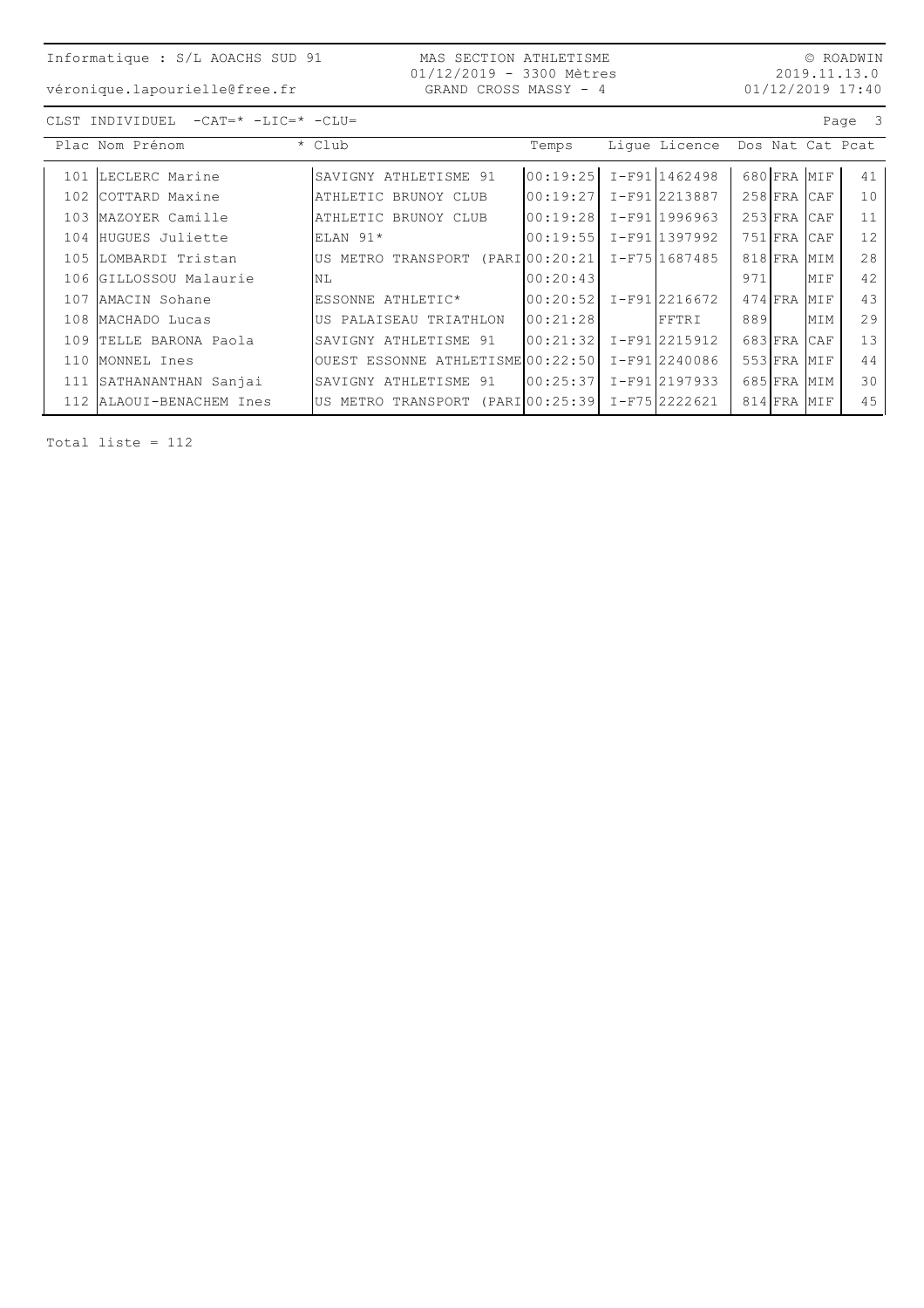MAS SECTION ATHLETISME 01/12/2019 - 3300 Mètres GRAND CROSS MASSY - 4

 $\circledcirc$  ROADWIN 2019.11.13.0  $01/12/2019$  17:40

véronique.lapourielle@free.fr

| $-CAT = * -LIC = * -CLU =$<br>CLST INDIVIDUEL |  |  |
|-----------------------------------------------|--|--|
|-----------------------------------------------|--|--|

|       | Plac Nom Prénom            | * Club                                         | Temps    | Lique Licence   |     |               |     | Dos Nat Cat Pcat |
|-------|----------------------------|------------------------------------------------|----------|-----------------|-----|---------------|-----|------------------|
| 101   | LECLERC Marine             | SAVIGNY ATHLETISME 91                          | 00:19:25 | $I-F91 1462498$ |     | 680 FRA MIF   |     | 41               |
|       |                            |                                                |          |                 |     |               |     |                  |
| 102   | COTTARD Maxine             | ATHLETIC BRUNOY CLUB                           | 00:19:27 | I-F91 2213887   |     | $258$ FRA CAF |     | 10               |
|       | 103 MAZOYER Camille        | ATHLETIC BRUNOY CLUB                           | 00:19:28 | I-F91 1996963   |     | 253 FRA CAF   |     | 11               |
| 104   | HUGUES Juliette            | ELAN 91*                                       | 00:19:55 | I-F911397992    |     | 751 FRA CAF   |     | 12               |
| $105$ | LOMBARDI Tristan           | US METRO TRANSPORT (PARI 00:20:21              |          | I-F751687485    |     | 818 FRA MIM   |     | 28               |
|       | 106 GILLOSSOU Malaurie     | <b>NL</b>                                      | 00:20:43 |                 | 971 |               | MIF | 42               |
| 107   | AMACIN Sohane              | ESSONNE ATHLETIC*                              | 00:20:52 | I-F91 2216672   |     | 474 FRA MIF   |     | 43               |
|       | 108 MACHADO Lucas          | US PALAISEAU TRIATHLON                         | 00:21:28 | FFTRI           | 889 |               | MIM | 29               |
|       | 109 TELLE BARONA Paola     | SAVIGNY ATHLETISME 91                          | 00:21:32 | I-F91 2215912   |     | 683 FRA       | CAF | 13               |
| 110   | MONNEL Ines                | OUEST ESSONNE ATHLETISME 00:22:50              |          | I-F912240086    |     | 553 FRA MIF   |     | 44               |
|       | 111 SATHANANTHAN Sanjai    | SAVIGNY ATHLETISME 91                          | 00:25:37 | I-F91 2197933   |     | 685 FRA MIM   |     | 30               |
|       | 112   ALAOUI-BENACHEM Ines | US METRO TRANSPORT (PARI00:25:39 I-F75 2222621 |          |                 |     | 814 FRA MIF   |     | 45               |

Total liste =  $112$ 

Page 3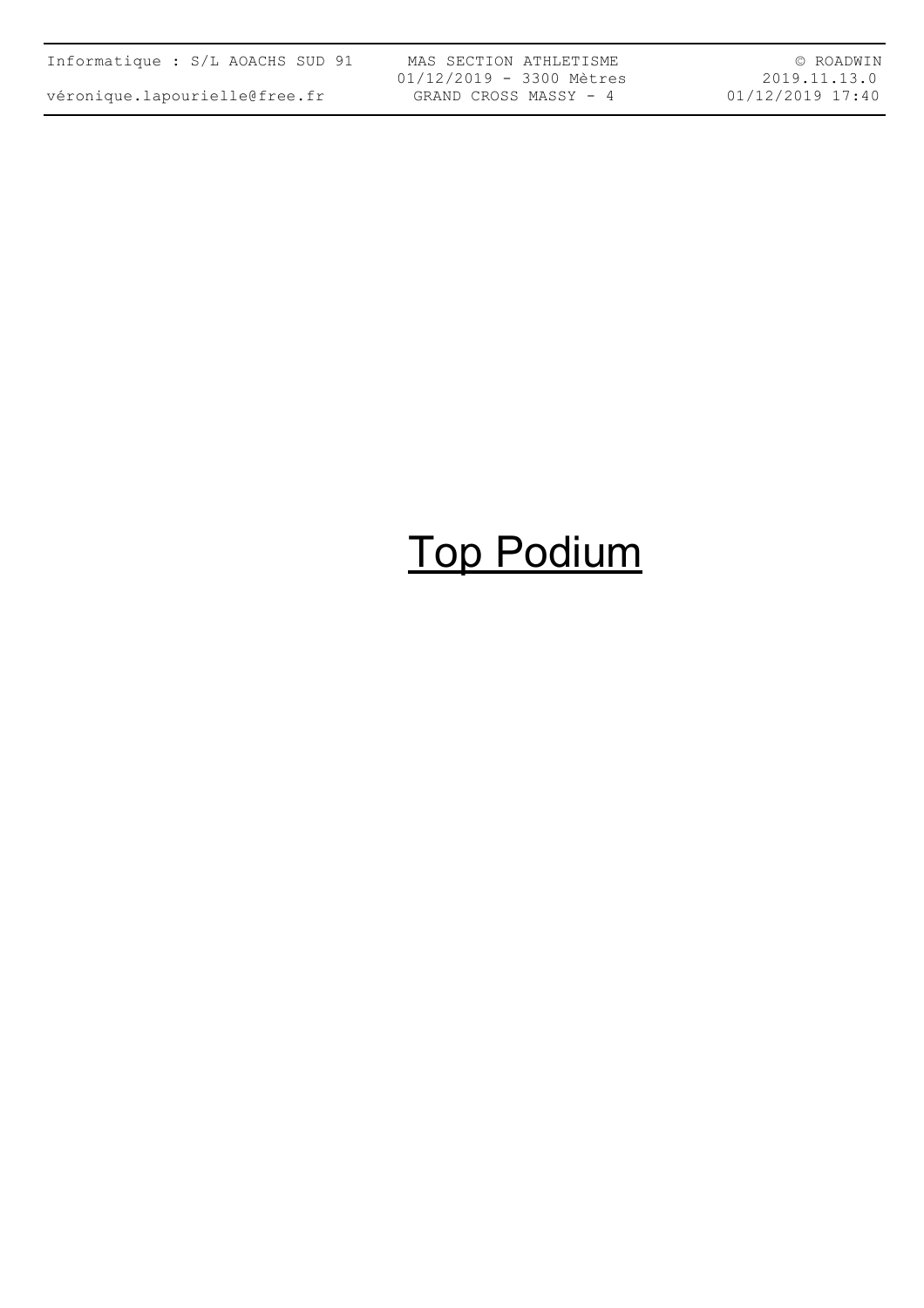| Informatique : S/L AOACHS SUD 91 |  |  |  |  |  |  |  |
|----------------------------------|--|--|--|--|--|--|--|
| véronique.lapourielle@free.fr    |  |  |  |  |  |  |  |

MAS SECTION ATHLETISME 01/12/2019 - 3300 Mètres GRAND CROSS MASSY - 4

© ROADWIN 2019.11.13.0 01/12/2019 17:40

# Top Podium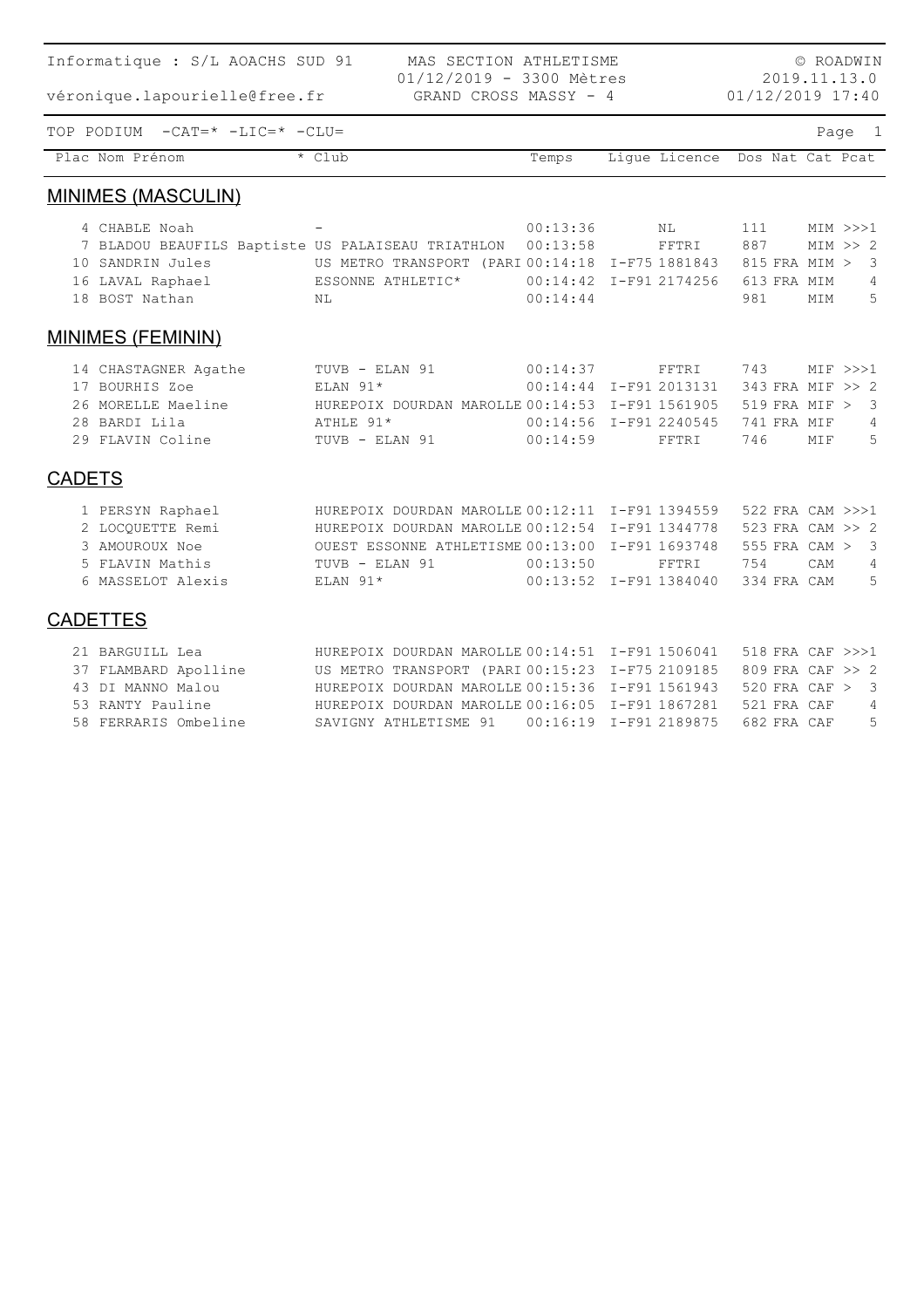| Informatique : S/L AOACHS SUD 91                  |                                                   | © ROADWIN |                        |               |                                  |
|---------------------------------------------------|---------------------------------------------------|-----------|------------------------|---------------|----------------------------------|
| véronique.lapourielle@free.fr                     | 01/12/2019 - 3300 Mètres<br>GRAND CROSS MASSY - 4 |           |                        |               | 2019.11.13.0<br>01/12/2019 17:40 |
| TOP PODIUM -CAT=* -LIC=* -CLU=                    |                                                   |           |                        |               | Page 1                           |
| Plac Nom Prénom                                   | * Club                                            | Temps     | Lique Licence          |               | Dos Nat Cat Pcat                 |
| <b>MINIMES (MASCULIN)</b>                         |                                                   |           |                        |               |                                  |
| 4 CHABLE Noah                                     |                                                   | 00:13:36  | NL                     | 111           | $MIN \>>> 1$                     |
| 7 BLADOU BEAUFILS Baptiste US PALAISEAU TRIATHLON |                                                   | 00:13:58  | FFTRI                  | 887           | MIN >> 2                         |
| 10 SANDRIN Jules                                  | US METRO TRANSPORT (PARI 00:14:18 I-F75 1881843   |           |                        | 815 FRA MIM > | $\overline{\mathbf{3}}$          |
| 16 LAVAL Raphael                                  | ESSONNE ATHLETIC*                                 |           | 00:14:42 I-F91 2174256 | 613 FRA MIM   | $\overline{4}$                   |
| 18 BOST Nathan                                    | N <sub>L</sub>                                    | 00:14:44  |                        | 981           | 5<br>MIM                         |
| <b>MINIMES (FEMININ)</b>                          |                                                   |           |                        |               |                                  |
| 14 CHASTAGNER Agathe                              | TUVB - ELAN 91                                    | 00:14:37  | FFTRI                  | 743           | $MIF \gg>1$                      |
| 17 BOURHIS Zoe                                    | ELAN $91*$                                        |           | 00:14:44 I-F91 2013131 |               | 343 FRA MIF >> 2                 |
| 26 MORELLE Maeline                                | HUREPOIX DOURDAN MAROLLE 00:14:53 I-F91 1561905   |           |                        | 519 FRA MIF > | 3                                |
| 28 BARDI Lila                                     | ATHLE 91*                                         |           | 00:14:56 I-F91 2240545 | 741 FRA MIF   | $\overline{4}$                   |
| 29 FLAVIN Coline                                  | TUVB - ELAN 91                                    | 00:14:59  | FFTRI                  | 746           | 5<br>MIF                         |
| <b>CADETS</b>                                     |                                                   |           |                        |               |                                  |
| 1 PERSYN Raphael                                  | HUREPOIX DOURDAN MAROLLE 00:12:11 I-F91 1394559   |           |                        |               | 522 FRA CAM >>>1                 |
| 2 LOCOUETTE Remi                                  | HUREPOIX DOURDAN MAROLLE 00:12:54 I-F91 1344778   |           |                        |               | 523 FRA CAM >> 2                 |
| 3 AMOUROUX Noe                                    | OUEST ESSONNE ATHLETISME 00:13:00 I-F91 1693748   |           |                        | 555 FRA CAM > | 3                                |
| 5 FLAVIN Mathis                                   | TUVB - ELAN 91                                    | 00:13:50  | FFTRI                  | 754           | CAM<br>4                         |
| 6 MASSELOT Alexis                                 | ELAN 91*                                          |           | 00:13:52 I-F91 1384040 | 334 FRA CAM   | 5                                |
| <b>CADETTES</b>                                   |                                                   |           |                        |               |                                  |
| 21 BARGUILL Lea                                   | HUREPOIX DOURDAN MAROLLE 00:14:51 I-F91 1506041   |           |                        |               | 518 FRA CAF >>>1                 |
| 37 FLAMBARD Apolline                              | US METRO TRANSPORT (PARI 00:15:23 I-F75 2109185   |           |                        |               | 809 FRA CAF >> 2                 |
| 43 DI MANNO Malou                                 | HUREPOIX DOURDAN MAROLLE 00:15:36 I-F91 1561943   |           |                        | 520 FRA CAF > | 3                                |
| 53 RANTY Pauline                                  | HUREPOIX DOURDAN MAROLLE 00:16:05 I-F91 1867281   |           |                        | 521 FRA CAF   | $\overline{4}$                   |
| 58 FERRARIS Ombeline                              | SAVIGNY ATHLETISME 91                             |           | 00:16:19 I-F91 2189875 | 682 FRA CAF   | 5                                |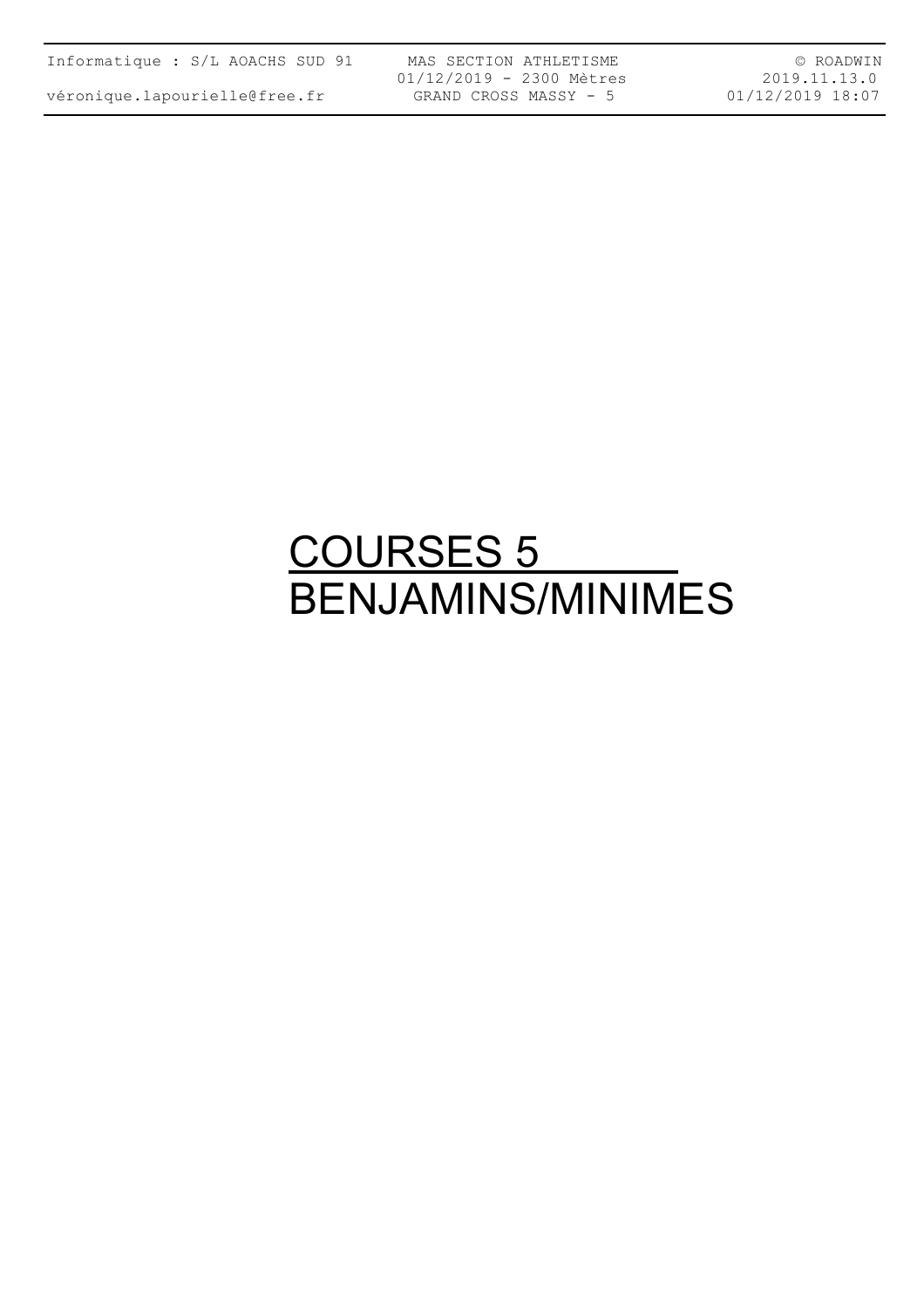| Informatique : S/L AOACHS SUD 91 |  |  |  |  |  |  |
|----------------------------------|--|--|--|--|--|--|
|----------------------------------|--|--|--|--|--|--|

MAS SECTION ATHLETISME 01/12/2019 - 2300 Mètres GRAND CROSS MASSY - 5

© ROADWIN 2019.11.13.0 01/12/2019 18:07

### <u>COURSES 5</u> BENJAMINS/MINIMES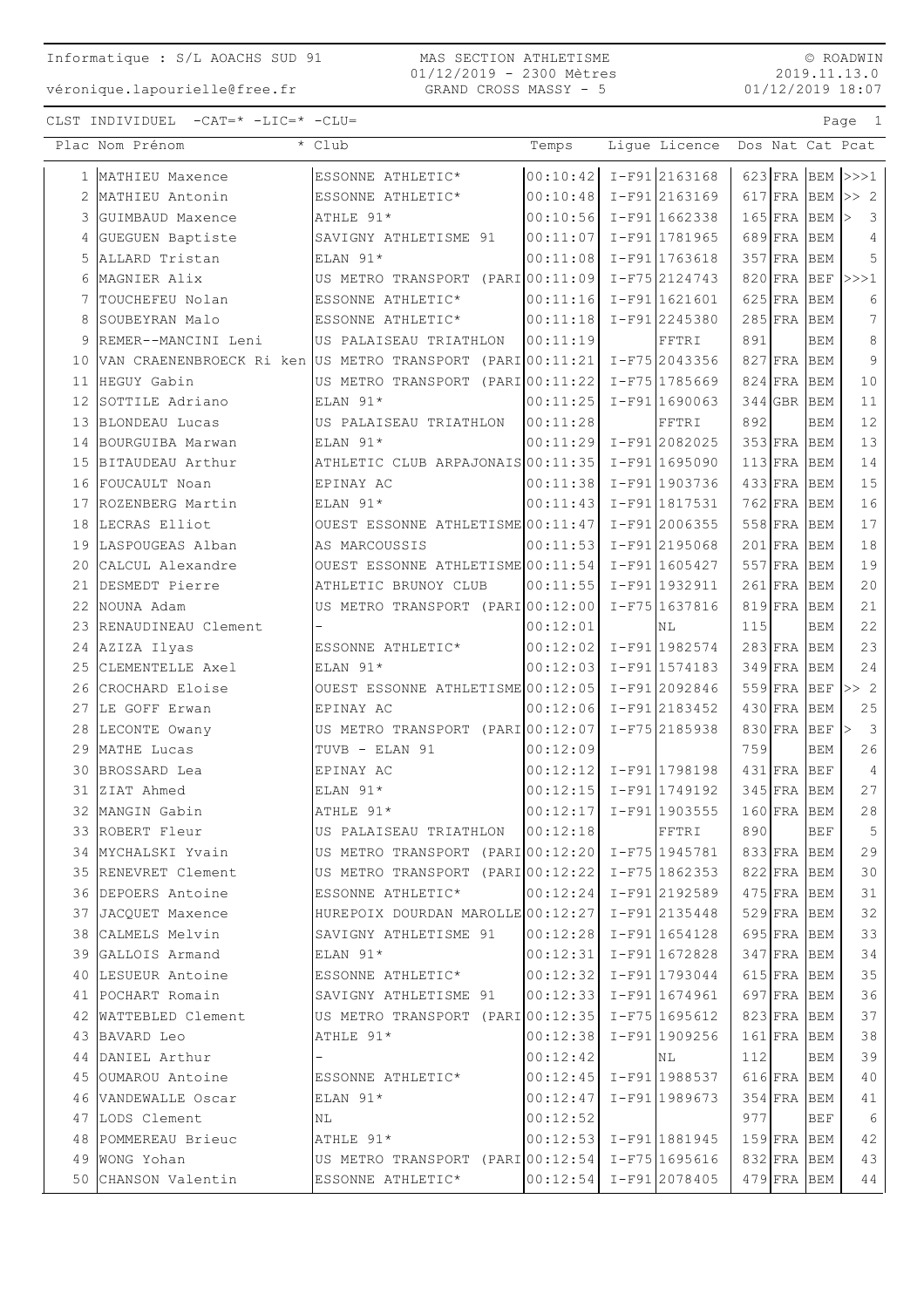MAS SECTION ATHLETISME 01/12/2019 - 2300 Mètres GRAND CROSS MASSY - 5

 $\circ$  ROADWIN 2019.11.13.0  $01/12/2019$  18:07

Page 1

CLST INDIVIDUEL  $-CAT = * -LIC = * -CLU =$ 

| 00:10:42 I-F91 2163168<br>$623$ FRA BEM >>>1<br>MATHIEU Maxence<br>ESSONNE ATHLETIC*<br>1<br>00:10:48 I-F91 2163169<br>MATHIEU Antonin<br>ESSONNE ATHLETIC*<br>617 $ FRA BEM  >> 2$<br>2<br>$00:10:56$ I-F91 1662338<br>3 GUIMBAUD Maxence<br>ATHLE 91*<br>$165$ FRA<br>- 3<br><b>BEM</b><br>$\rm{>}$<br>GUEGUEN Baptiste<br>$ 00:11:07  I-F91 1781965$<br>689 FRA<br><b>BEM</b><br>4<br>SAVIGNY ATHLETISME 91<br>4<br>5<br>ALLARD Tristan<br>ELAN 91*<br>00:11:08 I-F91 1763618<br>$357$ FRA<br>5<br><b>BEM</b><br>MAGNIER Alix<br>US METRO TRANSPORT (PARIO0:11:09 I-F75 2124743<br>$820$ FRA<br>$BEF$ >>>1<br>6<br>TOUCHEFEU Nolan<br>$00:11:16$ I-F91 1621601<br>$625$ FRA<br><b>BEM</b><br>6<br>7<br>ESSONNE ATHLETIC*<br>$\overline{7}$<br>$ 00:11:18$ $I-F91$ 2245380<br>$285$ FRA<br>8<br>SOUBEYRAN Malo<br>ESSONNE ATHLETIC*<br><b>BEM</b><br>891<br>8<br>REMER--MANCINI Leni<br>00:11:19<br><b>BEM</b><br>9<br>US PALAISEAU TRIATHLON<br>FFTRI<br>9<br>VAN CRAENENBROECK Ri ken US METRO TRANSPORT (PARI 00:11:21 I-F75 2043356<br>$827$ FRA<br><b>BEM</b><br>10<br>US METRO TRANSPORT (PARIO0:11:22 I-F75 1785669<br>10<br>HEGUY Gabin<br>$824$ FRA<br><b>BEM</b><br>11<br>SOTTILE Adriano<br>$00:11:25$ I-F91 1690063<br>11<br>ELAN 91*<br>344 GBR BEM<br>12<br>12<br>892<br>BLONDEAU Lucas<br>00:11:28<br>13<br>US PALAISEAU TRIATHLON<br>FFTRI<br><b>BEM</b><br>13<br>BOURGUIBA Marwan<br>ELAN 91*<br>$00:11:29$ I-F91 2082025<br>$353$ FRA<br><b>BEM</b><br>14<br>ATHLETIC CLUB ARPAJONAIS 00:11:35   I-F91 1695090<br>14<br>BITAUDEAU Arthur<br>$113$ FRA<br><b>BEM</b><br>15<br>15<br>00:11:38 I-F91 1903736<br>$433$ FRA<br>FOUCAULT Noan<br>EPINAY AC<br><b>BEM</b><br>16<br>16<br>$00:11:43$ $I-F91$ 1817531<br>$762$ FRA<br>ROZENBERG Martin<br>ELAN 91*<br><b>BEM</b><br>17<br>17<br>LECRAS Elliot<br>OUEST ESSONNE ATHLETISME $00:11:47$ I-F91 2006355<br>$558$ FRA<br>18<br><b>BEM</b><br>18<br>LASPOUGEAS Alban<br>$00:11:53$ I-F912195068<br>AS MARCOUSSIS<br>$201$ FRA<br><b>BEM</b><br>19<br>19<br>CALCUL Alexandre<br>OUEST ESSONNE ATHLETISME 00:11:54 I-F91 1605427<br>$557$ FRA<br><b>BEM</b><br>20<br>20<br>DESMEDT Pierre<br>ATHLETIC BRUNOY CLUB<br>$ 00:11:55 $ I-F91 1932911<br>$261$ FRA<br><b>BEM</b><br>21<br>21<br>US METRO TRANSPORT (PARIO0:12:00 I-F75 1637816<br>NOUNA Adam<br>$819$ FRA<br><b>BEM</b><br>22<br>22<br>115<br>RENAUDINEAU Clement<br>00:12:01<br>23<br><b>BEM</b><br>NL<br>23<br>00:12:02 I-F91 1982574<br>$283$ FRA<br>AZIZA Ilyas<br>24<br>ESSONNE ATHLETIC*<br><b>BEM</b><br>$00:12:03$ I-F91 1574183<br>$349$ FRA<br>24<br>25<br>CLEMENTELLE Axel<br>ELAN 91*<br><b>BEM</b><br>$559$ FRA<br>>> 2<br>CROCHARD Eloise<br>OUEST ESSONNE ATHLETISME $00:12:05$ I-F91 2092846<br><b>BEF</b><br>26<br>25<br>$00:12:06$ I-F91 2183452<br>LE GOFF Erwan<br>$430$ FRA<br><b>BEM</b><br>27<br>EPINAY AC<br>$I-F752185938$<br>$\overline{\mathbf{3}}$<br>US METRO TRANSPORT (PARI 00:12:07<br>830 FRA<br>LECONTE Owany<br><b>BEF</b><br>28<br>$\mathord{\rhd}$<br>26<br>MATHE Lucas<br>TUVB - ELAN 91<br>00:12:09<br>759<br>29<br><b>BEM</b><br>$\overline{4}$<br>$00:12:12$ I-F91 1798198<br>$431$ FRA<br><b>BEF</b><br>BROSSARD Lea<br>EPINAY AC<br>30<br>27<br>00:12:15 I-F91 1749192<br>$345$ FRA<br>ZIAT Ahmed<br>31<br>$ELAN 91*$<br><b>BEM</b><br>28<br>$00:12:17$ $I-F91$ 1903555<br>ATHLE 91*<br>$160$ FRA BEM<br>32<br>MANGIN Gabin<br>33 ROBERT Fleur<br>US PALAISEAU TRIATHLON 00:12:18<br>890<br><b>BEF</b><br>$5^{\circ}$<br>FFTRI<br>29<br>34  MYCHALSKI Yvain<br>US METRO TRANSPORT (PARI00:12:20 I-F75 1945781<br>833 FRA BEM<br>30<br>35 RENEVRET Clement<br>US METRO TRANSPORT (PARI00:12:22 I-F75 1862353<br>822 FRA BEM<br>36 DEPOERS Antoine<br>ESSONNE ATHLETIC*<br>$ 00:12:24  I-F91 2192589$<br>475 FRA BEM<br>31<br>32<br>JACOUET Maxence<br>HUREPOIX DOURDAN MAROLLE 00:12:27 $I-F91$ 2135448<br>529 FRA BEM<br>37<br>33<br>$ 00:12:28  I-F91 1654128$<br>38 CALMELS Melvin<br>SAVIGNY ATHLETISME 91<br>695 FRA BEM<br>34<br>39 GALLOIS Armand<br>ELAN 91*<br>$00:12:31$ I-F91 1672828<br>$347$ FRA BEM<br>35<br>40 LESUEUR Antoine<br>$ 00:12:32  I-F91 1793044$<br>615 FRA BEM<br>ESSONNE ATHLETIC*<br>36<br>41 POCHART Romain<br>SAVIGNY ATHLETISME 91<br>$ 00:12:33  I-F91 1674961$<br>697 FRA BEM<br>37<br>42 WATTEBLED Clement<br>US METRO TRANSPORT (PARI00:12:35 I-F75 1695612<br>823 FRA BEM<br>00:12:38 I-F91 1909256<br>38<br>43 BAVARD Leo<br>ATHLE 91*<br>161 FRA BEM<br>39<br>44 DANIEL Arthur<br>00:12:42<br>1121<br><b>BEM</b><br>ΝL<br>40<br>45 OUMAROU Antoine<br>$00:12:45$ I-F91 1988537<br>ESSONNE ATHLETIC*<br>616 FRA BEM<br>$00:12:47$ I-F91 1989673<br>46 VANDEWALLE Oscar<br>$ELAN$ 91*<br>$354$ FRA<br>41<br><b>BEM</b><br>977<br>6<br>47 LODS Clement<br>00:12:52<br><b>BEF</b><br>NL<br>$ 00:12:53  I-F91 1881945$<br>159 FRA BEM<br>42<br>48 POMMEREAU Brieuc<br>ATHLE 91*<br>43<br>49 WONG Yohan<br>US METRO TRANSPORT (PARI 00:12:54   I-F75 1695616<br>832 FRA BEM<br>$00:12:54$ I-F91 2078405<br>50 CHANSON Valentin<br>ESSONNE ATHLETIC*<br>$479$ FRA BEM<br>44 | Plac Nom Prénom | * Club | Temps | Ligue Licence | Dos Nat Cat Pcat |
|------------------------------------------------------------------------------------------------------------------------------------------------------------------------------------------------------------------------------------------------------------------------------------------------------------------------------------------------------------------------------------------------------------------------------------------------------------------------------------------------------------------------------------------------------------------------------------------------------------------------------------------------------------------------------------------------------------------------------------------------------------------------------------------------------------------------------------------------------------------------------------------------------------------------------------------------------------------------------------------------------------------------------------------------------------------------------------------------------------------------------------------------------------------------------------------------------------------------------------------------------------------------------------------------------------------------------------------------------------------------------------------------------------------------------------------------------------------------------------------------------------------------------------------------------------------------------------------------------------------------------------------------------------------------------------------------------------------------------------------------------------------------------------------------------------------------------------------------------------------------------------------------------------------------------------------------------------------------------------------------------------------------------------------------------------------------------------------------------------------------------------------------------------------------------------------------------------------------------------------------------------------------------------------------------------------------------------------------------------------------------------------------------------------------------------------------------------------------------------------------------------------------------------------------------------------------------------------------------------------------------------------------------------------------------------------------------------------------------------------------------------------------------------------------------------------------------------------------------------------------------------------------------------------------------------------------------------------------------------------------------------------------------------------------------------------------------------------------------------------------------------------------------------------------------------------------------------------------------------------------------------------------------------------------------------------------------------------------------------------------------------------------------------------------------------------------------------------------------------------------------------------------------------------------------------------------------------------------------------------------------------------------------------------------------------------------------------------------------------------------------------------------------------------------------------------------------------------------------------------------------------------------------------------------------------------------------------------------------------------------------------------------------------------------------------------------------------------------------------------------------------------------------------------------------------------------------------------------------------------------------------------------------------------------------------------------------------------------------------------------------------------------------------------------------------------------------------------------------------------------------------------------------------------------------------------------------------------------------------------------------------------------------------------------------------------------------------------------------------------------------------------------------------------------------------------------------------------------------------------------------------------------------------------------------------------------------------------------------------------------------------------------------------------------------------------------------------|-----------------|--------|-------|---------------|------------------|
|                                                                                                                                                                                                                                                                                                                                                                                                                                                                                                                                                                                                                                                                                                                                                                                                                                                                                                                                                                                                                                                                                                                                                                                                                                                                                                                                                                                                                                                                                                                                                                                                                                                                                                                                                                                                                                                                                                                                                                                                                                                                                                                                                                                                                                                                                                                                                                                                                                                                                                                                                                                                                                                                                                                                                                                                                                                                                                                                                                                                                                                                                                                                                                                                                                                                                                                                                                                                                                                                                                                                                                                                                                                                                                                                                                                                                                                                                                                                                                                                                                                                                                                                                                                                                                                                                                                                                                                                                                                                                                                                                                                                                                                                                                                                                                                                                                                                                                                                                                                                                                                                                    |                 |        |       |               |                  |
|                                                                                                                                                                                                                                                                                                                                                                                                                                                                                                                                                                                                                                                                                                                                                                                                                                                                                                                                                                                                                                                                                                                                                                                                                                                                                                                                                                                                                                                                                                                                                                                                                                                                                                                                                                                                                                                                                                                                                                                                                                                                                                                                                                                                                                                                                                                                                                                                                                                                                                                                                                                                                                                                                                                                                                                                                                                                                                                                                                                                                                                                                                                                                                                                                                                                                                                                                                                                                                                                                                                                                                                                                                                                                                                                                                                                                                                                                                                                                                                                                                                                                                                                                                                                                                                                                                                                                                                                                                                                                                                                                                                                                                                                                                                                                                                                                                                                                                                                                                                                                                                                                    |                 |        |       |               |                  |
|                                                                                                                                                                                                                                                                                                                                                                                                                                                                                                                                                                                                                                                                                                                                                                                                                                                                                                                                                                                                                                                                                                                                                                                                                                                                                                                                                                                                                                                                                                                                                                                                                                                                                                                                                                                                                                                                                                                                                                                                                                                                                                                                                                                                                                                                                                                                                                                                                                                                                                                                                                                                                                                                                                                                                                                                                                                                                                                                                                                                                                                                                                                                                                                                                                                                                                                                                                                                                                                                                                                                                                                                                                                                                                                                                                                                                                                                                                                                                                                                                                                                                                                                                                                                                                                                                                                                                                                                                                                                                                                                                                                                                                                                                                                                                                                                                                                                                                                                                                                                                                                                                    |                 |        |       |               |                  |
|                                                                                                                                                                                                                                                                                                                                                                                                                                                                                                                                                                                                                                                                                                                                                                                                                                                                                                                                                                                                                                                                                                                                                                                                                                                                                                                                                                                                                                                                                                                                                                                                                                                                                                                                                                                                                                                                                                                                                                                                                                                                                                                                                                                                                                                                                                                                                                                                                                                                                                                                                                                                                                                                                                                                                                                                                                                                                                                                                                                                                                                                                                                                                                                                                                                                                                                                                                                                                                                                                                                                                                                                                                                                                                                                                                                                                                                                                                                                                                                                                                                                                                                                                                                                                                                                                                                                                                                                                                                                                                                                                                                                                                                                                                                                                                                                                                                                                                                                                                                                                                                                                    |                 |        |       |               |                  |
|                                                                                                                                                                                                                                                                                                                                                                                                                                                                                                                                                                                                                                                                                                                                                                                                                                                                                                                                                                                                                                                                                                                                                                                                                                                                                                                                                                                                                                                                                                                                                                                                                                                                                                                                                                                                                                                                                                                                                                                                                                                                                                                                                                                                                                                                                                                                                                                                                                                                                                                                                                                                                                                                                                                                                                                                                                                                                                                                                                                                                                                                                                                                                                                                                                                                                                                                                                                                                                                                                                                                                                                                                                                                                                                                                                                                                                                                                                                                                                                                                                                                                                                                                                                                                                                                                                                                                                                                                                                                                                                                                                                                                                                                                                                                                                                                                                                                                                                                                                                                                                                                                    |                 |        |       |               |                  |
|                                                                                                                                                                                                                                                                                                                                                                                                                                                                                                                                                                                                                                                                                                                                                                                                                                                                                                                                                                                                                                                                                                                                                                                                                                                                                                                                                                                                                                                                                                                                                                                                                                                                                                                                                                                                                                                                                                                                                                                                                                                                                                                                                                                                                                                                                                                                                                                                                                                                                                                                                                                                                                                                                                                                                                                                                                                                                                                                                                                                                                                                                                                                                                                                                                                                                                                                                                                                                                                                                                                                                                                                                                                                                                                                                                                                                                                                                                                                                                                                                                                                                                                                                                                                                                                                                                                                                                                                                                                                                                                                                                                                                                                                                                                                                                                                                                                                                                                                                                                                                                                                                    |                 |        |       |               |                  |
|                                                                                                                                                                                                                                                                                                                                                                                                                                                                                                                                                                                                                                                                                                                                                                                                                                                                                                                                                                                                                                                                                                                                                                                                                                                                                                                                                                                                                                                                                                                                                                                                                                                                                                                                                                                                                                                                                                                                                                                                                                                                                                                                                                                                                                                                                                                                                                                                                                                                                                                                                                                                                                                                                                                                                                                                                                                                                                                                                                                                                                                                                                                                                                                                                                                                                                                                                                                                                                                                                                                                                                                                                                                                                                                                                                                                                                                                                                                                                                                                                                                                                                                                                                                                                                                                                                                                                                                                                                                                                                                                                                                                                                                                                                                                                                                                                                                                                                                                                                                                                                                                                    |                 |        |       |               |                  |
|                                                                                                                                                                                                                                                                                                                                                                                                                                                                                                                                                                                                                                                                                                                                                                                                                                                                                                                                                                                                                                                                                                                                                                                                                                                                                                                                                                                                                                                                                                                                                                                                                                                                                                                                                                                                                                                                                                                                                                                                                                                                                                                                                                                                                                                                                                                                                                                                                                                                                                                                                                                                                                                                                                                                                                                                                                                                                                                                                                                                                                                                                                                                                                                                                                                                                                                                                                                                                                                                                                                                                                                                                                                                                                                                                                                                                                                                                                                                                                                                                                                                                                                                                                                                                                                                                                                                                                                                                                                                                                                                                                                                                                                                                                                                                                                                                                                                                                                                                                                                                                                                                    |                 |        |       |               |                  |
|                                                                                                                                                                                                                                                                                                                                                                                                                                                                                                                                                                                                                                                                                                                                                                                                                                                                                                                                                                                                                                                                                                                                                                                                                                                                                                                                                                                                                                                                                                                                                                                                                                                                                                                                                                                                                                                                                                                                                                                                                                                                                                                                                                                                                                                                                                                                                                                                                                                                                                                                                                                                                                                                                                                                                                                                                                                                                                                                                                                                                                                                                                                                                                                                                                                                                                                                                                                                                                                                                                                                                                                                                                                                                                                                                                                                                                                                                                                                                                                                                                                                                                                                                                                                                                                                                                                                                                                                                                                                                                                                                                                                                                                                                                                                                                                                                                                                                                                                                                                                                                                                                    |                 |        |       |               |                  |
|                                                                                                                                                                                                                                                                                                                                                                                                                                                                                                                                                                                                                                                                                                                                                                                                                                                                                                                                                                                                                                                                                                                                                                                                                                                                                                                                                                                                                                                                                                                                                                                                                                                                                                                                                                                                                                                                                                                                                                                                                                                                                                                                                                                                                                                                                                                                                                                                                                                                                                                                                                                                                                                                                                                                                                                                                                                                                                                                                                                                                                                                                                                                                                                                                                                                                                                                                                                                                                                                                                                                                                                                                                                                                                                                                                                                                                                                                                                                                                                                                                                                                                                                                                                                                                                                                                                                                                                                                                                                                                                                                                                                                                                                                                                                                                                                                                                                                                                                                                                                                                                                                    |                 |        |       |               |                  |
|                                                                                                                                                                                                                                                                                                                                                                                                                                                                                                                                                                                                                                                                                                                                                                                                                                                                                                                                                                                                                                                                                                                                                                                                                                                                                                                                                                                                                                                                                                                                                                                                                                                                                                                                                                                                                                                                                                                                                                                                                                                                                                                                                                                                                                                                                                                                                                                                                                                                                                                                                                                                                                                                                                                                                                                                                                                                                                                                                                                                                                                                                                                                                                                                                                                                                                                                                                                                                                                                                                                                                                                                                                                                                                                                                                                                                                                                                                                                                                                                                                                                                                                                                                                                                                                                                                                                                                                                                                                                                                                                                                                                                                                                                                                                                                                                                                                                                                                                                                                                                                                                                    |                 |        |       |               |                  |
|                                                                                                                                                                                                                                                                                                                                                                                                                                                                                                                                                                                                                                                                                                                                                                                                                                                                                                                                                                                                                                                                                                                                                                                                                                                                                                                                                                                                                                                                                                                                                                                                                                                                                                                                                                                                                                                                                                                                                                                                                                                                                                                                                                                                                                                                                                                                                                                                                                                                                                                                                                                                                                                                                                                                                                                                                                                                                                                                                                                                                                                                                                                                                                                                                                                                                                                                                                                                                                                                                                                                                                                                                                                                                                                                                                                                                                                                                                                                                                                                                                                                                                                                                                                                                                                                                                                                                                                                                                                                                                                                                                                                                                                                                                                                                                                                                                                                                                                                                                                                                                                                                    |                 |        |       |               |                  |
|                                                                                                                                                                                                                                                                                                                                                                                                                                                                                                                                                                                                                                                                                                                                                                                                                                                                                                                                                                                                                                                                                                                                                                                                                                                                                                                                                                                                                                                                                                                                                                                                                                                                                                                                                                                                                                                                                                                                                                                                                                                                                                                                                                                                                                                                                                                                                                                                                                                                                                                                                                                                                                                                                                                                                                                                                                                                                                                                                                                                                                                                                                                                                                                                                                                                                                                                                                                                                                                                                                                                                                                                                                                                                                                                                                                                                                                                                                                                                                                                                                                                                                                                                                                                                                                                                                                                                                                                                                                                                                                                                                                                                                                                                                                                                                                                                                                                                                                                                                                                                                                                                    |                 |        |       |               |                  |
|                                                                                                                                                                                                                                                                                                                                                                                                                                                                                                                                                                                                                                                                                                                                                                                                                                                                                                                                                                                                                                                                                                                                                                                                                                                                                                                                                                                                                                                                                                                                                                                                                                                                                                                                                                                                                                                                                                                                                                                                                                                                                                                                                                                                                                                                                                                                                                                                                                                                                                                                                                                                                                                                                                                                                                                                                                                                                                                                                                                                                                                                                                                                                                                                                                                                                                                                                                                                                                                                                                                                                                                                                                                                                                                                                                                                                                                                                                                                                                                                                                                                                                                                                                                                                                                                                                                                                                                                                                                                                                                                                                                                                                                                                                                                                                                                                                                                                                                                                                                                                                                                                    |                 |        |       |               |                  |
|                                                                                                                                                                                                                                                                                                                                                                                                                                                                                                                                                                                                                                                                                                                                                                                                                                                                                                                                                                                                                                                                                                                                                                                                                                                                                                                                                                                                                                                                                                                                                                                                                                                                                                                                                                                                                                                                                                                                                                                                                                                                                                                                                                                                                                                                                                                                                                                                                                                                                                                                                                                                                                                                                                                                                                                                                                                                                                                                                                                                                                                                                                                                                                                                                                                                                                                                                                                                                                                                                                                                                                                                                                                                                                                                                                                                                                                                                                                                                                                                                                                                                                                                                                                                                                                                                                                                                                                                                                                                                                                                                                                                                                                                                                                                                                                                                                                                                                                                                                                                                                                                                    |                 |        |       |               |                  |
|                                                                                                                                                                                                                                                                                                                                                                                                                                                                                                                                                                                                                                                                                                                                                                                                                                                                                                                                                                                                                                                                                                                                                                                                                                                                                                                                                                                                                                                                                                                                                                                                                                                                                                                                                                                                                                                                                                                                                                                                                                                                                                                                                                                                                                                                                                                                                                                                                                                                                                                                                                                                                                                                                                                                                                                                                                                                                                                                                                                                                                                                                                                                                                                                                                                                                                                                                                                                                                                                                                                                                                                                                                                                                                                                                                                                                                                                                                                                                                                                                                                                                                                                                                                                                                                                                                                                                                                                                                                                                                                                                                                                                                                                                                                                                                                                                                                                                                                                                                                                                                                                                    |                 |        |       |               |                  |
|                                                                                                                                                                                                                                                                                                                                                                                                                                                                                                                                                                                                                                                                                                                                                                                                                                                                                                                                                                                                                                                                                                                                                                                                                                                                                                                                                                                                                                                                                                                                                                                                                                                                                                                                                                                                                                                                                                                                                                                                                                                                                                                                                                                                                                                                                                                                                                                                                                                                                                                                                                                                                                                                                                                                                                                                                                                                                                                                                                                                                                                                                                                                                                                                                                                                                                                                                                                                                                                                                                                                                                                                                                                                                                                                                                                                                                                                                                                                                                                                                                                                                                                                                                                                                                                                                                                                                                                                                                                                                                                                                                                                                                                                                                                                                                                                                                                                                                                                                                                                                                                                                    |                 |        |       |               |                  |
|                                                                                                                                                                                                                                                                                                                                                                                                                                                                                                                                                                                                                                                                                                                                                                                                                                                                                                                                                                                                                                                                                                                                                                                                                                                                                                                                                                                                                                                                                                                                                                                                                                                                                                                                                                                                                                                                                                                                                                                                                                                                                                                                                                                                                                                                                                                                                                                                                                                                                                                                                                                                                                                                                                                                                                                                                                                                                                                                                                                                                                                                                                                                                                                                                                                                                                                                                                                                                                                                                                                                                                                                                                                                                                                                                                                                                                                                                                                                                                                                                                                                                                                                                                                                                                                                                                                                                                                                                                                                                                                                                                                                                                                                                                                                                                                                                                                                                                                                                                                                                                                                                    |                 |        |       |               |                  |
|                                                                                                                                                                                                                                                                                                                                                                                                                                                                                                                                                                                                                                                                                                                                                                                                                                                                                                                                                                                                                                                                                                                                                                                                                                                                                                                                                                                                                                                                                                                                                                                                                                                                                                                                                                                                                                                                                                                                                                                                                                                                                                                                                                                                                                                                                                                                                                                                                                                                                                                                                                                                                                                                                                                                                                                                                                                                                                                                                                                                                                                                                                                                                                                                                                                                                                                                                                                                                                                                                                                                                                                                                                                                                                                                                                                                                                                                                                                                                                                                                                                                                                                                                                                                                                                                                                                                                                                                                                                                                                                                                                                                                                                                                                                                                                                                                                                                                                                                                                                                                                                                                    |                 |        |       |               |                  |
|                                                                                                                                                                                                                                                                                                                                                                                                                                                                                                                                                                                                                                                                                                                                                                                                                                                                                                                                                                                                                                                                                                                                                                                                                                                                                                                                                                                                                                                                                                                                                                                                                                                                                                                                                                                                                                                                                                                                                                                                                                                                                                                                                                                                                                                                                                                                                                                                                                                                                                                                                                                                                                                                                                                                                                                                                                                                                                                                                                                                                                                                                                                                                                                                                                                                                                                                                                                                                                                                                                                                                                                                                                                                                                                                                                                                                                                                                                                                                                                                                                                                                                                                                                                                                                                                                                                                                                                                                                                                                                                                                                                                                                                                                                                                                                                                                                                                                                                                                                                                                                                                                    |                 |        |       |               |                  |
|                                                                                                                                                                                                                                                                                                                                                                                                                                                                                                                                                                                                                                                                                                                                                                                                                                                                                                                                                                                                                                                                                                                                                                                                                                                                                                                                                                                                                                                                                                                                                                                                                                                                                                                                                                                                                                                                                                                                                                                                                                                                                                                                                                                                                                                                                                                                                                                                                                                                                                                                                                                                                                                                                                                                                                                                                                                                                                                                                                                                                                                                                                                                                                                                                                                                                                                                                                                                                                                                                                                                                                                                                                                                                                                                                                                                                                                                                                                                                                                                                                                                                                                                                                                                                                                                                                                                                                                                                                                                                                                                                                                                                                                                                                                                                                                                                                                                                                                                                                                                                                                                                    |                 |        |       |               |                  |
|                                                                                                                                                                                                                                                                                                                                                                                                                                                                                                                                                                                                                                                                                                                                                                                                                                                                                                                                                                                                                                                                                                                                                                                                                                                                                                                                                                                                                                                                                                                                                                                                                                                                                                                                                                                                                                                                                                                                                                                                                                                                                                                                                                                                                                                                                                                                                                                                                                                                                                                                                                                                                                                                                                                                                                                                                                                                                                                                                                                                                                                                                                                                                                                                                                                                                                                                                                                                                                                                                                                                                                                                                                                                                                                                                                                                                                                                                                                                                                                                                                                                                                                                                                                                                                                                                                                                                                                                                                                                                                                                                                                                                                                                                                                                                                                                                                                                                                                                                                                                                                                                                    |                 |        |       |               |                  |
|                                                                                                                                                                                                                                                                                                                                                                                                                                                                                                                                                                                                                                                                                                                                                                                                                                                                                                                                                                                                                                                                                                                                                                                                                                                                                                                                                                                                                                                                                                                                                                                                                                                                                                                                                                                                                                                                                                                                                                                                                                                                                                                                                                                                                                                                                                                                                                                                                                                                                                                                                                                                                                                                                                                                                                                                                                                                                                                                                                                                                                                                                                                                                                                                                                                                                                                                                                                                                                                                                                                                                                                                                                                                                                                                                                                                                                                                                                                                                                                                                                                                                                                                                                                                                                                                                                                                                                                                                                                                                                                                                                                                                                                                                                                                                                                                                                                                                                                                                                                                                                                                                    |                 |        |       |               |                  |
|                                                                                                                                                                                                                                                                                                                                                                                                                                                                                                                                                                                                                                                                                                                                                                                                                                                                                                                                                                                                                                                                                                                                                                                                                                                                                                                                                                                                                                                                                                                                                                                                                                                                                                                                                                                                                                                                                                                                                                                                                                                                                                                                                                                                                                                                                                                                                                                                                                                                                                                                                                                                                                                                                                                                                                                                                                                                                                                                                                                                                                                                                                                                                                                                                                                                                                                                                                                                                                                                                                                                                                                                                                                                                                                                                                                                                                                                                                                                                                                                                                                                                                                                                                                                                                                                                                                                                                                                                                                                                                                                                                                                                                                                                                                                                                                                                                                                                                                                                                                                                                                                                    |                 |        |       |               |                  |
|                                                                                                                                                                                                                                                                                                                                                                                                                                                                                                                                                                                                                                                                                                                                                                                                                                                                                                                                                                                                                                                                                                                                                                                                                                                                                                                                                                                                                                                                                                                                                                                                                                                                                                                                                                                                                                                                                                                                                                                                                                                                                                                                                                                                                                                                                                                                                                                                                                                                                                                                                                                                                                                                                                                                                                                                                                                                                                                                                                                                                                                                                                                                                                                                                                                                                                                                                                                                                                                                                                                                                                                                                                                                                                                                                                                                                                                                                                                                                                                                                                                                                                                                                                                                                                                                                                                                                                                                                                                                                                                                                                                                                                                                                                                                                                                                                                                                                                                                                                                                                                                                                    |                 |        |       |               |                  |
|                                                                                                                                                                                                                                                                                                                                                                                                                                                                                                                                                                                                                                                                                                                                                                                                                                                                                                                                                                                                                                                                                                                                                                                                                                                                                                                                                                                                                                                                                                                                                                                                                                                                                                                                                                                                                                                                                                                                                                                                                                                                                                                                                                                                                                                                                                                                                                                                                                                                                                                                                                                                                                                                                                                                                                                                                                                                                                                                                                                                                                                                                                                                                                                                                                                                                                                                                                                                                                                                                                                                                                                                                                                                                                                                                                                                                                                                                                                                                                                                                                                                                                                                                                                                                                                                                                                                                                                                                                                                                                                                                                                                                                                                                                                                                                                                                                                                                                                                                                                                                                                                                    |                 |        |       |               |                  |
|                                                                                                                                                                                                                                                                                                                                                                                                                                                                                                                                                                                                                                                                                                                                                                                                                                                                                                                                                                                                                                                                                                                                                                                                                                                                                                                                                                                                                                                                                                                                                                                                                                                                                                                                                                                                                                                                                                                                                                                                                                                                                                                                                                                                                                                                                                                                                                                                                                                                                                                                                                                                                                                                                                                                                                                                                                                                                                                                                                                                                                                                                                                                                                                                                                                                                                                                                                                                                                                                                                                                                                                                                                                                                                                                                                                                                                                                                                                                                                                                                                                                                                                                                                                                                                                                                                                                                                                                                                                                                                                                                                                                                                                                                                                                                                                                                                                                                                                                                                                                                                                                                    |                 |        |       |               |                  |
|                                                                                                                                                                                                                                                                                                                                                                                                                                                                                                                                                                                                                                                                                                                                                                                                                                                                                                                                                                                                                                                                                                                                                                                                                                                                                                                                                                                                                                                                                                                                                                                                                                                                                                                                                                                                                                                                                                                                                                                                                                                                                                                                                                                                                                                                                                                                                                                                                                                                                                                                                                                                                                                                                                                                                                                                                                                                                                                                                                                                                                                                                                                                                                                                                                                                                                                                                                                                                                                                                                                                                                                                                                                                                                                                                                                                                                                                                                                                                                                                                                                                                                                                                                                                                                                                                                                                                                                                                                                                                                                                                                                                                                                                                                                                                                                                                                                                                                                                                                                                                                                                                    |                 |        |       |               |                  |
|                                                                                                                                                                                                                                                                                                                                                                                                                                                                                                                                                                                                                                                                                                                                                                                                                                                                                                                                                                                                                                                                                                                                                                                                                                                                                                                                                                                                                                                                                                                                                                                                                                                                                                                                                                                                                                                                                                                                                                                                                                                                                                                                                                                                                                                                                                                                                                                                                                                                                                                                                                                                                                                                                                                                                                                                                                                                                                                                                                                                                                                                                                                                                                                                                                                                                                                                                                                                                                                                                                                                                                                                                                                                                                                                                                                                                                                                                                                                                                                                                                                                                                                                                                                                                                                                                                                                                                                                                                                                                                                                                                                                                                                                                                                                                                                                                                                                                                                                                                                                                                                                                    |                 |        |       |               |                  |
|                                                                                                                                                                                                                                                                                                                                                                                                                                                                                                                                                                                                                                                                                                                                                                                                                                                                                                                                                                                                                                                                                                                                                                                                                                                                                                                                                                                                                                                                                                                                                                                                                                                                                                                                                                                                                                                                                                                                                                                                                                                                                                                                                                                                                                                                                                                                                                                                                                                                                                                                                                                                                                                                                                                                                                                                                                                                                                                                                                                                                                                                                                                                                                                                                                                                                                                                                                                                                                                                                                                                                                                                                                                                                                                                                                                                                                                                                                                                                                                                                                                                                                                                                                                                                                                                                                                                                                                                                                                                                                                                                                                                                                                                                                                                                                                                                                                                                                                                                                                                                                                                                    |                 |        |       |               |                  |
|                                                                                                                                                                                                                                                                                                                                                                                                                                                                                                                                                                                                                                                                                                                                                                                                                                                                                                                                                                                                                                                                                                                                                                                                                                                                                                                                                                                                                                                                                                                                                                                                                                                                                                                                                                                                                                                                                                                                                                                                                                                                                                                                                                                                                                                                                                                                                                                                                                                                                                                                                                                                                                                                                                                                                                                                                                                                                                                                                                                                                                                                                                                                                                                                                                                                                                                                                                                                                                                                                                                                                                                                                                                                                                                                                                                                                                                                                                                                                                                                                                                                                                                                                                                                                                                                                                                                                                                                                                                                                                                                                                                                                                                                                                                                                                                                                                                                                                                                                                                                                                                                                    |                 |        |       |               |                  |
|                                                                                                                                                                                                                                                                                                                                                                                                                                                                                                                                                                                                                                                                                                                                                                                                                                                                                                                                                                                                                                                                                                                                                                                                                                                                                                                                                                                                                                                                                                                                                                                                                                                                                                                                                                                                                                                                                                                                                                                                                                                                                                                                                                                                                                                                                                                                                                                                                                                                                                                                                                                                                                                                                                                                                                                                                                                                                                                                                                                                                                                                                                                                                                                                                                                                                                                                                                                                                                                                                                                                                                                                                                                                                                                                                                                                                                                                                                                                                                                                                                                                                                                                                                                                                                                                                                                                                                                                                                                                                                                                                                                                                                                                                                                                                                                                                                                                                                                                                                                                                                                                                    |                 |        |       |               |                  |
|                                                                                                                                                                                                                                                                                                                                                                                                                                                                                                                                                                                                                                                                                                                                                                                                                                                                                                                                                                                                                                                                                                                                                                                                                                                                                                                                                                                                                                                                                                                                                                                                                                                                                                                                                                                                                                                                                                                                                                                                                                                                                                                                                                                                                                                                                                                                                                                                                                                                                                                                                                                                                                                                                                                                                                                                                                                                                                                                                                                                                                                                                                                                                                                                                                                                                                                                                                                                                                                                                                                                                                                                                                                                                                                                                                                                                                                                                                                                                                                                                                                                                                                                                                                                                                                                                                                                                                                                                                                                                                                                                                                                                                                                                                                                                                                                                                                                                                                                                                                                                                                                                    |                 |        |       |               |                  |
|                                                                                                                                                                                                                                                                                                                                                                                                                                                                                                                                                                                                                                                                                                                                                                                                                                                                                                                                                                                                                                                                                                                                                                                                                                                                                                                                                                                                                                                                                                                                                                                                                                                                                                                                                                                                                                                                                                                                                                                                                                                                                                                                                                                                                                                                                                                                                                                                                                                                                                                                                                                                                                                                                                                                                                                                                                                                                                                                                                                                                                                                                                                                                                                                                                                                                                                                                                                                                                                                                                                                                                                                                                                                                                                                                                                                                                                                                                                                                                                                                                                                                                                                                                                                                                                                                                                                                                                                                                                                                                                                                                                                                                                                                                                                                                                                                                                                                                                                                                                                                                                                                    |                 |        |       |               |                  |
|                                                                                                                                                                                                                                                                                                                                                                                                                                                                                                                                                                                                                                                                                                                                                                                                                                                                                                                                                                                                                                                                                                                                                                                                                                                                                                                                                                                                                                                                                                                                                                                                                                                                                                                                                                                                                                                                                                                                                                                                                                                                                                                                                                                                                                                                                                                                                                                                                                                                                                                                                                                                                                                                                                                                                                                                                                                                                                                                                                                                                                                                                                                                                                                                                                                                                                                                                                                                                                                                                                                                                                                                                                                                                                                                                                                                                                                                                                                                                                                                                                                                                                                                                                                                                                                                                                                                                                                                                                                                                                                                                                                                                                                                                                                                                                                                                                                                                                                                                                                                                                                                                    |                 |        |       |               |                  |
|                                                                                                                                                                                                                                                                                                                                                                                                                                                                                                                                                                                                                                                                                                                                                                                                                                                                                                                                                                                                                                                                                                                                                                                                                                                                                                                                                                                                                                                                                                                                                                                                                                                                                                                                                                                                                                                                                                                                                                                                                                                                                                                                                                                                                                                                                                                                                                                                                                                                                                                                                                                                                                                                                                                                                                                                                                                                                                                                                                                                                                                                                                                                                                                                                                                                                                                                                                                                                                                                                                                                                                                                                                                                                                                                                                                                                                                                                                                                                                                                                                                                                                                                                                                                                                                                                                                                                                                                                                                                                                                                                                                                                                                                                                                                                                                                                                                                                                                                                                                                                                                                                    |                 |        |       |               |                  |
|                                                                                                                                                                                                                                                                                                                                                                                                                                                                                                                                                                                                                                                                                                                                                                                                                                                                                                                                                                                                                                                                                                                                                                                                                                                                                                                                                                                                                                                                                                                                                                                                                                                                                                                                                                                                                                                                                                                                                                                                                                                                                                                                                                                                                                                                                                                                                                                                                                                                                                                                                                                                                                                                                                                                                                                                                                                                                                                                                                                                                                                                                                                                                                                                                                                                                                                                                                                                                                                                                                                                                                                                                                                                                                                                                                                                                                                                                                                                                                                                                                                                                                                                                                                                                                                                                                                                                                                                                                                                                                                                                                                                                                                                                                                                                                                                                                                                                                                                                                                                                                                                                    |                 |        |       |               |                  |
|                                                                                                                                                                                                                                                                                                                                                                                                                                                                                                                                                                                                                                                                                                                                                                                                                                                                                                                                                                                                                                                                                                                                                                                                                                                                                                                                                                                                                                                                                                                                                                                                                                                                                                                                                                                                                                                                                                                                                                                                                                                                                                                                                                                                                                                                                                                                                                                                                                                                                                                                                                                                                                                                                                                                                                                                                                                                                                                                                                                                                                                                                                                                                                                                                                                                                                                                                                                                                                                                                                                                                                                                                                                                                                                                                                                                                                                                                                                                                                                                                                                                                                                                                                                                                                                                                                                                                                                                                                                                                                                                                                                                                                                                                                                                                                                                                                                                                                                                                                                                                                                                                    |                 |        |       |               |                  |
|                                                                                                                                                                                                                                                                                                                                                                                                                                                                                                                                                                                                                                                                                                                                                                                                                                                                                                                                                                                                                                                                                                                                                                                                                                                                                                                                                                                                                                                                                                                                                                                                                                                                                                                                                                                                                                                                                                                                                                                                                                                                                                                                                                                                                                                                                                                                                                                                                                                                                                                                                                                                                                                                                                                                                                                                                                                                                                                                                                                                                                                                                                                                                                                                                                                                                                                                                                                                                                                                                                                                                                                                                                                                                                                                                                                                                                                                                                                                                                                                                                                                                                                                                                                                                                                                                                                                                                                                                                                                                                                                                                                                                                                                                                                                                                                                                                                                                                                                                                                                                                                                                    |                 |        |       |               |                  |
|                                                                                                                                                                                                                                                                                                                                                                                                                                                                                                                                                                                                                                                                                                                                                                                                                                                                                                                                                                                                                                                                                                                                                                                                                                                                                                                                                                                                                                                                                                                                                                                                                                                                                                                                                                                                                                                                                                                                                                                                                                                                                                                                                                                                                                                                                                                                                                                                                                                                                                                                                                                                                                                                                                                                                                                                                                                                                                                                                                                                                                                                                                                                                                                                                                                                                                                                                                                                                                                                                                                                                                                                                                                                                                                                                                                                                                                                                                                                                                                                                                                                                                                                                                                                                                                                                                                                                                                                                                                                                                                                                                                                                                                                                                                                                                                                                                                                                                                                                                                                                                                                                    |                 |        |       |               |                  |
|                                                                                                                                                                                                                                                                                                                                                                                                                                                                                                                                                                                                                                                                                                                                                                                                                                                                                                                                                                                                                                                                                                                                                                                                                                                                                                                                                                                                                                                                                                                                                                                                                                                                                                                                                                                                                                                                                                                                                                                                                                                                                                                                                                                                                                                                                                                                                                                                                                                                                                                                                                                                                                                                                                                                                                                                                                                                                                                                                                                                                                                                                                                                                                                                                                                                                                                                                                                                                                                                                                                                                                                                                                                                                                                                                                                                                                                                                                                                                                                                                                                                                                                                                                                                                                                                                                                                                                                                                                                                                                                                                                                                                                                                                                                                                                                                                                                                                                                                                                                                                                                                                    |                 |        |       |               |                  |
|                                                                                                                                                                                                                                                                                                                                                                                                                                                                                                                                                                                                                                                                                                                                                                                                                                                                                                                                                                                                                                                                                                                                                                                                                                                                                                                                                                                                                                                                                                                                                                                                                                                                                                                                                                                                                                                                                                                                                                                                                                                                                                                                                                                                                                                                                                                                                                                                                                                                                                                                                                                                                                                                                                                                                                                                                                                                                                                                                                                                                                                                                                                                                                                                                                                                                                                                                                                                                                                                                                                                                                                                                                                                                                                                                                                                                                                                                                                                                                                                                                                                                                                                                                                                                                                                                                                                                                                                                                                                                                                                                                                                                                                                                                                                                                                                                                                                                                                                                                                                                                                                                    |                 |        |       |               |                  |
|                                                                                                                                                                                                                                                                                                                                                                                                                                                                                                                                                                                                                                                                                                                                                                                                                                                                                                                                                                                                                                                                                                                                                                                                                                                                                                                                                                                                                                                                                                                                                                                                                                                                                                                                                                                                                                                                                                                                                                                                                                                                                                                                                                                                                                                                                                                                                                                                                                                                                                                                                                                                                                                                                                                                                                                                                                                                                                                                                                                                                                                                                                                                                                                                                                                                                                                                                                                                                                                                                                                                                                                                                                                                                                                                                                                                                                                                                                                                                                                                                                                                                                                                                                                                                                                                                                                                                                                                                                                                                                                                                                                                                                                                                                                                                                                                                                                                                                                                                                                                                                                                                    |                 |        |       |               |                  |
|                                                                                                                                                                                                                                                                                                                                                                                                                                                                                                                                                                                                                                                                                                                                                                                                                                                                                                                                                                                                                                                                                                                                                                                                                                                                                                                                                                                                                                                                                                                                                                                                                                                                                                                                                                                                                                                                                                                                                                                                                                                                                                                                                                                                                                                                                                                                                                                                                                                                                                                                                                                                                                                                                                                                                                                                                                                                                                                                                                                                                                                                                                                                                                                                                                                                                                                                                                                                                                                                                                                                                                                                                                                                                                                                                                                                                                                                                                                                                                                                                                                                                                                                                                                                                                                                                                                                                                                                                                                                                                                                                                                                                                                                                                                                                                                                                                                                                                                                                                                                                                                                                    |                 |        |       |               |                  |
|                                                                                                                                                                                                                                                                                                                                                                                                                                                                                                                                                                                                                                                                                                                                                                                                                                                                                                                                                                                                                                                                                                                                                                                                                                                                                                                                                                                                                                                                                                                                                                                                                                                                                                                                                                                                                                                                                                                                                                                                                                                                                                                                                                                                                                                                                                                                                                                                                                                                                                                                                                                                                                                                                                                                                                                                                                                                                                                                                                                                                                                                                                                                                                                                                                                                                                                                                                                                                                                                                                                                                                                                                                                                                                                                                                                                                                                                                                                                                                                                                                                                                                                                                                                                                                                                                                                                                                                                                                                                                                                                                                                                                                                                                                                                                                                                                                                                                                                                                                                                                                                                                    |                 |        |       |               |                  |
|                                                                                                                                                                                                                                                                                                                                                                                                                                                                                                                                                                                                                                                                                                                                                                                                                                                                                                                                                                                                                                                                                                                                                                                                                                                                                                                                                                                                                                                                                                                                                                                                                                                                                                                                                                                                                                                                                                                                                                                                                                                                                                                                                                                                                                                                                                                                                                                                                                                                                                                                                                                                                                                                                                                                                                                                                                                                                                                                                                                                                                                                                                                                                                                                                                                                                                                                                                                                                                                                                                                                                                                                                                                                                                                                                                                                                                                                                                                                                                                                                                                                                                                                                                                                                                                                                                                                                                                                                                                                                                                                                                                                                                                                                                                                                                                                                                                                                                                                                                                                                                                                                    |                 |        |       |               |                  |
|                                                                                                                                                                                                                                                                                                                                                                                                                                                                                                                                                                                                                                                                                                                                                                                                                                                                                                                                                                                                                                                                                                                                                                                                                                                                                                                                                                                                                                                                                                                                                                                                                                                                                                                                                                                                                                                                                                                                                                                                                                                                                                                                                                                                                                                                                                                                                                                                                                                                                                                                                                                                                                                                                                                                                                                                                                                                                                                                                                                                                                                                                                                                                                                                                                                                                                                                                                                                                                                                                                                                                                                                                                                                                                                                                                                                                                                                                                                                                                                                                                                                                                                                                                                                                                                                                                                                                                                                                                                                                                                                                                                                                                                                                                                                                                                                                                                                                                                                                                                                                                                                                    |                 |        |       |               |                  |
|                                                                                                                                                                                                                                                                                                                                                                                                                                                                                                                                                                                                                                                                                                                                                                                                                                                                                                                                                                                                                                                                                                                                                                                                                                                                                                                                                                                                                                                                                                                                                                                                                                                                                                                                                                                                                                                                                                                                                                                                                                                                                                                                                                                                                                                                                                                                                                                                                                                                                                                                                                                                                                                                                                                                                                                                                                                                                                                                                                                                                                                                                                                                                                                                                                                                                                                                                                                                                                                                                                                                                                                                                                                                                                                                                                                                                                                                                                                                                                                                                                                                                                                                                                                                                                                                                                                                                                                                                                                                                                                                                                                                                                                                                                                                                                                                                                                                                                                                                                                                                                                                                    |                 |        |       |               |                  |
|                                                                                                                                                                                                                                                                                                                                                                                                                                                                                                                                                                                                                                                                                                                                                                                                                                                                                                                                                                                                                                                                                                                                                                                                                                                                                                                                                                                                                                                                                                                                                                                                                                                                                                                                                                                                                                                                                                                                                                                                                                                                                                                                                                                                                                                                                                                                                                                                                                                                                                                                                                                                                                                                                                                                                                                                                                                                                                                                                                                                                                                                                                                                                                                                                                                                                                                                                                                                                                                                                                                                                                                                                                                                                                                                                                                                                                                                                                                                                                                                                                                                                                                                                                                                                                                                                                                                                                                                                                                                                                                                                                                                                                                                                                                                                                                                                                                                                                                                                                                                                                                                                    |                 |        |       |               |                  |
|                                                                                                                                                                                                                                                                                                                                                                                                                                                                                                                                                                                                                                                                                                                                                                                                                                                                                                                                                                                                                                                                                                                                                                                                                                                                                                                                                                                                                                                                                                                                                                                                                                                                                                                                                                                                                                                                                                                                                                                                                                                                                                                                                                                                                                                                                                                                                                                                                                                                                                                                                                                                                                                                                                                                                                                                                                                                                                                                                                                                                                                                                                                                                                                                                                                                                                                                                                                                                                                                                                                                                                                                                                                                                                                                                                                                                                                                                                                                                                                                                                                                                                                                                                                                                                                                                                                                                                                                                                                                                                                                                                                                                                                                                                                                                                                                                                                                                                                                                                                                                                                                                    |                 |        |       |               |                  |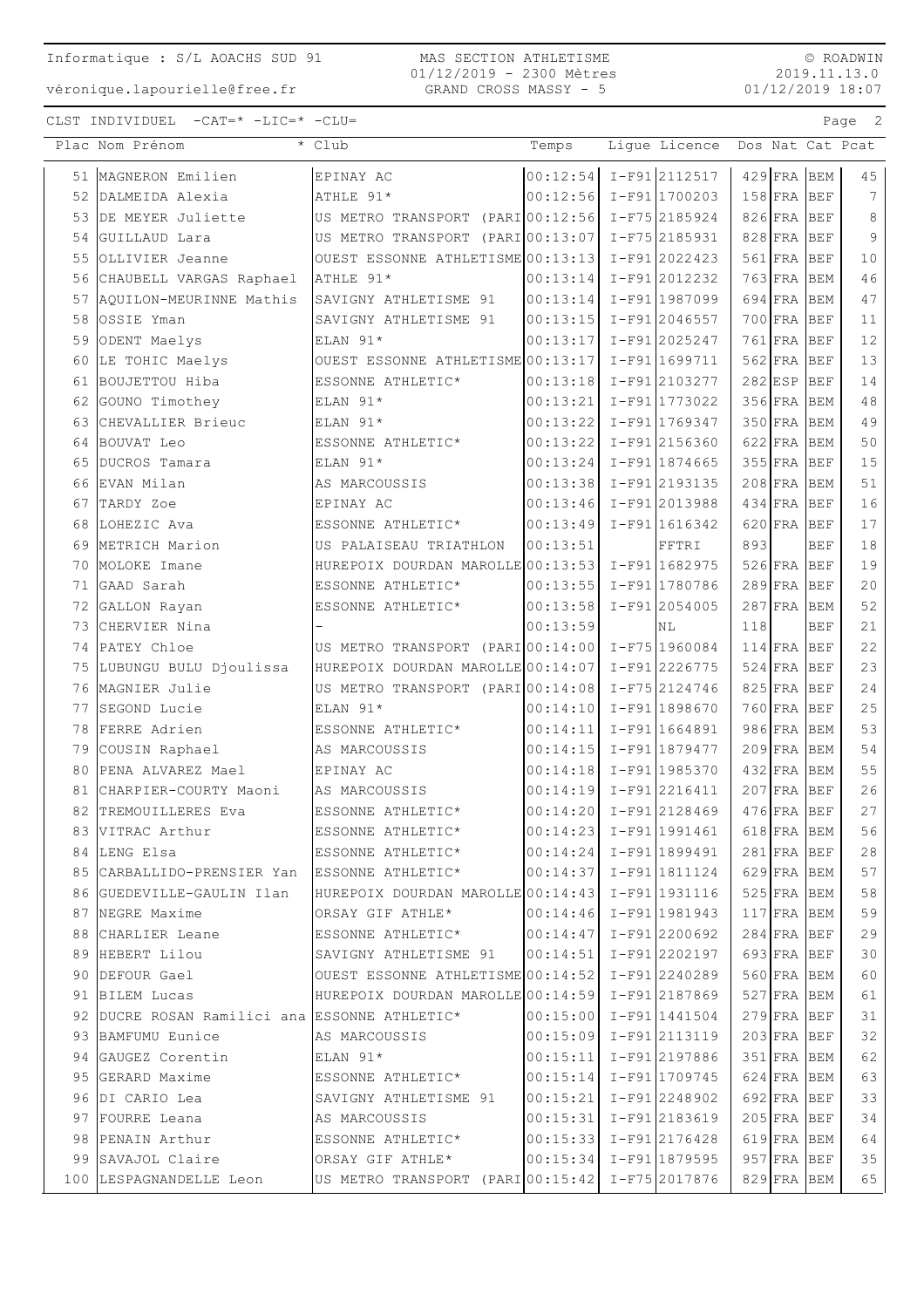véronique.lapourielle@free.fr

MAS SECTION ATHLETISME 01/12/2019 - 2300 Mètres GRAND CROSS MASSY - 5

© ROADWIN 2019.11.13.0 01/12/2019 18:07

|    | Plac Nom Prénom                                              | * Club                                              | Temps    | Lique Licence                                        | Dos Nat Cat Pcat               |                 |
|----|--------------------------------------------------------------|-----------------------------------------------------|----------|------------------------------------------------------|--------------------------------|-----------------|
|    | 51 MAGNERON Emilien                                          | EPINAY AC                                           |          | $00:12:54$ I-F91 2112517                             | $429$ FRA BEM                  | 45              |
|    | 52 DALMEIDA Alexia                                           | ATHLE 91*                                           |          | 00:12:56 I-F91 1700203                               | 158 FRA BEF                    | $7\phantom{.0}$ |
| 53 | DE MEYER Juliette                                            | US METRO TRANSPORT (PARI 00:12:56                   |          | I-F75 2185924                                        | 826 FRA BEF                    | $\,8\,$         |
| 54 | GUILLAUD Lara                                                | US METRO TRANSPORT (PARI 00:13:07                   |          | I-F75 2185931                                        | $828$ FRA BEF                  | 9               |
| 55 | OLLIVIER Jeanne                                              | OUEST ESSONNE ATHLETISME 00:13:13                   |          | I-F91 2022423                                        | 561 FRA BEF                    | 10              |
| 56 | CHAUBELL VARGAS Raphael                                      | ATHLE 91*                                           | 00:13:14 | I-F912012232                                         | $763$ FRA BEM                  | 46              |
|    | 57 AQUILON-MEURINNE Mathis                                   | SAVIGNY ATHLETISME 91                               | 00:13:14 | I-F91 1987099                                        | 694 FRA BEM                    | 47              |
| 58 | OSSIE Yman                                                   | SAVIGNY ATHLETISME 91                               | 00:13:15 | I-F91 2046557                                        | 700 FRA BEF                    | 11              |
| 59 | ODENT Maelys                                                 | ELAN 91*                                            | 00:13:17 | I-F912025247                                         | $761$ FRA BEF                  | 12              |
|    | 60 LE TOHIC Maelys                                           | OUEST ESSONNE ATHLETISME 00:13:17                   |          | I-F91 1699711                                        | $562$ FRA BEF                  | 13              |
|    | 61 BOUJETTOU Hiba                                            | ESSONNE ATHLETIC*                                   | 00:13:18 | I-F912103277                                         | $282$ ESP<br>BEF               | 14              |
| 62 | GOUNO Timothey                                               | ELAN 91*                                            | 00:13:21 | I-F91 1773022                                        | 356 FRA BEM                    | 48              |
| 63 | CHEVALLIER Brieuc                                            | ELAN 91*                                            | 00:13:22 | I-F91 1769347                                        | 350 FRA BEM                    | 49              |
| 64 | BOUVAT Leo                                                   | ESSONNE ATHLETIC*                                   | 00:13:22 | I-F91 2156360                                        | 622 FRA BEM                    | 50              |
| 65 | DUCROS Tamara                                                | ELAN 91*                                            | 00:13:24 | $I-F91 1874665$                                      | 355 FRA BEF                    | 15              |
|    | 66 EVAN Milan                                                | AS MARCOUSSIS                                       | 00:13:38 | I-F912193135                                         | $208$ FRA BEM                  | 51              |
|    | 67 TARDY Zoe                                                 | EPINAY AC                                           | 00:13:46 | I-F91 2013988                                        | $434$ FRA BEF                  | 16              |
|    | 68 LOHEZIC Ava                                               | ESSONNE ATHLETIC*                                   | 00:13:49 | I-F91 1616342                                        | $620$ FRA<br>BEF               | 17              |
|    | 69 METRICH Marion                                            | US PALAISEAU TRIATHLON                              | 00:13:51 | FFTRI                                                | 893<br><b>BEF</b>              | 18              |
|    | 70 MOLOKE Imane                                              | HUREPOIX DOURDAN MAROLLE 00:13:53                   |          | I-F91 1682975                                        | $526$ FRA BEF                  | 19              |
|    | 71 GAAD Sarah                                                | ESSONNE ATHLETIC*                                   | 00:13:55 | I-F91 1780786                                        | $289$ FRA BEF                  | 20              |
| 72 | GALLON Rayan                                                 | ESSONNE ATHLETIC*                                   | 00:13:58 | I-F91 2054005                                        | $287$ FRA BEM                  | 52              |
| 73 | CHERVIER Nina                                                |                                                     | 00:13:59 | NL                                                   | <b>BEF</b><br>118              | 21              |
|    | 74 PATEY Chloe                                               | US METRO TRANSPORT (PARIO0:14:00)                   |          | I-F75 1960084                                        | $114$ FRA BEF                  | 22              |
|    | 75 LUBUNGU BULU Djoulissa                                    | HUREPOIX DOURDAN MAROLLE 00:14:07                   |          | I-F91 2226775                                        | $524$ FRA BEF                  | 23              |
|    | 76 MAGNIER Julie                                             | US METRO TRANSPORT (PARI 00:14:08                   |          | I-F75 2124746                                        | $825$ FRA BEF                  | 24              |
|    | 77 SEGOND Lucie                                              | ELAN 91*                                            | 00:14:10 | I-F91 1898670                                        | 760 FRA BEF                    | 25              |
|    | 78 FERRE Adrien                                              | ESSONNE ATHLETIC*                                   | 00:14:11 | I-F91 1664891                                        | 986 FRA BEM                    | 53              |
|    | 79 COUSIN Raphael                                            | AS MARCOUSSIS                                       | 00:14:15 | I-F91 1879477                                        | 209 FRA BEM                    | 54              |
| 80 | PENA ALVAREZ Mael                                            | EPINAY AC                                           | 00:14:18 | I-F91 1985370                                        | 432 FRA BEM                    | 55              |
| 81 | CHARPIER-COURTY Maoni                                        | AS MARCOUSSIS                                       | 00:14:19 | $I-F91 2216411$<br>I-F912128469                      | $207$ FRA BEF                  | 26<br>27        |
|    | 82 TREMOUILLERES Eva                                         | ESSONNE ATHLETIC*                                   | 00:14:20 |                                                      | $476$ FRA BEF                  |                 |
|    | 83 VITRAC Arthur                                             | ESSONNE ATHLETIC*                                   |          | 00:14:23 I-F91 1991461                               | $618$ FRA BEM                  | 56              |
|    | 84 LENG Elsa<br>85 CARBALLIDO-PRENSIER Yan ESSONNE ATHLETIC* | ESSONNE ATHLETIC*                                   |          | 00:14:24 I-F91 1899491<br>$ 00:14:37  I-F91 1811124$ | $281$ FRA BEF                  | 28<br>57        |
|    | 86 GUEDEVILLE-GAULIN Ilan                                    | HUREPOIX DOURDAN MAROLLE 00:14:43 I-F91 1931116     |          |                                                      | $629$ FRA BEM<br>$525$ FRA BEM | 58              |
|    | 87 NEGRE Maxime                                              | ORSAY GIF ATHLE*                                    |          | $00:14:46$ I-F91 1981943                             | $117$ $FRA$ $BEM$              | 59              |
|    | 88 CHARLIER Leane                                            | ESSONNE ATHLETIC*                                   |          | $ 00:14:47  I-F91 2200692$                           | $284$ FRA BEF                  | 29              |
|    | 89 HEBERT Lilou                                              | SAVIGNY ATHLETISME 91                               | 00:14:51 | I-F91 2202197                                        | 693 FRA BEF                    | 30              |
|    | 90 DEFOUR Gael                                               | OUEST ESSONNE ATHLETISME $ 00:14:52 $ I-F91 2240289 |          |                                                      | 560 FRA BEM                    | 60              |
|    | 91 BILEM Lucas                                               | HUREPOIX DOURDAN MAROLLE 00:14:59 I-F91 2187869     |          |                                                      | $527$ FRA BEM                  | 61              |
|    | 92 DUCRE ROSAN Ramilici ana ESSONNE ATHLETIC*                |                                                     |          | $00:15:00$ I-F91 1441504                             | $279$ FRA BEF                  | 31              |
|    | 93 BAMFUMU Eunice                                            | AS MARCOUSSIS                                       |          | 00:15:09 I-F91 2113119                               | $203$ FRA BEF                  | 32              |
|    | 94 GAUGEZ Corentin                                           | ELAN 91*                                            | 00:15:11 | I-F91 2197886                                        | 351 FRA BEM                    | 62              |
|    | 95 GERARD Maxime                                             | ESSONNE ATHLETIC*                                   |          | $ 00:15:14  I-F91 1709745$                           | $624$ FRA BEM                  | 63              |
|    | 96  DI CARIO Lea                                             | SAVIGNY ATHLETISME 91                               | 00:15:21 | $I-F91 2248902$                                      | $692$ FRA BEF                  | 33              |
|    | 97 FOURRE Leana                                              | AS MARCOUSSIS                                       |          | $ 00:15:31  I-F91 2183619$                           | $205$ FRA BEF                  | 34              |
|    | 98 PENAIN Arthur                                             | ESSONNE ATHLETIC*                                   |          | $ 00:15:33  I-F91 2176428$                           | 619 FRA BEM                    | 64              |
|    | 99 SAVAJOL Claire                                            | ORSAY GIF ATHLE*                                    |          | $ 00:15:34  I-F91 1879595$                           | $957$ FRA BEF                  | 35              |
|    | 100 LESPAGNANDELLE Leon                                      | US METRO TRANSPORT (PARIO0:15:42 I-F75 2017876      |          |                                                      | 829 FRA BEM                    | 65              |
|    |                                                              |                                                     |          |                                                      |                                |                 |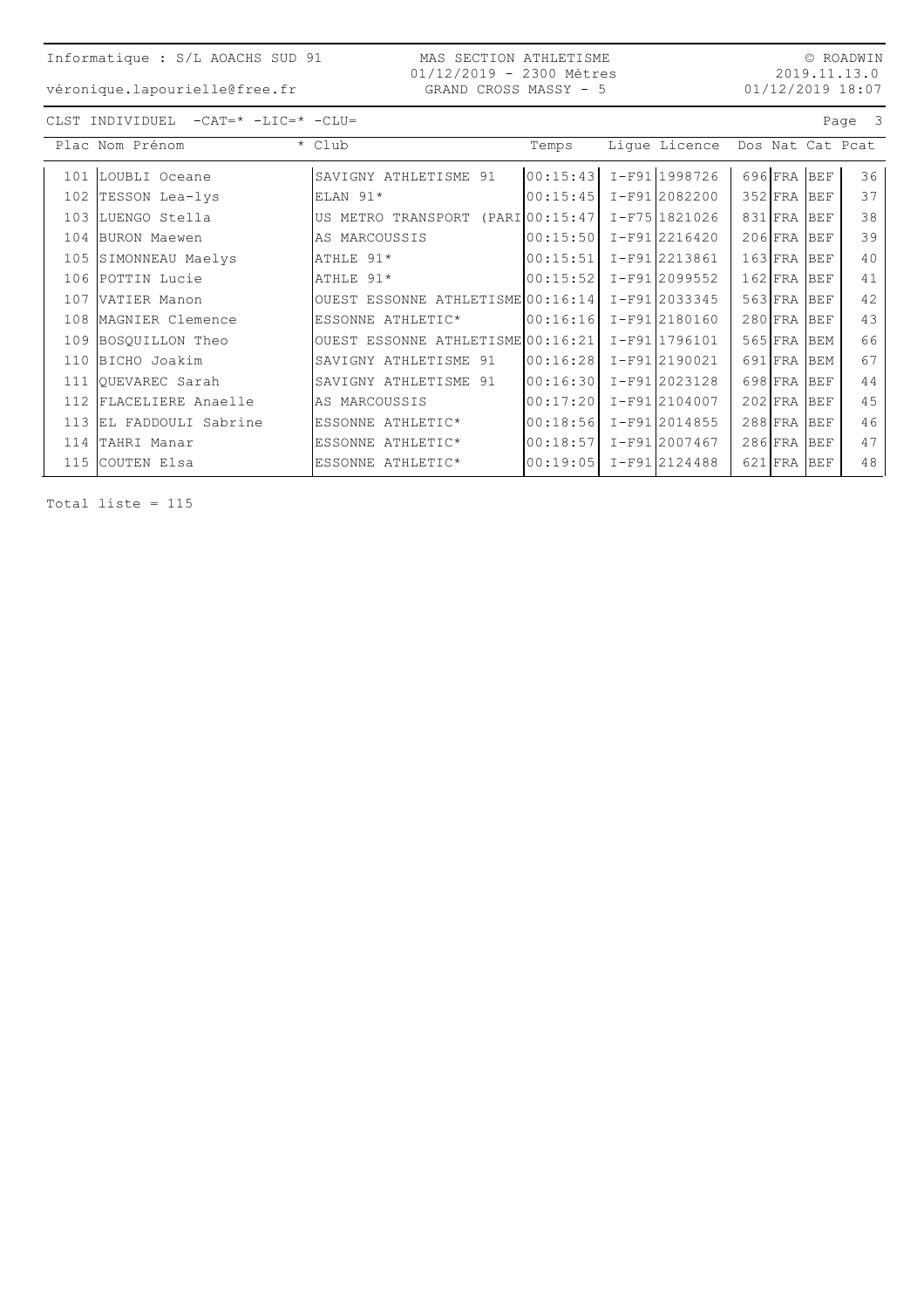MAS SECTION ATHLETISME 01/12/2019 - 2300 Mètres GRAND CROSS MASSY - 5

 $\circledcirc$  ROADWIN 2019.11.13.0  $01/12/2019$  18:07

véronique.lapourielle@free.fr

| CLST INDIVIDUEL | $-CAT = * -LIC = * -CLU =$ |  |
|-----------------|----------------------------|--|
|                 |                            |  |

| $-CAT = * -LIC = * -CLU =$<br>Page 3<br>CLST INDIVIDUEL |                     |                                   |          |               |                  |            |    |  |  |
|---------------------------------------------------------|---------------------|-----------------------------------|----------|---------------|------------------|------------|----|--|--|
|                                                         | Plac Nom Prénom     | * Club                            | Temps    | Lique Licence | Dos Nat Cat Pcat |            |    |  |  |
| 101                                                     | LOUBLI Oceane       | SAVIGNY ATHLETISME 91             | 00:15:43 | I-F911998726  | $696$ FRA BEF    |            | 36 |  |  |
| 102                                                     | TESSON Lea-lys      | $ELAN 91*$                        | 00:15:45 | I-F912082200  | $352$ FRA        | <b>BEF</b> | 37 |  |  |
| 103                                                     | LUENGO Stella       | US METRO TRANSPORT (PARI 00:15:47 |          | I-F7511821026 | 831 FRA          | <b>BEF</b> | 38 |  |  |
| 104                                                     | BURON Maewen        | AS MARCOUSSIS                     | 00:15:50 | I-F91 2216420 | $206$ FRA        | <b>BEF</b> | 39 |  |  |
| 105                                                     | SIMONNEAU Maelys    | ATHLE 91*                         | 00:15:51 | I-F912213861  | $163$ FRA        | <b>BEF</b> | 40 |  |  |
| 106                                                     | POTTIN Lucie        | ATHLE 91*                         | 00:15:52 | I-F91 2099552 | $162$ FRA        | <b>BEF</b> | 41 |  |  |
| 107                                                     | VATIER Manon        | OUEST ESSONNE ATHLETISME 00:16:14 |          | I-F91 2033345 | $563$ FRA        | <b>BEF</b> | 42 |  |  |
| 108                                                     | MAGNIER Clemence    | ESSONNE ATHLETIC*                 | 00:16:16 | I-F91 2180160 | $280$ FRA        | <b>BEF</b> | 43 |  |  |
| 109                                                     | BOSQUILLON Theo     | OUEST ESSONNE ATHLETISME 00:16:21 |          | I-F911796101  | $565$ FRA        | <b>BEM</b> | 66 |  |  |
| 110                                                     | BICHO Joakim        | SAVIGNY ATHLETISME 91             | 00:16:28 | I-F91 2190021 | 691 FRA          | <b>BEM</b> | 67 |  |  |
| 111                                                     | OUEVAREC Sarah      | SAVIGNY ATHLETISME 91             | 00:16:30 | I-F91 2023128 | 698 FRA          | <b>BEF</b> | 44 |  |  |
| 112                                                     | FLACELIERE Anaelle  | AS MARCOUSSIS                     | 00:17:20 | I-F91 2104007 | $202$ FRA        | <b>BEF</b> | 45 |  |  |
| 113                                                     | EL FADDOULI Sabrine | ESSONNE ATHLETIC*                 | 00:18:56 | I-F912014855  | $288$ FRA        | <b>BEF</b> | 46 |  |  |
|                                                         | 114 TAHRI Manar     | ESSONNE ATHLETIC*                 | 00:18:57 | I-F91 2007467 | $286$ FRA        | <b>BEF</b> | 47 |  |  |
| 115                                                     | COUTEN Elsa         | ESSONNE ATHLETIC*                 | 00:19:05 | I-F912124488  | $621$ FRA        | <b>BEF</b> | 48 |  |  |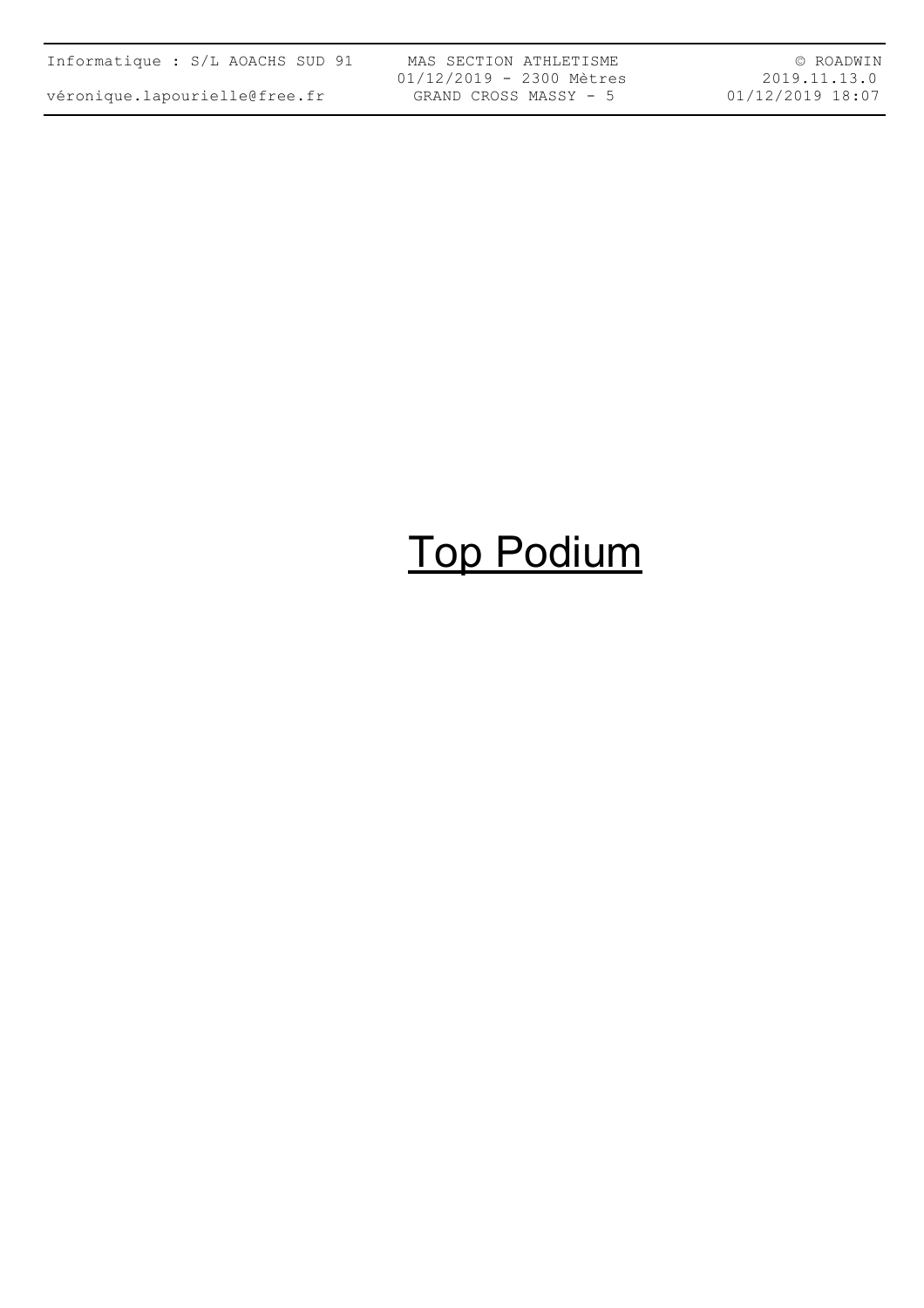| Informatique : S/L AOACHS SUD 91 |  |  |  |  |  |  |  |
|----------------------------------|--|--|--|--|--|--|--|
| véronique.lapourielle@free.fr    |  |  |  |  |  |  |  |

MAS SECTION ATHLETISME 01/12/2019 - 2300 Mètres GRAND CROSS MASSY - 5

© ROADWIN 2019.11.13.0 01/12/2019 18:07

# Top Podium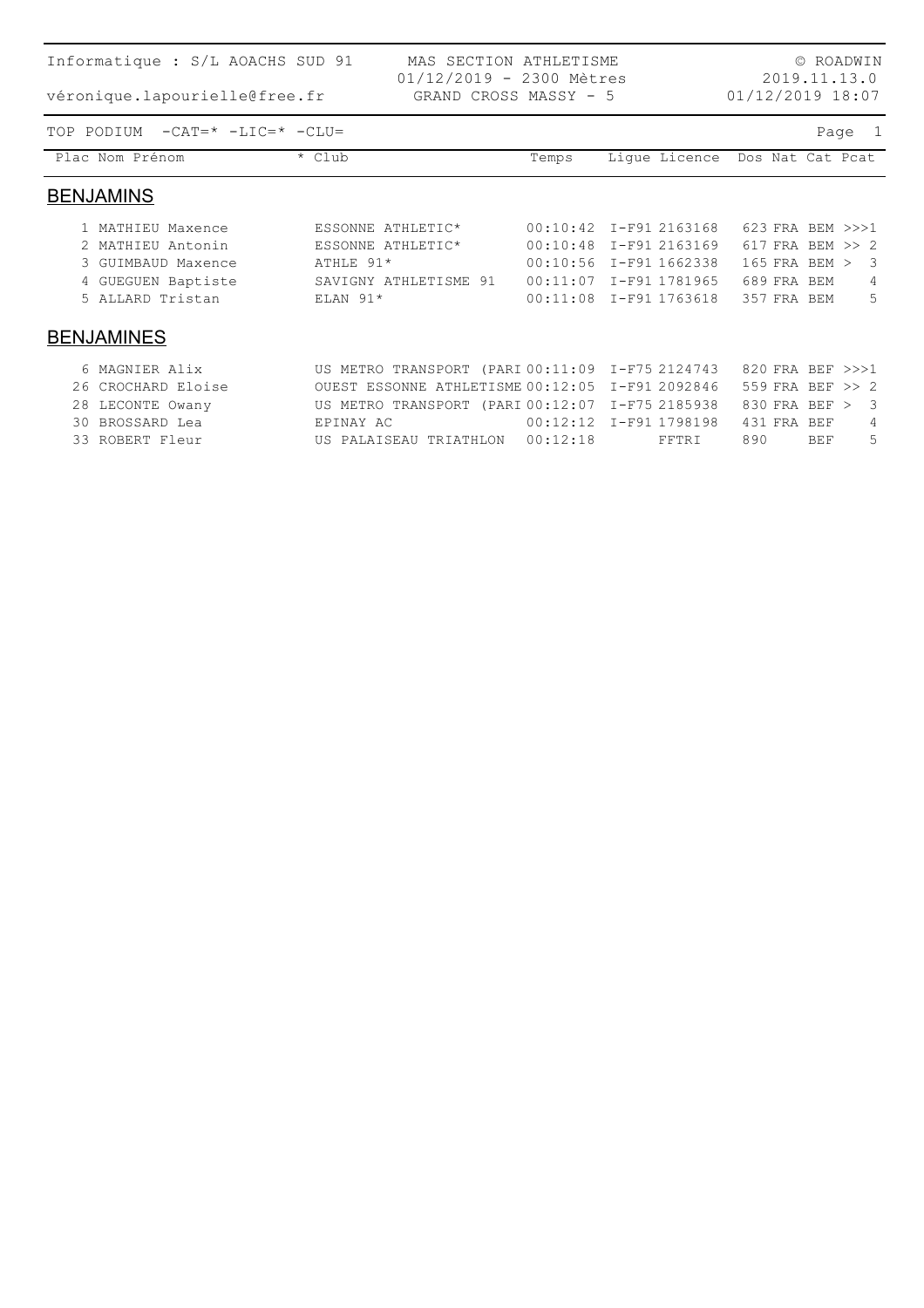| Informatique : S/L AOACHS SUD 91                        |                                                 | © ROADWIN    |                        |                   |                         |  |  |  |  |
|---------------------------------------------------------|-------------------------------------------------|--------------|------------------------|-------------------|-------------------------|--|--|--|--|
| véronique.lapourielle@free.fr                           | 01/12/2019 18:07                                | 2019.11.13.0 |                        |                   |                         |  |  |  |  |
| $-CAT = * -LIC = * -CLU =$<br>TOP PODIUM<br>Page<br>- 1 |                                                 |              |                        |                   |                         |  |  |  |  |
| Plac Nom Prénom                                         | * Club                                          | Temps        | Lique Licence          | Dos Nat Cat Pcat  |                         |  |  |  |  |
| <b>BENJAMINS</b>                                        |                                                 |              |                        |                   |                         |  |  |  |  |
| 1 MATHIEU Maxence                                       | ESSONNE ATHLETIC*                               | 00:10:42     | I-F91 2163168          | 623 FRA BEM >>>1  |                         |  |  |  |  |
| 2 MATHIEU Antonin                                       | ESSONNE ATHLETIC*                               | 00:10:48     | I-F91 2163169          | 617 FRA BEM >> 2  |                         |  |  |  |  |
| 3 GUIMBAUD Maxence                                      | ATHLE 91*                                       | 00:10:56     | I-F91 1662338          | $165$ FRA BEM $>$ | -3                      |  |  |  |  |
| 4 GUEGUEN Baptiste                                      | SAVIGNY ATHLETISME 91                           | 00:11:07     | I-F91 1781965          | 689 FRA BEM       | 4                       |  |  |  |  |
| 5 ALLARD Tristan                                        | ELAN $91*$                                      |              | 00:11:08 I-F91 1763618 | 357 FRA BEM       | 5                       |  |  |  |  |
| <b>BENJAMINES</b>                                       |                                                 |              |                        |                   |                         |  |  |  |  |
| 6 MAGNIER Alix                                          | US METRO TRANSPORT (PARI 00:11:09 I-F75 2124743 |              |                        | 820 FRA BEF >>>1  |                         |  |  |  |  |
| CROCHARD Eloise<br>26                                   | OUEST ESSONNE ATHLETISME 00:12:05               |              | I-F91 2092846          | 559 FRA BEF >> 2  |                         |  |  |  |  |
| LECONTE Owany<br>28                                     | US METRO TRANSPORT (PARI 00:12:07               |              | I-F75 2185938          | 830 FRA BEF >     | $\overline{\mathbf{3}}$ |  |  |  |  |
| 30 BROSSARD Lea                                         | EPINAY AC                                       |              | 00:12:12 I-F91 1798198 | 431 FRA BEF       | 4                       |  |  |  |  |

33 ROBERT Fleur US PALAISEAU TRIATHLON 00:12:18 FFTRI 890 BEF 5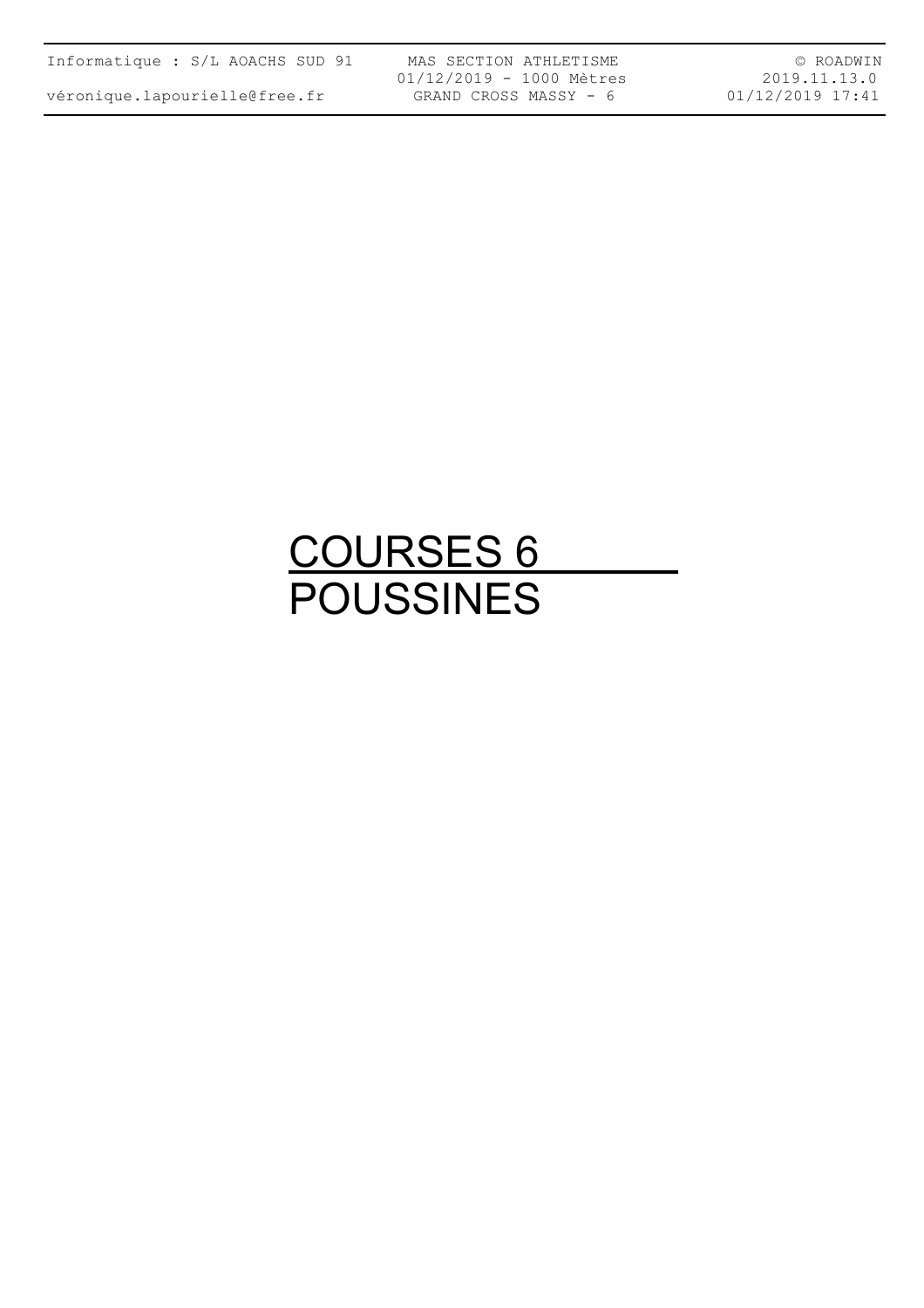| Informatique : S/L AOACHS SUD 91 |  |  |  |  |  |  |
|----------------------------------|--|--|--|--|--|--|
|----------------------------------|--|--|--|--|--|--|

MAS SECTION ATHLETISME 01/12/2019 - 1000 Mètres GRAND CROSS MASSY - 6

© ROADWIN 2019.11.13.0 01/12/2019 17:41

### COURSES 6 POUSSINES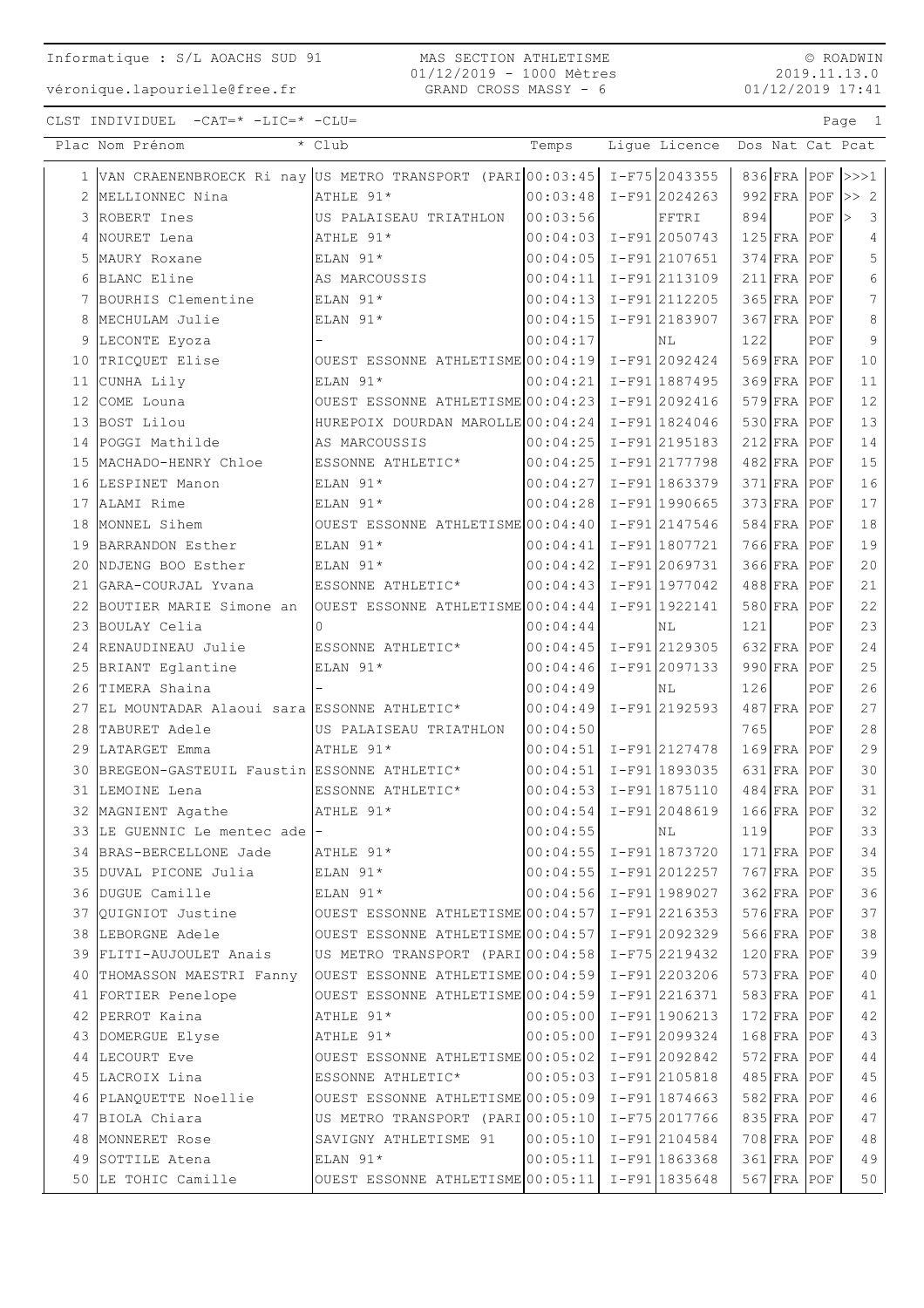$\circ$  ROADWIN 2019.11.13.0  $01/12/2019$  17:41

Page 1

 $CLST \quad INDIVIDUEL \quad -CAT=* \ -LIC = * \ -CLU =$ 

|    | Plac Nom Prénom                                              | * Club                             | Temps    | Lique Licence    |     |               |     | Dos Nat Cat Pcat                         |
|----|--------------------------------------------------------------|------------------------------------|----------|------------------|-----|---------------|-----|------------------------------------------|
|    | 1 VAN CRAENENBROECK Ri nay US METRO TRANSPORT (PARI 00:03:45 |                                    |          | $I-F75 2043355$  |     |               |     | 836 $FRA$ POF $>>1$                      |
| 2  | MELLIONNEC Nina                                              | ATHLE 91*                          | 00:03:48 | $I-F91 2024263$  |     | 992 FRA POF   |     | $\Rightarrow$ 2                          |
| 3  | ROBERT Ines                                                  | US PALAISEAU TRIATHLON             | 00:03:56 | FFTRI            | 894 |               | POF | $\overline{\mathbf{3}}$<br>$\Rightarrow$ |
| 4  | NOURET Lena                                                  | ATHLE 91*                          | 00:04:03 | $I-F91 2050743$  |     | 125 FRA POF   |     | 4                                        |
| 5  | MAURY Roxane                                                 | ELAN 91*                           | 00:04:05 | $I-F91$  2107651 |     | $374$ FRA     | POF | 5                                        |
| 6  | BLANC Eline                                                  | AS MARCOUSSIS                      | 00:04:11 | I-F912113109     |     | 211 FRA POF   |     | 6                                        |
| 7  | BOURHIS Clementine                                           | ELAN 91*                           | 00:04:13 | I-F912112205     |     | 365 FRA POF   |     | 7                                        |
| 8  | MECHULAM Julie                                               | ELAN 91*                           | 00:04:15 | I-F91 2183907    |     | $367$ FRA POF |     | 8                                        |
| 9  | LECONTE Eyoza                                                |                                    | 00:04:17 | ΝL               | 122 |               | POF | 9                                        |
| 10 | TRICQUET Elise                                               | OUEST ESSONNE ATHLETISME 00:04:19  |          | $I-F91 2092424$  |     | $569$ FRA POF |     | 10                                       |
| 11 | CUNHA Lily                                                   | ELAN 91*                           | 00:04:21 | $I-F91 1887495$  |     | $369$ FRA     | POF | 11                                       |
| 12 | COME Louna                                                   | OUEST ESSONNE ATHLETISME 00:04:23  |          | $I-F91 2092416$  |     | 579 FRA POF   |     | 12                                       |
| 13 | BOST Lilou                                                   | HUREPOIX DOURDAN MAROLLE 00:04:24  |          | $I-F91 1824046$  |     | $530$ FRA POF |     | 13                                       |
| 14 | POGGI Mathilde                                               | AS MARCOUSSIS                      | 00:04:25 | I-F91 2195183    |     | $212$ FRA POF |     | 14                                       |
| 15 | MACHADO-HENRY Chloe                                          | ESSONNE ATHLETIC*                  | 00:04:25 | I-F91 2177798    |     | 482 FRA POF   |     | 15                                       |
| 16 | LESPINET Manon                                               | ELAN 91*                           | 00:04:27 | $I-F91 1863379$  |     | 371 FRA POF   |     | 16                                       |
| 17 | ALAMI Rime                                                   | ELAN $91*$                         | 00:04:28 | $I-F91 1990665$  |     | 373 FRA POF   |     | 17                                       |
| 18 | MONNEL Sihem                                                 | OUEST ESSONNE ATHLETISME 00:04:40  |          | I-F91 2147546    |     | $584$ FRA POF |     | 18                                       |
| 19 | BARRANDON Esther                                             | ELAN 91*                           | 00:04:41 | $I-F91 1807721$  |     | 766 FRA POF   |     | 19                                       |
| 20 | NDJENG BOO Esther                                            | $ELAN 91*$                         | 00:04:42 | $I-F91 2069731$  |     | $366$ FRA     | POF | 20                                       |
| 21 | GARA-COURJAL Yvana                                           | ESSONNE ATHLETIC*                  | 00:04:43 | $I-F91 1977042$  |     | $488$ FRA     | POF | 21                                       |
| 22 | BOUTIER MARIE Simone an                                      | OUEST ESSONNE ATHLETISME 00:04:44  |          | I-F91 1922141    |     | 580 FRA POF   |     | 22                                       |
| 23 | BOULAY Celia                                                 | $\Omega$                           | 00:04:44 | ΝL               | 121 |               | POF | 23                                       |
| 24 | RENAUDINEAU Julie                                            | ESSONNE ATHLETIC*                  | 00:04:45 | I-F91 2129305    |     | $632$ FRA     | POF | 24                                       |
| 25 | BRIANT Eglantine                                             | ELAN 91*                           | 00:04:46 | $I-F91 2097133$  |     | $990$ FRA     | POF | 25                                       |
| 26 | TIMERA Shaina                                                |                                    | 00:04:49 | NL               | 126 |               | POF | 26                                       |
| 27 | EL MOUNTADAR Alaoui sara ESSONNE ATHLETIC*                   |                                    | 00:04:49 | I-F91 2192593    |     | 487 FRA POF   |     | 27                                       |
| 28 | TABURET Adele                                                | US PALAISEAU TRIATHLON             | 00:04:50 |                  | 765 |               | POF | 28                                       |
| 29 | LATARGET Emma                                                | ATHLE 91*                          | 00:04:51 | $I-F91 2127478$  |     | 169 FRA POF   |     | 29                                       |
| 30 | BREGEON-GASTEUIL Faustin ESSONNE ATHLETIC*                   |                                    | 00:04:51 | $I-F91 1893035$  |     | $631$ FRA     | POF | 30                                       |
| 31 | LEMOINE Lena                                                 | ESSONNE ATHLETIC*                  | 00:04:53 | I-F91 1875110    |     | $484$ FRA     | POF | 31                                       |
|    | 32 MAGNIENT Agathe                                           | ATHLE 91*                          | 00:04:54 | I-F91 2048619    |     | $166$ FRA     | POF | 32                                       |
|    | 33 LE GUENNIC Le mentec ade -                                |                                    | 00:04:55 | NL               | 119 |               | POF | 33                                       |
|    | 34 BRAS-BERCELLONE Jade                                      | ATHLE 91*                          | 00:04:55 | I-F91 1873720    |     | $171$ FRA POF |     | 34                                       |
|    | 35 DUVAL PICONE Julia                                        | ELAN 91*                           | 00:04:55 | I-F91 2012257    |     | $767$ FRA POF |     | 35                                       |
|    | 36 DUGUE Camille                                             | ELAN 91*                           | 00:04:56 | I-F91 1989027    |     | $362$ FRA POF |     | 36                                       |
| 37 | OUIGNIOT Justine                                             | OUEST ESSONNE ATHLETISME 00:04:57  |          | I-F91 2216353    |     | $576$ FRA POF |     | 37                                       |
|    | 38 LEBORGNE Adele                                            | OUEST ESSONNE ATHLETISME 00:04:57  |          | I-F91 2092329    |     | $566$ FRA POF |     | 38                                       |
|    | 39 FLITI-AUJOULET Anais                                      | US METRO TRANSPORT (PARI 00:04:58) |          | $I-F75 2219432$  |     | $120$ FRA POF |     | 39                                       |
|    | 40 THOMASSON MAESTRI Fanny                                   | OUEST ESSONNE ATHLETISME 00:04:59  |          | I-F91 2203206    |     | 573 FRA POF   |     | 40                                       |
|    | 41 FORTIER Penelope                                          | OUEST ESSONNE ATHLETISME 00:04:59  |          | I-F91 2216371    |     | $583$ FRA POF |     | 41                                       |
|    | 42 PERROT Kaina                                              | ATHLE 91*                          | 00:05:00 | $I-F91 1906213$  |     | $172$ FRA POF |     | $4\,2$                                   |
|    | 43 DOMERGUE Elyse                                            | ATHLE 91*                          | 00:05:00 | I-F91 2099324    |     | $168$ FRA POF |     | 43                                       |
|    | 44 LECOURT Eve                                               | OUEST ESSONNE ATHLETISME 00:05:02  |          | $I-F91 2092842$  |     | $572$ FRA POF |     | 44                                       |
|    | 45 LACROIX Lina                                              | ESSONNE ATHLETIC*                  | 00:05:03 | I-F91 2105818    |     | $485$ FRA POF |     | 45                                       |
|    | 46 PLANQUETTE Noellie                                        | OUEST ESSONNE ATHLETISME 00:05:09  |          | $I-F91 1874663$  |     | $582$ FRA POF |     | 46                                       |
|    | 47 BIOLA Chiara                                              | US METRO TRANSPORT (PARI 00:05:10  |          | I-F75 2017766    |     | 835 FRA POF   |     | 47                                       |
| 48 | MONNERET Rose                                                | SAVIGNY ATHLETISME 91              | 00:05:10 | $I-F91 2104584$  |     | 708 FRA POF   |     | 48                                       |
| 49 | SOTTILE Atena                                                | ELAN 91*                           | 00:05:11 | I-F91 1863368    |     | 361 FRA POF   |     | 49                                       |
|    | 50 LE TOHIC Camille                                          | OUEST ESSONNE ATHLETISME 00:05:11  |          | $I-F91 1835648$  |     | $567$ FRA POF |     | 50                                       |
|    |                                                              |                                    |          |                  |     |               |     |                                          |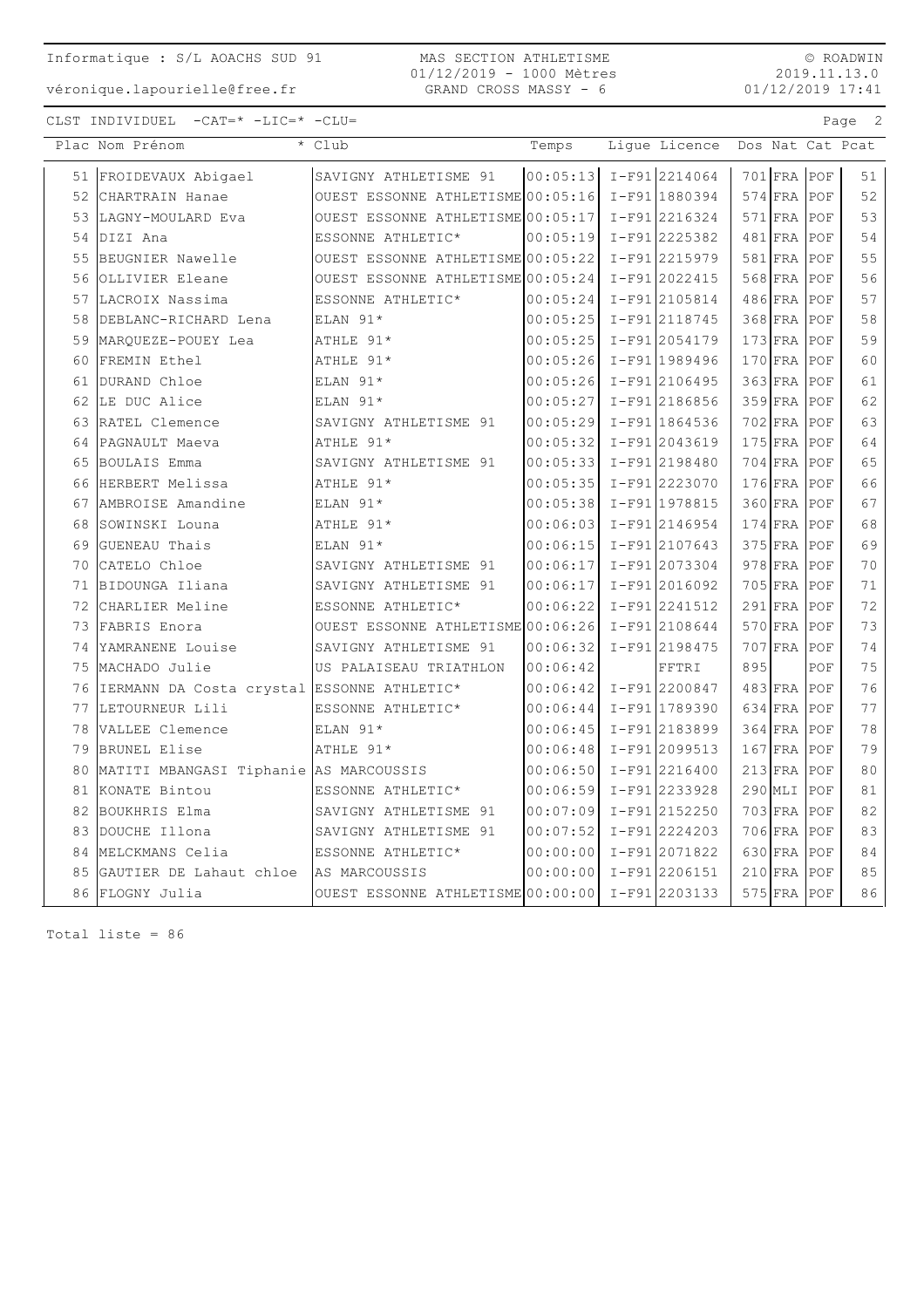MAS SECTION ATHLETISME 01/12/2019 - 1000 Mètres GRAND CROSS MASSY - 6

© ROADWIN 2019.11.13.0  $01/12/2019$  17:41

Page 2

CLST INDIVIDUEL  $-CAT = * -LIC = * -CLU =$ 

| Plac Nom Prénom                               | * Club                                            | Temps                       | Ligue Licence Dos Nat Cat Pcat |     |               |     |    |
|-----------------------------------------------|---------------------------------------------------|-----------------------------|--------------------------------|-----|---------------|-----|----|
| 51 FROIDEVAUX Abigael                         | SAVIGNY ATHLETISME 91                             | $ 00:05:13  I-F91  2214064$ |                                |     | $701$ FRA POF |     | 51 |
| 52 CHARTRAIN Hanae                            | OUEST ESSONNE ATHLETISME 00:05:16 I-F91 1880394   |                             |                                |     | $574$ FRA POF |     | 52 |
| 53 LAGNY-MOULARD Eva                          | OUEST ESSONNE ATHLETISME 00:05:17   I-F91 2216324 |                             |                                |     | 571 FRA POF   |     | 53 |
| 54 DIZI Ana                                   | ESSONNE ATHLETIC*                                 | $ 00:05:19  I-F91 2225382$  |                                |     | $481$ FRA POF |     | 54 |
| 55 BEUGNIER Nawelle                           | OUEST ESSONNE ATHLETISME 00:05:22 I-F91 2215979   |                             |                                |     | 581 FRA POF   |     | 55 |
| 56 OLLIVIER Eleane                            | OUEST ESSONNE ATHLETISME 00:05:24 I-F91 2022415   |                             |                                |     | $568$ FRA POF |     | 56 |
| 57 LACROIX Nassima                            | ESSONNE ATHLETIC*                                 | 00:05:24                    | I-F912105814                   |     | $486$ FRA POF |     | 57 |
| 58 DEBLANC-RICHARD Lena                       | ELAN 91*                                          | 00:05:25   I-F91 2118745    |                                |     | 368 FRA POF   |     | 58 |
| 59 MARQUEZE-POUEY Lea                         | ATHLE 91*                                         | $00:05:25$ I-F91 2054179    |                                |     | $173$ FRA POF |     | 59 |
| 60 FREMIN Ethel                               | ATHLE 91*                                         | 00:05:26 I-F91 1989496      |                                |     | 170 FRA POF   |     | 60 |
| 61 DURAND Chloe                               | ELAN 91*                                          | $00:05:26$ I-F91 2106495    |                                |     | 363 FRA POF   |     | 61 |
| 62 LE DUC Alice                               | ELAN 91*                                          | $00:05:27$ I-F91 2186856    |                                |     | 359 FRA POF   |     | 62 |
| 63 RATEL Clemence                             | SAVIGNY ATHLETISME 91                             | 00:05:29 I-F91 1864536      |                                |     | $702$ FRA POF |     | 63 |
| 64 PAGNAULT Maeva                             | ATHLE 91*                                         | 00:05:32 I-F91 2043619      |                                |     | $175$ FRA POF |     | 64 |
| 65 BOULAIS Emma                               | SAVIGNY ATHLETISME 91                             | 00:05:33 I-F91 2198480      |                                |     | 704 FRA POF   |     | 65 |
| 66 HERBERT Melissa                            | ATHLE 91*                                         | 00:05:35 I-F91 2223070      |                                |     | 176 FRA POF   |     | 66 |
| 67 AMBROISE Amandine                          | ELAN 91*                                          | 00:05:38 I-F91 1978815      |                                |     | 360 FRA POF   |     | 67 |
| 68 SOWINSKI Louna                             | ATHLE 91*                                         | $00:06:03$ I-F912146954     |                                |     | $174$ FRA POF |     | 68 |
| 69 GUENEAU Thais                              | ELAN 91*                                          | 00:06:15 I-F91 2107643      |                                |     | 375 FRA POF   |     | 69 |
| 70 CATELO Chloe                               | SAVIGNY ATHLETISME 91                             | $00:06:17$ I-F91 2073304    |                                |     | 978 FRA POF   |     | 70 |
| 71 BIDOUNGA Iliana                            | SAVIGNY ATHLETISME 91                             | $00:06:17$ I-F91 2016092    |                                |     | $705$ FRA     | POF | 71 |
| 72 CHARLIER Meline                            | ESSONNE ATHLETIC*                                 | 00:06:22                    | I-F91 2241512                  |     | $291$ FRA     | POF | 72 |
| 73 FABRIS Enora                               | OUEST ESSONNE ATHLETISME 00:06:26 I-F91 2108644   |                             |                                |     | 570 FRA       | POF | 73 |
| 74 YAMRANENE Louise                           | SAVIGNY ATHLETISME 91                             | 00:06:32                    | I-F91 2198475                  |     | $707$ FRA     | POF | 74 |
| 75 MACHADO Julie                              | US PALAISEAU TRIATHLON                            | 00:06:42                    | FFTRI                          | 895 |               | POF | 75 |
| 76 IERMANN DA Costa crystal ESSONNE ATHLETIC* |                                                   | 00:06:42                    | $I-F91 2200847$                |     | $483$ FRA POF |     | 76 |
| 77 LETOURNEUR Lili                            | ESSONNE ATHLETIC*                                 | 00:06:44                    | I-F91 1789390                  |     | 634 FRA POF   |     | 77 |
| 78 VALLEE Clemence                            | ELAN 91*                                          | 00:06:45 I-F91 2183899      |                                |     | 364 FRA POF   |     | 78 |
| 79 BRUNEL Elise                               | ATHLE 91*                                         | $00:06:48$ I-F91 2099513    |                                |     | $167$ FRA POF |     | 79 |
| 80 MATITI MBANGASI Tiphanie AS MARCOUSSIS     |                                                   | 00:06:50                    | I-F912216400                   |     | $213$ FRA POF |     | 80 |
| 81 KONATE Bintou                              | ESSONNE ATHLETIC*                                 | 00:06:59                    | I-F91 2233928                  |     | 290 MLI POF   |     | 81 |
| 82 BOUKHRIS Elma                              | SAVIGNY ATHLETISME 91                             | $00:07:09$ I-F912152250     |                                |     | 703 FRA POF   |     | 82 |
| 83 DOUCHE Illona                              | SAVIGNY ATHLETISME 91                             | 00:07:52                    | I-F912224203                   |     | $706$ FRA POF |     | 83 |
| 84 MELCKMANS Celia                            | ESSONNE ATHLETIC*                                 | 00:00:00                    | I-F91 2071822                  |     | 630 FRA POF   |     | 84 |
| 85 GAUTIER DE Lahaut chloe                    | AS MARCOUSSIS                                     | 00:00:00                    | I-F91 2206151                  |     | $210$ FRA POF |     | 85 |
| 86 FLOGNY Julia                               | OUEST ESSONNE ATHLETISME 00:00:00                 |                             | I-F912203133                   |     | $575$ FRA POF |     | 86 |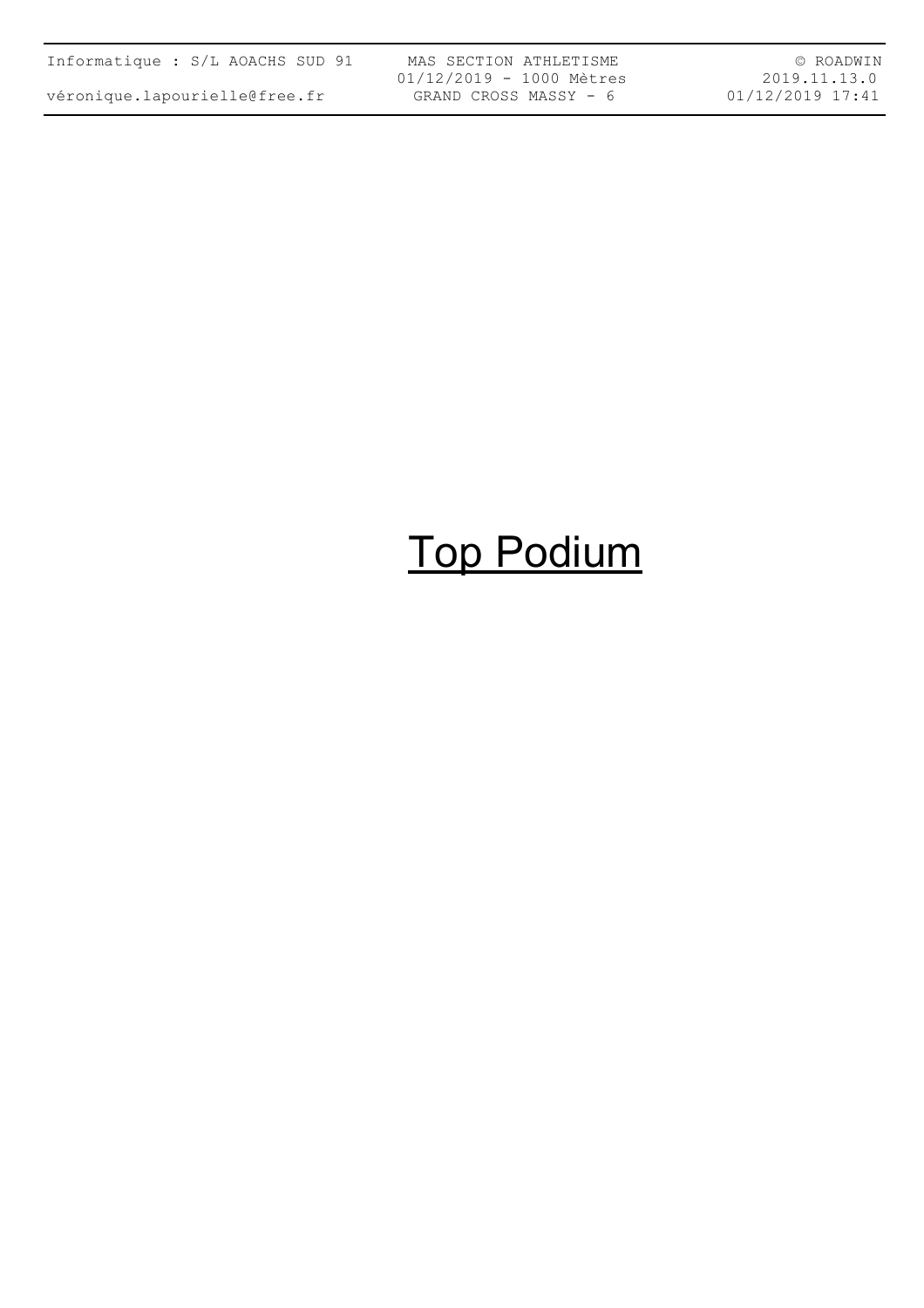| Informatique : S/L AOACHS SUD 91 |  |  |  |
|----------------------------------|--|--|--|
| véronique.lapourielle@free.fr    |  |  |  |

MAS SECTION ATHLETISME 01/12/2019 - 1000 Mètres GRAND CROSS MASSY - 6

© ROADWIN 2019.11.13.0 01/12/2019 17:41

## Top Podium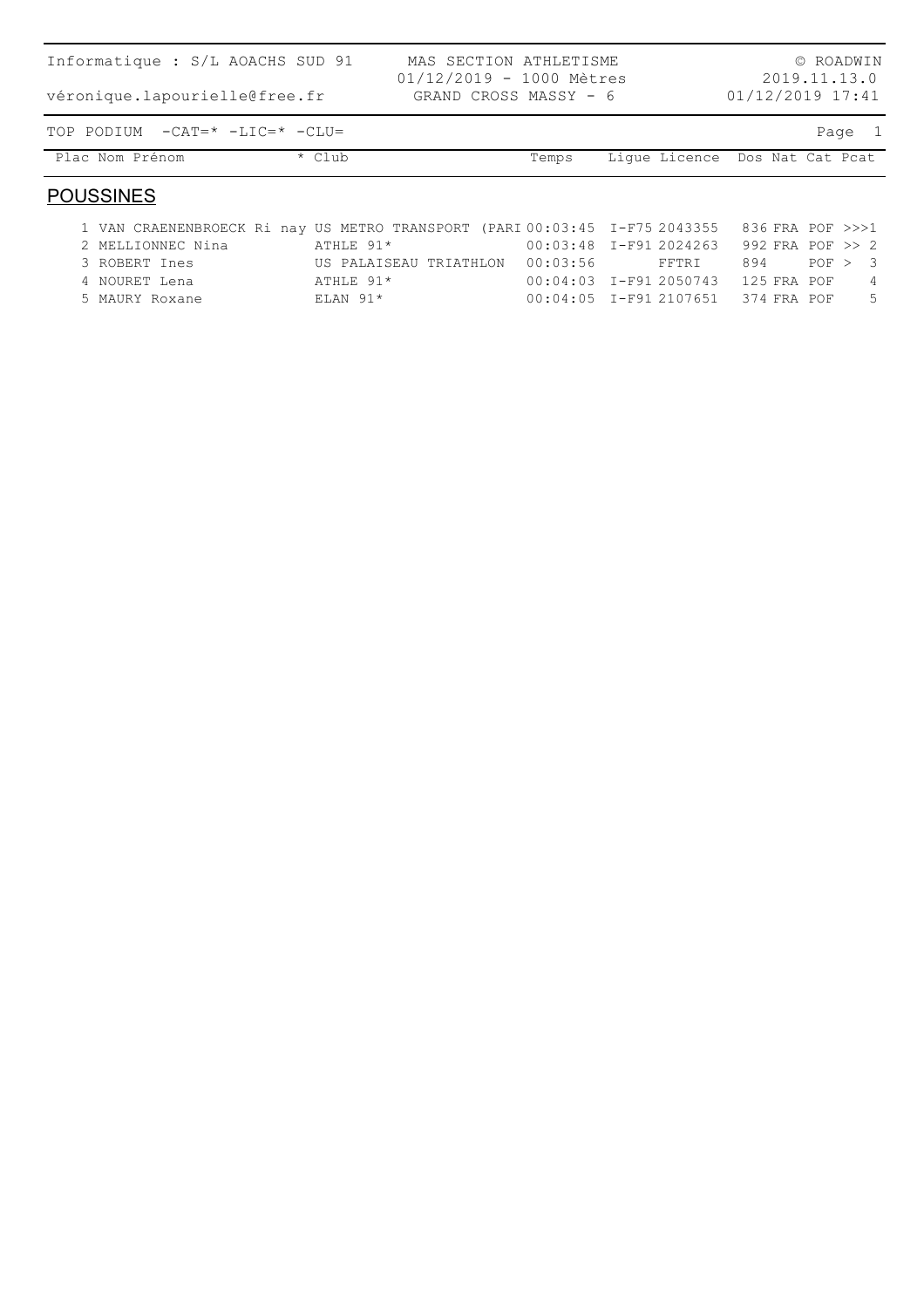| Informatique : S/L AOACHS SUD 91 |              | MAS SECTION ATHLETISME<br>01/12/2019 - 1000 Mètres |       |                                |                    | © ROADWIN<br>2019.11.13.0 |
|----------------------------------|--------------|----------------------------------------------------|-------|--------------------------------|--------------------|---------------------------|
| véronique.lapourielle@free.fr    |              | GRAND CROSS MASSY - 6                              |       |                                | $01/12/2019$ 17:41 |                           |
| TOP PODIUM -CAT=* -LIC=* -CLU=   |              |                                                    |       |                                |                    | Page 1                    |
| Plac Nom Prénom                  | $\star$ Club |                                                    | Temps | Lique Licence Dos Nat Cat Pcat |                    |                           |
|                                  |              |                                                    |       |                                |                    |                           |

#### **POUSSINES**

| 1 VAN CRAENENBROECK Ri nay US METRO TRANSPORT (PARI 00:03:45 I-F75 2043355 836 FRA POF >>>1 |                                 |                                         |     |         |                |     |
|---------------------------------------------------------------------------------------------|---------------------------------|-----------------------------------------|-----|---------|----------------|-----|
| 2 MELLIONNEC Nina                                                                           | ATHLE 91*                       | 00:03:48 I-F91 2024263 992 FRA POF >> 2 |     |         |                |     |
| 3 ROBERT Ines                                                                               | US PALAISEAU TRIATHLON 00:03:56 | FFTRI                                   | 894 | POP > 3 |                |     |
| 4 NOURET Lena                                                                               | ATHLE 91*                       | 00:04:03 I-F91 2050743 125 FRA POF      |     |         | $\overline{4}$ |     |
| 5 MAURY Roxane                                                                              | $ELAN$ 91*                      | 00:04:05 I-F91 2107651 374 FRA POF      |     |         |                | - 5 |
|                                                                                             |                                 |                                         |     |         |                |     |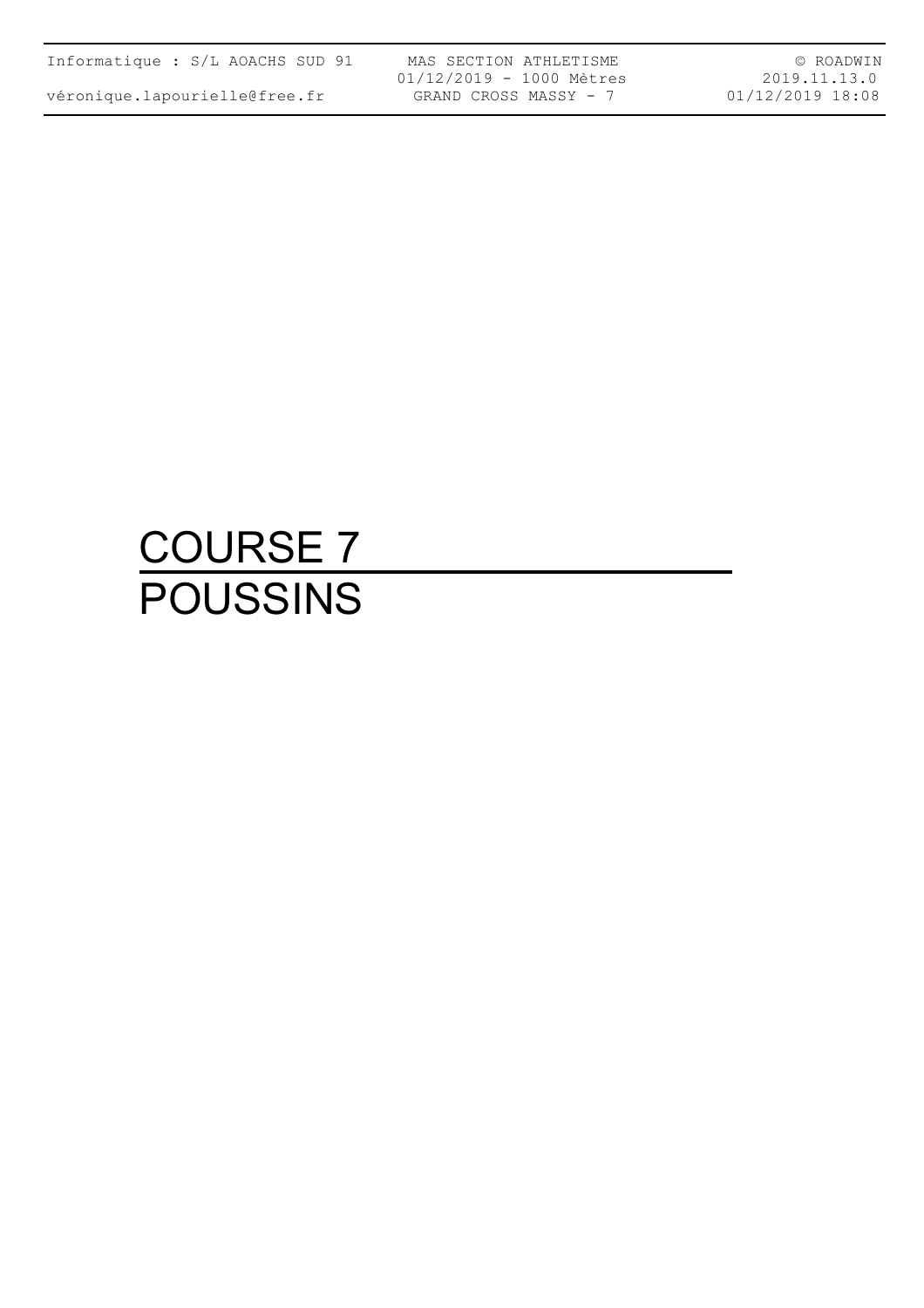| Informatique : S/L AOACHS SUD 91 |  |  |  |
|----------------------------------|--|--|--|
|                                  |  |  |  |

MAS SECTION ATHLETISME 01/12/2019 - 1000 Mètres GRAND CROSS MASSY - 7

© ROADWIN 2019.11.13.0 01/12/2019 18:08

## COURSE 7 POUSSINS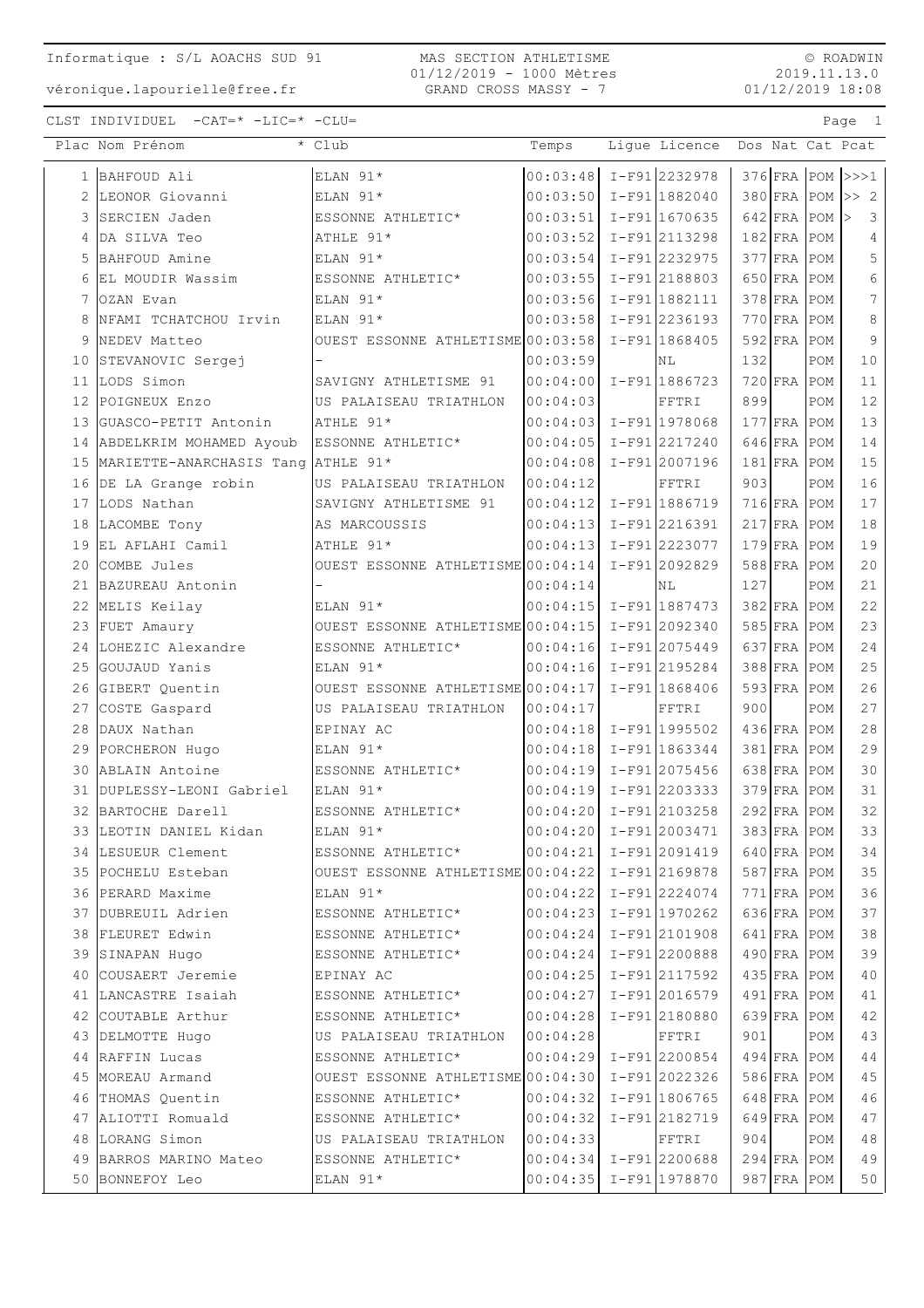MAS SECTION ATHLETISME 01/12/2019 - 1000 Mètres GRAND CROSS MASSY - 7

 $\circ$  ROADWIN 2019.11.13.0  $01/12/2019$  18:08

Page 1

CLST INDIVIDUEL  $-CAT = * -LIC = * -CLU =$ 

|    | Plac Nom Prénom                    | * Club                                            | Temps                      | Ligue Licence   |     |               |     | Dos Nat Cat Pcat               |
|----|------------------------------------|---------------------------------------------------|----------------------------|-----------------|-----|---------------|-----|--------------------------------|
|    | 1 BAHFOUD Ali                      | ELAN 91*                                          | $00:03:48$ I-F91 2232978   |                 |     |               |     | $376$ FRA POM $\rightarrow$ >1 |
|    | LEONOR Giovanni                    | ELAN 91*                                          | $00:03:50$ $I-F91$ 1882040 |                 |     |               |     | $380$ FRA POM $\gg 2$          |
| 3  | SERCIEN Jaden                      | ESSONNE ATHLETIC*                                 | $00:03:51$ I-F91 1670635   |                 |     | $642$ FRA POM |     | $\overline{3}$                 |
| 4  | DA SILVA Teo                       | ATHLE 91*                                         | $00:03:52$ I-F91 2113298   |                 |     | $182$ FRA     | POM | $\overline{4}$                 |
| 5  | BAHFOUD Amine                      | ELAN 91*                                          | 00:03:54 I-F91 2232975     |                 |     | $377$ FRA     | POM | 5                              |
| 6  | EL MOUDIR Wassim                   | ESSONNE ATHLETIC*                                 | $00:03:55$ $I-F91$ 2188803 |                 |     | $650$ FRA     | POM | 6                              |
|    | OZAN Evan                          | ELAN 91*                                          | 00:03:56 I-F91 1882111     |                 |     | $378$ FRA     | POM | 7                              |
| 8  | NFAMI TCHATCHOU Irvin              | ELAN 91*                                          | $00:03:58$ I-F91 2236193   |                 |     | $770$ FRA     | POM | 8                              |
| 9  | NEDEV Matteo                       | OUEST ESSONNE ATHLETISME 00:03:58                 |                            | I-F91 1868405   |     | 592 FRA       | POM | 9                              |
| 10 | STEVANOVIC Sergej                  |                                                   | 00:03:59                   | ΝL              | 132 |               | POM | 10                             |
| 11 | LODS Simon                         | SAVIGNY ATHLETISME 91                             | 00:04:00 I-F91 1886723     |                 |     | $720$ FRA     | POM | 11                             |
| 12 | POIGNEUX Enzo                      | US PALAISEAU TRIATHLON                            | 00:04:03                   | FFTRI           | 899 |               | POM | 12                             |
| 13 | GUASCO-PETIT Antonin               | ATHLE 91*                                         | 00:04:03 I-F91 1978068     |                 |     | $177$ FRA     | POM | 13                             |
| 14 | ABDELKRIM MOHAMED Ayoub            | ESSONNE ATHLETIC*                                 | $00:04:05$ $I-F91$ 2217240 |                 |     | $646$ FRA     | POM | 14                             |
| 15 | MARIETTE-ANARCHASIS Tang ATHLE 91* |                                                   | 00:04:08 I-F91 2007196     |                 |     | $181$ FRA     | POM | 15                             |
| 16 | DE LA Grange robin                 | US PALAISEAU TRIATHLON                            | 00:04:12                   | FFTRI           | 903 |               | POM | 16                             |
| 17 | LODS Nathan                        | SAVIGNY ATHLETISME 91                             | 00:04:12 I-F91 1886719     |                 |     | $716$ FRA     | POM | 17                             |
| 18 | LACOMBE Tony                       | AS MARCOUSSIS                                     | $00:04:13$ I-F91 2216391   |                 |     | $217$ FRA     | POM | 18                             |
| 19 | EL AFLAHI Camil                    | ATHLE 91*                                         | $00:04:13$ I-F91 2223077   |                 |     | $179$ FRA     | POM | 19                             |
| 20 | COMBE Jules                        | OUEST ESSONNE ATHLETISME 00:04:14                 |                            | I-F912092829    |     | $588$ FRA     | POM | $20$                           |
| 21 | BAZUREAU Antonin                   |                                                   | 00:04:14                   | ΝL              | 127 |               | POM | 21                             |
| 22 | MELIS Keilay                       | ELAN 91*                                          | $00:04:15$ I-F91 1887473   |                 |     | $382$ FRA     | POM | 22                             |
| 23 | FUET Amaury                        | OUEST ESSONNE ATHLETISME $00:04:15$ I-F91 2092340 |                            |                 |     | $585$ FRA     | POM | 23                             |
| 24 | LOHEZIC Alexandre                  | ESSONNE ATHLETIC*                                 | $00:04:16$ I-F91 2075449   |                 |     | $637$ FRA     | POM | 24                             |
| 25 | GOUJAUD Yanis                      | ELAN 91*                                          | $00:04:16$ I-F91 2195284   |                 |     | 388 FRA       | POM | 25                             |
| 26 | GIBERT Quentin                     | OUEST ESSONNE ATHLETISME 00:04:17 $I-F91$ 1868406 |                            |                 |     | $593$ FRA     | POM | 26                             |
| 27 | COSTE Gaspard                      | US PALAISEAU TRIATHLON                            | 00:04:17                   | FFTRI           | 900 |               | POM | 27                             |
| 28 | DAUX Nathan                        | EPINAY AC                                         | $00:04:18$ $I-F91$ 1995502 |                 |     | $436$ FRA     | POM | 28                             |
| 29 | PORCHERON Hugo                     | ELAN 91*                                          | $00:04:18$ $I-F91$ 1863344 |                 |     | $381$ $FRA$   | POM | 29                             |
| 30 | ABLAIN Antoine                     | ESSONNE ATHLETIC*                                 | $00:04:19$ I-F91 2075456   |                 |     | 638 FRA       | POM | 30                             |
| 31 | DUPLESSY-LEONI Gabriel             | ELAN 91*                                          | $00:04:19$ I-F912203333    |                 |     | 379 FRA       | POM | 31                             |
|    | 32 BARTOCHE Darell                 | ESSONNE ATHLETIC*                                 | 00:04:20 I-F91 2103258     |                 |     | $292$ FRA POM |     | 32                             |
| 33 | LEOTIN DANIEL Kidan                | ELAN 91*                                          | 00:04:20                   | $I-F912003471$  |     | $383$ FRA POM |     | 33                             |
|    | 34 LESUEUR Clement                 | ESSONNE ATHLETIC*                                 | 00:04:21 I-F91 2091419     |                 |     | 640 FRA POM   |     | 34                             |
|    | 35 POCHELU Esteban                 | OUEST ESSONNE ATHLETISME 00:04:22 I-F91 2169878   |                            |                 |     | $587$ FRA POM |     | 35                             |
|    | 36 PERARD Maxime                   | ELAN 91*                                          | $00:04:22$ I-F912224074    |                 |     | 771 FRA POM   |     | 36                             |
| 37 | DUBREUIL Adrien                    | ESSONNE ATHLETIC*                                 | $00:04:23$ I-F91 1970262   |                 |     | 636 FRA POM   |     | 37                             |
|    | 38 FLEURET Edwin                   | ESSONNE ATHLETIC*                                 | $00:04:24$ I-F912101908    |                 |     | 641 FRA POM   |     | 38                             |
|    | 39 SINAPAN Hugo                    | ESSONNE ATHLETIC*                                 | $00:04:24$ I-F91 2200888   |                 |     | 490 FRA POM   |     | 39                             |
| 40 | COUSAERT Jeremie                   | EPINAY AC                                         | 00:04:25 I-F91 2117592     |                 |     | 435 FRA POM   |     | 40                             |
|    | 41 LANCASTRE Isaiah                | ESSONNE ATHLETIC*                                 | 00:04:27                   | $I-F91 2016579$ |     | 491 FRA POM   |     | 41                             |
|    | 42 COUTABLE Arthur                 | ESSONNE ATHLETIC*                                 | 00:04:28                   | I-F912180880    |     | 639 FRA POM   |     | 42                             |
|    | 43 DELMOTTE Hugo                   | US PALAISEAU TRIATHLON                            | 00:04:28                   | FFTRI           | 901 |               | POM | 43                             |
| 44 | RAFFIN Lucas                       | ESSONNE ATHLETIC*                                 | 00:04:29 I-F91 2200854     |                 |     | 494 FRA POM   |     | 44                             |
| 45 | MOREAU Armand                      | OUEST ESSONNE ATHLETISME 00:04:30                 |                            | I-F912022326    |     | 586 FRA       | POM | 45                             |
|    | 46 THOMAS Quentin                  | ESSONNE ATHLETIC*                                 | 00:04:32 I-F91 1806765     |                 |     | $648$ FRA     | POM | 46                             |
| 47 | ALIOTTI Romuald                    | ESSONNE ATHLETIC*                                 | 00:04:32                   | I-F912182719    |     | 649 FRA POM   |     | 47                             |
|    | 48 LORANG Simon                    | US PALAISEAU TRIATHLON                            | 00:04:33                   | FFTRI           | 904 |               | POM | 48                             |
|    | 49 BARROS MARINO Mateo             | ESSONNE ATHLETIC*                                 | $00:04:34$ I-F91 2200688   |                 |     | 294 FRA POM   |     | 49                             |
|    | 50 BONNEFOY Leo                    | ELAN 91*                                          | 00:04:35   I-F91 1978870   |                 |     | 987 FRA POM   |     | 50                             |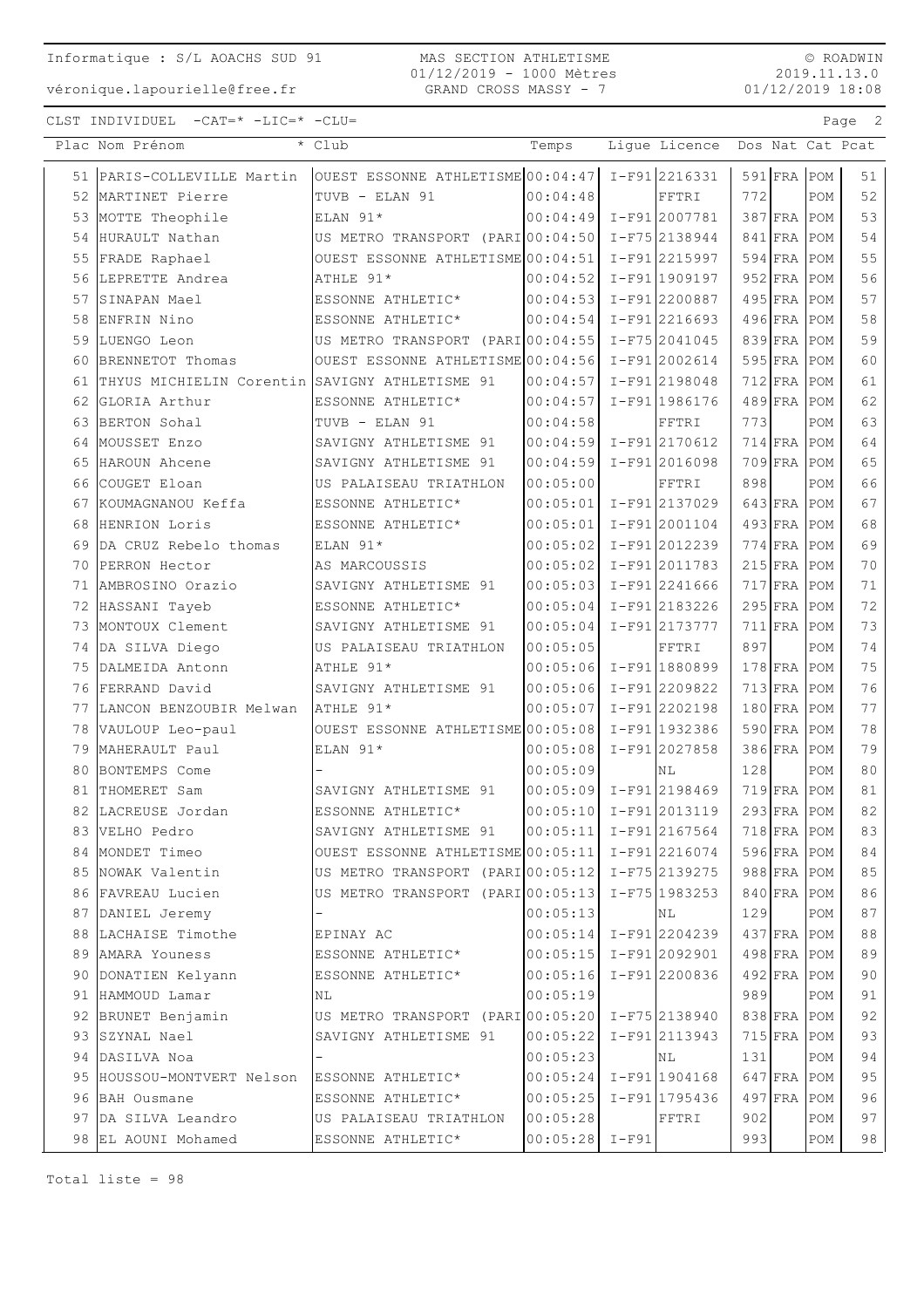#### MAS SECTION ATHLETISME 01/12/2019 - 1000 Mètres GRAND CROSS MASSY - 7

© ROADWIN 2019.11.13.0 01/12/2019 18:08

CLST INDIVIDUEL -CAT=\* -LIC=\* -CLU= Page 2

|    | Plac Nom Prénom                                | * Club                                            | Temps                      | Ligue Licence   |     |               |               | Dos Nat Cat Pcat |
|----|------------------------------------------------|---------------------------------------------------|----------------------------|-----------------|-----|---------------|---------------|------------------|
|    | 51 PARIS-COLLEVILLE Martin                     | OUEST ESSONNE ATHLETISME 00:04:47                 |                            | I-F912216331    |     | $591$ FRA POM |               | 51               |
|    | 52 MARTINET Pierre                             | TUVB - ELAN 91                                    | 00:04:48                   | FFTRI           | 772 |               | POM           | 52               |
|    | 53 MOTTE Theophile                             | ELAN 91*                                          | 00:04:49                   | I-F91 2007781   |     | 387 FRA POM   |               | 53               |
|    | 54 HURAULT Nathan                              | US METRO TRANSPORT (PARI 00:04:50                 |                            | I-F75 2138944   |     | $841$ FRA POM |               | 54               |
| 55 | FRADE Raphael                                  | OUEST ESSONNE ATHLETISME 00:04:51                 |                            | I-F91 2215997   |     | $594$ FRA POM |               | 55               |
|    | 56 LEPRETTE Andrea                             | ATHLE 91*                                         | 00:04:52                   | I-F91 1909197   |     | $952$ FRA POM |               | 56               |
|    | 57 SINAPAN Mael                                | ESSONNE ATHLETIC*                                 | 00:04:53                   | I-F912200887    |     | $495$ FRA POM |               | 57               |
|    | 58 ENFRIN Nino                                 | ESSONNE ATHLETIC*                                 | 00:04:54                   | I-F91 2216693   |     | $496$ FRA POM |               | 58               |
|    | 59 LUENGO Leon                                 | US METRO TRANSPORT (PARI 00:04:55                 |                            | I-F75 2041045   |     | 839 FRA POM   |               | 59               |
| 60 | BRENNETOT Thomas                               | OUEST ESSONNE ATHLETISME 00:04:56                 |                            | I-F912002614    |     | 595 FRA POM   |               | 60               |
| 61 | THYUS MICHIELIN Corentin SAVIGNY ATHLETISME 91 |                                                   | 00:04:57                   | I-F912198048    |     | $712$ FRA     | POM           | 61               |
| 62 | GLORIA Arthur                                  | ESSONNE ATHLETIC*                                 | 00:04:57                   | I-F91 1986176   |     | $489$ FRA     | POM           | 62               |
|    | 63 BERTON Sohal                                | TUVB - ELAN 91                                    | 00:04:58                   | FFTRI           | 773 |               | POM           | 63               |
|    | 64 MOUSSET Enzo                                | SAVIGNY ATHLETISME 91                             | 00:04:59                   | I-F912170612    |     | $714$ FRA POM |               | 64               |
| 65 | HAROUN Ahcene                                  | SAVIGNY ATHLETISME 91                             | 00:04:59                   | I-F91 2016098   |     | 709 FRA POM   |               | 65               |
| 66 | COUGET Eloan                                   | US PALAISEAU TRIATHLON                            | 00:05:00                   | FFTRI           | 898 |               | POM           | 66               |
|    | 67 KOUMAGNANOU Keffa                           | ESSONNE ATHLETIC*                                 | 00:05:01                   | I-F91 2137029   |     | 643 FRA POM   |               | 67               |
| 68 | HENRION Loris                                  | ESSONNE ATHLETIC*                                 | 00:05:01                   | I-F91 2001104   |     | $493$ FRA POM |               | 68               |
|    | 69 DA CRUZ Rebelo thomas                       | ELAN 91*                                          | 00:05:02                   | I-F912012239    |     | 774 FRA POM   |               | 69               |
| 70 | PERRON Hector                                  | AS MARCOUSSIS                                     | 00:05:02                   | I-F912011783    |     | $215$ FRA     | POM           | 70               |
| 71 | AMBROSINO Orazio                               | SAVIGNY ATHLETISME 91                             | 00:05:03                   | I-F91 2241666   |     | $717$ FRA     | POM           | 71               |
|    | 72 HASSANI Tayeb                               | ESSONNE ATHLETIC*                                 | 00:05:04                   | I-F912183226    |     | 295 FRA POM   |               | 72               |
|    | 73 MONTOUX Clement                             | SAVIGNY ATHLETISME 91                             | 00:05:04                   | I-F91 2173777   |     | 711 FRA POM   |               | 73               |
|    | 74 DA SILVA Diego                              | US PALAISEAU TRIATHLON                            | 00:05:05                   | FFTRI           | 897 |               | POM           | 74               |
|    | 75 DALMEIDA Antonn                             | ATHLE 91*                                         | 00:05:06 I-F91 1880899     |                 |     | $178$ FRA POM |               | 75               |
|    | 76 FERRAND David                               | SAVIGNY ATHLETISME 91                             | 00:05:06                   | $I-F91$ 2209822 |     | $713$ FRA POM |               | 76               |
|    | 77 LANCON BENZOUBIR Melwan                     | ATHLE 91*                                         | 00:05:07                   | I-F91 2202198   |     | 180 FRA POM   |               | 77               |
|    | 78 VAULOUP Leo-paul                            | OUEST ESSONNE ATHLETISME 00:05:08                 |                            | I-F91 1932386   |     | $590$ FRA     | POM           | 78               |
|    | 79 MAHERAULT Paul                              | ELAN 91*                                          | 00:05:08                   | I-F91 2027858   |     | $386$ FRA     | POM           | 79               |
| 80 | BONTEMPS Come                                  |                                                   | 00:05:09                   | ΝL              | 128 |               | POM           | 80               |
| 81 | THOMERET Sam                                   | SAVIGNY ATHLETISME 91                             | 00:05:09                   | I-F912198469    |     | 719 FRA POM   |               | 81               |
|    | 82 LACREUSE Jordan                             | ESSONNE ATHLETIC*                                 | $00:05:10$ I-F91 2013119   |                 |     | $293$ FRA POM |               | 82               |
|    | 83 VELHO Pedro                                 | SAVIGNY ATHLETISME 91                             | $ 00:05:11 $ I-F91 2167564 |                 |     |               | $718$ FRA POM | 83               |
|    | 84 MONDET Timeo                                | OUEST ESSONNE ATHLETISME 00:05:11   I-F91 2216074 |                            |                 |     | 596 FRA POM   |               | 84               |
|    | 85 NOWAK Valentin                              | US METRO TRANSPORT (PARI 00:05:12 I-F75 2139275   |                            |                 |     | $988$ FRA POM |               | 85               |
|    | 86 FAVREAU Lucien                              | US METRO TRANSPORT (PARIO0:05:13 I-F75 1983253    |                            |                 |     | 840 FRA POM   |               | 86               |
|    | 87 DANIEL Jeremy                               |                                                   | 00:05:13                   | NL              | 129 |               | POM           | 87               |
|    | 88 LACHAISE Timothe                            | EPINAY AC                                         | $00:05:14$ I-F91 2204239   |                 |     | $437$ FRA POM |               | 88               |
|    | 89 AMARA Youness                               | ESSONNE ATHLETIC*                                 | $00:05:15$ I-F91 2092901   |                 |     | 498 FRA POM   |               | 89               |
|    | 90 DONATIEN Kelyann                            | ESSONNE ATHLETIC*                                 | 00:05:16 I-F91 2200836     |                 |     | $492$ FRA POM |               | 90               |
|    | 91 HAMMOUD Lamar                               | ΝL                                                | 00:05:19                   |                 | 989 |               | POM           | 91               |
|    | 92 BRUNET Benjamin                             | US METRO TRANSPORT (PARIO0:05:20 I-F75 2138940    |                            |                 |     | 838 FRA POM   |               | 92               |
|    | 93 SZYNAL Nael                                 | SAVIGNY ATHLETISME 91                             | $ 00:05:22  I-F91 2113943$ |                 |     | 715 FRA POM   |               | 93               |
|    | 94 DASILVA Noa                                 |                                                   | 00:05:23                   | NL              | 131 |               | POM           | 94               |
|    | 95 HOUSSOU-MONTVERT Nelson                     | ESSONNE ATHLETIC*                                 | $00:05:24$ I-F91 1904168   |                 |     | 647 FRA POM   |               | 95               |
|    | 96 BAH Ousmane                                 | ESSONNE ATHLETIC*                                 | 00:05:25                   | $I-F91 1795436$ |     | $497$ FRA     | POM           | 96               |
|    | 97 DA SILVA Leandro                            | US PALAISEAU TRIATHLON                            | 00:05:28                   | FFTRI           | 902 |               | POM           | 97               |
|    | 98 EL AOUNI Mohamed                            | ESSONNE ATHLETIC*                                 | $00:05:28$ I-F91           |                 | 993 |               | POM           | 98               |
|    |                                                |                                                   |                            |                 |     |               |               |                  |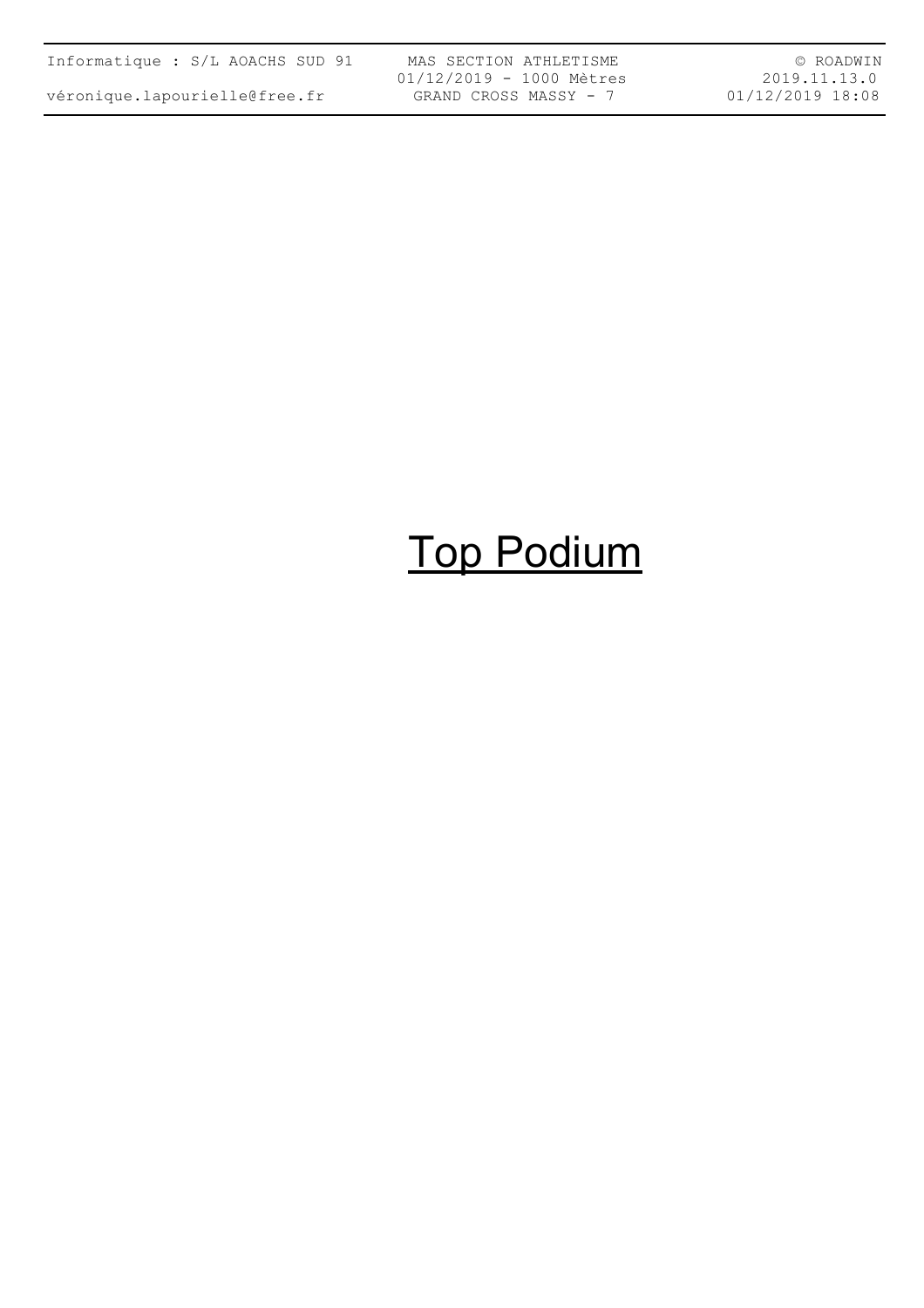| Informatique : S/L AOACHS SUD 91 |  |  |  |
|----------------------------------|--|--|--|
| véronique.lapourielle@free.fr    |  |  |  |

MAS SECTION ATHLETISME 01/12/2019 - 1000 Mètres GRAND CROSS MASSY - 7

© ROADWIN 2019.11.13.0 01/12/2019 18:08

# Top Podium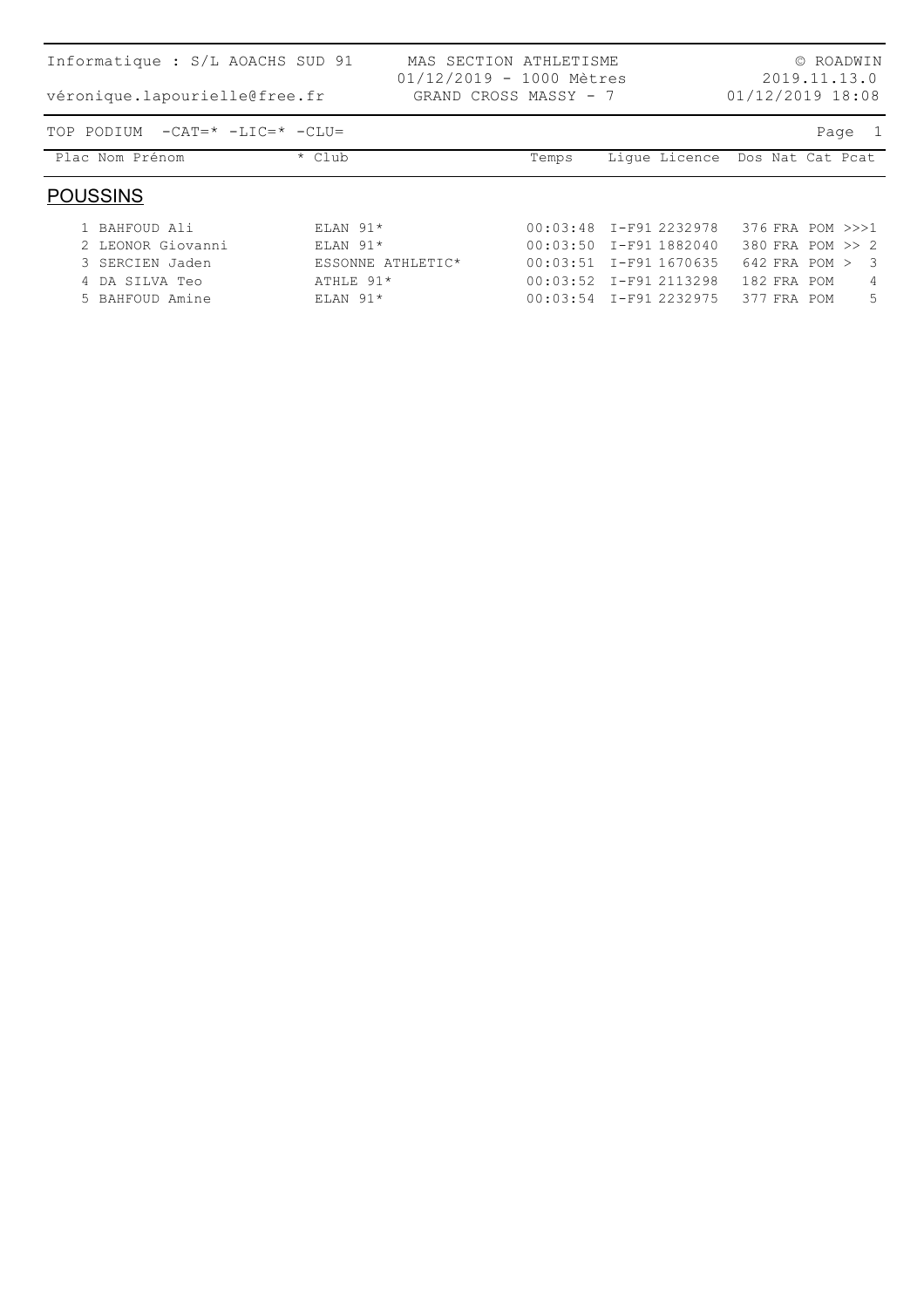| Informatique : S/L AOACHS SUD 91<br>véronique.lapourielle@free.fr |                   | MAS SECTION ATHLETISME<br>$01/12/2019 - 1000$ Mètres<br>GRAND CROSS MASSY - 7 |                          |               | 01/12/2019 18:08  |  | © ROADWIN<br>2019.11.13.0 |
|-------------------------------------------------------------------|-------------------|-------------------------------------------------------------------------------|--------------------------|---------------|-------------------|--|---------------------------|
| TOP PODIUM<br>$-CAT = * -LIC = * -CLU =$                          |                   |                                                                               |                          |               |                   |  | Page 1                    |
| Plac Nom Prénom                                                   | * Club            |                                                                               | Temps                    | Lique Licence | Dos Nat Cat Pcat  |  |                           |
| <b>POUSSINS</b>                                                   |                   |                                                                               |                          |               |                   |  |                           |
| 1 BAHFOUD Ali                                                     | $ELAN$ 91*        |                                                                               | $00:03:48$ I-F91 2232978 |               |                   |  | 376 FRA POM >>>1          |
| 2 LEONOR Giovanni                                                 | $ELAN$ 91*        |                                                                               | 00:03:50 I-F91 1882040   |               |                   |  | 380 FRA POM >> 2          |
| 3 SERCIEN Jaden                                                   | ESSONNE ATHLETIC* |                                                                               | $00:03:51$ I-F91 1670635 |               | $642$ FRA POM $>$ |  | - 3                       |
| 4 DA SILVA Teo                                                    | ATHLE 91*         |                                                                               | $00:03:52$ I-F91 2113298 |               | 182 FRA POM       |  | 4                         |
| 5 BAHFOUD Amine                                                   | $ELAN$ 91*        |                                                                               | $00:03:54$ I-F91 2232975 |               | 377 FRA POM       |  | 5                         |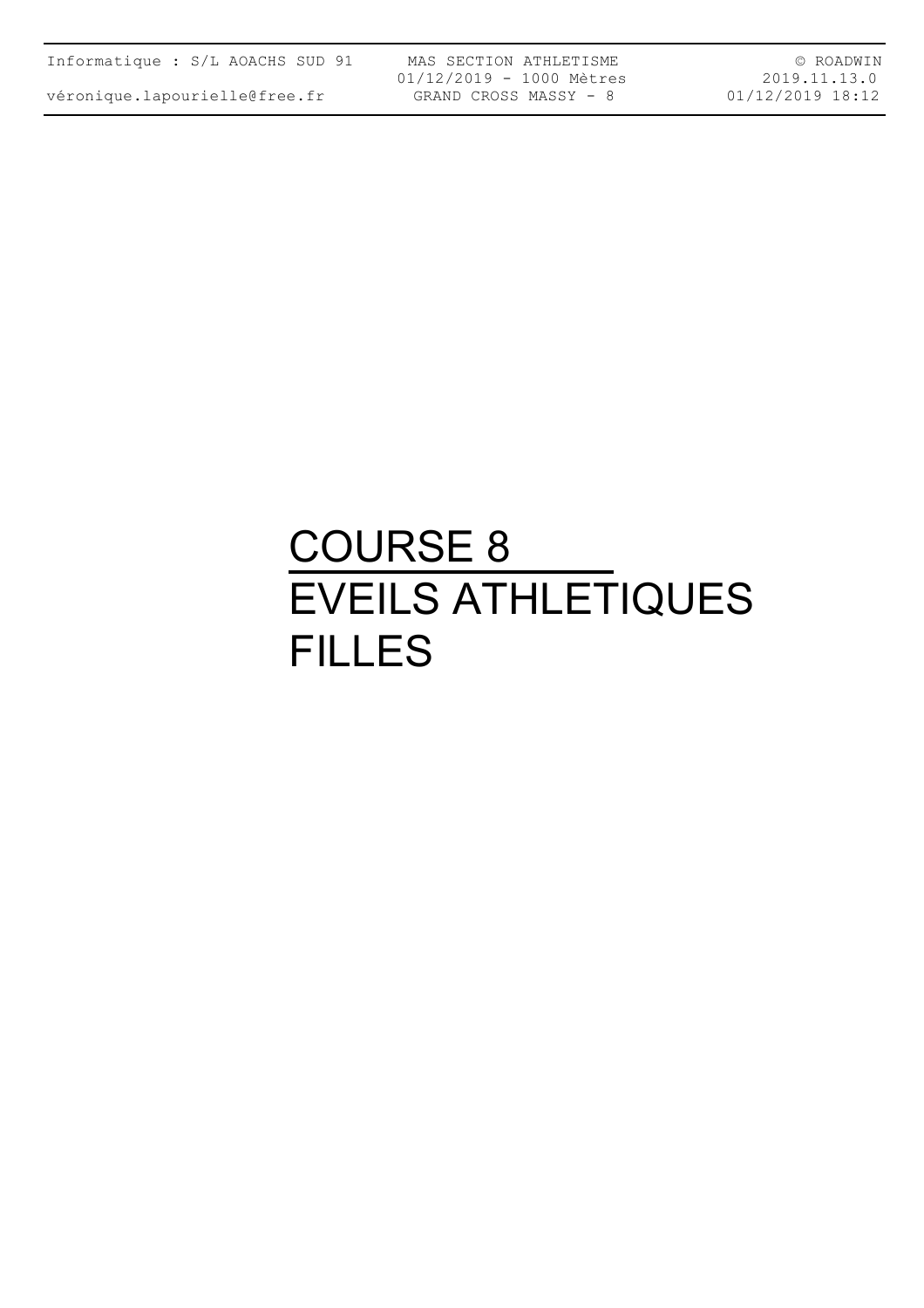véronique.lapourielle@free.fr

MAS SECTION ATHLETISME 01/12/2019 - 1000 Mètres GRAND CROSS MASSY - 8

© ROADWIN 2019.11.13.0 01/12/2019 18:12

## COURSE 8 EVEILS ATHLETIQUES FILLES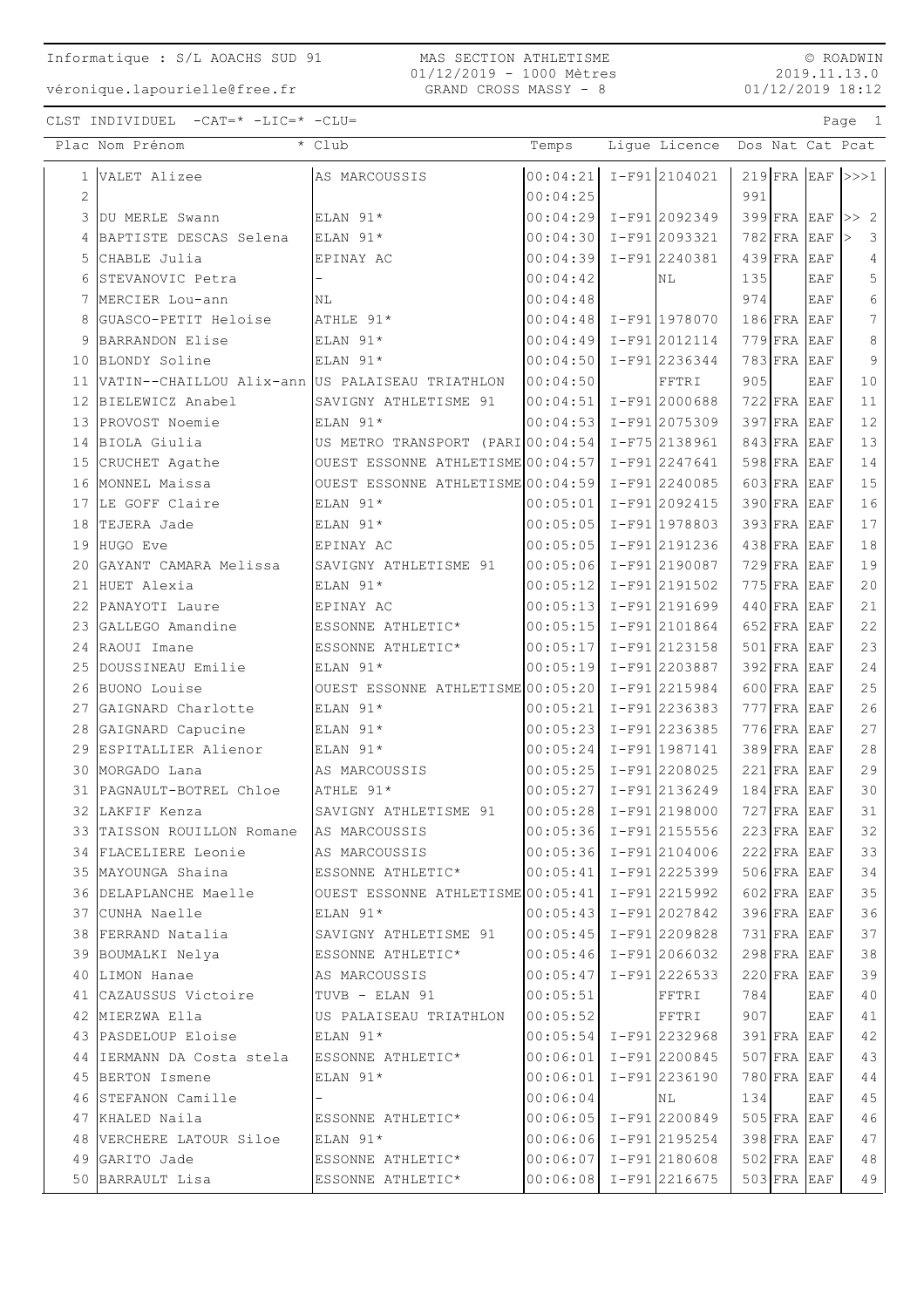$\circ$  ROADWIN 2019.11.13.0  $01/12/2019$  18:12

Page 1

CLST INDIVIDUEL  $-CAT = * -LIC = * -CLU =$ 

|    | Plac Nom Prénom                                 | * Club                                            | Temps                       | Lique Licence   |     |                              |            | Dos Nat Cat Pcat   |
|----|-------------------------------------------------|---------------------------------------------------|-----------------------------|-----------------|-----|------------------------------|------------|--------------------|
| 1  | VALET Alizee                                    | AS MARCOUSSIS                                     | $00:04:21$ I-F912104021     |                 |     |                              |            | $219$ FRA EAF >>>1 |
| 2  |                                                 |                                                   | 00:04:25                    |                 | 991 |                              |            |                    |
|    | 3 DU MERLE Swann                                | ELAN 91*                                          | $00:04:29$ I-F91 2092349    |                 |     | $399$ FRA EAF                |            | >> 2               |
|    | BAPTISTE DESCAS Selena                          | ELAN 91*                                          | $00:04:30$ I-F91 2093321    |                 |     | $782$ FRA EAF                |            | 3                  |
| 5  | CHABLE Julia                                    | EPINAY AC                                         | $00:04:39$ I-F91 2240381    |                 |     | $439$ FRA                    | EAF        | $\overline{4}$     |
| 6  | STEVANOVIC Petra                                |                                                   | 00:04:42                    | NL              | 135 |                              | EAF        | $\mathsf S$        |
| 7  | MERCIER Lou-ann                                 | NL                                                | 00:04:48                    |                 | 974 |                              | EAF        | $\sqrt{6}$         |
| 8  | GUASCO-PETIT Heloise                            | ATHLE 91*                                         | $00:04:48$ I-F91 1978070    |                 |     | $186$ FRA EAF                |            | 7                  |
|    | BARRANDON Elise                                 | ELAN 91*                                          | $00:04:49$ I-F91 2012114    |                 |     | $779$ FRA                    | EAF        | $\,8\,$            |
| 10 | BLONDY Soline                                   | ELAN 91*                                          | $00:04:50$ I-F912236344     |                 |     | $783$ FRA                    | EAF        | 9                  |
| 11 | VATIN--CHAILLOU Alix-ann US PALAISEAU TRIATHLON |                                                   | 00:04:50                    | FFTRI           | 905 |                              | EAF        | 10                 |
| 12 | BIELEWICZ Anabel                                | SAVIGNY ATHLETISME 91                             | $ 00:04:51  I-F91  2000688$ |                 |     | $722$ FRA EAF                |            | 11                 |
|    | 13 PROVOST Noemie                               | ELAN 91*                                          | $ 00:04:53  I-F91 2075309$  |                 |     | $397$ FRA EAF                |            | 12                 |
|    | 14 BIOLA Giulia                                 | US METRO TRANSPORT (PARIO0:04:54 I-F75 2138961    |                             |                 |     | $843$ FRA EAF                |            | 13                 |
| 15 | CRUCHET Agathe                                  | OUEST ESSONNE ATHLETISME $00:04:57$ I-F91 2247641 |                             |                 |     | $598$ FRA EAF                |            | 14                 |
| 16 | MONNEL Maissa                                   | OUEST ESSONNE ATHLETISME $00:04:59$ I-F91 2240085 |                             |                 |     | $603$ FRA EAF                |            | 15                 |
| 17 | LE GOFF Claire                                  | ELAN 91*                                          | $ 00:05:01  I-F91 2092415$  |                 |     | $390$ FRA EAF                |            | 16                 |
| 18 | TEJERA Jade                                     | ELAN 91*                                          | $00:05:05$ $I-F91$ 1978803  |                 |     | $393$ FRA EAF                |            | 17                 |
| 19 | HUGO Eve                                        | EPINAY AC                                         | $00:05:05$ I-F912191236     |                 |     | $438$ FRA EAF                |            | 18                 |
| 20 | GAYANT CAMARA Melissa                           | SAVIGNY ATHLETISME 91                             | $ 00:05:06 $ I-F91 2190087  |                 |     | $729$ FRA EAF                |            | 19                 |
| 21 | HUET Alexia                                     | ELAN 91*                                          | $00:05:12$ I-F91 2191502    |                 |     | $775$ FRA EAF                |            | 20                 |
| 22 | PANAYOTI Laure                                  | EPINAY AC                                         | $00:05:13$ I-F91 2191699    |                 |     | $440$ FRA EAF                |            | 21                 |
| 23 | GALLEGO Amandine                                | ESSONNE ATHLETIC*                                 | $ 00:05:15  I-F91 2101864$  |                 |     | $652$ FRA EAF                |            | 22                 |
| 24 | RAOUI Imane                                     | ESSONNE ATHLETIC*                                 | $ 00:05:17  I-F91 2123158$  |                 |     | $501$ FRA EAF                |            | 23                 |
| 25 | DOUSSINEAU Emilie                               | ELAN 91*                                          | $00:05:19$ I-F91 2203887    |                 |     | $392$ FRA EAF                |            | 24                 |
| 26 | BUONO Louise                                    | OUEST ESSONNE ATHLETISME $00:05:20$ I-F91 2215984 |                             |                 |     | $600$ FRA                    | EAF        | 25                 |
| 27 | GAIGNARD Charlotte                              | ELAN 91*                                          | 00:05:21                    | $I-F91 2236383$ |     | $777$ FRA                    | EAF        | 26                 |
| 28 | GAIGNARD Capucine                               | ELAN 91*                                          | $00:05:23$ I-F91 2236385    |                 |     | $776$ FRA                    | <b>EAF</b> | 27                 |
| 29 | ESPITALLIER Alienor                             | ELAN 91*                                          | $00:05:24$ I-F91 1987141    |                 |     | $389$ FRA                    | <b>EAF</b> | 28                 |
| 30 | MORGADO Lana                                    | AS MARCOUSSIS                                     | $00:05:25$ I-F91 2208025    |                 |     | $221$ FRA                    | EAF        | 29                 |
| 31 | PAGNAULT-BOTREL Chloe                           | ATHLE 91*                                         | $00:05:27$ I-F912136249     |                 |     | $184$ FRA                    | EAF        | 30                 |
|    | 32 LAKFIF Kenza                                 | SAVIGNY ATHLETISME 91                             | $ 00:05:28  I-F91 2198000$  |                 |     | $727$ FRA EAF                |            | 31                 |
| 33 | TAISSON ROUILLON Romane                         | AS MARCOUSSIS                                     | $ 00:05:36 $ I-F91 2155556  |                 |     | $223$ FRA EAF                |            | 32                 |
|    | 34  FLACELIERE Leonie                           | AS MARCOUSSIS                                     | $ 00:05:36  I-F91 2104006$  |                 |     | $222$ FRA EAF                |            | 33                 |
|    | 35 MAYOUNGA Shaina                              | ESSONNE ATHLETIC*                                 | $ 00:05:41 $ I-F91 2225399  |                 |     | $506$ FRA EAF                |            | 34                 |
|    | 36 DELAPLANCHE Maelle                           | OUEST ESSONNE ATHLETISME $00:05:41$ I-F91 2215992 | $ 00:05:43 $ I-F91 2027842  |                 |     | $602$ FRA EAF                |            | 35                 |
|    | 37  CUNHA Naelle<br>38 FERRAND Natalia          | $ELAN$ 91*                                        | $ 00:05:45 $ I-F91 2209828  |                 |     | 396 FRA EAF                  |            | 36<br>37           |
|    |                                                 | SAVIGNY ATHLETISME 91<br>ESSONNE ATHLETIC*        | $00:05:46$ I-F91 2066032    |                 |     | 731 FRA EAF<br>$298$ FRA EAF |            | 38                 |
|    | 39 BOUMALKI Nelya<br>40 LIMON Hanae             | AS MARCOUSSIS                                     | $00:05:47$ I-F91 2226533    |                 |     | $220$ FRA EAF                |            | 39                 |
|    | 41 CAZAUSSUS Victoire                           | TUVB - ELAN 91                                    | 00:05:51                    | FFTRI           | 784 |                              | EAF        | 40                 |
|    | 42 MIERZWA Ella                                 | US PALAISEAU TRIATHLON                            | 00:05:52                    | FFTRI           | 907 |                              | EAF        | 41                 |
|    | 43 PASDELOUP Eloise                             | ELAN 91*                                          | $00:05:54$ I-F91 2232968    |                 |     | 391 FRA EAF                  |            | 42                 |
|    | 44 IERMANN DA Costa stela                       | ESSONNE ATHLETIC*                                 | $00:06:01$ I-F912200845     |                 |     | $507$ FRA EAF                |            | 43                 |
|    | 45 BERTON Ismene                                | ELAN 91*                                          | 00:06:01                    | $I-F91 2236190$ |     | 780 FRA EAF                  |            | 44                 |
|    | 46 STEFANON Camille                             | $\overline{\phantom{a}}$                          | 00:06:04                    | NL              | 134 |                              | EAF        | 45                 |
|    | 47 KHALED Naila                                 | ESSONNE ATHLETIC*                                 | $00:06:05$ I-F91 2200849    |                 |     | $505$ FRA EAF                |            | 46                 |
|    | 48 VERCHERE LATOUR Siloe                        | ELAN 91*                                          | 00:06:06 I-F91 2195254      |                 |     | 398 FRA EAF                  |            | 47                 |
|    | 49 GARITO Jade                                  | ESSONNE ATHLETIC*                                 | $00:06:07$ I-F912180608     |                 |     | $502$ FRA EAF                |            | 48                 |
|    | 50 BARRAULT Lisa                                | ESSONNE ATHLETIC*                                 | $00:06:08$ I-F91 2216675    |                 |     | $503$ FRA EAF                |            | 49                 |
|    |                                                 |                                                   |                             |                 |     |                              |            |                    |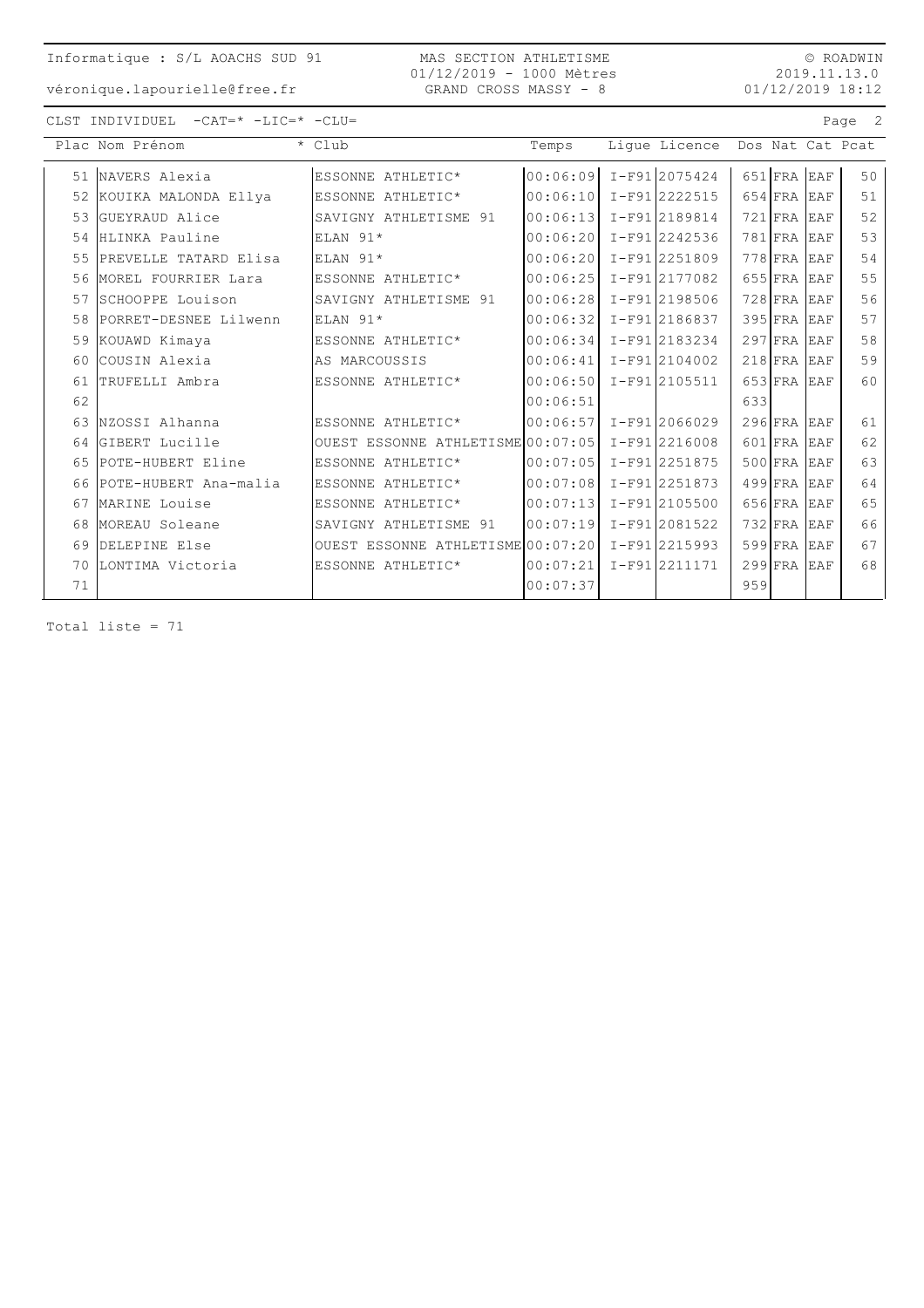MAS SECTION ATHLETISME 01/12/2019 - 1000 Mètres GRAND CROSS MASSY - 8

 $\circ$  ROADWIN 2019.11.13.0  $01/12/2019$  18:12

Page 2

véronique.lapourielle@free.fr

| CLST INDIVIDUEL | $-CAT = * -LIC = * -CLU =$ |  |
|-----------------|----------------------------|--|
|                 |                            |  |

|    | Plac Nom Prénom       | * Club                            | Temps    | Lique Licence    |     |           |            | Dos Nat Cat Pcat |
|----|-----------------------|-----------------------------------|----------|------------------|-----|-----------|------------|------------------|
| 51 | NAVERS Alexia         | ESSONNE ATHLETIC*                 | 00:06:09 | $I-F91$ 2075424  |     | $651$ FRA | <b>EAF</b> | 50               |
| 52 | KOUIKA MALONDA Ellya  | ESSONNE ATHLETIC*                 | 00:06:10 | $I-F91$  2222515 |     | 654 FRA   | EAF        | 51               |
| 53 | GUEYRAUD Alice        | SAVIGNY ATHLETISME 91             | 00:06:13 | I-F912189814     |     | $721$ FRA | <b>EAF</b> | 52               |
| 54 | HLINKA Pauline        | ELAN 91*                          | 00:06:20 | I-F912242536     |     | 781 FRA   | EAF        | 53               |
| 55 | PREVELLE TATARD Elisa | ELAN 91*                          | 00:06:20 | I-F91 2251809    |     | $778$ FRA | <b>EAF</b> | 54               |
| 56 | MOREL FOURRIER Lara   | ESSONNE ATHLETIC*                 | 00:06:25 | I-F912177082     |     | $655$ FRA | <b>EAF</b> | 55               |
| 57 | SCHOOPPE Louison      | SAVIGNY ATHLETISME 91             | 00:06:28 | I-F912198506     |     | $728$ FRA | <b>EAF</b> | 56               |
| 58 | PORRET-DESNEE Lilwenn | ELAN 91*                          | 00:06:32 | I-F91 2186837    |     | 395 FRA   | EAF        | 57               |
| 59 | KOUAWD Kimaya         | ESSONNE ATHLETIC*                 | 00:06:34 | I-F912183234     |     | $297$ FRA | <b>EAF</b> | 58               |
| 60 | cousin Alexia         | AS MARCOUSSIS                     | 00:06:41 | $I-F91$  2104002 |     | $218$ FRA | <b>EAF</b> | 59               |
| 61 | TRUFELLI Ambra        | ESSONNE ATHLETIC*                 | 00:06:50 | I-F91 2105511    |     | $653$ FRA | <b>EAF</b> | 60               |
| 62 |                       |                                   | 00:06:51 |                  | 633 |           |            |                  |
| 63 | NZOSSI Alhanna        | ESSONNE ATHLETIC*                 | 00:06:57 | I-F912066029     |     | $296$ FRA | <b>EAF</b> | 61               |
| 64 | GIBERT Lucille        | OUEST ESSONNE ATHLETISME 00:07:05 |          | I-F912216008     |     | $601$ FRA | <b>EAF</b> | 62               |
| 65 | POTE-HUBERT Eline     | ESSONNE ATHLETIC*                 | 00:07:05 | I-F912251875     |     | $500$ FRA | <b>EAF</b> | 63               |
| 66 | POTE-HUBERT Ana-malia | ESSONNE ATHLETIC*                 | 00:07:08 | I-F91 2251873    |     | $499$ FRA | EAF        | 64               |
| 67 | MARINE Louise         | ESSONNE ATHLETIC*                 | 00:07:13 | $I-F91$  2105500 |     | 656 FRA   | <b>EAF</b> | 65               |
| 68 | MOREAU Soleane        | SAVIGNY ATHLETISME 91             | 00:07:19 | I-F912081522     |     | $732$ FRA | EAF        | 66               |
| 69 | DELEPINE Else         | OUEST ESSONNE ATHLETISME 00:07:20 |          | I-F91 2215993    |     | 599 FRA   | EAF        | 67               |
| 70 | LONTIMA Victoria      | ESSONNE ATHLETIC*                 | 00:07:21 | I-F912211171     |     | $299$ FRA | <b>EAF</b> | 68               |
| 71 |                       |                                   | 00:07:37 |                  | 959 |           |            |                  |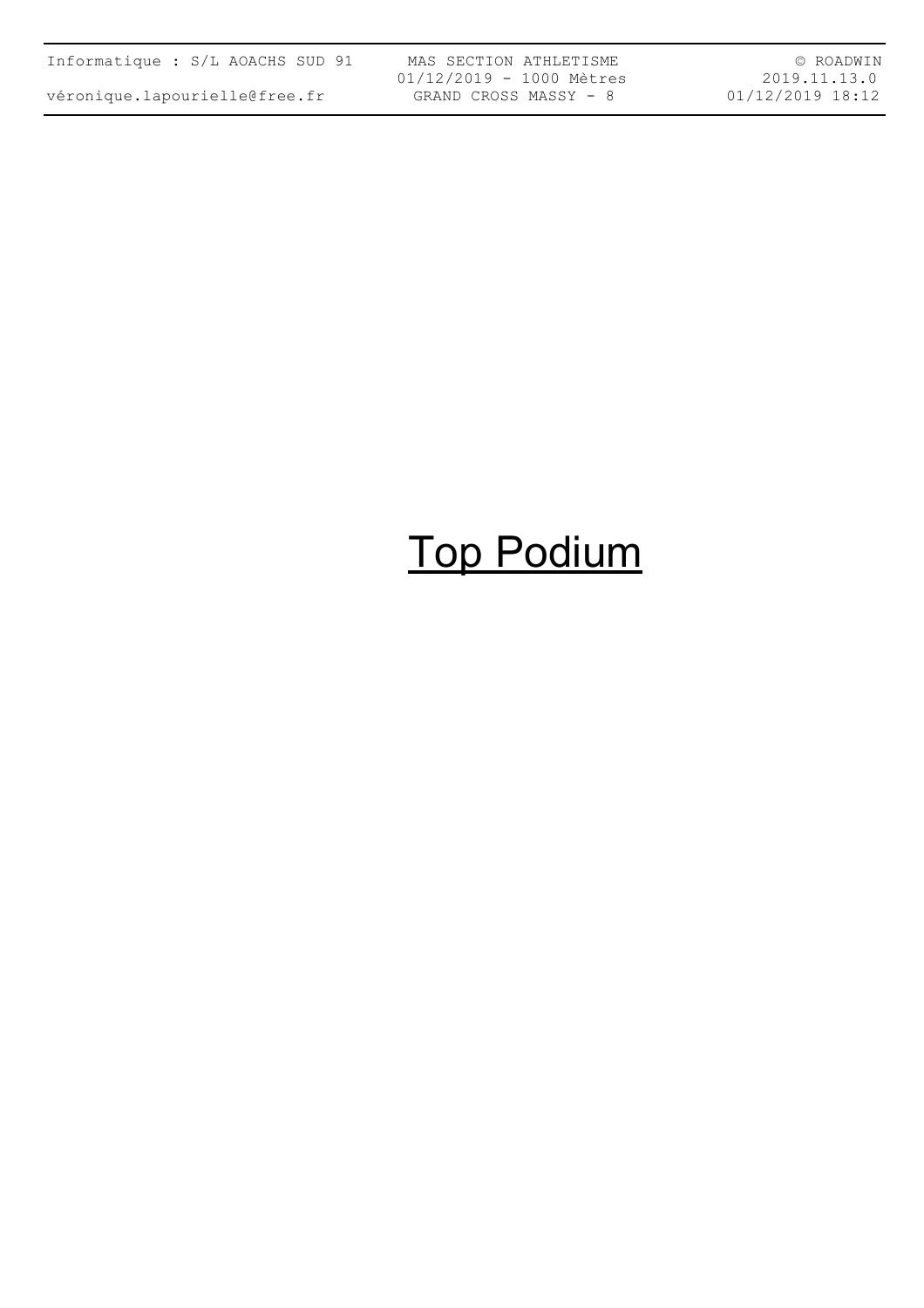| Informatique : S/L AOACHS SUD 91 |  |  |
|----------------------------------|--|--|
| véronique.lapourielle@free.fr    |  |  |

MAS SECTION ATHLETISME 01/12/2019 - 1000 Mètres GRAND CROSS MASSY - 8

© ROADWIN 2019.11.13.0 01/12/2019 18:12

# Top Podium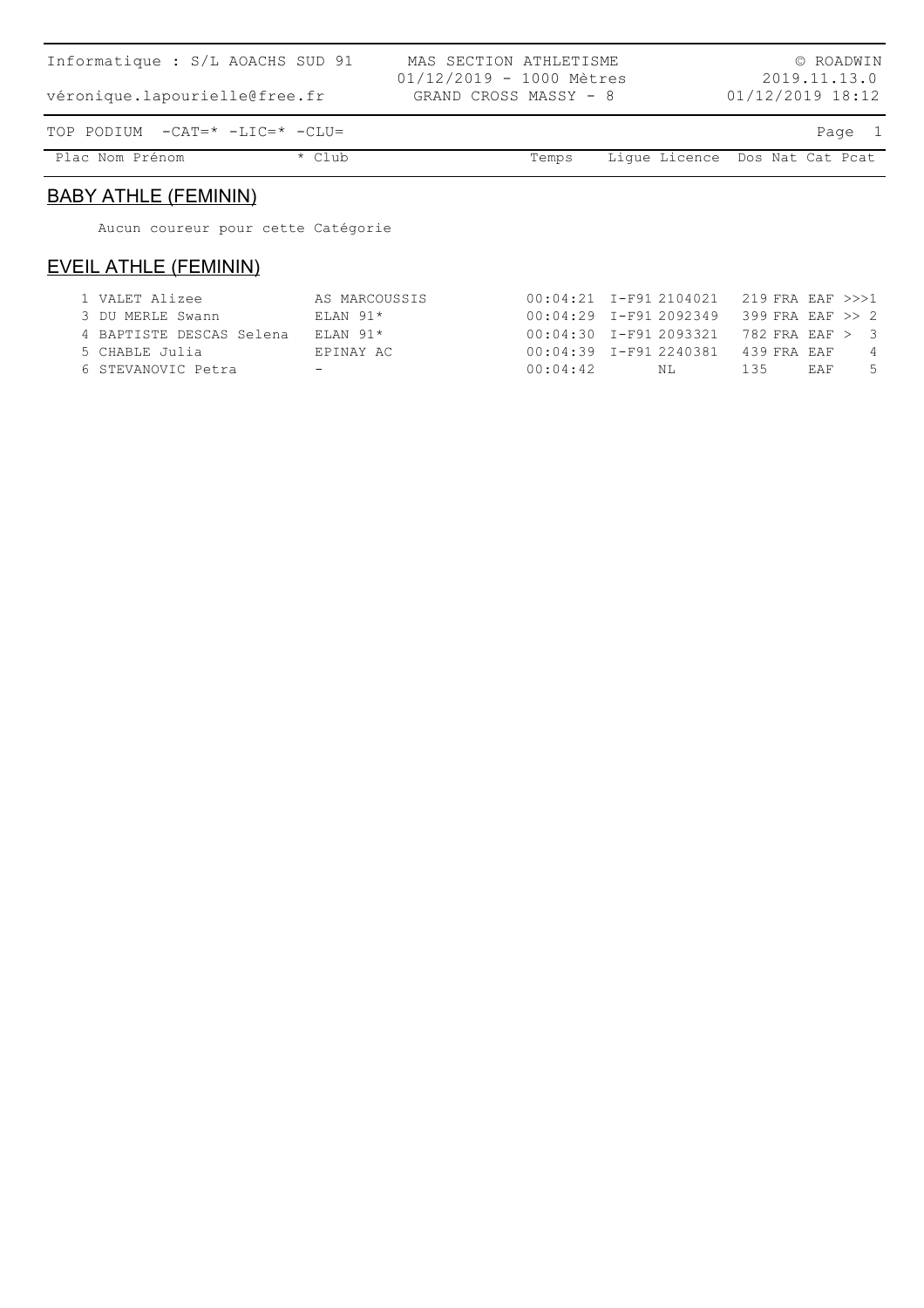| Informatique : S/L AOACHS SUD 91<br>véronique.lapourielle@free.fr |        | MAS SECTION ATHLETISME<br>01/12/2019 - 1000 Mètres<br>GRAND CROSS MASSY - 8 |       |                                | $01/12/2019$ 18:12 | © ROADWIN<br>2019.11.13.0 |
|-------------------------------------------------------------------|--------|-----------------------------------------------------------------------------|-------|--------------------------------|--------------------|---------------------------|
| TOP PODIUM $-CAT = * -LIC = * -CLU =$                             |        |                                                                             |       |                                |                    | Page 1                    |
| Plac Nom Prénom                                                   | * Club |                                                                             | Temps | Lique Licence Dos Nat Cat Pcat |                    |                           |

### BABY ATHLE (FEMININ)

Aucun coureur pour cette Catégorie

### EVEIL ATHLE (FEMININ)

| 1 VALET Alizee           | AS MARCOUSSIS |          | $00:04:21$ I-F91 2104021 219 FRA EAF >>>1 |     |            |                |
|--------------------------|---------------|----------|-------------------------------------------|-----|------------|----------------|
| 3 DU MERLE Swann         | $ELAN$ 91*    |          | $00:04:29$ I-F91 2092349 399 FRA EAF >> 2 |     |            |                |
| 4 BAPTISTE DESCAS Selena | ELAN 91*      |          | $00:04:30$ I-F91 2093321 782 FRA EAF > 3  |     |            |                |
| 5 CHABLE Julia           | EPINAY AC     |          | 00:04:39 I-F91 2240381 439 FRA EAF        |     |            | $\overline{4}$ |
| 6 STEVANOVIC Petra       |               | 00:04:42 | NT.                                       | 135 | <b>EAF</b> | -5             |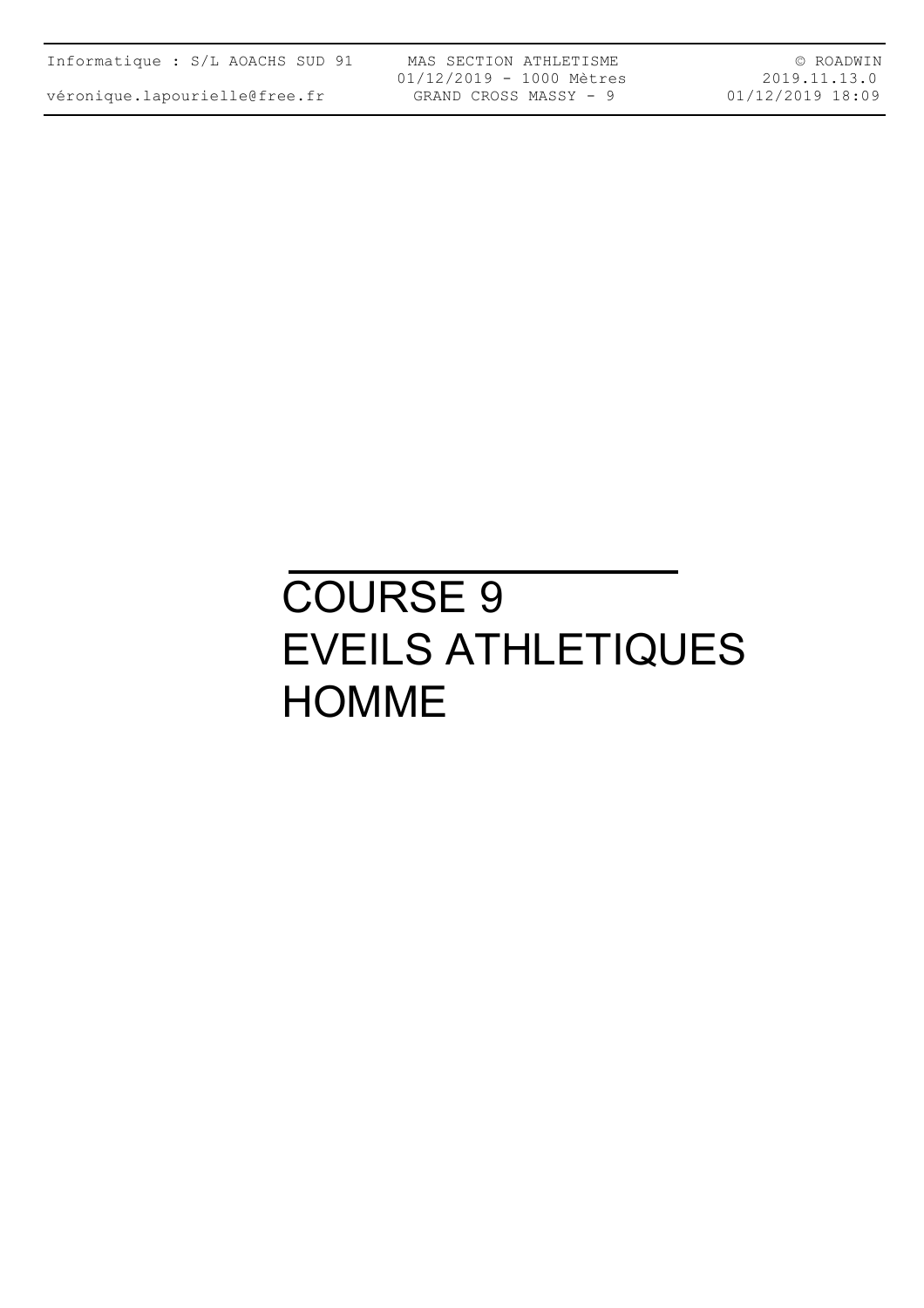| Informatique : S/L AOACHS SUD 91 |  |  |
|----------------------------------|--|--|
|----------------------------------|--|--|

MAS SECTION ATHLETISME 01/12/2019 - 1000 Mètres GRAND CROSS MASSY - 9

© ROADWIN 2019.11.13.0 01/12/2019 18:09

# COURSE 9 EVEILS ATHLETIQUES **HOMME**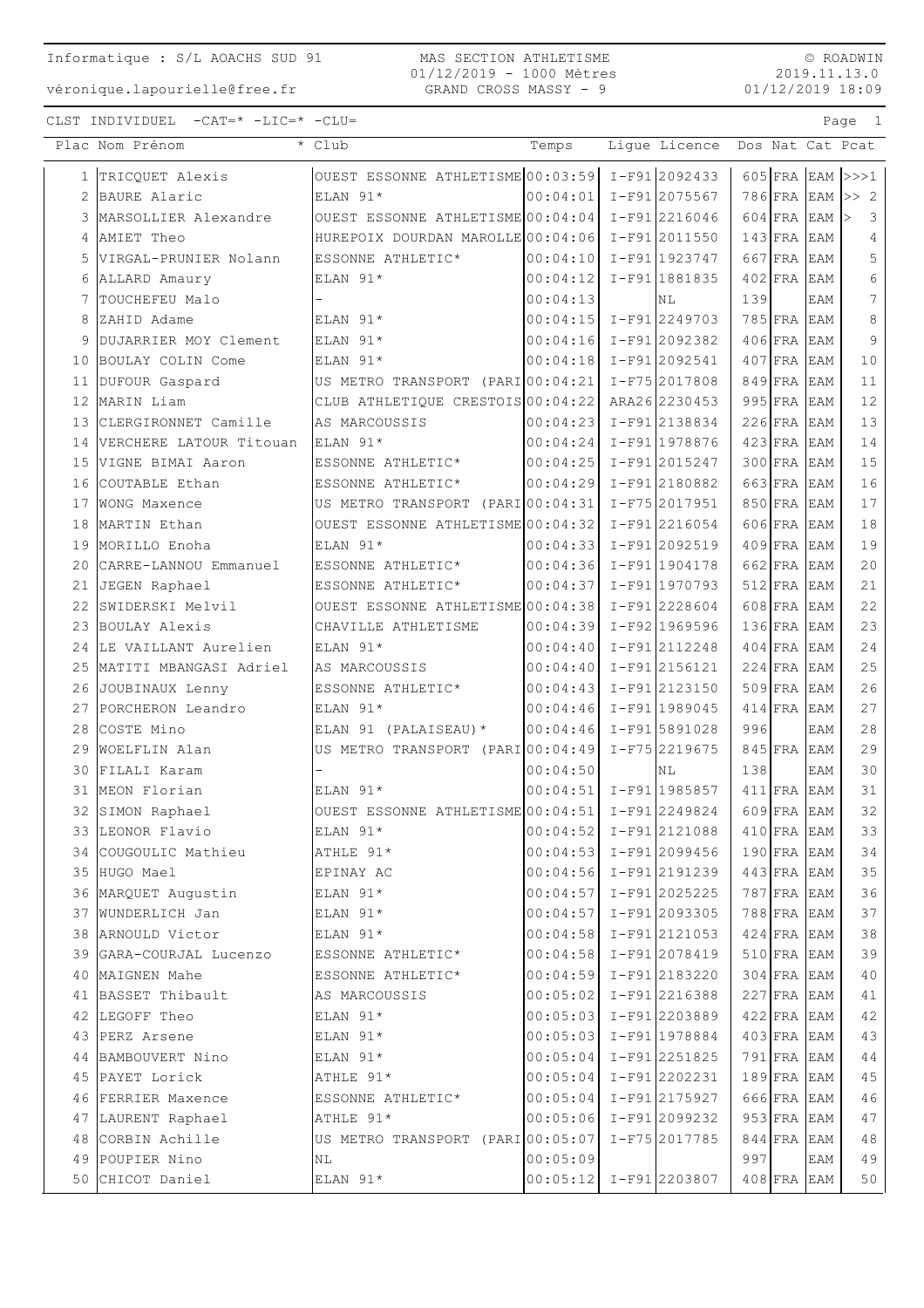#### MAS SECTION ATHLETISME 01/12/2019 - 1000 Mètres GRAND CROSS MASSY - 9

 $\circ$  ROADWIN 2019.11.13.0 01/12/2019 18:09

Page 1

CLST INDIVIDUEL  $-CAT = * -LIC = * -CLU =$ 

|    | Plac Nom Prénom              | * Club                            | Temps                      | Ligue Licence    |     |               |            | Dos Nat Cat Pcat                    |
|----|------------------------------|-----------------------------------|----------------------------|------------------|-----|---------------|------------|-------------------------------------|
|    | 1 TRICQUET Alexis            | OUEST ESSONNE ATHLETISME 00:03:59 |                            | $I-F91 2092433$  |     |               |            | $605$ FRA EAM >>>1                  |
| 2  | BAURE Alaric                 | ELAN 91*                          | 00:04:01                   | $I-F91 2075567$  |     |               |            | $786$ FRA EAM $\gg$ 2               |
| 3  | MARSOLLIER Alexandre         | OUEST ESSONNE ATHLETISME 00:04:04 |                            | $I-F91$  2216046 |     | 604 FRA EAM   |            | $\overline{\mathbf{3}}$<br>$\rm{>}$ |
| 4  | AMIET Theo                   | HUREPOIX DOURDAN MAROLLE 00:04:06 |                            | $I-F91 2011550$  |     | $143$ FRA     | EAM        | 4                                   |
| 5  | VIRGAL-PRUNIER Nolann        | ESSONNE ATHLETIC*                 | 00:04:10                   | I-F91 1923747    |     | 667 FRA       | EAM        | 5                                   |
| 6  | ALLARD Amaury                | ELAN 91*                          | 00:04:12                   | I-F91 1881835    |     | $402$ FRA     | <b>EAM</b> | 6                                   |
| 7  | TOUCHEFEU Malo               |                                   | 00:04:13                   | ΝL               | 139 |               | EAM        | $7\overline{ }$                     |
|    | 8 ZAHID Adame                | ELAN 91*                          | 00:04:15                   | $I-F91$ 2249703  |     | 785 FRA EAM   |            | 8                                   |
| 9  | DUJARRIER MOY Clement        | ELAN 91*                          | 00:04:16                   | $I-F91 2092382$  |     | $406$ FRA EAM |            | 9                                   |
| 10 | BOULAY COLIN Come            | ELAN 91*                          | 00:04:18                   | $I-F91 2092541$  |     | $407$ FRA EAM |            | 10                                  |
| 11 | DUFOUR Gaspard               | US METRO TRANSPORT (PARI 00:04:21 |                            | I-F75 2017808    |     | 849 FRA       | EAM        | 11                                  |
| 12 | MARIN Liam                   | CLUB ATHLETIQUE CRESTOIS 00:04:22 |                            | ARA262230453     |     | 995 FRA       | EAM        | 12                                  |
| 13 | CLERGIRONNET Camille         | AS MARCOUSSIS                     | 00:04:23                   | I-F91 2138834    |     | 226 FRA EAM   |            | 13                                  |
| 14 | VERCHERE LATOUR Titouan      | ELAN 91*                          | 00:04:24                   | I-F91 1978876    |     | $423$ FRA EAM |            | 14                                  |
| 15 | VIGNE BIMAI Aaron            | ESSONNE ATHLETIC*                 | 00:04:25                   | I-F91 2015247    |     | $300$ FRA EAM |            | 15                                  |
| 16 | COUTABLE Ethan               | ESSONNE ATHLETIC*                 | 00:04:29                   | I-F91 2180882    |     | $663$ FRA     | EAM        | 16                                  |
| 17 | <b>WONG Maxence</b>          | US METRO TRANSPORT (PARI 00:04:31 |                            | I-F75 2017951    |     | 850 FRA EAM   |            | 17                                  |
| 18 | MARTIN Ethan                 | OUEST ESSONNE ATHLETISME 00:04:32 |                            | $I-F91$  2216054 |     | $606$ FRA EAM |            | 18                                  |
| 19 | MORILLO Enoha                | ELAN 91*                          | 00:04:33                   | I-F91 2092519    |     | $409$ FRA EAM |            | 19                                  |
| 20 | CARRE-LANNOU Emmanuel        | ESSONNE ATHLETIC*                 | 00:04:36                   | $I-F91 1904178$  |     | 662 FRA EAM   |            | 20                                  |
| 21 | JEGEN Raphael                | ESSONNE ATHLETIC*                 | 00:04:37                   | $I-F91 1970793$  |     | $512$ FRA EAM |            | 21                                  |
| 22 | SWIDERSKI Melvil             | OUEST ESSONNE ATHLETISME 00:04:38 |                            | $I-F91 2228604$  |     | 608 FRA       | EAM        | 22                                  |
| 23 | BOULAY Alexis                | CHAVILLE ATHLETISME               | 00:04:39                   | I-F92 1969596    |     | 136 FRA EAM   |            | 23                                  |
| 24 | LE VAILLANT Aurelien         | ELAN 91*                          | 00:04:40                   | I-F91 2112248    |     | $404$ FRA EAM |            | 24                                  |
| 25 | MATITI MBANGASI Adriel       | AS MARCOUSSIS                     | 00:04:40                   | I-F91 2156121    |     | $224$ FRA EAM |            | 25                                  |
| 26 | JOUBINAUX Lenny              | ESSONNE ATHLETIC*                 | 00:04:43                   | I-F91 2123150    |     | $509$ FRA EAM |            | 26                                  |
|    | 27 PORCHERON Leandro         | ELAN 91*                          | 00:04:46                   | $I-F91$ 1989045  |     | $414$ FRA     | EAM        | 27                                  |
|    | 28 COSTE Mino                | ELAN 91 (PALAISEAU) *             | 00:04:46                   | I-F91 5891028    | 996 |               | EAM        | 28                                  |
| 29 | WOELFLIN Alan                | US METRO TRANSPORT (PARI 00:04:49 |                            | I-F75 2219675    |     | $845$ FRA     | EAM        | 29                                  |
| 30 | FILALI Karam                 |                                   | 00:04:50                   | NL               | 138 |               | EAM        | 30                                  |
| 31 | MEON Florian                 | ELAN 91*                          | 00:04:51                   | I-F91 1985857    |     | $411$ FRA EAM |            | 31                                  |
| 32 | SIMON Raphael                | OUEST ESSONNE ATHLETISME 00:04:51 |                            | I-F91 2249824    |     | 609 FRA EAM   |            | 32                                  |
|    | 33 LEONOR Flavio             | ELAN $91*$                        | $ 00:04:52  I-F91 2121088$ |                  |     | $410$ FRA EAM |            | 33                                  |
|    | 34  COUGOULIC Mathieu        | ATHLE 91*                         | $00:04:53$ I-F91 2099456   |                  |     | $190$ FRA EAM |            | 34                                  |
|    | 35 HUGO Mael                 | EPINAY AC                         | $00:04:56$ I-F91 2191239   |                  |     | $443$ FRA EAM |            | 35                                  |
|    | 36 MARQUET Augustin          | ELAN 91*                          | $00:04:57$ I-F91 2025225   |                  |     | $787$ FRA EAM |            | 36                                  |
|    | 37 WUNDERLICH Jan            | ELAN 91*                          | $00:04:57$ I-F91 2093305   |                  |     | $788$ FRA EAM |            | 37                                  |
|    | 38 ARNOULD Victor            | $ELAN$ 91*                        | $00:04:58$ I-F91 2121053   |                  |     | $424$ FRA EAM |            | 38                                  |
|    | 39  GARA-COURJAL Lucenzo     | ESSONNE ATHLETIC*                 | 00:04:58                   | I-F91 2078419    |     | $510$ FRA EAM |            | 39                                  |
|    | 40 MAIGNEN Mahe              | ESSONNE ATHLETIC*                 | $ 00:04:59  I-F91 2183220$ |                  |     | $304$ FRA EAM |            | 40                                  |
|    | 41 BASSET Thibault           | AS MARCOUSSIS                     | $ 00:05:02  I-F91 2216388$ |                  |     | $227$ FRA EAM |            | 41                                  |
|    | 42 LEGOFF Theo               | ELAN 91*                          | $ 00:05:03  I-F91 2203889$ |                  |     | $422$ FRA EAM |            | 42                                  |
|    | 43 PERZ Arsene               | ELAN 91*                          | $00:05:03$ I-F91 1978884   |                  |     | $403$ FRA EAM |            | 43                                  |
|    | 44 BAMBOUVERT Nino           | ELAN 91*                          | 00:05:04                   | I-F91 2251825    |     | $791$ FRA EAM |            | 44                                  |
|    | 45 PAYET Lorick              | ATHLE 91*                         | 00:05:04                   | I-F912202231     |     | $189$ FRA EAM |            | $4\,5$                              |
|    | 46 FERRIER Maxence           | ESSONNE ATHLETIC*                 | $ 00:05:04  I-F91 2175927$ |                  |     | 666 FRA EAM   |            | 46                                  |
|    | 47 LAURENT Raphael ATHLE 91* |                                   | $ 00:05:06 $ I-F91 2099232 |                  |     | $953$ FRA EAM |            | 47                                  |
|    | 48 CORBIN Achille            | US METRO TRANSPORT (PARI 00:05:07 |                            | I-F75 2017785    |     | $844$ FRA EAM |            | $4\,8$                              |
|    | 49 POUPIER Nino              | NL                                | 00:05:09                   |                  | 997 |               | EAM        | 49                                  |
|    | 50 CHICOT Daniel             | $ELAN$ 91*                        | $00:05:12$ I-F91 2203807   |                  |     | $408$ FRA EAM |            | 50                                  |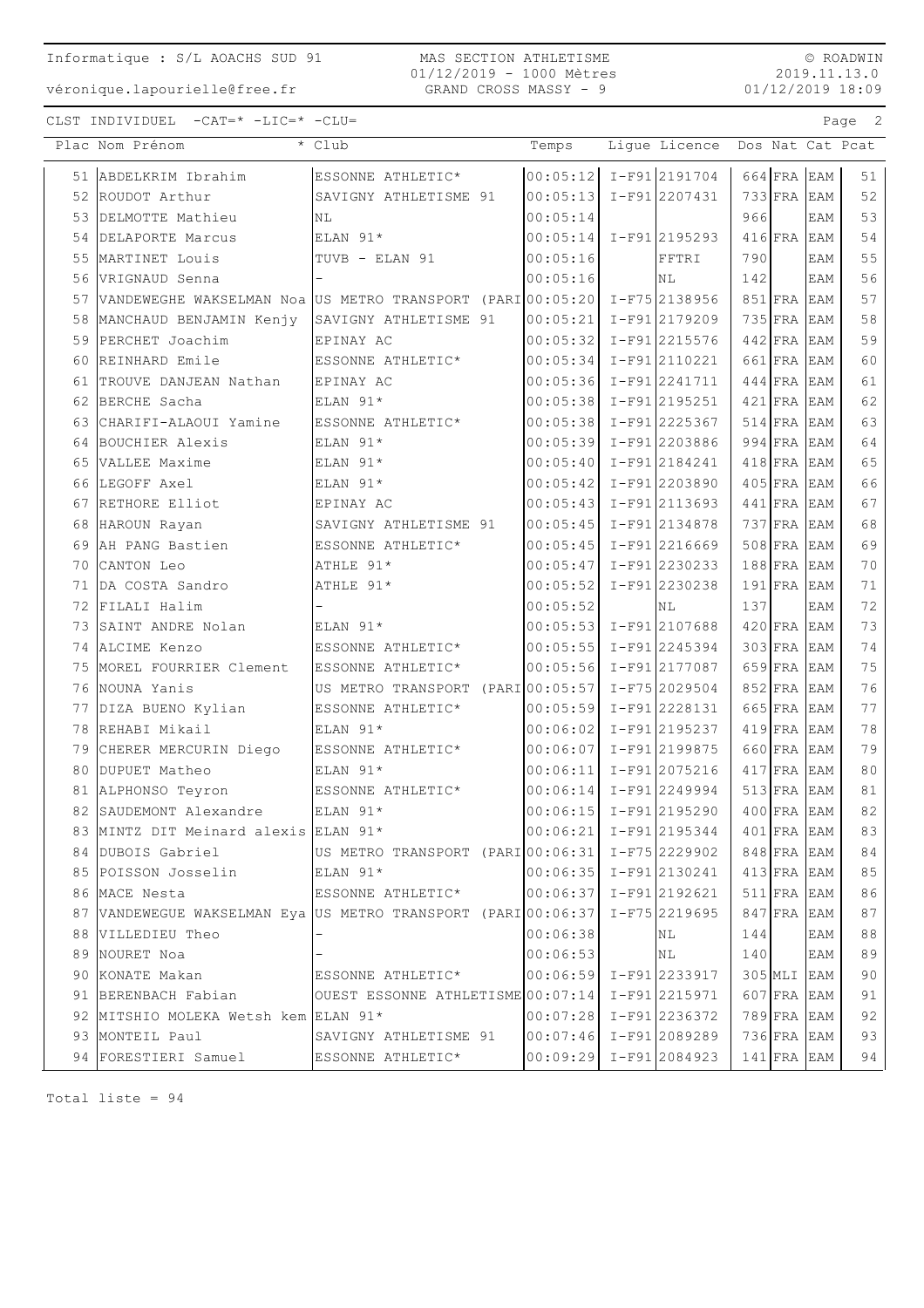MAS SECTION ATHLETISME 01/12/2019 - 1000 Mètres GRAND CROSS MASSY - 9

© ROADWIN 2019.11.13.0 01/12/2019 18:09

CLST INDIVIDUEL -CAT=\* -LIC=\* -CLU= Page 2

|    | Plac Nom Prénom                                                               | $\overline{\cdot}$ Club                           | Temps                      | Lique Licence |     |               |            | Dos Nat Cat Pcat |
|----|-------------------------------------------------------------------------------|---------------------------------------------------|----------------------------|---------------|-----|---------------|------------|------------------|
|    | 51 ABDELKRIM Ibrahim                                                          | ESSONNE ATHLETIC*                                 | $00:05:12$ I-F912191704    |               |     | $664$ FRA EAM |            | 51               |
|    | 52 ROUDOT Arthur                                                              | SAVIGNY ATHLETISME 91                             | $00:05:13$ I-F91 2207431   |               |     | $733$ FRA EAM |            | 52               |
|    | 53 DELMOTTE Mathieu                                                           | N <sub>L</sub>                                    | 00:05:14                   |               | 966 |               | EAM        | 53               |
|    | 54 DELAPORTE Marcus                                                           | ELAN 91*                                          | $00:05:14$ I-F91 2195293   |               |     | $416$ FRA EAM |            | 54               |
|    | 55 MARTINET Louis                                                             | TUVB - ELAN 91                                    | 00:05:16                   | FFTRI         | 790 |               | <b>EAM</b> | 55               |
|    | 56 VRIGNAUD Senna                                                             |                                                   | 00:05:16                   | NL            | 142 |               | EAM        | 56               |
|    | 57 VANDEWEGHE WAKSELMAN Noa US METRO TRANSPORT (PARI 00:05:20   I-F75 2138956 |                                                   |                            |               |     | 851 FRA EAM   |            | 57               |
|    | 58 MANCHAUD BENJAMIN Kenjy                                                    | SAVIGNY ATHLETISME 91                             | $00:05:21$ I-F91 2179209   |               |     | $735$ FRA EAM |            | 58               |
|    | 59 PERCHET Joachim                                                            | EPINAY AC                                         | $00:05:32$ I-F91 2215576   |               |     | $442$ FRA EAM |            | 59               |
| 60 | REINHARD Emile                                                                | ESSONNE ATHLETIC*                                 | $00:05:34$ I-F91 2110221   |               |     | 661 FRA EAM   |            | 60               |
| 61 | TROUVE DANJEAN Nathan                                                         | EPINAY AC                                         | 00:05:36 I-F91 2241711     |               |     | $444$ FRA EAM |            | 61               |
|    | 62 BERCHE Sacha                                                               | ELAN 91*                                          | 00:05:38 I-F91 2195251     |               |     | $421$ FRA EAM |            | 62               |
|    | 63 CHARIFI-ALAOUI Yamine                                                      | ESSONNE ATHLETIC*                                 | $00:05:38$ I-F91 2225367   |               |     | $514$ FRA EAM |            | 63               |
|    | 64 BOUCHIER Alexis                                                            | ELAN 91*                                          | 00:05:39 I-F91 2203886     |               |     | 994 FRA EAM   |            | 64               |
|    | 65 VALLEE Maxime                                                              | ELAN 91*                                          | $00:05:40$ I-F912184241    |               |     | $418$ FRA EAM |            | 65               |
|    | 66 LEGOFF Axel                                                                | ELAN 91*                                          | $00:05:42$ I-F91 2203890   |               |     | $405$ FRA EAM |            | 66               |
|    | 67 RETHORE Elliot                                                             | EPINAY AC                                         | $00:05:43$ I-F91 2113693   |               |     | $441$ FRA EAM |            | 67               |
|    | 68 HAROUN Rayan                                                               | SAVIGNY ATHLETISME 91                             | $ 00:05:45 $ I-F91 2134878 |               |     | $737$ FRA EAM |            | 68               |
|    | 69 AH PANG Bastien                                                            | ESSONNE ATHLETIC*                                 | $00:05:45$ I-F91 2216669   |               |     | 508 FRA EAM   |            | 69               |
|    | 70 CANTON Leo                                                                 | ATHLE 91*                                         | $00:05:47$ I-F91 2230233   |               |     | $188$ FRA EAM |            | 70               |
| 71 | DA COSTA Sandro                                                               | ATHLE 91*                                         | $00:05:52$ I-F91 2230238   |               |     | $191$ FRA     | <b>EAM</b> | 71               |
|    | 72 FILALI Halim                                                               |                                                   | 00:05:52                   | ΝL            | 137 |               | EAM        | 72               |
|    | 73 SAINT ANDRE Nolan                                                          | ELAN 91*                                          | $00:05:53$ $I-F91$ 2107688 |               |     | $420$ FRA EAM |            | 73               |
|    | 74 ALCIME Kenzo                                                               | ESSONNE ATHLETIC*                                 | $00:05:55$ $I-F91$ 2245394 |               |     | $303$ FRA EAM |            | 74               |
|    | 75 MOREL FOURRIER Clement                                                     | ESSONNE ATHLETIC*                                 | $00:05:56$ I-F91 2177087   |               |     | 659 FRA EAM   |            | 75               |
|    | 76 NOUNA Yanis                                                                | US METRO TRANSPORT (PARI00:05:57 I-F75 2029504    |                            |               |     | $852$ FRA EAM |            | 76               |
|    | 77 DIZA BUENO Kylian                                                          | ESSONNE ATHLETIC*                                 | $00:05:59$ I-F91 2228131   |               |     | $665$ FRA EAM |            | 77               |
|    | 78 REHABI Mikail                                                              | ELAN 91*                                          | $00:06:02$ I-F91 2195237   |               |     | $419$ FRA EAM |            | 78               |
|    | 79 CHERER MERCURIN Diego                                                      | ESSONNE ATHLETIC*                                 | $00:06:07$ I-F91 2199875   |               |     | $660$ FRA EAM |            | 79               |
| 80 | DUPUET Matheo                                                                 | ELAN 91*                                          | 00:06:11                   | I-F91 2075216 |     | $417$ FRA EAM |            | 80               |
|    | 81 ALPHONSO Teyron                                                            | ESSONNE ATHLETIC*                                 | $00:06:14$ I-F91 2249994   |               |     | $513$ FRA EAM |            | 81               |
|    | 82 SAUDEMONT Alexandre                                                        | ELAN $91*$                                        | $00:06:15$ I-F91 2195290   |               |     | $400$ FRA EAM |            | 82               |
|    | 83 MINTZ DIT Meinard alexis ELAN 91*                                          |                                                   | $00:06:21$ I-F912195344    |               |     | $401$ FRA EAM |            | 83               |
|    | 84 DUBOIS Gabriel                                                             | US METRO TRANSPORT (PARI 00:06:31 I-F75 2229902   |                            |               |     | 848 FRA EAM   |            | 84               |
|    | 85 POISSON Josselin ELAN 91*                                                  |                                                   | $ 00:06:35 $ I-F91 2130241 |               |     | $413$ FRA EAM |            | 85               |
|    | 86 MACE Nesta                                                                 | ESSONNE ATHLETIC* $00:06:37$ I-F91 2192621        |                            |               |     | $511$ FRA EAM |            | 86               |
|    | 87 VANDEWEGUE WAKSELMAN Eya US METRO TRANSPORT (PARI 00:06:37   I-F75 2219695 |                                                   |                            |               |     | $847$ FRA EAM |            | 87               |
|    | 88 VILLEDIEU Theo                                                             |                                                   | 00:06:38                   | NL            | 144 |               | EAM        | 88               |
|    | 89 NOURET Noa                                                                 |                                                   | 00:06:53                   | NL            | 140 |               | EAM        | 89               |
|    | 90 KONATE Makan                                                               | ESSONNE ATHLETIC*                                 | $ 00:06:59  I-F91 2233917$ |               |     | $305$ MLI EAM |            | 90               |
|    | 91 BERENBACH Fabian                                                           | OUEST ESSONNE ATHLETISME $00:07:14$ I-F91 2215971 |                            |               |     | $607$ FRA EAM |            | 91               |
|    | 92 MITSHIO MOLEKA Wetsh kem ELAN 91*                                          |                                                   | $ 00:07:28  I-F91 2236372$ |               |     | $789$ FRA EAM |            | 92               |
|    | 93 MONTEIL Paul                                                               | SAVIGNY ATHLETISME 91                             | $ 00:07:46  I-F91 2089289$ |               |     | $736$ FRA EAM |            | 93               |
|    | 94  FORESTIERI Samuel                                                         | ESSONNE ATHLETIC*                                 | $ 00:09:29  I-F91 2084923$ |               |     | $141$ FRA EAM |            | 94               |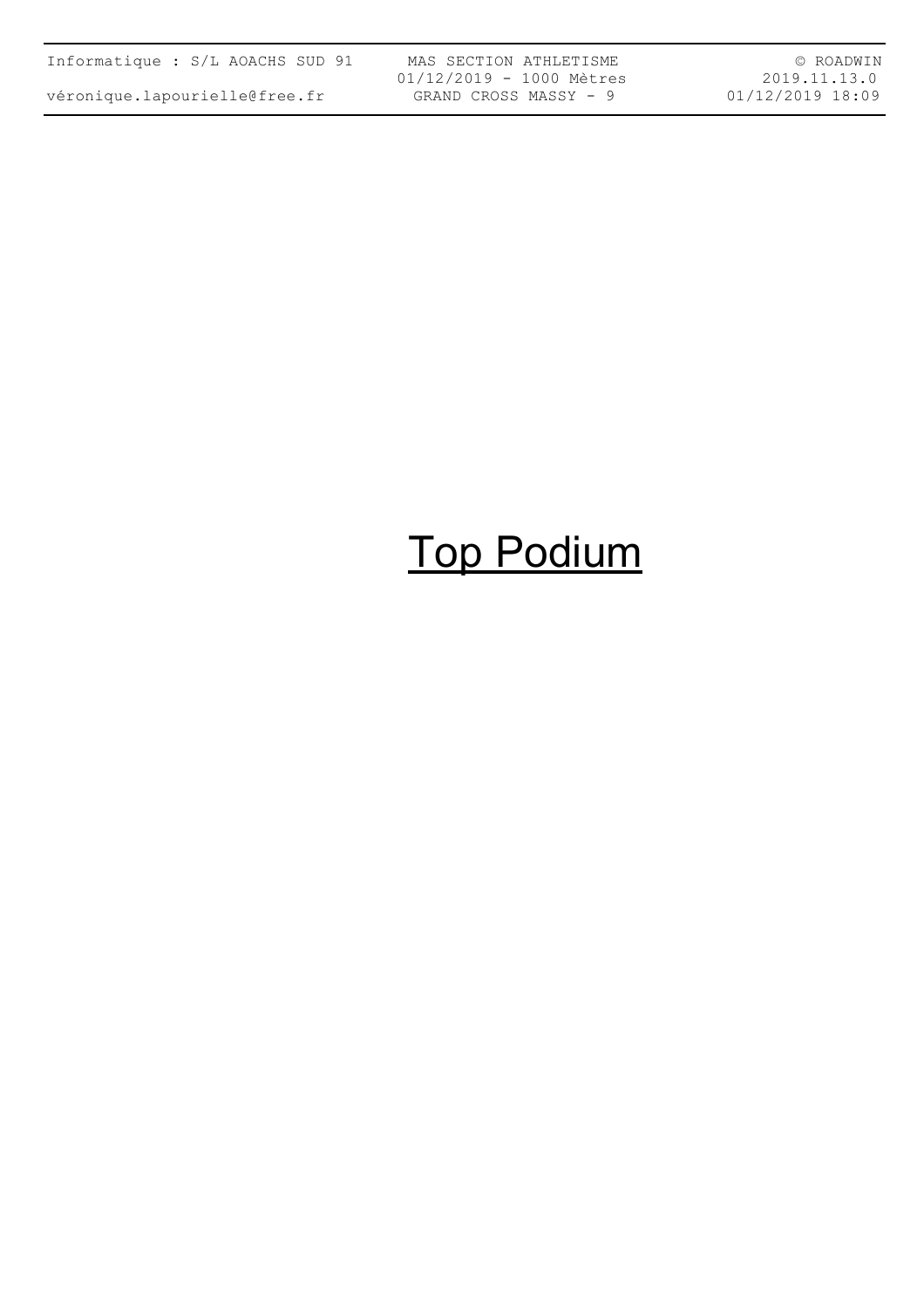| Informatique : S/L AOACHS SUD 91 |  |  |  |
|----------------------------------|--|--|--|
| véronique.lapourielle@free.fr    |  |  |  |

MAS SECTION ATHLETISME 01/12/2019 - 1000 Mètres GRAND CROSS MASSY - 9

© ROADWIN 2019.11.13.0 01/12/2019 18:09

# Top Podium